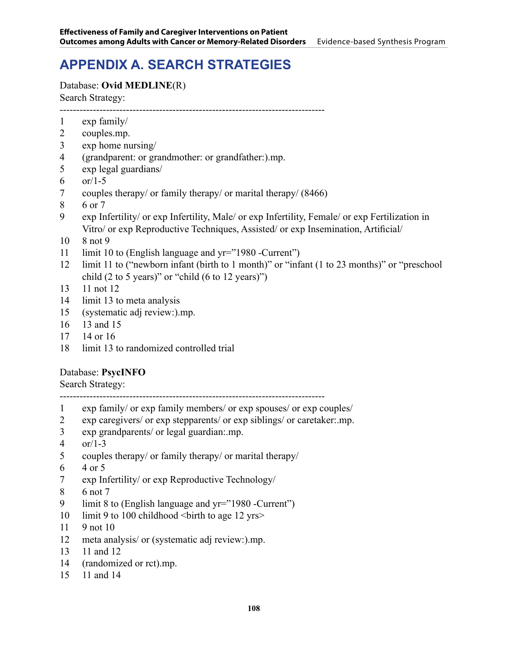# **APPENDIX A. SEARCH STRATEGIES**

### Database: **Ovid MEDLINE**(R) Search Strategy:

--------------------------------------------------------------------------------

- exp family/
- couples.mp.
- exp home nursing/
- (grandparent: or grandmother: or grandfather:).mp.
- exp legal guardians/
- 6  $or/1-5$
- couples therapy/ or family therapy/ or marital therapy/ (8466)
- 6 or 7
- exp Infertility/ or exp Infertility, Male/ or exp Infertility, Female/ or exp Fertilization in Vitro/ or exp Reproductive Techniques, Assisted/ or exp Insemination, Artificial/
- 8 not 9
- 11 limit 10 to (English language and yr="1980 -Current")
- limit 11 to ("newborn infant (birth to 1 month)" or "infant (1 to 23 months)" or "preschool child (2 to 5 years)" or "child (6 to 12 years)")
- 11 not 12
- limit 13 to meta analysis
- (systematic adj review:).mp.
- 13 and 15
- 14 or 16
- limit 13 to randomized controlled trial

#### Database: **PsycINFO**

Search Strategy:

--------------------------------------------------------------------------------

- exp family/ or exp family members/ or exp spouses/ or exp couples/
- exp caregivers/ or exp stepparents/ or exp siblings/ or caretaker:.mp.
- exp grandparents/ or legal guardian:.mp.
- or/1-3
- couples therapy/ or family therapy/ or marital therapy/
- 4 or 5
- exp Infertility/ or exp Reproductive Technology/
- 6 not 7
- limit 8 to (English language and yr="1980 -Current")
- 10 limit 9 to 100 childhood <br/>sbirth to age 12 yrs>
- 9 not 10
- meta analysis/ or (systematic adj review:).mp.
- 11 and 12
- (randomized or rct).mp.
- 11 and 14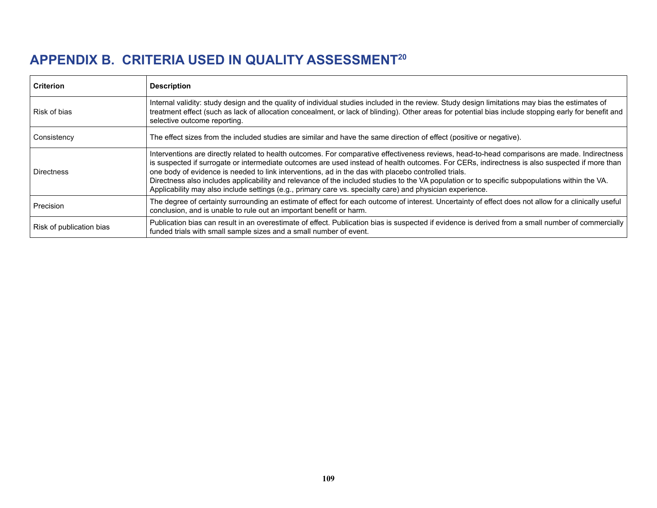## **APPENDIX B. CRITERIA USED IN QUALITY ASSESSMENT20**

| <b>Criterion</b>         | <b>Description</b>                                                                                                                                                                                                                                                                                                                                                                                                                                                                                                                                                                                                                                                   |
|--------------------------|----------------------------------------------------------------------------------------------------------------------------------------------------------------------------------------------------------------------------------------------------------------------------------------------------------------------------------------------------------------------------------------------------------------------------------------------------------------------------------------------------------------------------------------------------------------------------------------------------------------------------------------------------------------------|
| Risk of bias             | Internal validity: study design and the quality of individual studies included in the review. Study design limitations may bias the estimates of<br>treatment effect (such as lack of allocation concealment, or lack of blinding). Other areas for potential bias include stopping early for benefit and<br>selective outcome reporting.                                                                                                                                                                                                                                                                                                                            |
| Consistency              | The effect sizes from the included studies are similar and have the same direction of effect (positive or negative).                                                                                                                                                                                                                                                                                                                                                                                                                                                                                                                                                 |
| <b>Directness</b>        | Interventions are directly related to health outcomes. For comparative effectiveness reviews, head-to-head comparisons are made. Indirectness<br>is suspected if surrogate or intermediate outcomes are used instead of health outcomes. For CERs, indirectness is also suspected if more than<br>one body of evidence is needed to link interventions, ad in the das with placebo controlled trials.<br>Directness also includes applicability and relevance of the included studies to the VA population or to specific subpopulations within the VA.<br>Applicability may also include settings (e.g., primary care vs. specialty care) and physician experience. |
| Precision                | The degree of certainty surrounding an estimate of effect for each outcome of interest. Uncertainty of effect does not allow for a clinically useful<br>conclusion, and is unable to rule out an important benefit or harm.                                                                                                                                                                                                                                                                                                                                                                                                                                          |
| Risk of publication bias | Publication bias can result in an overestimate of effect. Publication bias is suspected if evidence is derived from a small number of commercially<br>funded trials with small sample sizes and a small number of event.                                                                                                                                                                                                                                                                                                                                                                                                                                             |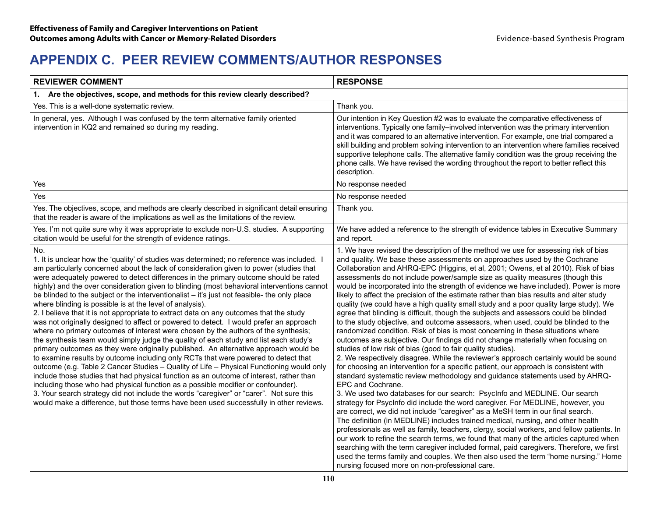## **APPENDIX C. PEER REVIEW COMMENTS/AUTHOR RESPONSES**

| <b>REVIEWER COMMENT</b>                                                                                                                                                                                                                                                                                                                                                                                                                                                                                                                                                                                                                                                                                                                                                                                                                                                                                                                                                                                                                                                                                                                                                                                                                                                                                                                                                                                                                                                                                                                                       | <b>RESPONSE</b>                                                                                                                                                                                                                                                                                                                                                                                                                                                                                                                                                                                                                                                                                                                                                                                                                                                                                                                                                                                                                                                                                                                                                                                                                                                                                                                                                                                                                                                                                                                                                                                                                                                                                                                                                                                                                                                                                                                                                                                                                                                                           |
|---------------------------------------------------------------------------------------------------------------------------------------------------------------------------------------------------------------------------------------------------------------------------------------------------------------------------------------------------------------------------------------------------------------------------------------------------------------------------------------------------------------------------------------------------------------------------------------------------------------------------------------------------------------------------------------------------------------------------------------------------------------------------------------------------------------------------------------------------------------------------------------------------------------------------------------------------------------------------------------------------------------------------------------------------------------------------------------------------------------------------------------------------------------------------------------------------------------------------------------------------------------------------------------------------------------------------------------------------------------------------------------------------------------------------------------------------------------------------------------------------------------------------------------------------------------|-------------------------------------------------------------------------------------------------------------------------------------------------------------------------------------------------------------------------------------------------------------------------------------------------------------------------------------------------------------------------------------------------------------------------------------------------------------------------------------------------------------------------------------------------------------------------------------------------------------------------------------------------------------------------------------------------------------------------------------------------------------------------------------------------------------------------------------------------------------------------------------------------------------------------------------------------------------------------------------------------------------------------------------------------------------------------------------------------------------------------------------------------------------------------------------------------------------------------------------------------------------------------------------------------------------------------------------------------------------------------------------------------------------------------------------------------------------------------------------------------------------------------------------------------------------------------------------------------------------------------------------------------------------------------------------------------------------------------------------------------------------------------------------------------------------------------------------------------------------------------------------------------------------------------------------------------------------------------------------------------------------------------------------------------------------------------------------------|
| 1. Are the objectives, scope, and methods for this review clearly described?                                                                                                                                                                                                                                                                                                                                                                                                                                                                                                                                                                                                                                                                                                                                                                                                                                                                                                                                                                                                                                                                                                                                                                                                                                                                                                                                                                                                                                                                                  |                                                                                                                                                                                                                                                                                                                                                                                                                                                                                                                                                                                                                                                                                                                                                                                                                                                                                                                                                                                                                                                                                                                                                                                                                                                                                                                                                                                                                                                                                                                                                                                                                                                                                                                                                                                                                                                                                                                                                                                                                                                                                           |
| Yes. This is a well-done systematic review.                                                                                                                                                                                                                                                                                                                                                                                                                                                                                                                                                                                                                                                                                                                                                                                                                                                                                                                                                                                                                                                                                                                                                                                                                                                                                                                                                                                                                                                                                                                   | Thank you.                                                                                                                                                                                                                                                                                                                                                                                                                                                                                                                                                                                                                                                                                                                                                                                                                                                                                                                                                                                                                                                                                                                                                                                                                                                                                                                                                                                                                                                                                                                                                                                                                                                                                                                                                                                                                                                                                                                                                                                                                                                                                |
| In general, yes. Although I was confused by the term alternative family oriented<br>intervention in KQ2 and remained so during my reading.                                                                                                                                                                                                                                                                                                                                                                                                                                                                                                                                                                                                                                                                                                                                                                                                                                                                                                                                                                                                                                                                                                                                                                                                                                                                                                                                                                                                                    | Our intention in Key Question #2 was to evaluate the comparative effectiveness of<br>interventions. Typically one family–involved intervention was the primary intervention<br>and it was compared to an alternative intervention. For example, one trial compared a<br>skill building and problem solving intervention to an intervention where families received<br>supportive telephone calls. The alternative family condition was the group receiving the<br>phone calls. We have revised the wording throughout the report to better reflect this<br>description.                                                                                                                                                                                                                                                                                                                                                                                                                                                                                                                                                                                                                                                                                                                                                                                                                                                                                                                                                                                                                                                                                                                                                                                                                                                                                                                                                                                                                                                                                                                   |
| Yes                                                                                                                                                                                                                                                                                                                                                                                                                                                                                                                                                                                                                                                                                                                                                                                                                                                                                                                                                                                                                                                                                                                                                                                                                                                                                                                                                                                                                                                                                                                                                           | No response needed                                                                                                                                                                                                                                                                                                                                                                                                                                                                                                                                                                                                                                                                                                                                                                                                                                                                                                                                                                                                                                                                                                                                                                                                                                                                                                                                                                                                                                                                                                                                                                                                                                                                                                                                                                                                                                                                                                                                                                                                                                                                        |
| Yes                                                                                                                                                                                                                                                                                                                                                                                                                                                                                                                                                                                                                                                                                                                                                                                                                                                                                                                                                                                                                                                                                                                                                                                                                                                                                                                                                                                                                                                                                                                                                           | No response needed                                                                                                                                                                                                                                                                                                                                                                                                                                                                                                                                                                                                                                                                                                                                                                                                                                                                                                                                                                                                                                                                                                                                                                                                                                                                                                                                                                                                                                                                                                                                                                                                                                                                                                                                                                                                                                                                                                                                                                                                                                                                        |
| Yes. The objectives, scope, and methods are clearly described in significant detail ensuring<br>that the reader is aware of the implications as well as the limitations of the review.                                                                                                                                                                                                                                                                                                                                                                                                                                                                                                                                                                                                                                                                                                                                                                                                                                                                                                                                                                                                                                                                                                                                                                                                                                                                                                                                                                        | Thank you.                                                                                                                                                                                                                                                                                                                                                                                                                                                                                                                                                                                                                                                                                                                                                                                                                                                                                                                                                                                                                                                                                                                                                                                                                                                                                                                                                                                                                                                                                                                                                                                                                                                                                                                                                                                                                                                                                                                                                                                                                                                                                |
| Yes. I'm not quite sure why it was appropriate to exclude non-U.S. studies. A supporting<br>citation would be useful for the strength of evidence ratings.                                                                                                                                                                                                                                                                                                                                                                                                                                                                                                                                                                                                                                                                                                                                                                                                                                                                                                                                                                                                                                                                                                                                                                                                                                                                                                                                                                                                    | We have added a reference to the strength of evidence tables in Executive Summary<br>and report.                                                                                                                                                                                                                                                                                                                                                                                                                                                                                                                                                                                                                                                                                                                                                                                                                                                                                                                                                                                                                                                                                                                                                                                                                                                                                                                                                                                                                                                                                                                                                                                                                                                                                                                                                                                                                                                                                                                                                                                          |
| No.<br>1. It is unclear how the 'quality' of studies was determined; no reference was included. I<br>am particularly concerned about the lack of consideration given to power (studies that<br>were adequately powered to detect differences in the primary outcome should be rated<br>highly) and the over consideration given to blinding (most behavioral interventions cannot<br>be blinded to the subject or the interventionalist - it's just not feasible- the only place<br>where blinding is possible is at the level of analysis).<br>2. I believe that it is not appropriate to extract data on any outcomes that the study<br>was not originally designed to affect or powered to detect. I would prefer an approach<br>where no primary outcomes of interest were chosen by the authors of the synthesis;<br>the synthesis team would simply judge the quality of each study and list each study's<br>primary outcomes as they were originally published. An alternative approach would be<br>to examine results by outcome including only RCTs that were powered to detect that<br>outcome (e.g. Table 2 Cancer Studies - Quality of Life - Physical Functioning would only<br>include those studies that had physical function as an outcome of interest, rather than<br>including those who had physical function as a possible modifier or confounder).<br>3. Your search strategy did not include the words "caregiver" or "carer". Not sure this<br>would make a difference, but those terms have been used successfully in other reviews. | 1. We have revised the description of the method we use for assessing risk of bias<br>and quality. We base these assessments on approaches used by the Cochrane<br>Collaboration and AHRQ-EPC (Higgins, et al, 2001; Owens, et al 2010). Risk of bias<br>assessments do not include power/sample size as quality measures (though this<br>would be incorporated into the strength of evidence we have included). Power is more<br>likely to affect the precision of the estimate rather than bias results and alter study<br>quality (we could have a high quality small study and a poor quality large study). We<br>agree that blinding is difficult, though the subjects and assessors could be blinded<br>to the study objective, and outcome assessors, when used, could be blinded to the<br>randomized condition. Risk of bias is most concerning in these situations where<br>outcomes are subjective. Our findings did not change materially when focusing on<br>studies of low risk of bias (good to fair quality studies).<br>2. We respectively disagree. While the reviewer's approach certainly would be sound<br>for choosing an intervention for a specific patient, our approach is consistent with<br>standard systematic review methodology and guidance statements used by AHRQ-<br>EPC and Cochrane.<br>3. We used two databases for our search: PsycInfo and MEDLINE. Our search<br>strategy for PsycInfo did include the word caregiver. For MEDLINE, however, you<br>are correct, we did not include "caregiver" as a MeSH term in our final search.<br>The definition (in MEDLINE) includes trained medical, nursing, and other health<br>professionals as well as family, teachers, clergy, social workers, and fellow patients. In<br>our work to refine the search terms, we found that many of the articles captured when<br>searching with the term caregiver included formal, paid caregivers. Therefore, we first<br>used the terms family and couples. We then also used the term "home nursing." Home<br>nursing focused more on non-professional care. |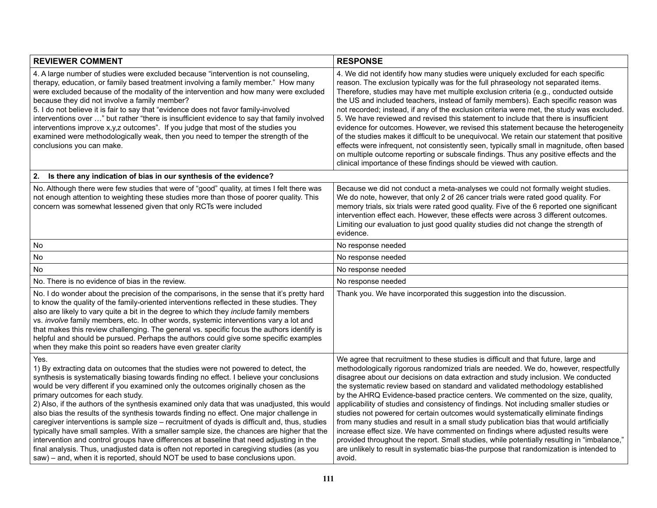| <b>REVIEWER COMMENT</b>                                                                                                                                                                                                                                                                                                                                                                                                                                                                                                                                                                                                                                                                                                                                                                                                                                                                                                                                                             | <b>RESPONSE</b>                                                                                                                                                                                                                                                                                                                                                                                                                                                                                                                                                                                                                                                                                                                                                                                                                                                                                                                                                                                   |
|-------------------------------------------------------------------------------------------------------------------------------------------------------------------------------------------------------------------------------------------------------------------------------------------------------------------------------------------------------------------------------------------------------------------------------------------------------------------------------------------------------------------------------------------------------------------------------------------------------------------------------------------------------------------------------------------------------------------------------------------------------------------------------------------------------------------------------------------------------------------------------------------------------------------------------------------------------------------------------------|---------------------------------------------------------------------------------------------------------------------------------------------------------------------------------------------------------------------------------------------------------------------------------------------------------------------------------------------------------------------------------------------------------------------------------------------------------------------------------------------------------------------------------------------------------------------------------------------------------------------------------------------------------------------------------------------------------------------------------------------------------------------------------------------------------------------------------------------------------------------------------------------------------------------------------------------------------------------------------------------------|
| 4. A large number of studies were excluded because "intervention is not counseling,<br>therapy, education, or family based treatment involving a family member." How many<br>were excluded because of the modality of the intervention and how many were excluded<br>because they did not involve a family member?<br>5. I do not believe it is fair to say that "evidence does not favor family-involved<br>interventions over " but rather "there is insufficient evidence to say that family involved<br>interventions improve x,y,z outcomes". If you judge that most of the studies you<br>examined were methodologically weak, then you need to temper the strength of the<br>conclusions you can make.                                                                                                                                                                                                                                                                       | 4. We did not identify how many studies were uniquely excluded for each specific<br>reason. The exclusion typically was for the full phraseology not separated items.<br>Therefore, studies may have met multiple exclusion criteria (e.g., conducted outside<br>the US and included teachers, instead of family members). Each specific reason was<br>not recorded; instead, if any of the exclusion criteria were met, the study was excluded.<br>5. We have reviewed and revised this statement to include that there is insufficient<br>evidence for outcomes. However, we revised this statement because the heterogeneity<br>of the studies makes it difficult to be unequivocal. We retain our statement that positive<br>effects were infrequent, not consistently seen, typically small in magnitude, often based<br>on multiple outcome reporting or subscale findings. Thus any positive effects and the<br>clinical importance of these findings should be viewed with caution.       |
| Is there any indication of bias in our synthesis of the evidence?<br>2.                                                                                                                                                                                                                                                                                                                                                                                                                                                                                                                                                                                                                                                                                                                                                                                                                                                                                                             |                                                                                                                                                                                                                                                                                                                                                                                                                                                                                                                                                                                                                                                                                                                                                                                                                                                                                                                                                                                                   |
| No. Although there were few studies that were of "good" quality, at times I felt there was<br>not enough attention to weighting these studies more than those of poorer quality. This<br>concern was somewhat lessened given that only RCTs were included                                                                                                                                                                                                                                                                                                                                                                                                                                                                                                                                                                                                                                                                                                                           | Because we did not conduct a meta-analyses we could not formally weight studies.<br>We do note, however, that only 2 of 26 cancer trials were rated good quality. For<br>memory trials, six trials were rated good quality. Five of the 6 reported one significant<br>intervention effect each. However, these effects were across 3 different outcomes.<br>Limiting our evaluation to just good quality studies did not change the strength of<br>evidence.                                                                                                                                                                                                                                                                                                                                                                                                                                                                                                                                      |
| No                                                                                                                                                                                                                                                                                                                                                                                                                                                                                                                                                                                                                                                                                                                                                                                                                                                                                                                                                                                  | No response needed                                                                                                                                                                                                                                                                                                                                                                                                                                                                                                                                                                                                                                                                                                                                                                                                                                                                                                                                                                                |
| No                                                                                                                                                                                                                                                                                                                                                                                                                                                                                                                                                                                                                                                                                                                                                                                                                                                                                                                                                                                  | No response needed                                                                                                                                                                                                                                                                                                                                                                                                                                                                                                                                                                                                                                                                                                                                                                                                                                                                                                                                                                                |
| <b>No</b>                                                                                                                                                                                                                                                                                                                                                                                                                                                                                                                                                                                                                                                                                                                                                                                                                                                                                                                                                                           | No response needed                                                                                                                                                                                                                                                                                                                                                                                                                                                                                                                                                                                                                                                                                                                                                                                                                                                                                                                                                                                |
| No. There is no evidence of bias in the review.                                                                                                                                                                                                                                                                                                                                                                                                                                                                                                                                                                                                                                                                                                                                                                                                                                                                                                                                     | No response needed                                                                                                                                                                                                                                                                                                                                                                                                                                                                                                                                                                                                                                                                                                                                                                                                                                                                                                                                                                                |
| No. I do wonder about the precision of the comparisons, in the sense that it's pretty hard<br>to know the quality of the family-oriented interventions reflected in these studies. They<br>also are likely to vary quite a bit in the degree to which they include family members<br>vs. involve family members, etc. In other words, systemic interventions vary a lot and<br>that makes this review challenging. The general vs. specific focus the authors identify is<br>helpful and should be pursued. Perhaps the authors could give some specific examples<br>when they make this point so readers have even greater clarity                                                                                                                                                                                                                                                                                                                                                 | Thank you. We have incorporated this suggestion into the discussion.                                                                                                                                                                                                                                                                                                                                                                                                                                                                                                                                                                                                                                                                                                                                                                                                                                                                                                                              |
| Yes.<br>1) By extracting data on outcomes that the studies were not powered to detect, the<br>synthesis is systematically biasing towards finding no effect. I believe your conclusions<br>would be very different if you examined only the outcomes originally chosen as the<br>primary outcomes for each study.<br>2) Also, if the authors of the synthesis examined only data that was unadjusted, this would<br>also bias the results of the synthesis towards finding no effect. One major challenge in<br>caregiver interventions is sample size - recruitment of dyads is difficult and, thus, studies<br>typically have small samples. With a smaller sample size, the chances are higher that the<br>intervention and control groups have differences at baseline that need adjusting in the<br>final analysis. Thus, unadjusted data is often not reported in caregiving studies (as you<br>saw) – and, when it is reported, should NOT be used to base conclusions upon. | We agree that recruitment to these studies is difficult and that future, large and<br>methodologically rigorous randomized trials are needed. We do, however, respectfully<br>disagree about our decisions on data extraction and study inclusion. We conducted<br>the systematic review based on standard and validated methodology established<br>by the AHRQ Evidence-based practice centers. We commented on the size, quality,<br>applicability of studies and consistency of findings. Not including smaller studies or<br>studies not powered for certain outcomes would systematically eliminate findings<br>from many studies and result in a small study publication bias that would artificially<br>increase effect size. We have commented on findings where adjusted results were<br>provided throughout the report. Small studies, while potentially resulting in "imbalance,"<br>are unlikely to result in systematic bias-the purpose that randomization is intended to<br>avoid. |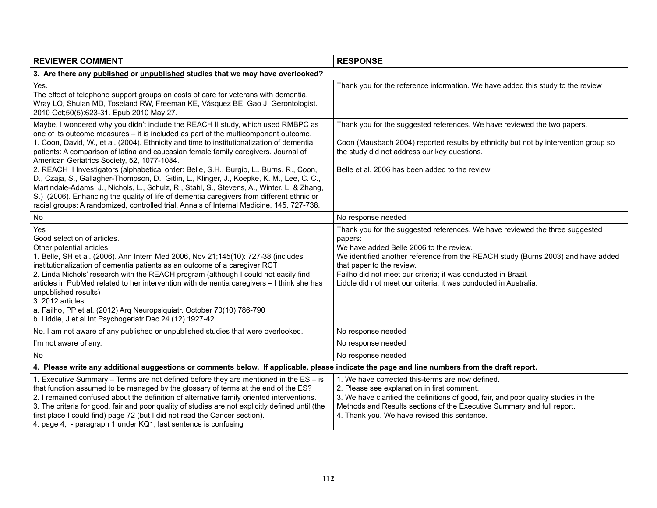| <b>REVIEWER COMMENT</b>                                                                                                                                                                                                                                                                                                                                                                                                                                                                                                                                                                                                                                                                                                                                                                                                                                                                      | <b>RESPONSE</b>                                                                                                                                                                                                                                                                                                                                                                          |
|----------------------------------------------------------------------------------------------------------------------------------------------------------------------------------------------------------------------------------------------------------------------------------------------------------------------------------------------------------------------------------------------------------------------------------------------------------------------------------------------------------------------------------------------------------------------------------------------------------------------------------------------------------------------------------------------------------------------------------------------------------------------------------------------------------------------------------------------------------------------------------------------|------------------------------------------------------------------------------------------------------------------------------------------------------------------------------------------------------------------------------------------------------------------------------------------------------------------------------------------------------------------------------------------|
| 3. Are there any published or unpublished studies that we may have overlooked?                                                                                                                                                                                                                                                                                                                                                                                                                                                                                                                                                                                                                                                                                                                                                                                                               |                                                                                                                                                                                                                                                                                                                                                                                          |
| Yes.<br>The effect of telephone support groups on costs of care for veterans with dementia.<br>Wray LO, Shulan MD, Toseland RW, Freeman KE, Vásquez BE, Gao J. Gerontologist.<br>2010 Oct;50(5):623-31. Epub 2010 May 27.                                                                                                                                                                                                                                                                                                                                                                                                                                                                                                                                                                                                                                                                    | Thank you for the reference information. We have added this study to the review                                                                                                                                                                                                                                                                                                          |
| Maybe. I wondered why you didn't include the REACH II study, which used RMBPC as<br>one of its outcome measures - it is included as part of the multicomponent outcome.<br>1. Coon, David, W., et al. (2004). Ethnicity and time to institutionalization of dementia<br>patients: A comparison of latina and caucasian female family caregivers. Journal of<br>American Geriatrics Society, 52, 1077-1084.<br>2. REACH II Investigators (alphabetical order: Belle, S.H., Burgio, L., Burns, R., Coon,<br>D., Czaja, S., Gallagher-Thompson, D., Gitlin, L., Klinger, J., Koepke, K. M., Lee, C. C.,<br>Martindale-Adams, J., Nichols, L., Schulz, R., Stahl, S., Stevens, A., Winter, L. & Zhang,<br>S.) (2006). Enhancing the quality of life of dementia caregivers from different ethnic or<br>racial groups: A randomized, controlled trial. Annals of Internal Medicine, 145, 727-738. | Thank you for the suggested references. We have reviewed the two papers.<br>Coon (Mausbach 2004) reported results by ethnicity but not by intervention group so<br>the study did not address our key questions.<br>Belle et al. 2006 has been added to the review.                                                                                                                       |
| No                                                                                                                                                                                                                                                                                                                                                                                                                                                                                                                                                                                                                                                                                                                                                                                                                                                                                           | No response needed                                                                                                                                                                                                                                                                                                                                                                       |
| Yes<br>Good selection of articles.<br>Other potential articles:<br>1. Belle, SH et al. (2006). Ann Intern Med 2006, Nov 21;145(10): 727-38 (includes<br>institutionalization of dementia patients as an outcome of a caregiver RCT<br>2. Linda Nichols' research with the REACH program (although I could not easily find<br>articles in PubMed related to her intervention with dementia caregivers - I think she has<br>unpublished results)<br>3. 2012 articles:<br>a. Failho, PP et al. (2012) Arq Neuropsiquiatr. October 70(10) 786-790<br>b. Liddle, J et al Int Psychogeriatr Dec 24 (12) 1927-42                                                                                                                                                                                                                                                                                    | Thank you for the suggested references. We have reviewed the three suggested<br>papers:<br>We have added Belle 2006 to the review.<br>We identified another reference from the REACH study (Burns 2003) and have added<br>that paper to the review.<br>Failho did not meet our criteria; it was conducted in Brazil.<br>Liddle did not meet our criteria; it was conducted in Australia. |
| No. I am not aware of any published or unpublished studies that were overlooked.                                                                                                                                                                                                                                                                                                                                                                                                                                                                                                                                                                                                                                                                                                                                                                                                             | No response needed                                                                                                                                                                                                                                                                                                                                                                       |
| I'm not aware of any.                                                                                                                                                                                                                                                                                                                                                                                                                                                                                                                                                                                                                                                                                                                                                                                                                                                                        | No response needed                                                                                                                                                                                                                                                                                                                                                                       |
| No                                                                                                                                                                                                                                                                                                                                                                                                                                                                                                                                                                                                                                                                                                                                                                                                                                                                                           | No response needed                                                                                                                                                                                                                                                                                                                                                                       |
| 4. Please write any additional suggestions or comments below. If applicable, please indicate the page and line numbers from the draft report.                                                                                                                                                                                                                                                                                                                                                                                                                                                                                                                                                                                                                                                                                                                                                |                                                                                                                                                                                                                                                                                                                                                                                          |
| 1. Executive Summary – Terms are not defined before they are mentioned in the $ES - is$<br>that function assumed to be managed by the glossary of terms at the end of the ES?<br>2. I remained confused about the definition of alternative family oriented interventions.<br>3. The criteria for good, fair and poor quality of studies are not explicitly defined until (the<br>first place I could find) page 72 (but I did not read the Cancer section).<br>4. page 4, - paragraph 1 under KQ1, last sentence is confusing                                                                                                                                                                                                                                                                                                                                                               | 1. We have corrected this-terms are now defined.<br>2. Please see explanation in first comment.<br>3. We have clarified the definitions of good, fair, and poor quality studies in the<br>Methods and Results sections of the Executive Summary and full report.<br>4. Thank you. We have revised this sentence.                                                                         |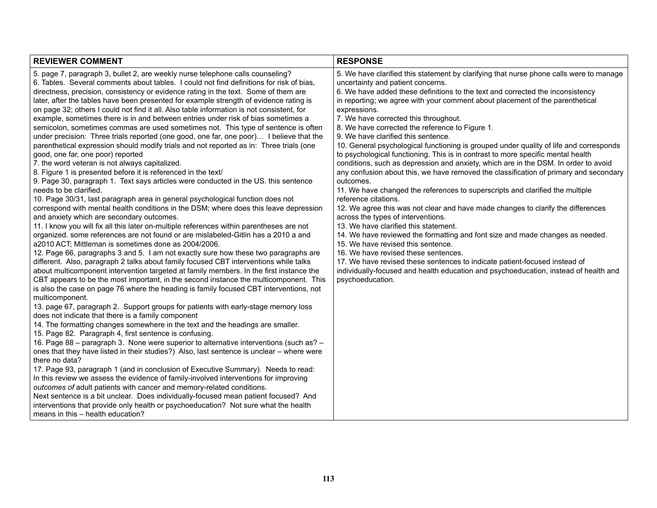| <b>REVIEWER COMMENT</b>                                                                                                                                                                                                                                                                                                                                                                                                                                                                                                                                                                                                                                                                                                                                                                                                                                                                                                                                                                                                                                                                                                                                                                                                                                                                                                                                                                                                                                                                                                                                                                                                                                                                                                                                                                                                                                                                                                                                                                                                                                                                                                                                                                                                                                                                                                                                                                                                                                                                                                                                                                                                                                                                                                                                                                                                                                                                                                                                                                                                         | <b>RESPONSE</b>                                                                                                                                                                                                                                                                                                                                                                                                                                                                                                                                                                                                                                                                                                                                                                                                                                                                                                                                                                                                                                                                                                                                                                                                                                                                                                                                                                                                                                                    |
|---------------------------------------------------------------------------------------------------------------------------------------------------------------------------------------------------------------------------------------------------------------------------------------------------------------------------------------------------------------------------------------------------------------------------------------------------------------------------------------------------------------------------------------------------------------------------------------------------------------------------------------------------------------------------------------------------------------------------------------------------------------------------------------------------------------------------------------------------------------------------------------------------------------------------------------------------------------------------------------------------------------------------------------------------------------------------------------------------------------------------------------------------------------------------------------------------------------------------------------------------------------------------------------------------------------------------------------------------------------------------------------------------------------------------------------------------------------------------------------------------------------------------------------------------------------------------------------------------------------------------------------------------------------------------------------------------------------------------------------------------------------------------------------------------------------------------------------------------------------------------------------------------------------------------------------------------------------------------------------------------------------------------------------------------------------------------------------------------------------------------------------------------------------------------------------------------------------------------------------------------------------------------------------------------------------------------------------------------------------------------------------------------------------------------------------------------------------------------------------------------------------------------------------------------------------------------------------------------------------------------------------------------------------------------------------------------------------------------------------------------------------------------------------------------------------------------------------------------------------------------------------------------------------------------------------------------------------------------------------------------------------------------------|--------------------------------------------------------------------------------------------------------------------------------------------------------------------------------------------------------------------------------------------------------------------------------------------------------------------------------------------------------------------------------------------------------------------------------------------------------------------------------------------------------------------------------------------------------------------------------------------------------------------------------------------------------------------------------------------------------------------------------------------------------------------------------------------------------------------------------------------------------------------------------------------------------------------------------------------------------------------------------------------------------------------------------------------------------------------------------------------------------------------------------------------------------------------------------------------------------------------------------------------------------------------------------------------------------------------------------------------------------------------------------------------------------------------------------------------------------------------|
| 5. page 7, paragraph 3, bullet 2, are weekly nurse telephone calls counseling?<br>6. Tables. Several comments about tables. I could not find definitions for risk of bias,<br>directness, precision, consistency or evidence rating in the text. Some of them are<br>later, after the tables have been presented for example strength of evidence rating is<br>on page 32; others I could not find it all. Also table information is not consistent, for<br>example, sometimes there is in and between entries under risk of bias sometimes a<br>semicolon, sometimes commas are used sometimes not. This type of sentence is often<br>under precision: Three trials reported (one good, one far, one poor) I believe that the<br>parenthetical expression should modify trials and not reported as in: Three trials (one<br>good, one far, one poor) reported<br>7. the word veteran is not always capitalized.<br>8. Figure 1 is presented before it is referenced in the text/<br>9. Page 30, paragraph 1. Text says articles were conducted in the US. this sentence<br>needs to be clarified.<br>10. Page 30/31, last paragraph area in general psychological function does not<br>correspond with mental health conditions in the DSM; where does this leave depression<br>and anxiety which are secondary outcomes.<br>11. I know you will fix all this later on-multiple references within parentheses are not<br>organized. some references are not found or are mislabeled-Gitlin has a 2010 a and<br>a2010 ACT; Mittleman is sometimes done as 2004/2006.<br>12. Page 66, paragraphs 3 and 5. I am not exactly sure how these two paragraphs are<br>different. Also, paragraph 2 talks about family focused CBT interventions while talks<br>about multicomponent intervention targeted at family members. In the first instance the<br>CBT appears to be the most important, in the second instance the multicomponent. This<br>is also the case on page 76 where the heading is family focused CBT interventions, not<br>multicomponent.<br>13. page 67, paragraph 2. Support groups for patients with early-stage memory loss<br>does not indicate that there is a family component<br>14. The formatting changes somewhere in the text and the headings are smaller.<br>15. Page 82. Paragraph 4, first sentence is confusing.<br>16. Page 88 – paragraph 3. None were superior to alternative interventions (such as? –<br>ones that they have listed in their studies?) Also, last sentence is unclear - where were<br>there no data?<br>17. Page 93, paragraph 1 (and in conclusion of Executive Summary). Needs to read:<br>In this review we assess the evidence of family-involved interventions for improving<br>outcomes of adult patients with cancer and memory-related conditions.<br>Next sentence is a bit unclear. Does individually-focused mean patient focused? And<br>interventions that provide only health or psychoeducation? Not sure what the health<br>means in this - health education? | 5. We have clarified this statement by clarifying that nurse phone calls were to manage<br>uncertainty and patient concerns.<br>6. We have added these definitions to the text and corrected the inconsistency<br>in reporting; we agree with your comment about placement of the parenthetical<br>expressions.<br>7. We have corrected this throughout.<br>8. We have corrected the reference to Figure 1.<br>9. We have clarified this sentence.<br>10. General psychological functioning is grouped under quality of life and corresponds<br>to psychological functioning. This is in contrast to more specific mental health<br>conditions, such as depression and anxiety, which are in the DSM. In order to avoid<br>any confusion about this, we have removed the classification of primary and secondary<br>outcomes.<br>11. We have changed the references to superscripts and clarified the multiple<br>reference citations.<br>12. We agree this was not clear and have made changes to clarify the differences<br>across the types of interventions.<br>13. We have clarified this statement.<br>14. We have reviewed the formatting and font size and made changes as needed.<br>15. We have revised this sentence.<br>16. We have revised these sentences.<br>17. We have revised these sentences to indicate patient-focused instead of<br>individually-focused and health education and psychoeducation, instead of health and<br>psychoeducation. |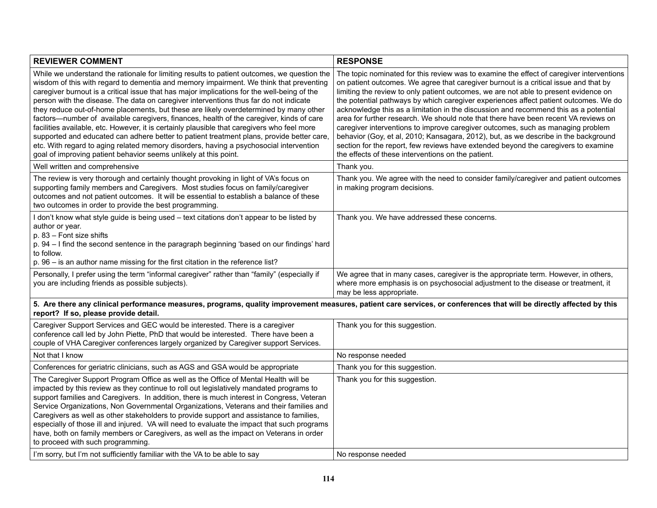| <b>REVIEWER COMMENT</b>                                                                                                                                                                                                                                                                                                                                                                                                                                                                                                                                                                                                                                                                                                                                                                                                                                                                                                      | <b>RESPONSE</b>                                                                                                                                                                                                                                                                                                                                                                                                                                                                                                                                                                                                                                                                                                                                                                                                                                                       |
|------------------------------------------------------------------------------------------------------------------------------------------------------------------------------------------------------------------------------------------------------------------------------------------------------------------------------------------------------------------------------------------------------------------------------------------------------------------------------------------------------------------------------------------------------------------------------------------------------------------------------------------------------------------------------------------------------------------------------------------------------------------------------------------------------------------------------------------------------------------------------------------------------------------------------|-----------------------------------------------------------------------------------------------------------------------------------------------------------------------------------------------------------------------------------------------------------------------------------------------------------------------------------------------------------------------------------------------------------------------------------------------------------------------------------------------------------------------------------------------------------------------------------------------------------------------------------------------------------------------------------------------------------------------------------------------------------------------------------------------------------------------------------------------------------------------|
| While we understand the rationale for limiting results to patient outcomes, we question the<br>wisdom of this with regard to dementia and memory impairment. We think that preventing<br>caregiver burnout is a critical issue that has major implications for the well-being of the<br>person with the disease. The data on caregiver interventions thus far do not indicate<br>they reduce out-of-home placements, but these are likely overdetermined by many other<br>factors—number of available caregivers, finances, health of the caregiver, kinds of care<br>facilities available, etc. However, it is certainly plausible that caregivers who feel more<br>supported and educated can adhere better to patient treatment plans, provide better care,<br>etc. With regard to aging related memory disorders, having a psychosocial intervention<br>goal of improving patient behavior seems unlikely at this point. | The topic nominated for this review was to examine the effect of caregiver interventions<br>on patient outcomes. We agree that caregiver burnout is a critical issue and that by<br>limiting the review to only patient outcomes, we are not able to present evidence on<br>the potential pathways by which caregiver experiences affect patient outcomes. We do<br>acknowledge this as a limitation in the discussion and recommend this as a potential<br>area for further research. We should note that there have been recent VA reviews on<br>caregiver interventions to improve caregiver outcomes, such as managing problem<br>behavior (Goy, et al, 2010; Kansagara, 2012), but, as we describe in the background<br>section for the report, few reviews have extended beyond the caregivers to examine<br>the effects of these interventions on the patient. |
| Well written and comprehensive                                                                                                                                                                                                                                                                                                                                                                                                                                                                                                                                                                                                                                                                                                                                                                                                                                                                                               | Thank you.                                                                                                                                                                                                                                                                                                                                                                                                                                                                                                                                                                                                                                                                                                                                                                                                                                                            |
| The review is very thorough and certainly thought provoking in light of VA's focus on<br>supporting family members and Caregivers. Most studies focus on family/caregiver<br>outcomes and not patient outcomes. It will be essential to establish a balance of these<br>two outcomes in order to provide the best programming.                                                                                                                                                                                                                                                                                                                                                                                                                                                                                                                                                                                               | Thank you. We agree with the need to consider family/caregiver and patient outcomes<br>in making program decisions.                                                                                                                                                                                                                                                                                                                                                                                                                                                                                                                                                                                                                                                                                                                                                   |
| I don't know what style guide is being used - text citations don't appear to be listed by<br>author or year.<br>p. 83 - Font size shifts<br>p. 94 - I find the second sentence in the paragraph beginning 'based on our findings' hard<br>to follow.<br>p. 96 - is an author name missing for the first citation in the reference list?                                                                                                                                                                                                                                                                                                                                                                                                                                                                                                                                                                                      | Thank you. We have addressed these concerns.                                                                                                                                                                                                                                                                                                                                                                                                                                                                                                                                                                                                                                                                                                                                                                                                                          |
| Personally, I prefer using the term "informal caregiver" rather than "family" (especially if<br>you are including friends as possible subjects).                                                                                                                                                                                                                                                                                                                                                                                                                                                                                                                                                                                                                                                                                                                                                                             | We agree that in many cases, caregiver is the appropriate term. However, in others,<br>where more emphasis is on psychosocial adjustment to the disease or treatment, it<br>may be less appropriate.                                                                                                                                                                                                                                                                                                                                                                                                                                                                                                                                                                                                                                                                  |
| 5. Are there any clinical performance measures, programs, quality improvement measures, patient care services, or conferences that will be directly affected by this<br>report? If so, please provide detail.                                                                                                                                                                                                                                                                                                                                                                                                                                                                                                                                                                                                                                                                                                                |                                                                                                                                                                                                                                                                                                                                                                                                                                                                                                                                                                                                                                                                                                                                                                                                                                                                       |
| Caregiver Support Services and GEC would be interested. There is a caregiver<br>conference call led by John Piette, PhD that would be interested. There have been a<br>couple of VHA Caregiver conferences largely organized by Caregiver support Services.                                                                                                                                                                                                                                                                                                                                                                                                                                                                                                                                                                                                                                                                  | Thank you for this suggestion.                                                                                                                                                                                                                                                                                                                                                                                                                                                                                                                                                                                                                                                                                                                                                                                                                                        |
| Not that I know                                                                                                                                                                                                                                                                                                                                                                                                                                                                                                                                                                                                                                                                                                                                                                                                                                                                                                              | No response needed                                                                                                                                                                                                                                                                                                                                                                                                                                                                                                                                                                                                                                                                                                                                                                                                                                                    |
| Conferences for geriatric clinicians, such as AGS and GSA would be appropriate                                                                                                                                                                                                                                                                                                                                                                                                                                                                                                                                                                                                                                                                                                                                                                                                                                               | Thank you for this suggestion.                                                                                                                                                                                                                                                                                                                                                                                                                                                                                                                                                                                                                                                                                                                                                                                                                                        |
| The Caregiver Support Program Office as well as the Office of Mental Health will be<br>impacted by this review as they continue to roll out legislatively mandated programs to<br>support families and Caregivers. In addition, there is much interest in Congress, Veteran<br>Service Organizations, Non Governmental Organizations, Veterans and their families and<br>Caregivers as well as other stakeholders to provide support and assistance to families,<br>especially of those ill and injured. VA will need to evaluate the impact that such programs<br>have, both on family members or Caregivers, as well as the impact on Veterans in order<br>to proceed with such programming.                                                                                                                                                                                                                               | Thank you for this suggestion.                                                                                                                                                                                                                                                                                                                                                                                                                                                                                                                                                                                                                                                                                                                                                                                                                                        |
| I'm sorry, but I'm not sufficiently familiar with the VA to be able to say                                                                                                                                                                                                                                                                                                                                                                                                                                                                                                                                                                                                                                                                                                                                                                                                                                                   | No response needed                                                                                                                                                                                                                                                                                                                                                                                                                                                                                                                                                                                                                                                                                                                                                                                                                                                    |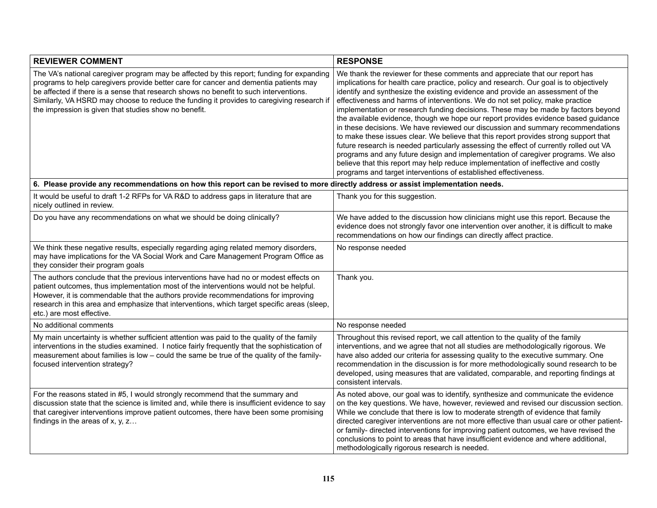| <b>REVIEWER COMMENT</b>                                                                                                                                                                                                                                                                                                                                                                                                          | <b>RESPONSE</b>                                                                                                                                                                                                                                                                                                                                                                                                                                                                                                                                                                                                                                                                                                                                                                                                                                                                                                                                                                                                                      |
|----------------------------------------------------------------------------------------------------------------------------------------------------------------------------------------------------------------------------------------------------------------------------------------------------------------------------------------------------------------------------------------------------------------------------------|--------------------------------------------------------------------------------------------------------------------------------------------------------------------------------------------------------------------------------------------------------------------------------------------------------------------------------------------------------------------------------------------------------------------------------------------------------------------------------------------------------------------------------------------------------------------------------------------------------------------------------------------------------------------------------------------------------------------------------------------------------------------------------------------------------------------------------------------------------------------------------------------------------------------------------------------------------------------------------------------------------------------------------------|
| The VA's national caregiver program may be affected by this report; funding for expanding<br>programs to help caregivers provide better care for cancer and dementia patients may<br>be affected if there is a sense that research shows no benefit to such interventions.<br>Similarly, VA HSRD may choose to reduce the funding it provides to caregiving research if<br>the impression is given that studies show no benefit. | We thank the reviewer for these comments and appreciate that our report has<br>implications for health care practice, policy and research. Our goal is to objectively<br>identify and synthesize the existing evidence and provide an assessment of the<br>effectiveness and harms of interventions. We do not set policy, make practice<br>implementation or research funding decisions. These may be made by factors beyond<br>the available evidence, though we hope our report provides evidence based guidance<br>in these decisions. We have reviewed our discussion and summary recommendations<br>to make these issues clear. We believe that this report provides strong support that<br>future research is needed particularly assessing the effect of currently rolled out VA<br>programs and any future design and implementation of caregiver programs. We also<br>believe that this report may help reduce implementation of ineffective and costly<br>programs and target interventions of established effectiveness. |
| 6. Please provide any recommendations on how this report can be revised to more directly address or assist implementation needs.                                                                                                                                                                                                                                                                                                 |                                                                                                                                                                                                                                                                                                                                                                                                                                                                                                                                                                                                                                                                                                                                                                                                                                                                                                                                                                                                                                      |
| It would be useful to draft 1-2 RFPs for VA R&D to address gaps in literature that are<br>nicely outlined in review.                                                                                                                                                                                                                                                                                                             | Thank you for this suggestion.                                                                                                                                                                                                                                                                                                                                                                                                                                                                                                                                                                                                                                                                                                                                                                                                                                                                                                                                                                                                       |
| Do you have any recommendations on what we should be doing clinically?                                                                                                                                                                                                                                                                                                                                                           | We have added to the discussion how clinicians might use this report. Because the<br>evidence does not strongly favor one intervention over another, it is difficult to make<br>recommendations on how our findings can directly affect practice.                                                                                                                                                                                                                                                                                                                                                                                                                                                                                                                                                                                                                                                                                                                                                                                    |
| We think these negative results, especially regarding aging related memory disorders,<br>may have implications for the VA Social Work and Care Management Program Office as<br>they consider their program goals                                                                                                                                                                                                                 | No response needed                                                                                                                                                                                                                                                                                                                                                                                                                                                                                                                                                                                                                                                                                                                                                                                                                                                                                                                                                                                                                   |
| The authors conclude that the previous interventions have had no or modest effects on<br>patient outcomes, thus implementation most of the interventions would not be helpful.<br>However, it is commendable that the authors provide recommendations for improving<br>research in this area and emphasize that interventions, which target specific areas (sleep,<br>etc.) are most effective.                                  | Thank you.                                                                                                                                                                                                                                                                                                                                                                                                                                                                                                                                                                                                                                                                                                                                                                                                                                                                                                                                                                                                                           |
| No additional comments                                                                                                                                                                                                                                                                                                                                                                                                           | No response needed                                                                                                                                                                                                                                                                                                                                                                                                                                                                                                                                                                                                                                                                                                                                                                                                                                                                                                                                                                                                                   |
| My main uncertainty is whether sufficient attention was paid to the quality of the family<br>interventions in the studies examined. I notice fairly frequently that the sophistication of<br>measurement about families is low – could the same be true of the quality of the family-<br>focused intervention strategy?                                                                                                          | Throughout this revised report, we call attention to the quality of the family<br>interventions, and we agree that not all studies are methodologically rigorous. We<br>have also added our criteria for assessing quality to the executive summary. One<br>recommendation in the discussion is for more methodologically sound research to be<br>developed, using measures that are validated, comparable, and reporting findings at<br>consistent intervals.                                                                                                                                                                                                                                                                                                                                                                                                                                                                                                                                                                       |
| For the reasons stated in #5, I would strongly recommend that the summary and<br>discussion state that the science is limited and, while there is insufficient evidence to say<br>that caregiver interventions improve patient outcomes, there have been some promising<br>findings in the areas of $x, y, z$                                                                                                                    | As noted above, our goal was to identify, synthesize and communicate the evidence<br>on the key questions. We have, however, reviewed and revised our discussion section.<br>While we conclude that there is low to moderate strength of evidence that family<br>directed caregiver interventions are not more effective than usual care or other patient-<br>or family- directed interventions for improving patient outcomes, we have revised the<br>conclusions to point to areas that have insufficient evidence and where additional,<br>methodologically rigorous research is needed.                                                                                                                                                                                                                                                                                                                                                                                                                                          |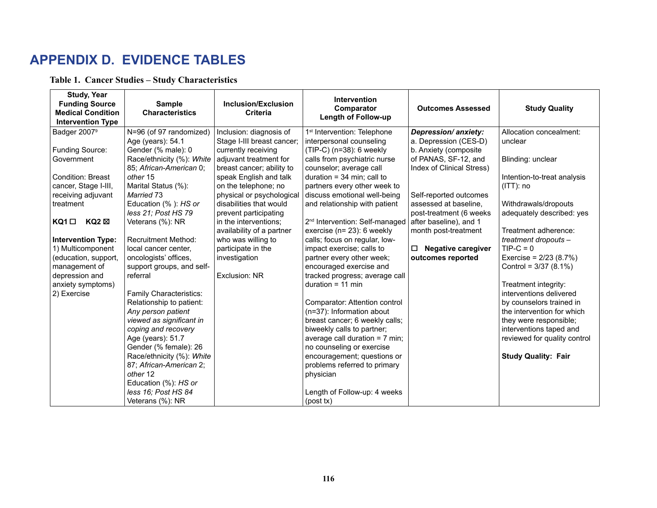### **APPENDIX D. EVIDENCE TABLES**

**Table 1. Cancer Studies – Study Characteristics**

| <b>Study, Year</b><br><b>Funding Source</b><br><b>Medical Condition</b><br><b>Intervention Type</b>                                                                                                                                                                                                                 | <b>Sample</b><br><b>Characteristics</b>                                                                                                                                                                                                                                                                                                                                                           | <b>Inclusion/Exclusion</b><br><b>Criteria</b>                                                                                                                                                                                                                                                                                                                                                              | <b>Intervention</b><br>Comparator<br><b>Length of Follow-up</b>                                                                                                                                                                                                                                                                                                                                                                                                                                                                                        | <b>Outcomes Assessed</b>                                                                                                                                                                                                                                                                                          | <b>Study Quality</b>                                                                                                                                                                                                                                                                                                                 |
|---------------------------------------------------------------------------------------------------------------------------------------------------------------------------------------------------------------------------------------------------------------------------------------------------------------------|---------------------------------------------------------------------------------------------------------------------------------------------------------------------------------------------------------------------------------------------------------------------------------------------------------------------------------------------------------------------------------------------------|------------------------------------------------------------------------------------------------------------------------------------------------------------------------------------------------------------------------------------------------------------------------------------------------------------------------------------------------------------------------------------------------------------|--------------------------------------------------------------------------------------------------------------------------------------------------------------------------------------------------------------------------------------------------------------------------------------------------------------------------------------------------------------------------------------------------------------------------------------------------------------------------------------------------------------------------------------------------------|-------------------------------------------------------------------------------------------------------------------------------------------------------------------------------------------------------------------------------------------------------------------------------------------------------------------|--------------------------------------------------------------------------------------------------------------------------------------------------------------------------------------------------------------------------------------------------------------------------------------------------------------------------------------|
| Badger 2007 <sup>9</sup><br>Funding Source:<br>Government<br><b>Condition: Breast</b><br>cancer, Stage I-III,<br>receiving adjuvant<br>treatment<br>KQ2 ⊠<br>KQ1 □<br><b>Intervention Type:</b><br>1) Multicomponent<br>(education, support,<br>management of<br>depression and<br>anxiety symptoms)<br>2) Exercise | N=96 (of 97 randomized)<br>Age (years): 54.1<br>Gender (% male): 0<br>Race/ethnicity (%): White<br>85; African-American 0;<br>other 15<br>Marital Status (%):<br>Married 73<br>Education (%): HS or<br>less 21; Post HS 79<br>Veterans (%): NR<br><b>Recruitment Method:</b><br>local cancer center.<br>oncologists' offices,<br>support groups, and self-<br>referral<br>Family Characteristics: | Inclusion: diagnosis of<br>Stage I-III breast cancer;<br>currently receiving<br>adjuvant treatment for<br>breast cancer; ability to<br>speak English and talk<br>on the telephone; no<br>physical or psychological<br>disabilities that would<br>prevent participating<br>in the interventions;<br>availability of a partner<br>who was willing to<br>participate in the<br>investigation<br>Exclusion: NR | 1 <sup>st</sup> Intervention: Telephone<br>interpersonal counseling<br>(TIP-C) (n=38): 6 weekly<br>calls from psychiatric nurse<br>counselor; average call<br>duration = $34$ min; call to<br>partners every other week to<br>discuss emotional well-being<br>and relationship with patient<br>2 <sup>nd</sup> Intervention: Self-managed<br>exercise (n= 23): 6 weekly<br>calls; focus on regular, low-<br>impact exercise; calls to<br>partner every other week;<br>encouraged exercise and<br>tracked progress; average call<br>duration = $11$ min | Depression/anxiety:<br>a. Depression (CES-D)<br>b. Anxiety (composite<br>of PANAS, SF-12, and<br>Index of Clinical Stress)<br>Self-reported outcomes<br>assessed at baseline,<br>post-treatment (6 weeks<br>after baseline), and 1<br>month post-treatment<br><b>Negative caregiver</b><br>□<br>outcomes reported | Allocation concealment:<br>unclear<br>Blinding: unclear<br>Intention-to-treat analysis<br>$(ITT)$ : no<br>Withdrawals/dropouts<br>adequately described: yes<br>Treatment adherence:<br>treatment dropouts -<br>$TIP-C = 0$<br>Exercise = $2/23$ (8.7%)<br>Control = $3/37(8.1\%)$<br>Treatment integrity:<br>interventions delivered |
|                                                                                                                                                                                                                                                                                                                     | Relationship to patient:<br>Any person patient<br>viewed as significant in<br>coping and recovery<br>Age (years): 51.7<br>Gender (% female): 26<br>Race/ethnicity (%): White<br>87; African-American 2;<br>other 12<br>Education (%): HS or<br>less 16; Post HS 84<br>Veterans (%): NR                                                                                                            |                                                                                                                                                                                                                                                                                                                                                                                                            | Comparator: Attention control<br>(n=37): Information about<br>breast cancer; 6 weekly calls;<br>biweekly calls to partner;<br>average call duration = 7 min;<br>no counseling or exercise<br>encouragement; questions or<br>problems referred to primary<br>physician<br>Length of Follow-up: 4 weeks<br>(post tx)                                                                                                                                                                                                                                     |                                                                                                                                                                                                                                                                                                                   | by counselors trained in<br>the intervention for which<br>they were responsible;<br>interventions taped and<br>reviewed for quality control<br><b>Study Quality: Fair</b>                                                                                                                                                            |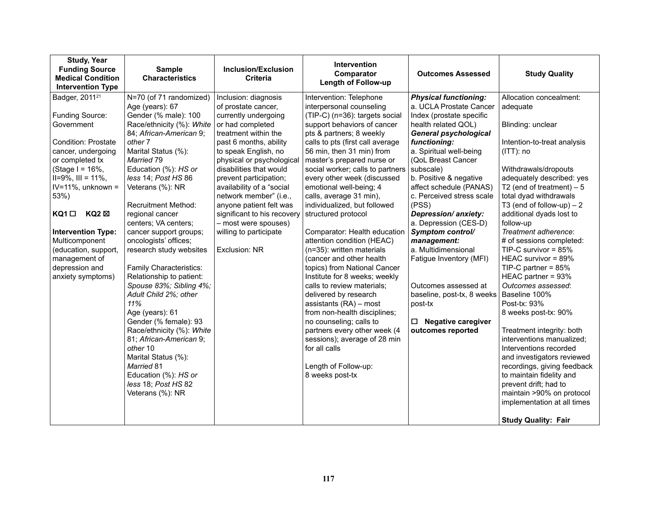| <b>Study, Year</b><br><b>Funding Source</b><br><b>Medical Condition</b><br><b>Intervention Type</b>                                                                                                                                                                                                                                                                            | <b>Sample</b><br><b>Characteristics</b>                                                                                                                                                                                                                                                                                                                                                                                                                                                                                                                                                                                                                                                                                                               | Inclusion/Exclusion<br><b>Criteria</b>                                                                                                                                                                                                                                                                                                                                                                                                  | <b>Intervention</b><br>Comparator<br>Length of Follow-up                                                                                                                                                                                                                                                                                                                                                                                                                                                                                                                                                                                                                                                                                                                                                                                                                                        | <b>Outcomes Assessed</b>                                                                                                                                                                                                                                                                                                                                                                                                                                                                                                                                                         | <b>Study Quality</b>                                                                                                                                                                                                                                                                                                                                                                                                                                                                                                                                                                                                                                                                                                                                                                                            |
|--------------------------------------------------------------------------------------------------------------------------------------------------------------------------------------------------------------------------------------------------------------------------------------------------------------------------------------------------------------------------------|-------------------------------------------------------------------------------------------------------------------------------------------------------------------------------------------------------------------------------------------------------------------------------------------------------------------------------------------------------------------------------------------------------------------------------------------------------------------------------------------------------------------------------------------------------------------------------------------------------------------------------------------------------------------------------------------------------------------------------------------------------|-----------------------------------------------------------------------------------------------------------------------------------------------------------------------------------------------------------------------------------------------------------------------------------------------------------------------------------------------------------------------------------------------------------------------------------------|-------------------------------------------------------------------------------------------------------------------------------------------------------------------------------------------------------------------------------------------------------------------------------------------------------------------------------------------------------------------------------------------------------------------------------------------------------------------------------------------------------------------------------------------------------------------------------------------------------------------------------------------------------------------------------------------------------------------------------------------------------------------------------------------------------------------------------------------------------------------------------------------------|----------------------------------------------------------------------------------------------------------------------------------------------------------------------------------------------------------------------------------------------------------------------------------------------------------------------------------------------------------------------------------------------------------------------------------------------------------------------------------------------------------------------------------------------------------------------------------|-----------------------------------------------------------------------------------------------------------------------------------------------------------------------------------------------------------------------------------------------------------------------------------------------------------------------------------------------------------------------------------------------------------------------------------------------------------------------------------------------------------------------------------------------------------------------------------------------------------------------------------------------------------------------------------------------------------------------------------------------------------------------------------------------------------------|
| Badger, 2011 <sup>21</sup><br>Funding Source:<br>Government<br><b>Condition: Prostate</b><br>cancer, undergoing<br>or completed tx<br>(Stage $I = 16\%$ ,<br>$II=9\%$ , $III = 11\%$ ,<br>IV=11%, unknown =<br>53%)<br>$KQ1$ $\square$<br>KQ2 ⊠<br><b>Intervention Type:</b><br>Multicomponent<br>(education, support,<br>management of<br>depression and<br>anxiety symptoms) | N=70 (of 71 randomized)<br>Age (years): 67<br>Gender (% male): 100<br>Race/ethnicity (%): White<br>84; African-American 9;<br>other 7<br>Marital Status (%):<br>Married 79<br>Education (%): HS or<br>less 14; Post HS 86<br>Veterans (%): NR<br><b>Recruitment Method:</b><br>regional cancer<br>centers; VA centers;<br>cancer support groups;<br>oncologists' offices;<br>research study websites<br>Family Characteristics:<br>Relationship to patient:<br>Spouse 83%; Sibling 4%;<br>Adult Child 2%; other<br>11%<br>Age (years): 61<br>Gender (% female): 93<br>Race/ethnicity (%): White<br>81; African-American 9;<br>other 10<br>Marital Status (%):<br><b>Married 81</b><br>Education (%): HS or<br>less 18; Post HS 82<br>Veterans (%): NR | Inclusion: diagnosis<br>of prostate cancer,<br>currently undergoing<br>or had completed<br>treatment within the<br>past 6 months, ability<br>to speak English, no<br>physical or psychological<br>disabilities that would<br>prevent participation;<br>availability of a "social<br>network member" (i.e.,<br>anyone patient felt was<br>significant to his recovery<br>- most were spouses)<br>willing to participate<br>Exclusion: NR | Intervention: Telephone<br>interpersonal counseling<br>(TIP-C) (n=36): targets social<br>support behaviors of cancer<br>pts & partners; 8 weekly<br>calls to pts (first call average<br>56 min, then 31 min) from<br>master's prepared nurse or<br>social worker; calls to partners<br>every other week (discussed<br>emotional well-being; 4<br>calls, average 31 min),<br>individualized, but followed<br>structured protocol<br>Comparator: Health education<br>attention condition (HEAC)<br>(n=35): written materials<br>(cancer and other health<br>topics) from National Cancer<br>Institute for 8 weeks; weekly<br>calls to review materials;<br>delivered by research<br>assistants (RA) - most<br>from non-health disciplines;<br>no counseling; calls to<br>partners every other week (4<br>sessions); average of 28 min<br>for all calls<br>Length of Follow-up:<br>8 weeks post-tx | <b>Physical functioning:</b><br>a. UCLA Prostate Cancer<br>Index (prostate specific<br>health related QOL)<br><b>General psychological</b><br>functioning:<br>a. Spiritual well-being<br>(QoL Breast Cancer<br>subscale)<br>b. Positive & negative<br>affect schedule (PANAS)<br>c. Perceived stress scale<br>(PSS)<br>Depression/anxiety:<br>a. Depression (CES-D)<br>Symptom control/<br>management:<br>a. Multidimensional<br>Fatigue Inventory (MFI)<br>Outcomes assessed at<br>baseline, post-tx, 8 weeks<br>post-tx<br><b>Negative caregiver</b><br>□<br>outcomes reported | Allocation concealment:<br>adequate<br>Blinding: unclear<br>Intention-to-treat analysis<br>$(ITT)$ : no<br>Withdrawals/dropouts<br>adequately described: yes<br>T <sub>2</sub> (end of treatment) $-5$<br>total dyad withdrawals<br>T3 (end of follow-up) $-2$<br>additional dyads lost to<br>follow-up<br>Treatment adherence:<br># of sessions completed:<br>TIP-C survivor = $85%$<br>HEAC survivor = $89\%$<br>TIP-C partner = $85%$<br>HEAC partner = 93%<br>Outcomes assessed:<br>Baseline 100%<br>Post-tx: 93%<br>8 weeks post-tx: 90%<br>Treatment integrity: both<br>interventions manualized;<br>Interventions recorded<br>and investigators reviewed<br>recordings, giving feedback<br>to maintain fidelity and<br>prevent drift; had to<br>maintain >90% on protocol<br>implementation at all times |
|                                                                                                                                                                                                                                                                                                                                                                                |                                                                                                                                                                                                                                                                                                                                                                                                                                                                                                                                                                                                                                                                                                                                                       |                                                                                                                                                                                                                                                                                                                                                                                                                                         |                                                                                                                                                                                                                                                                                                                                                                                                                                                                                                                                                                                                                                                                                                                                                                                                                                                                                                 |                                                                                                                                                                                                                                                                                                                                                                                                                                                                                                                                                                                  | <b>Study Quality: Fair</b>                                                                                                                                                                                                                                                                                                                                                                                                                                                                                                                                                                                                                                                                                                                                                                                      |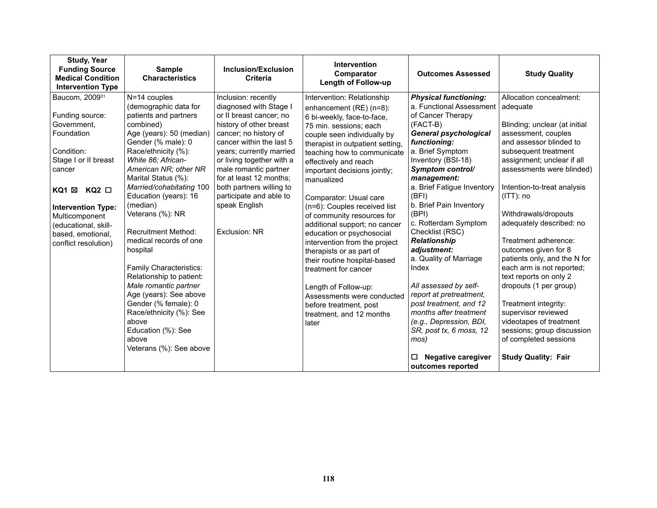| <b>Study, Year</b><br><b>Funding Source</b><br><b>Medical Condition</b><br><b>Intervention Type</b>                                                                                                                                                                        | <b>Sample</b><br><b>Characteristics</b>                                                                                                                                                                                                                                                                                                                                                                                                                                                                                                                                                                             | Inclusion/Exclusion<br><b>Criteria</b>                                                                                                                                                                                                                                                                                                                         | <b>Intervention</b><br>Comparator<br><b>Length of Follow-up</b>                                                                                                                                                                                                                                                                                                                                                                                                                                                                                                                                                                                                                        | <b>Outcomes Assessed</b>                                                                                                                                                                                                                                                                                                                                                                                                                                                                                                                                                                                               | <b>Study Quality</b>                                                                                                                                                                                                                                                                                                                                                                                                                                                                                                                                                                                                                         |
|----------------------------------------------------------------------------------------------------------------------------------------------------------------------------------------------------------------------------------------------------------------------------|---------------------------------------------------------------------------------------------------------------------------------------------------------------------------------------------------------------------------------------------------------------------------------------------------------------------------------------------------------------------------------------------------------------------------------------------------------------------------------------------------------------------------------------------------------------------------------------------------------------------|----------------------------------------------------------------------------------------------------------------------------------------------------------------------------------------------------------------------------------------------------------------------------------------------------------------------------------------------------------------|----------------------------------------------------------------------------------------------------------------------------------------------------------------------------------------------------------------------------------------------------------------------------------------------------------------------------------------------------------------------------------------------------------------------------------------------------------------------------------------------------------------------------------------------------------------------------------------------------------------------------------------------------------------------------------------|------------------------------------------------------------------------------------------------------------------------------------------------------------------------------------------------------------------------------------------------------------------------------------------------------------------------------------------------------------------------------------------------------------------------------------------------------------------------------------------------------------------------------------------------------------------------------------------------------------------------|----------------------------------------------------------------------------------------------------------------------------------------------------------------------------------------------------------------------------------------------------------------------------------------------------------------------------------------------------------------------------------------------------------------------------------------------------------------------------------------------------------------------------------------------------------------------------------------------------------------------------------------------|
| Baucom, 2009 <sup>31</sup><br>Funding source:<br>Government,<br>Foundation<br>Condition:<br>Stage I or II breast<br>cancer<br>$KQ2$ $\square$<br>KQ1 ⊠<br><b>Intervention Type:</b><br>Multicomponent<br>(educational, skill-<br>based, emotional,<br>conflict resolution) | N=14 couples<br>(demographic data for<br>patients and partners<br>combined)<br>Age (years): 50 (median)<br>Gender (% male): 0<br>Race/ethnicity (%):<br>White 86; African-<br>American NR; other NR<br>Marital Status (%):<br>Married/cohabitating 100<br>Education (years): 16<br>(median)<br>Veterans (%): NR<br><b>Recruitment Method:</b><br>medical records of one<br>hospital<br>Family Characteristics:<br>Relationship to patient:<br>Male romantic partner<br>Age (years): See above<br>Gender (% female): 0<br>Race/ethnicity (%): See<br>above<br>Education (%): See<br>above<br>Veterans (%): See above | Inclusion: recently<br>diagnosed with Stage I<br>or II breast cancer; no<br>history of other breast<br>cancer; no history of<br>cancer within the last 5<br>years; currently married<br>or living together with a<br>male romantic partner<br>for at least 12 months:<br>both partners willing to<br>participate and able to<br>speak English<br>Exclusion: NR | Intervention: Relationship<br>enhancement (RE) (n=8):<br>6 bi-weekly, face-to-face,<br>75 min. sessions; each<br>couple seen individually by<br>therapist in outpatient setting,<br>teaching how to communicate<br>effectively and reach<br>important decisions jointly;<br>manualized<br>Comparator: Usual care<br>(n=6): Couples received list<br>of community resources for<br>additional support; no cancer<br>education or psychosocial<br>intervention from the project<br>therapists or as part of<br>their routine hospital-based<br>treatment for cancer<br>Length of Follow-up:<br>Assessments were conducted<br>before treatment, post<br>treatment, and 12 months<br>later | <b>Physical functioning:</b><br>a. Functional Assessment<br>of Cancer Therapy<br>(FACT-B)<br><b>General psychological</b><br>functioning:<br>a. Brief Symptom<br>Inventory (BSI-18)<br>Symptom control/<br>management:<br>a. Brief Fatigue Inventory<br>(BFI)<br>b. Brief Pain Inventory<br>(BPI)<br>c. Rotterdam Symptom<br>Checklist (RSC)<br><b>Relationship</b><br>adjustment:<br>a. Quality of Marriage<br>Index<br>All assessed by self-<br>report at pretreatment,<br>post treatment, and 12<br>months after treatment<br>(e.g., Depression, BDI,<br>SR, post tx, 6 moss, 12<br>mos)<br>Negative caregiver<br>□ | Allocation concealment:<br>adequate<br>Blinding: unclear (at initial<br>assessment, couples<br>and assessor blinded to<br>subsequent treatment<br>assignment; unclear if all<br>assessments were blinded)<br>Intention-to-treat analysis<br>$(ITT)$ : no<br>Withdrawals/dropouts<br>adequately described: no<br>Treatment adherence:<br>outcomes given for 8<br>patients only, and the N for<br>each arm is not reported;<br>text reports on only 2<br>dropouts (1 per group)<br>Treatment integrity:<br>supervisor reviewed<br>videotapes of treatment<br>sessions; group discussion<br>of completed sessions<br><b>Study Quality: Fair</b> |
|                                                                                                                                                                                                                                                                            |                                                                                                                                                                                                                                                                                                                                                                                                                                                                                                                                                                                                                     |                                                                                                                                                                                                                                                                                                                                                                |                                                                                                                                                                                                                                                                                                                                                                                                                                                                                                                                                                                                                                                                                        | outcomes reported                                                                                                                                                                                                                                                                                                                                                                                                                                                                                                                                                                                                      |                                                                                                                                                                                                                                                                                                                                                                                                                                                                                                                                                                                                                                              |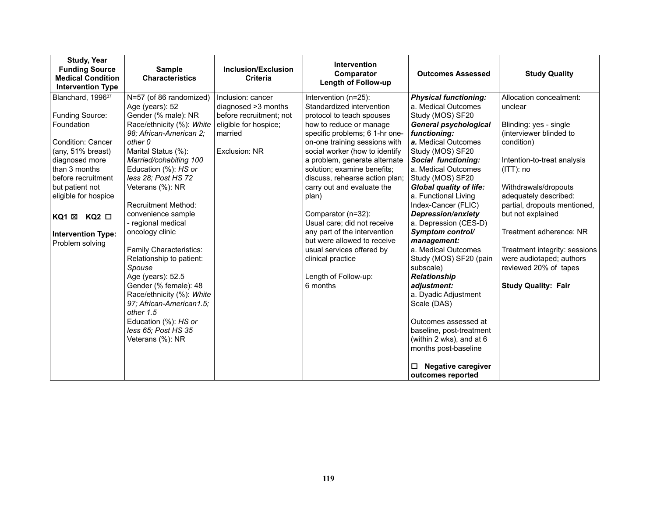| <b>Study, Year</b><br><b>Funding Source</b><br><b>Medical Condition</b><br><b>Intervention Type</b>                                                                                                                                                                            | <b>Sample</b><br><b>Characteristics</b>                                                                                                                                                                                                                                                                                                                                                                                                                                                                                                                                                                       | <b>Inclusion/Exclusion</b><br><b>Criteria</b>                                                                            | <b>Intervention</b><br>Comparator<br>Length of Follow-up                                                                                                                                                                                                                                                                                                                                                                                                                                                                                                          | <b>Outcomes Assessed</b>                                                                                                                                                                                                                                                                                                                                                                                                                                                                                                                                                                                                                                                                     | <b>Study Quality</b>                                                                                                                                                                                                                                                                                                                                                                                      |
|--------------------------------------------------------------------------------------------------------------------------------------------------------------------------------------------------------------------------------------------------------------------------------|---------------------------------------------------------------------------------------------------------------------------------------------------------------------------------------------------------------------------------------------------------------------------------------------------------------------------------------------------------------------------------------------------------------------------------------------------------------------------------------------------------------------------------------------------------------------------------------------------------------|--------------------------------------------------------------------------------------------------------------------------|-------------------------------------------------------------------------------------------------------------------------------------------------------------------------------------------------------------------------------------------------------------------------------------------------------------------------------------------------------------------------------------------------------------------------------------------------------------------------------------------------------------------------------------------------------------------|----------------------------------------------------------------------------------------------------------------------------------------------------------------------------------------------------------------------------------------------------------------------------------------------------------------------------------------------------------------------------------------------------------------------------------------------------------------------------------------------------------------------------------------------------------------------------------------------------------------------------------------------------------------------------------------------|-----------------------------------------------------------------------------------------------------------------------------------------------------------------------------------------------------------------------------------------------------------------------------------------------------------------------------------------------------------------------------------------------------------|
| Blanchard, 1996 <sup>37</sup><br>Funding Source:<br>Foundation<br>Condition: Cancer<br>(any, 51% breast)<br>diagnosed more<br>than 3 months<br>before recruitment<br>but patient not<br>eligible for hospice<br>KQ2 □<br>KQ1 ⊠<br><b>Intervention Type:</b><br>Problem solving | N=57 (of 86 randomized)<br>Age (years): 52<br>Gender (% male): NR<br>Race/ethnicity (%): White<br>98; African-American 2;<br>other 0<br>Marital Status (%):<br>Married/cohabiting 100<br>Education (%): HS or<br>less 28; Post HS 72<br>Veterans (%): NR<br><b>Recruitment Method:</b><br>convenience sample<br>- regional medical<br>oncology clinic<br>Family Characteristics:<br>Relationship to patient:<br>Spouse<br>Age (years): 52.5<br>Gender (% female): 48<br>Race/ethnicity (%): White<br>97; African-American1.5;<br>other 1.5<br>Education (%): HS or<br>less 65; Post HS 35<br>Veterans (%): NR | Inclusion: cancer<br>diagnosed >3 months<br>before recruitment; not<br>eligible for hospice;<br>married<br>Exclusion: NR | Intervention (n=25):<br>Standardized intervention<br>protocol to teach spouses<br>how to reduce or manage<br>specific problems; 6 1-hr one-<br>on-one training sessions with<br>social worker (how to identify<br>a problem, generate alternate<br>solution; examine benefits;<br>discuss, rehearse action plan;<br>carry out and evaluate the<br>plan)<br>Comparator (n=32):<br>Usual care; did not receive<br>any part of the intervention<br>but were allowed to receive<br>usual services offered by<br>clinical practice<br>Length of Follow-up:<br>6 months | <b>Physical functioning:</b><br>a. Medical Outcomes<br>Study (MOS) SF20<br><b>General psychological</b><br>functioning:<br>a. Medical Outcomes<br>Study (MOS) SF20<br>Social functioning:<br>a. Medical Outcomes<br>Study (MOS) SF20<br><b>Global quality of life:</b><br>a. Functional Living<br>Index-Cancer (FLIC)<br><b>Depression/anxiety</b><br>a. Depression (CES-D)<br>Symptom control/<br>management:<br>a. Medical Outcomes<br>Study (MOS) SF20 (pain<br>subscale)<br>Relationship<br>adjustment:<br>a. Dyadic Adjustment<br>Scale (DAS)<br>Outcomes assessed at<br>baseline, post-treatment<br>(within 2 wks), and at 6<br>months post-baseline<br><b>Negative caregiver</b><br>◻ | Allocation concealment:<br>unclear<br>Blinding: yes - single<br>(interviewer blinded to<br>condition)<br>Intention-to-treat analysis<br>$(ITT)$ : no<br>Withdrawals/dropouts<br>adequately described:<br>partial, dropouts mentioned,<br>but not explained<br>Treatment adherence: NR<br>Treatment integrity: sessions<br>were audiotaped; authors<br>reviewed 20% of tapes<br><b>Study Quality: Fair</b> |
|                                                                                                                                                                                                                                                                                |                                                                                                                                                                                                                                                                                                                                                                                                                                                                                                                                                                                                               |                                                                                                                          |                                                                                                                                                                                                                                                                                                                                                                                                                                                                                                                                                                   | outcomes reported                                                                                                                                                                                                                                                                                                                                                                                                                                                                                                                                                                                                                                                                            |                                                                                                                                                                                                                                                                                                                                                                                                           |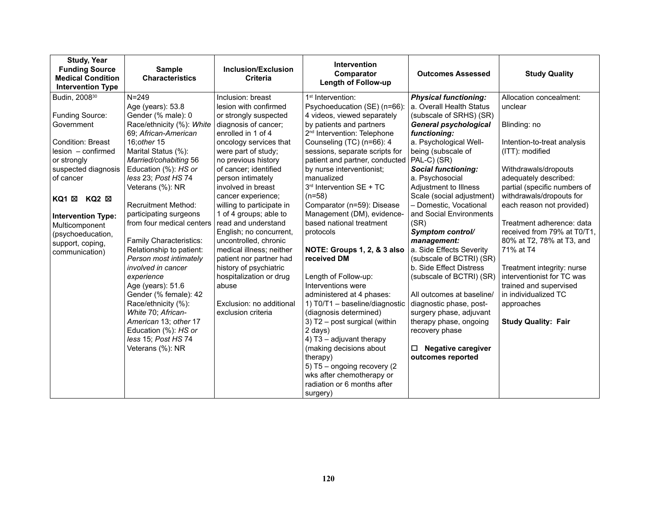| <b>Study, Year</b><br><b>Funding Source</b><br><b>Medical Condition</b><br><b>Intervention Type</b>                                                                                                                                                                                                   | <b>Sample</b><br><b>Characteristics</b>                                                                                                                                                                                                                                                                                                                                                                                                                                                                                                                                                                                                       | <b>Inclusion/Exclusion</b><br><b>Criteria</b>                                                                                                                                                                                                                                                                                                                                                                                                                                                                                                                                                | <b>Intervention</b><br>Comparator<br>Length of Follow-up                                                                                                                                                                                                                                                                                                                                                                                                                                                                                                                                                                                                                                                                                                                                                                     | <b>Outcomes Assessed</b>                                                                                                                                                                                                                                                                                                                                                                                                                                                                                                                                                                                                                                                                                       | <b>Study Quality</b>                                                                                                                                                                                                                                                                                                                                                                                                                                                                                           |
|-------------------------------------------------------------------------------------------------------------------------------------------------------------------------------------------------------------------------------------------------------------------------------------------------------|-----------------------------------------------------------------------------------------------------------------------------------------------------------------------------------------------------------------------------------------------------------------------------------------------------------------------------------------------------------------------------------------------------------------------------------------------------------------------------------------------------------------------------------------------------------------------------------------------------------------------------------------------|----------------------------------------------------------------------------------------------------------------------------------------------------------------------------------------------------------------------------------------------------------------------------------------------------------------------------------------------------------------------------------------------------------------------------------------------------------------------------------------------------------------------------------------------------------------------------------------------|------------------------------------------------------------------------------------------------------------------------------------------------------------------------------------------------------------------------------------------------------------------------------------------------------------------------------------------------------------------------------------------------------------------------------------------------------------------------------------------------------------------------------------------------------------------------------------------------------------------------------------------------------------------------------------------------------------------------------------------------------------------------------------------------------------------------------|----------------------------------------------------------------------------------------------------------------------------------------------------------------------------------------------------------------------------------------------------------------------------------------------------------------------------------------------------------------------------------------------------------------------------------------------------------------------------------------------------------------------------------------------------------------------------------------------------------------------------------------------------------------------------------------------------------------|----------------------------------------------------------------------------------------------------------------------------------------------------------------------------------------------------------------------------------------------------------------------------------------------------------------------------------------------------------------------------------------------------------------------------------------------------------------------------------------------------------------|
| Budin, 2008 <sup>30</sup><br>Funding Source:<br>Government<br><b>Condition: Breast</b><br>lesion - confirmed<br>or strongly<br>suspected diagnosis<br>of cancer<br>KQ2 ⊠<br>$KQ1 \boxtimes$<br><b>Intervention Type:</b><br>Multicomponent<br>(psychoeducation,<br>support, coping,<br>communication) | $N = 249$<br>Age (years): 53.8<br>Gender (% male): 0<br>Race/ethnicity (%): White<br>69; African-American<br>16: other 15<br>Marital Status (%):<br>Married/cohabiting 56<br>Education (%): HS or<br>less 23; Post HS 74<br>Veterans (%): NR<br><b>Recruitment Method:</b><br>participating surgeons<br>from four medical centers<br>Family Characteristics:<br>Relationship to patient:<br>Person most intimately<br>involved in cancer<br>experience<br>Age (years): 51.6<br>Gender (% female): 42<br>Race/ethnicity (%):<br>White 70; African-<br>American 13; other 17<br>Education (%): HS or<br>less 15; Post HS 74<br>Veterans (%): NR | Inclusion: breast<br>lesion with confirmed<br>or strongly suspected<br>diagnosis of cancer;<br>enrolled in 1 of 4<br>oncology services that<br>were part of study;<br>no previous history<br>of cancer; identified<br>person intimately<br>involved in breast<br>cancer experience;<br>willing to participate in<br>1 of 4 groups; able to<br>read and understand<br>English; no concurrent,<br>uncontrolled, chronic<br>medical illness; neither<br>patient nor partner had<br>history of psychiatric<br>hospitalization or drug<br>abuse<br>Exclusion: no additional<br>exclusion criteria | 1 <sup>st</sup> Intervention:<br>Psychoeducation (SE) (n=66):<br>4 videos, viewed separately<br>by patients and partners<br>2 <sup>nd</sup> Intervention: Telephone<br>Counseling (TC) (n=66): 4<br>sessions, separate scripts for<br>patient and partner, conducted<br>by nurse interventionist;<br>manualized<br>3rd Intervention SE + TC<br>$(n=58)$<br>Comparator (n=59): Disease<br>Management (DM), evidence-<br>based national treatment<br>protocols<br>NOTE: Groups 1, 2, & 3 also<br>received DM<br>Length of Follow-up:<br>Interventions were<br>administered at 4 phases:<br>1) T0/T1 - baseline/diagnostic<br>(diagnosis determined)<br>3) T2 - post surgical (within<br>2 days)<br>4) T3 - adjuvant therapy<br>(making decisions about<br>therapy)<br>5) T5 - ongoing recovery (2<br>wks after chemotherapy or | <b>Physical functioning:</b><br>a. Overall Health Status<br>(subscale of SRHS) (SR)<br><b>General psychological</b><br>functioning:<br>a. Psychological Well-<br>being (subscale of<br>PAL-C) (SR)<br><b>Social functioning:</b><br>a. Psychosocial<br>Adjustment to Illness<br>Scale (social adjustment)<br>- Domestic, Vocational<br>and Social Environments<br>(SR)<br>Symptom control/<br>management:<br>a. Side Effects Severity<br>(subscale of BCTRI) (SR)<br>b. Side Effect Distress<br>(subscale of BCTRI) (SR)<br>All outcomes at baseline/<br>diagnostic phase, post-<br>surgery phase, adjuvant<br>therapy phase, ongoing<br>recovery phase<br><b>Negative caregiver</b><br>□<br>outcomes reported | Allocation concealment:<br>unclear<br>Blinding: no<br>Intention-to-treat analysis<br>(ITT): modified<br>Withdrawals/dropouts<br>adequately described:<br>partial (specific numbers of<br>withdrawals/dropouts for<br>each reason not provided)<br>Treatment adherence: data<br>received from 79% at T0/T1,<br>80% at T2, 78% at T3, and<br>71% at T4<br>Treatment integrity: nurse<br>interventionist for TC was<br>trained and supervised<br>in individualized TC<br>approaches<br><b>Study Quality: Fair</b> |
|                                                                                                                                                                                                                                                                                                       |                                                                                                                                                                                                                                                                                                                                                                                                                                                                                                                                                                                                                                               |                                                                                                                                                                                                                                                                                                                                                                                                                                                                                                                                                                                              | radiation or 6 months after<br>surgery)                                                                                                                                                                                                                                                                                                                                                                                                                                                                                                                                                                                                                                                                                                                                                                                      |                                                                                                                                                                                                                                                                                                                                                                                                                                                                                                                                                                                                                                                                                                                |                                                                                                                                                                                                                                                                                                                                                                                                                                                                                                                |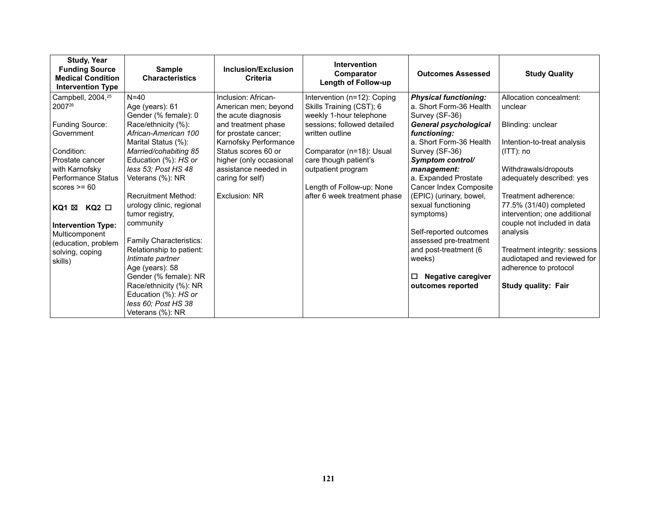| <b>Study, Year</b><br><b>Funding Source</b><br><b>Medical Condition</b><br><b>Intervention Type</b> | <b>Sample</b><br><b>Characteristics</b> | Inclusion/Exclusion<br><b>Criteria</b>          | <b>Intervention</b><br>Comparator<br><b>Length of Follow-up</b> | <b>Outcomes Assessed</b>            | <b>Study Quality</b>                              |
|-----------------------------------------------------------------------------------------------------|-----------------------------------------|-------------------------------------------------|-----------------------------------------------------------------|-------------------------------------|---------------------------------------------------|
| Campbell, 2004, <sup>25</sup>                                                                       | $N=40$                                  | Inclusion: African-                             | Intervention (n=12): Coping                                     | <b>Physical functioning:</b>        | Allocation concealment:                           |
| 200726                                                                                              | Age (years): 61                         | American men; beyond                            | Skills Training (CST); 6                                        | a. Short Form-36 Health             | unclear                                           |
|                                                                                                     | Gender (% female): 0                    | the acute diagnosis                             | weekly 1-hour telephone                                         | Survey (SF-36)                      |                                                   |
| Funding Source:                                                                                     | Race/ethnicity (%):                     | and treatment phase                             | sessions; followed detailed                                     | <b>General psychological</b>        | Blinding: unclear                                 |
| Government                                                                                          | African-American 100                    | for prostate cancer;                            | written outline                                                 | functioning:                        |                                                   |
|                                                                                                     | Marital Status (%):                     | Karnofsky Performance                           |                                                                 | a. Short Form-36 Health             | Intention-to-treat analysis                       |
| Condition:                                                                                          | Married/cohabiting 85                   | Status scores 60 or                             | Comparator (n=18): Usual                                        | Survey (SF-36)                      | $(ITT)$ : no                                      |
| Prostate cancer                                                                                     | Education (%): HS or                    | higher (only occasional<br>assistance needed in | care though patient's                                           | Symptom control/                    |                                                   |
| with Karnofsky<br>Performance Status                                                                | less 53; Post HS 48<br>Veterans (%): NR | caring for self)                                | outpatient program                                              | management:<br>a. Expanded Prostate | Withdrawals/dropouts<br>adequately described: yes |
| scores $>= 60$                                                                                      |                                         |                                                 | Length of Follow-up: None                                       | Cancer Index Composite              |                                                   |
|                                                                                                     | <b>Recruitment Method:</b>              | Exclusion: NR                                   | after 6 week treatment phase                                    | (EPIC) (urinary, bowel,             | Treatment adherence:                              |
|                                                                                                     | urology clinic, regional                |                                                 |                                                                 | sexual functioning                  | 77.5% (31/40) completed                           |
| KQ1 ⊠<br>$KQ2$ $\Box$                                                                               | tumor registry,                         |                                                 |                                                                 | symptoms)                           | intervention; one additional                      |
| <b>Intervention Type:</b>                                                                           | community                               |                                                 |                                                                 |                                     | couple not included in data                       |
| Multicomponent                                                                                      |                                         |                                                 |                                                                 | Self-reported outcomes              | analysis                                          |
| (education, problem                                                                                 | Family Characteristics:                 |                                                 |                                                                 | assessed pre-treatment              |                                                   |
| solving, coping                                                                                     | Relationship to patient:                |                                                 |                                                                 | and post-treatment (6               | Treatment integrity: sessions                     |
| skills)                                                                                             | Intimate partner                        |                                                 |                                                                 | weeks)                              | audiotaped and reviewed for                       |
|                                                                                                     | Age (years): 58                         |                                                 |                                                                 |                                     | adherence to protocol                             |
|                                                                                                     | Gender (% female): NR                   |                                                 |                                                                 | <b>Negative caregiver</b><br>□      |                                                   |
|                                                                                                     | Race/ethnicity (%): NR                  |                                                 |                                                                 | outcomes reported                   | <b>Study quality: Fair</b>                        |
|                                                                                                     | Education (%): HS or                    |                                                 |                                                                 |                                     |                                                   |
|                                                                                                     | less 60; Post HS 38                     |                                                 |                                                                 |                                     |                                                   |
|                                                                                                     | Veterans (%): NR                        |                                                 |                                                                 |                                     |                                                   |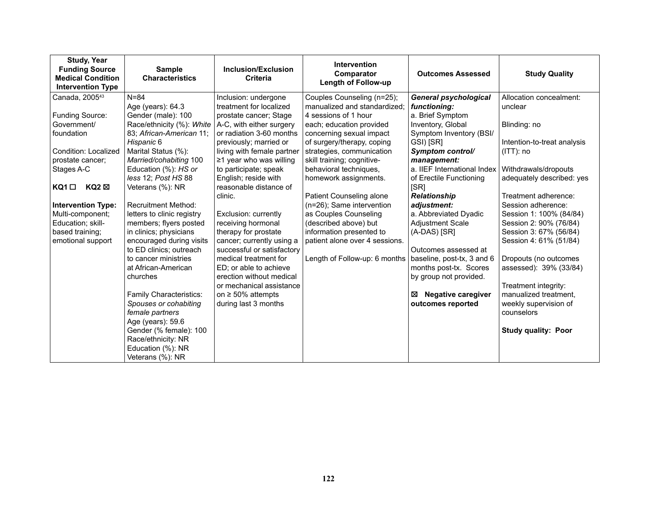| <b>Study, Year</b><br><b>Funding Source</b><br><b>Medical Condition</b><br><b>Intervention Type</b> | <b>Sample</b><br><b>Characteristics</b> | <b>Inclusion/Exclusion</b><br><b>Criteria</b> | <b>Intervention</b><br>Comparator<br>Length of Follow-up | <b>Outcomes Assessed</b>       | <b>Study Quality</b>        |
|-----------------------------------------------------------------------------------------------------|-----------------------------------------|-----------------------------------------------|----------------------------------------------------------|--------------------------------|-----------------------------|
| Canada, 2005 <sup>43</sup>                                                                          | $N = 84$                                | Inclusion: undergone                          | Couples Counseling (n=25);                               | <b>General psychological</b>   | Allocation concealment:     |
|                                                                                                     | Age (years): 64.3                       | treatment for localized                       | manualized and standardized;                             | functioning:                   | unclear                     |
| Funding Source:                                                                                     | Gender (male): 100                      | prostate cancer; Stage                        | 4 sessions of 1 hour                                     | a. Brief Symptom               |                             |
| Government/                                                                                         | Race/ethnicity (%): White               | A-C, with either surgery                      | each; education provided                                 | Inventory, Global              | Blinding: no                |
| foundation                                                                                          | 83; African-American 11;                | or radiation 3-60 months                      | concerning sexual impact                                 | Symptom Inventory (BSI/        |                             |
|                                                                                                     | Hispanic 6                              | previously; married or                        | of surgery/therapy, coping                               | GSI) [SR]                      | Intention-to-treat analysis |
| Condition: Localized                                                                                | Marital Status (%):                     | living with female partner                    | strategies, communication                                | Symptom control/               | $(ITT)$ : no                |
| prostate cancer;                                                                                    | Married/cohabiting 100                  | $\geq$ 1 year who was willing                 | skill training; cognitive-                               | management:                    |                             |
| Stages A-C                                                                                          | Education (%): HS or                    | to participate; speak                         | behavioral techniques,                                   | a. IIEF International Index    | Withdrawals/dropouts        |
|                                                                                                     | less 12; Post HS 88                     | English; reside with                          | homework assignments.                                    | of Erectile Functioning        | adequately described: yes   |
| $KQ2 \boxtimes$<br>$KQ1$ $\square$                                                                  | Veterans (%): NR                        | reasonable distance of                        |                                                          | [SR]                           |                             |
|                                                                                                     |                                         | clinic.                                       | Patient Counseling alone                                 | <b>Relationship</b>            | Treatment adherence:        |
| <b>Intervention Type:</b>                                                                           | <b>Recruitment Method:</b>              |                                               | (n=26); Same intervention                                | adjustment:                    | Session adherence:          |
| Multi-component;                                                                                    | letters to clinic registry              | Exclusion: currently                          | as Couples Counseling                                    | a. Abbreviated Dyadic          | Session 1: 100% (84/84)     |
| Education; skill-                                                                                   | members; flyers posted                  | receiving hormonal                            | (described above) but                                    | <b>Adjustment Scale</b>        | Session 2: 90% (76/84)      |
| based training;                                                                                     | in clinics; physicians                  | therapy for prostate                          | information presented to                                 | (A-DAS) [SR]                   | Session 3: 67% (56/84)      |
| emotional support                                                                                   | encouraged during visits                | cancer; currently using a                     | patient alone over 4 sessions.                           |                                | Session 4: 61% (51/84)      |
|                                                                                                     | to ED clinics; outreach                 | successful or satisfactory                    |                                                          | Outcomes assessed at           |                             |
|                                                                                                     | to cancer ministries                    | medical treatment for                         | Length of Follow-up: 6 months                            | baseline, post-tx, 3 and 6     | Dropouts (no outcomes       |
|                                                                                                     | at African-American                     | ED; or able to achieve                        |                                                          | months post-tx. Scores         | assessed): 39% (33/84)      |
|                                                                                                     | churches                                | erection without medical                      |                                                          | by group not provided.         |                             |
|                                                                                                     |                                         | or mechanical assistance                      |                                                          |                                | Treatment integrity:        |
|                                                                                                     | Family Characteristics:                 | on $\geq 50\%$ attempts                       |                                                          | <b>Negative caregiver</b><br>⊠ | manualized treatment,       |
|                                                                                                     | Spouses or cohabiting                   | during last 3 months                          |                                                          | outcomes reported              | weekly supervision of       |
|                                                                                                     | female partners                         |                                               |                                                          |                                | counselors                  |
|                                                                                                     | Age (years): 59.6                       |                                               |                                                          |                                |                             |
|                                                                                                     | Gender (% female): 100                  |                                               |                                                          |                                | <b>Study quality: Poor</b>  |
|                                                                                                     | Race/ethnicity: NR                      |                                               |                                                          |                                |                             |
|                                                                                                     | Education (%): NR                       |                                               |                                                          |                                |                             |
|                                                                                                     | Veterans (%): NR                        |                                               |                                                          |                                |                             |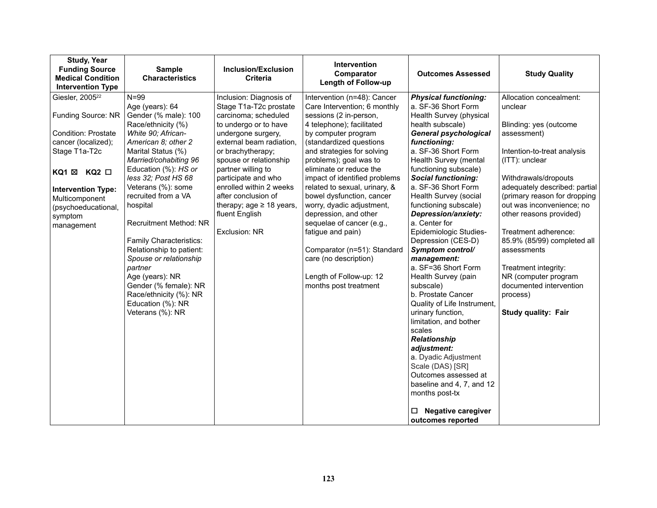| <b>Study, Year</b><br><b>Funding Source</b><br><b>Medical Condition</b><br><b>Intervention Type</b>                                                                                                                                   | Sample<br><b>Characteristics</b>                                                                                                                                                                                                                                                                                                                                                                                                                                                                                   | <b>Inclusion/Exclusion</b><br><b>Criteria</b>                                                                                                                                                                                                                                                                                                                          | <b>Intervention</b><br>Comparator<br><b>Length of Follow-up</b>                                                                                                                                                                                                                                                                                                                                                                                                                                                                                                            | <b>Outcomes Assessed</b>                                                                                                                                                                                                                                                                                                                                                                                                                                                                                                                                                                                                                                                                                                                                                                                                     | <b>Study Quality</b>                                                                                                                                                                                                                                                                                                                                                                                                                                              |
|---------------------------------------------------------------------------------------------------------------------------------------------------------------------------------------------------------------------------------------|--------------------------------------------------------------------------------------------------------------------------------------------------------------------------------------------------------------------------------------------------------------------------------------------------------------------------------------------------------------------------------------------------------------------------------------------------------------------------------------------------------------------|------------------------------------------------------------------------------------------------------------------------------------------------------------------------------------------------------------------------------------------------------------------------------------------------------------------------------------------------------------------------|----------------------------------------------------------------------------------------------------------------------------------------------------------------------------------------------------------------------------------------------------------------------------------------------------------------------------------------------------------------------------------------------------------------------------------------------------------------------------------------------------------------------------------------------------------------------------|------------------------------------------------------------------------------------------------------------------------------------------------------------------------------------------------------------------------------------------------------------------------------------------------------------------------------------------------------------------------------------------------------------------------------------------------------------------------------------------------------------------------------------------------------------------------------------------------------------------------------------------------------------------------------------------------------------------------------------------------------------------------------------------------------------------------------|-------------------------------------------------------------------------------------------------------------------------------------------------------------------------------------------------------------------------------------------------------------------------------------------------------------------------------------------------------------------------------------------------------------------------------------------------------------------|
| Giesler, 2005 <sup>22</sup><br>Funding Source: NR<br><b>Condition: Prostate</b><br>cancer (localized);<br>Stage T1a-T2c<br>KQ1 ⊠ KQ2 □<br><b>Intervention Type:</b><br>Multicomponent<br>(psychoeducational,<br>symptom<br>management | $N = 99$<br>Age (years): 64<br>Gender (% male): 100<br>Race/ethnicity (%)<br>White 90; African-<br>American 8; other 2<br>Marital Status (%)<br>Married/cohabiting 96<br>Education (%): HS or<br>less 32; Post HS 68<br>Veterans (%): some<br>recruited from a VA<br>hospital<br>Recruitment Method: NR<br>Family Characteristics:<br>Relationship to patient:<br>Spouse or relationship<br>partner<br>Age (years): NR<br>Gender (% female): NR<br>Race/ethnicity (%): NR<br>Education (%): NR<br>Veterans (%): NR | Inclusion: Diagnosis of<br>Stage T1a-T2c prostate<br>carcinoma; scheduled<br>to undergo or to have<br>undergone surgery,<br>external beam radiation,<br>or brachytherapy;<br>spouse or relationship<br>partner willing to<br>participate and who<br>enrolled within 2 weeks<br>after conclusion of<br>therapy; age $\geq$ 18 years,<br>fluent English<br>Exclusion: NR | Intervention (n=48): Cancer<br>Care Intervention; 6 monthly<br>sessions (2 in-person,<br>4 telephone); facilitated<br>by computer program<br>(standardized questions<br>and strategies for solving<br>problems); goal was to<br>eliminate or reduce the<br>impact of identified problems<br>related to sexual, urinary, &<br>bowel dysfunction, cancer<br>worry, dyadic adjustment,<br>depression, and other<br>sequelae of cancer (e.g.,<br>fatigue and pain)<br>Comparator (n=51): Standard<br>care (no description)<br>Length of Follow-up: 12<br>months post treatment | <b>Physical functioning:</b><br>a. SF-36 Short Form<br>Health Survey (physical<br>health subscale)<br><b>General psychological</b><br>functioning:<br>a. SF-36 Short Form<br>Health Survey (mental<br>functioning subscale)<br><b>Social functioning:</b><br>a. SF-36 Short Form<br>Health Survey (social<br>functioning subscale)<br>Depression/anxiety:<br>a. Center for<br>Epidemiologic Studies-<br>Depression (CES-D)<br>Symptom control/<br>management:<br>a. SF=36 Short Form<br>Health Survey (pain<br>subscale)<br>b. Prostate Cancer<br>Quality of Life Instrument,<br>urinary function,<br>limitation, and bother<br>scales<br><b>Relationship</b><br>adjustment:<br>a. Dyadic Adjustment<br>Scale (DAS) [SR]<br>Outcomes assessed at<br>baseline and 4, 7, and 12<br>months post-tx<br><b>Negative caregiver</b> | Allocation concealment:<br>unclear<br>Blinding: yes (outcome<br>assessment)<br>Intention-to-treat analysis<br>(ITT): unclear<br>Withdrawals/dropouts<br>adequately described: partial<br>(primary reason for dropping<br>out was inconvenience; no<br>other reasons provided)<br>Treatment adherence:<br>85.9% (85/99) completed all<br>assessments<br>Treatment integrity:<br>NR (computer program<br>documented intervention<br>process)<br>Study quality: Fair |
|                                                                                                                                                                                                                                       |                                                                                                                                                                                                                                                                                                                                                                                                                                                                                                                    |                                                                                                                                                                                                                                                                                                                                                                        |                                                                                                                                                                                                                                                                                                                                                                                                                                                                                                                                                                            | outcomes reported                                                                                                                                                                                                                                                                                                                                                                                                                                                                                                                                                                                                                                                                                                                                                                                                            |                                                                                                                                                                                                                                                                                                                                                                                                                                                                   |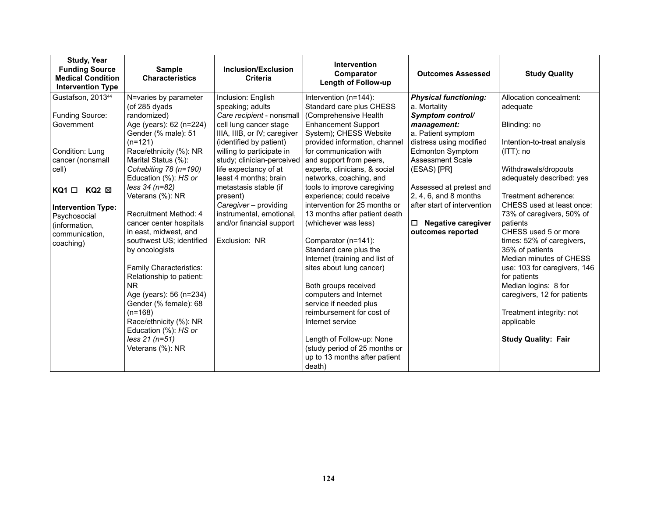| <b>Study, Year</b><br><b>Funding Source</b><br><b>Medical Condition</b><br><b>Intervention Type</b>                                                                                                                                            | <b>Sample</b><br><b>Characteristics</b>                                                                                                                                                                                                                                                                                                                                                                                                                                                                                                                                                                                   | Inclusion/Exclusion<br><b>Criteria</b>                                                                                                                                                                                                                                                                                                                                                                       | <b>Intervention</b><br>Comparator<br><b>Length of Follow-up</b>                                                                                                                                                                                                                                                                                                                                                                                                                                                                                                                                                                                                                                                                                                                       | <b>Outcomes Assessed</b>                                                                                                                                                                                                                                                                                                                        | <b>Study Quality</b>                                                                                                                                                                                                                                                                                                                                                                                                                                                                                                                    |
|------------------------------------------------------------------------------------------------------------------------------------------------------------------------------------------------------------------------------------------------|---------------------------------------------------------------------------------------------------------------------------------------------------------------------------------------------------------------------------------------------------------------------------------------------------------------------------------------------------------------------------------------------------------------------------------------------------------------------------------------------------------------------------------------------------------------------------------------------------------------------------|--------------------------------------------------------------------------------------------------------------------------------------------------------------------------------------------------------------------------------------------------------------------------------------------------------------------------------------------------------------------------------------------------------------|---------------------------------------------------------------------------------------------------------------------------------------------------------------------------------------------------------------------------------------------------------------------------------------------------------------------------------------------------------------------------------------------------------------------------------------------------------------------------------------------------------------------------------------------------------------------------------------------------------------------------------------------------------------------------------------------------------------------------------------------------------------------------------------|-------------------------------------------------------------------------------------------------------------------------------------------------------------------------------------------------------------------------------------------------------------------------------------------------------------------------------------------------|-----------------------------------------------------------------------------------------------------------------------------------------------------------------------------------------------------------------------------------------------------------------------------------------------------------------------------------------------------------------------------------------------------------------------------------------------------------------------------------------------------------------------------------------|
| Gustafson, 2013 <sup>44</sup><br>Funding Source:<br>Government<br>Condition: Lung<br>cancer (nonsmall<br>cell)<br>$KQ2 \boxtimes$<br>$KQ1$ $\Box$<br><b>Intervention Type:</b><br>Psychosocial<br>(information,<br>communication.<br>coaching) | N=varies by parameter<br>(of 285 dyads<br>randomized)<br>Age (years): 62 (n=224)<br>Gender (% male): 51<br>$(n=121)$<br>Race/ethnicity (%): NR<br>Marital Status (%):<br>Cohabiting 78 (n=190)<br>Education (%): HS or<br>less 34 (n=82)<br>Veterans (%): NR<br>Recruitment Method: 4<br>cancer center hospitals<br>in east, midwest, and<br>southwest US; identified<br>by oncologists<br>Family Characteristics:<br>Relationship to patient:<br>N <sub>R</sub><br>Age (years): 56 (n=234)<br>Gender (% female): 68<br>$(n=168)$<br>Race/ethnicity (%): NR<br>Education (%): HS or<br>less 21 (n=51)<br>Veterans (%): NR | Inclusion: English<br>speaking; adults<br>Care recipient - nonsmall<br>cell lung cancer stage<br>IIIA, IIIB, or IV; caregiver<br>(identified by patient)<br>willing to participate in<br>study; clinician-perceived<br>life expectancy of at<br>least 4 months; brain<br>metastasis stable (if<br>present)<br>Caregiver - providing<br>instrumental, emotional,<br>and/or financial support<br>Exclusion: NR | Intervention (n=144):<br>Standard care plus CHESS<br>(Comprehensive Health<br><b>Enhancement Support</b><br>System); CHESS Website<br>provided information, channel<br>for communication with<br>and support from peers,<br>experts, clinicians, & social<br>networks, coaching, and<br>tools to improve caregiving<br>experience; could receive<br>intervention for 25 months or<br>13 months after patient death<br>(whichever was less)<br>Comparator (n=141):<br>Standard care plus the<br>Internet (training and list of<br>sites about lung cancer)<br>Both groups received<br>computers and Internet<br>service if needed plus<br>reimbursement for cost of<br>Internet service<br>Length of Follow-up: None<br>(study period of 25 months or<br>up to 13 months after patient | <b>Physical functioning:</b><br>a. Mortality<br>Symptom control/<br>management:<br>a. Patient symptom<br>distress using modified<br><b>Edmonton Symptom</b><br><b>Assessment Scale</b><br>(ESAS) [PR]<br>Assessed at pretest and<br>2, 4, 6, and 8 months<br>after start of intervention<br><b>Negative caregiver</b><br>□<br>outcomes reported | Allocation concealment:<br>adequate<br>Blinding: no<br>Intention-to-treat analysis<br>$(ITT)$ : no<br>Withdrawals/dropouts<br>adequately described: yes<br>Treatment adherence:<br>CHESS used at least once:<br>73% of caregivers, 50% of<br>patients<br>CHESS used 5 or more<br>times: 52% of caregivers,<br>35% of patients<br>Median minutes of CHESS<br>use: 103 for caregivers, 146<br>for patients<br>Median logins: 8 for<br>caregivers, 12 for patients<br>Treatment integrity: not<br>applicable<br><b>Study Quality: Fair</b> |
|                                                                                                                                                                                                                                                |                                                                                                                                                                                                                                                                                                                                                                                                                                                                                                                                                                                                                           |                                                                                                                                                                                                                                                                                                                                                                                                              | death)                                                                                                                                                                                                                                                                                                                                                                                                                                                                                                                                                                                                                                                                                                                                                                                |                                                                                                                                                                                                                                                                                                                                                 |                                                                                                                                                                                                                                                                                                                                                                                                                                                                                                                                         |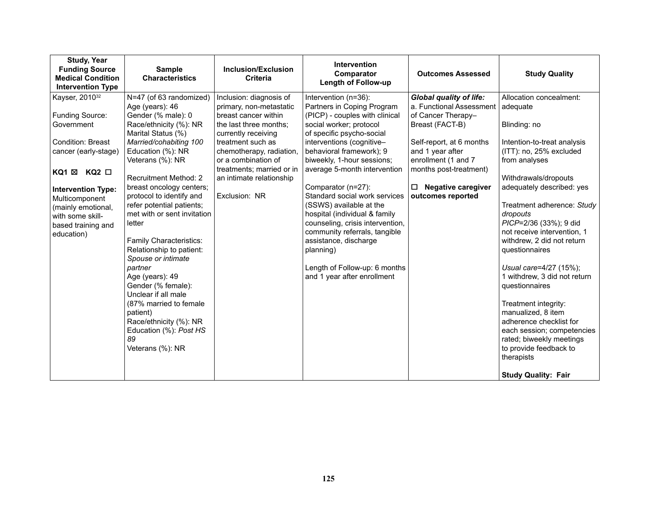| Kayser, 2010 <sup>32</sup><br>N=47 (of 63 randomized)<br>Inclusion: diagnosis of<br><b>Global quality of life:</b><br>Allocation concealment:<br>Intervention (n=36):<br>Age (years): 46<br>a. Functional Assessment<br>primary, non-metastatic<br>Partners in Coping Program<br>adequate<br>Funding Source:<br>Gender (% male): 0<br>of Cancer Therapy-<br>breast cancer within<br>(PICP) - couples with clinical<br>Race/ethnicity (%): NR<br>Government<br>the last three months;<br>social worker; protocol<br>Breast (FACT-B)<br>Blinding: no<br>Marital Status (%)<br>of specific psycho-social<br>currently receiving<br>Condition: Breast<br>interventions (cognitive-<br>Self-report, at 6 months<br>Married/cohabiting 100<br>treatment such as<br>behavioral framework); 9<br>and 1 year after<br>Education (%): NR<br>chemotherapy, radiation,<br>cancer (early-stage)<br>biweekly, 1-hour sessions;<br>enrollment (1 and 7<br>Veterans (%): NR<br>or a combination of<br>from analyses<br>months post-treatment)<br>treatments; married or in<br>average 5-month intervention<br>KQ1 $\boxtimes$ KQ2 $\Box$<br>Recruitment Method: 2<br>Withdrawals/dropouts<br>an intimate relationship<br><b>Negative caregiver</b><br>breast oncology centers;<br>Comparator (n=27):<br>□<br><b>Intervention Type:</b><br>Exclusion: NR<br>protocol to identify and<br>Standard social work services<br>outcomes reported<br>Multicomponent<br>refer potential patients;<br>(SSWS) available at the<br>(mainly emotional,<br>met with or sent invitation<br>hospital (individual & family<br>dropouts<br>with some skill-<br>counseling, crisis intervention,<br>letter<br>based training and<br>community referrals, tangible<br>education) | <b>Study, Year</b><br><b>Funding Source</b><br><b>Medical Condition</b><br><b>Intervention Type</b> | <b>Sample</b><br><b>Characteristics</b> | Inclusion/Exclusion<br>Criteria | Intervention<br>Comparator<br>Length of Follow-up | <b>Outcomes Assessed</b> | <b>Study Quality</b>                                                                                                                                                                                                                                                                                                                                    |
|----------------------------------------------------------------------------------------------------------------------------------------------------------------------------------------------------------------------------------------------------------------------------------------------------------------------------------------------------------------------------------------------------------------------------------------------------------------------------------------------------------------------------------------------------------------------------------------------------------------------------------------------------------------------------------------------------------------------------------------------------------------------------------------------------------------------------------------------------------------------------------------------------------------------------------------------------------------------------------------------------------------------------------------------------------------------------------------------------------------------------------------------------------------------------------------------------------------------------------------------------------------------------------------------------------------------------------------------------------------------------------------------------------------------------------------------------------------------------------------------------------------------------------------------------------------------------------------------------------------------------------------------------------------------------------------------------------------------------------------------|-----------------------------------------------------------------------------------------------------|-----------------------------------------|---------------------------------|---------------------------------------------------|--------------------------|---------------------------------------------------------------------------------------------------------------------------------------------------------------------------------------------------------------------------------------------------------------------------------------------------------------------------------------------------------|
| Relationship to patient:<br>questionnaires<br>planning)<br>Spouse or intimate<br>Length of Follow-up: 6 months<br>partner<br>Age (years): 49<br>and 1 year after enrollment<br>Gender (% female):<br>questionnaires<br>Unclear if all male<br>(87% married to female<br>Treatment integrity:<br>manualized, 8 item<br>patient)<br>Race/ethnicity (%): NR<br>Education (%): Post HS<br>89<br>Veterans (%): NR<br>to provide feedback to<br>therapists<br><b>Study Quality: Fair</b>                                                                                                                                                                                                                                                                                                                                                                                                                                                                                                                                                                                                                                                                                                                                                                                                                                                                                                                                                                                                                                                                                                                                                                                                                                                           |                                                                                                     | Family Characteristics:                 |                                 | assistance, discharge                             |                          | Intention-to-treat analysis<br>(ITT): no, 25% excluded<br>adequately described: yes<br>Treatment adherence: Study<br>PICP=2/36 (33%); 9 did<br>not receive intervention, 1<br>withdrew, 2 did not return<br>Usual care=4/27 (15%);<br>1 withdrew, 3 did not return<br>adherence checklist for<br>each session; competencies<br>rated; biweekly meetings |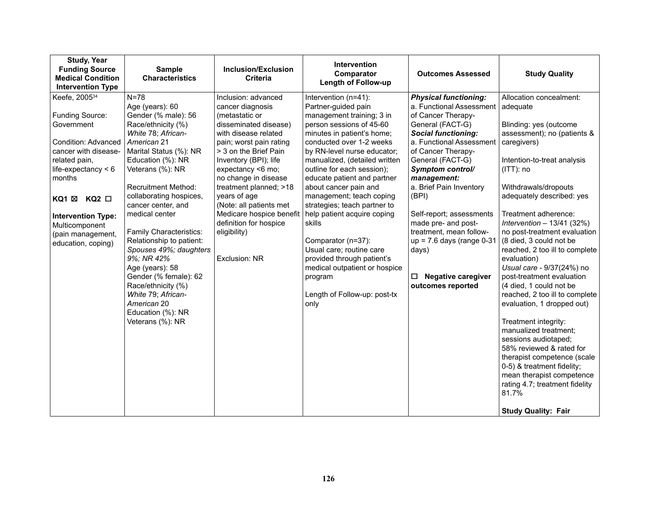| <b>Study, Year</b><br><b>Funding Source</b><br><b>Medical Condition</b><br><b>Intervention Type</b>                                                                                                                                                                                 | <b>Sample</b><br><b>Characteristics</b>                                                                                                                                                                                                                                                                                                                                                                                                                                                                                          | <b>Inclusion/Exclusion</b><br><b>Criteria</b>                                                                                                                                                                                                                                                                                                                                                    | <b>Intervention</b><br>Comparator<br><b>Length of Follow-up</b>                                                                                                                                                                                                                                                                                                                                                                                                                                                                                                                               | <b>Outcomes Assessed</b>                                                                                                                                                                                                                                                                                                                                                                                                                                     | <b>Study Quality</b>                                                                                                                                                                                                                                                                                                                                                                                                                                                                                                                                                                                                                                                                                                                                                                                            |
|-------------------------------------------------------------------------------------------------------------------------------------------------------------------------------------------------------------------------------------------------------------------------------------|----------------------------------------------------------------------------------------------------------------------------------------------------------------------------------------------------------------------------------------------------------------------------------------------------------------------------------------------------------------------------------------------------------------------------------------------------------------------------------------------------------------------------------|--------------------------------------------------------------------------------------------------------------------------------------------------------------------------------------------------------------------------------------------------------------------------------------------------------------------------------------------------------------------------------------------------|-----------------------------------------------------------------------------------------------------------------------------------------------------------------------------------------------------------------------------------------------------------------------------------------------------------------------------------------------------------------------------------------------------------------------------------------------------------------------------------------------------------------------------------------------------------------------------------------------|--------------------------------------------------------------------------------------------------------------------------------------------------------------------------------------------------------------------------------------------------------------------------------------------------------------------------------------------------------------------------------------------------------------------------------------------------------------|-----------------------------------------------------------------------------------------------------------------------------------------------------------------------------------------------------------------------------------------------------------------------------------------------------------------------------------------------------------------------------------------------------------------------------------------------------------------------------------------------------------------------------------------------------------------------------------------------------------------------------------------------------------------------------------------------------------------------------------------------------------------------------------------------------------------|
| Keefe, 2005 <sup>34</sup><br>Funding Source:<br>Government<br>Condition: Advanced<br>cancer with disease-<br>related pain,<br>life-expectancy $<$ 6<br>months<br>KQ1 ⊠<br>$KQ2$ $\square$<br><b>Intervention Type:</b><br>Multicomponent<br>(pain management,<br>education, coping) | $N = 78$<br>Age (years): 60<br>Gender (% male): 56<br>Race/ethnicity (%)<br>White 78; African-<br>American 21<br>Marital Status (%): NR<br>Education (%): NR<br>Veterans (%): NR<br><b>Recruitment Method:</b><br>collaborating hospices,<br>cancer center, and<br>medical center<br>Family Characteristics:<br>Relationship to patient:<br>Spouses 49%; daughters<br>9%; NR 42%<br>Age (years): 58<br>Gender (% female): 62<br>Race/ethnicity (%)<br>White 79; African-<br>American 20<br>Education (%): NR<br>Veterans (%): NR | Inclusion: advanced<br>cancer diagnosis<br>(metastatic or<br>disseminated disease)<br>with disease related<br>pain; worst pain rating<br>> 3 on the Brief Pain<br>Inventory (BPI); life<br>expectancy <6 mo;<br>no change in disease<br>treatment planned; >18<br>years of age<br>(Note: all patients met<br>Medicare hospice benefit<br>definition for hospice<br>eligibility)<br>Exclusion: NR | Intervention (n=41):<br>Partner-guided pain<br>management training; 3 in<br>person sessions of 45-60<br>minutes in patient's home;<br>conducted over 1-2 weeks<br>by RN-level nurse educator;<br>manualized, (detailed written<br>outline for each session);<br>educate patient and partner<br>about cancer pain and<br>management; teach coping<br>strategies; teach partner to<br>help patient acquire coping<br>skills<br>Comparator (n=37):<br>Usual care; routine care<br>provided through patient's<br>medical outpatient or hospice<br>program<br>Length of Follow-up: post-tx<br>only | <b>Physical functioning:</b><br>a. Functional Assessment<br>of Cancer Therapy-<br>General (FACT-G)<br><b>Social functioning:</b><br>a. Functional Assessment<br>of Cancer Therapy-<br>General (FACT-G)<br>Symptom control/<br>management:<br>a. Brief Pain Inventory<br>(BPI)<br>Self-report; assessments<br>made pre- and post-<br>treatment, mean follow-<br>$up = 7.6$ days (range $0-31$<br>days)<br><b>Negative caregiver</b><br>□<br>outcomes reported | Allocation concealment:<br>adequate<br>Blinding: yes (outcome<br>assessment); no (patients &<br>caregivers)<br>Intention-to-treat analysis<br>$(ITT)$ : no<br>Withdrawals/dropouts<br>adequately described: yes<br>Treatment adherence:<br>Intervention $-13/41$ (32%)<br>no post-treatment evaluation<br>(8 died, 3 could not be<br>reached, 2 too ill to complete<br>evaluation)<br>Usual care - 9/37(24%) no<br>post-treatment evaluation<br>(4 died, 1 could not be<br>reached, 2 too ill to complete<br>evaluation, 1 dropped out)<br>Treatment integrity:<br>manualized treatment;<br>sessions audiotaped;<br>58% reviewed & rated for<br>therapist competence (scale<br>0-5) & treatment fidelity;<br>mean therapist competence<br>rating 4.7; treatment fidelity<br>81.7%<br><b>Study Quality: Fair</b> |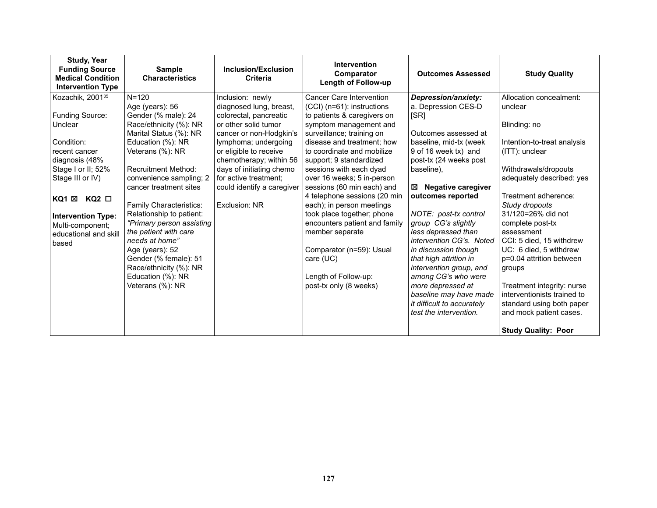| <b>Study, Year</b><br><b>Funding Source</b><br><b>Medical Condition</b><br><b>Intervention Type</b> | <b>Sample</b><br><b>Characteristics</b>               | Inclusion/Exclusion<br><b>Criteria</b> | <b>Intervention</b><br>Comparator<br><b>Length of Follow-up</b> | <b>Outcomes Assessed</b>       | <b>Study Quality</b>                 |
|-----------------------------------------------------------------------------------------------------|-------------------------------------------------------|----------------------------------------|-----------------------------------------------------------------|--------------------------------|--------------------------------------|
| Kozachik, 2001 <sup>35</sup>                                                                        | $N = 120$                                             | Inclusion: newly                       | <b>Cancer Care Intervention</b>                                 | Depression/anxiety:            | Allocation concealment:              |
|                                                                                                     | Age (years): 56                                       | diagnosed lung, breast,                | (CCI) (n=61): instructions                                      | a. Depression CES-D            | unclear                              |
| Funding Source:                                                                                     | Gender (% male): 24                                   | colorectal, pancreatic                 | to patients & caregivers on                                     | [SR]                           |                                      |
| Unclear                                                                                             | Race/ethnicity (%): NR                                | or other solid tumor                   | symptom management and                                          |                                | Blinding: no                         |
|                                                                                                     | Marital Status (%): NR                                | cancer or non-Hodgkin's                | surveillance; training on                                       | Outcomes assessed at           |                                      |
| Condition:                                                                                          | Education (%): NR                                     | lymphoma; undergoing                   | disease and treatment; how                                      | baseline, mid-tx (week         | Intention-to-treat analysis          |
| recent cancer                                                                                       | Veterans (%): NR                                      | or eligible to receive                 | to coordinate and mobilize                                      | 9 of 16 week tx) and           | $(ITT)$ : unclear                    |
| diagnosis (48%                                                                                      |                                                       | chemotherapy; within 56                | support; 9 standardized                                         | post-tx (24 weeks post         |                                      |
| Stage I or II; 52%                                                                                  | <b>Recruitment Method:</b>                            | days of initiating chemo               | sessions with each dyad                                         | baseline).                     | Withdrawals/dropouts                 |
| Stage III or IV)                                                                                    | convenience sampling; 2                               | for active treatment;                  | over 16 weeks; 5 in-person                                      |                                | adequately described: yes            |
|                                                                                                     | cancer treatment sites                                | could identify a caregiver             | sessions (60 min each) and                                      | <b>Negative caregiver</b><br>⊠ |                                      |
| $KQ2$ $\square$<br>KQ1 ⊠                                                                            |                                                       |                                        | 4 telephone sessions (20 min                                    | outcomes reported              | Treatment adherence:                 |
|                                                                                                     | <b>Family Characteristics:</b>                        | Exclusion: NR                          | each); in person meetings<br>took place together; phone         | NOTE: post-tx control          | Study dropouts<br>31/120=26% did not |
| <b>Intervention Type:</b>                                                                           | Relationship to patient:<br>"Primary person assisting |                                        | encounters patient and family                                   | group CG's slightly            | complete post-tx                     |
| Multi-component;                                                                                    | the patient with care                                 |                                        | member separate                                                 | less depressed than            | assessment                           |
| educational and skill                                                                               | needs at home"                                        |                                        |                                                                 | intervention CG's. Noted       | CCI: 5 died, 15 withdrew             |
| based                                                                                               | Age (years): 52                                       |                                        | Comparator (n=59): Usual                                        | in discussion though           | UC: 6 died, 5 withdrew               |
|                                                                                                     | Gender (% female): 51                                 |                                        | care (UC)                                                       | that high attrition in         | p=0.04 attrition between             |
|                                                                                                     | Race/ethnicity (%): NR                                |                                        |                                                                 | intervention group, and        | groups                               |
|                                                                                                     | Education (%): NR                                     |                                        | Length of Follow-up:                                            | among CG's who were            |                                      |
|                                                                                                     | Veterans (%): NR                                      |                                        | post-tx only (8 weeks)                                          | more depressed at              | Treatment integrity: nurse           |
|                                                                                                     |                                                       |                                        |                                                                 | baseline may have made         | interventionists trained to          |
|                                                                                                     |                                                       |                                        |                                                                 | it difficult to accurately     | standard using both paper            |
|                                                                                                     |                                                       |                                        |                                                                 | test the intervention.         | and mock patient cases.              |
|                                                                                                     |                                                       |                                        |                                                                 |                                |                                      |
|                                                                                                     |                                                       |                                        |                                                                 |                                | <b>Study Quality: Poor</b>           |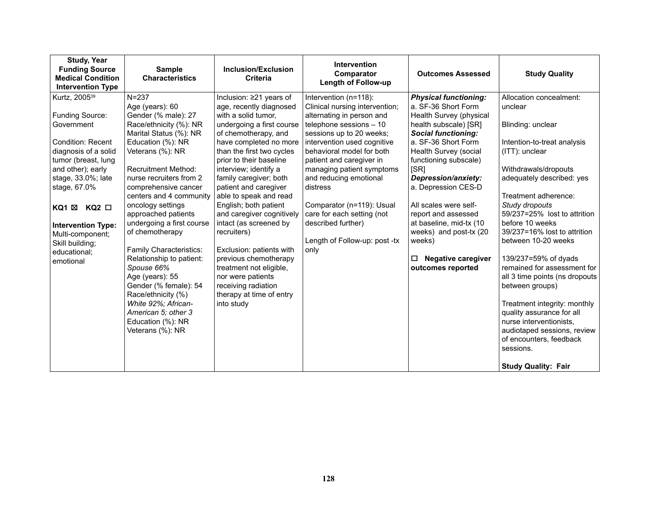| <b>Study, Year</b><br><b>Funding Source</b><br><b>Medical Condition</b><br><b>Intervention Type</b>                                                                                                                                                                                                                        | <b>Sample</b><br><b>Characteristics</b>                                                                                                                                                                                                                                                                                                                                                                                                                                                                                                                                                | Inclusion/Exclusion<br><b>Criteria</b>                                                                                                                                                                                                                                                                                                                                                                                                                                                                                                                                                            | <b>Intervention</b><br>Comparator<br><b>Length of Follow-up</b>                                                                                                                                                                                                                                                                                                                                                                  | <b>Outcomes Assessed</b>                                                                                                                                                                                                                                                                                                                                                                                                                   | <b>Study Quality</b>                                                                                                                                                                                                                                                                                                                                                                                                                                                                                                                                                                         |
|----------------------------------------------------------------------------------------------------------------------------------------------------------------------------------------------------------------------------------------------------------------------------------------------------------------------------|----------------------------------------------------------------------------------------------------------------------------------------------------------------------------------------------------------------------------------------------------------------------------------------------------------------------------------------------------------------------------------------------------------------------------------------------------------------------------------------------------------------------------------------------------------------------------------------|---------------------------------------------------------------------------------------------------------------------------------------------------------------------------------------------------------------------------------------------------------------------------------------------------------------------------------------------------------------------------------------------------------------------------------------------------------------------------------------------------------------------------------------------------------------------------------------------------|----------------------------------------------------------------------------------------------------------------------------------------------------------------------------------------------------------------------------------------------------------------------------------------------------------------------------------------------------------------------------------------------------------------------------------|--------------------------------------------------------------------------------------------------------------------------------------------------------------------------------------------------------------------------------------------------------------------------------------------------------------------------------------------------------------------------------------------------------------------------------------------|----------------------------------------------------------------------------------------------------------------------------------------------------------------------------------------------------------------------------------------------------------------------------------------------------------------------------------------------------------------------------------------------------------------------------------------------------------------------------------------------------------------------------------------------------------------------------------------------|
| Kurtz, 2005 <sup>39</sup><br>Funding Source:<br>Government<br><b>Condition: Recent</b><br>diagnosis of a solid<br>tumor (breast, lung<br>and other); early<br>stage, 33.0%; late<br>stage, 67.0%<br>$KQ2$ $\Box$<br>KQ1 ⊠<br><b>Intervention Type:</b><br>Multi-component;<br>Skill building;<br>educational;<br>emotional | $N = 237$<br>Age (years): 60<br>Gender (% male): 27<br>Race/ethnicity (%): NR<br>Marital Status (%): NR<br>Education (%): NR<br>Veterans (%): NR<br><b>Recruitment Method:</b><br>nurse recruiters from 2<br>comprehensive cancer<br>centers and 4 community<br>oncology settings<br>approached patients<br>undergoing a first course<br>of chemotherapy<br>Family Characteristics:<br>Relationship to patient:<br>Spouse 66%<br>Age (years): 55<br>Gender (% female): 54<br>Race/ethnicity (%)<br>White 92%; African-<br>American 5; other 3<br>Education (%): NR<br>Veterans (%): NR | Inclusion: $\geq$ 21 years of<br>age, recently diagnosed<br>with a solid tumor,<br>undergoing a first course<br>of chemotherapy, and<br>have completed no more<br>than the first two cycles<br>prior to their baseline<br>interview; identify a<br>family caregiver; both<br>patient and caregiver<br>able to speak and read<br>English; both patient<br>and caregiver cognitively<br>intact (as screened by<br>recruiters)<br>Exclusion: patients with<br>previous chemotherapy<br>treatment not eligible,<br>nor were patients<br>receiving radiation<br>therapy at time of entry<br>into study | Intervention (n=118):<br>Clinical nursing intervention;<br>alternating in person and<br>telephone sessions - 10<br>sessions up to 20 weeks;<br>intervention used cognitive<br>behavioral model for both<br>patient and caregiver in<br>managing patient symptoms<br>and reducing emotional<br>distress<br>Comparator (n=119): Usual<br>care for each setting (not<br>described further)<br>Length of Follow-up: post -tx<br>only | <b>Physical functioning:</b><br>a. SF-36 Short Form<br>Health Survey (physical<br>health subscale) [SR]<br><b>Social functioning:</b><br>a. SF-36 Short Form<br>Health Survey (social<br>functioning subscale)<br>[SR]<br>Depression/anxiety:<br>a. Depression CES-D<br>All scales were self-<br>report and assessed<br>at baseline, mid-tx (10<br>weeks) and post-tx (20<br>weeks)<br><b>Negative caregiver</b><br>□<br>outcomes reported | Allocation concealment:<br>unclear<br>Blinding: unclear<br>Intention-to-treat analysis<br>(ITT): unclear<br>Withdrawals/dropouts<br>adequately described: yes<br>Treatment adherence:<br>Study dropouts<br>59/237=25% lost to attrition<br>before 10 weeks<br>39/237=16% lost to attrition<br>between 10-20 weeks<br>139/237=59% of dyads<br>remained for assessment for<br>all 3 time points (ns dropouts<br>between groups)<br>Treatment integrity: monthly<br>quality assurance for all<br>nurse interventionists,<br>audiotaped sessions, review<br>of encounters, feedback<br>sessions. |
|                                                                                                                                                                                                                                                                                                                            |                                                                                                                                                                                                                                                                                                                                                                                                                                                                                                                                                                                        |                                                                                                                                                                                                                                                                                                                                                                                                                                                                                                                                                                                                   |                                                                                                                                                                                                                                                                                                                                                                                                                                  |                                                                                                                                                                                                                                                                                                                                                                                                                                            | <b>Study Quality: Fair</b>                                                                                                                                                                                                                                                                                                                                                                                                                                                                                                                                                                   |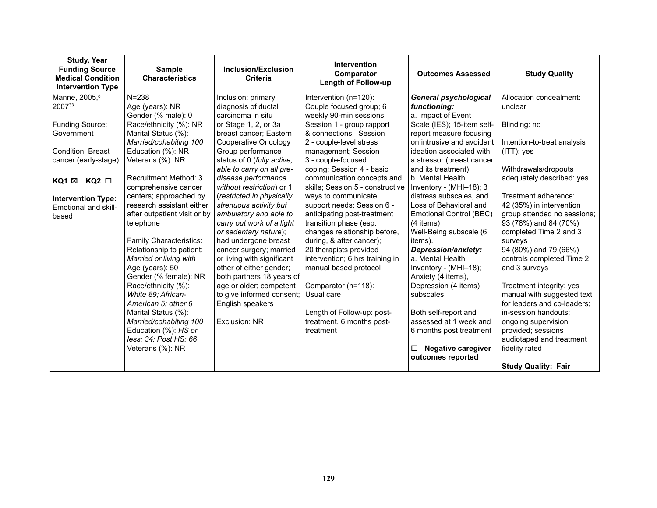| <b>Study, Year</b><br><b>Funding Source</b><br><b>Medical Condition</b><br><b>Intervention Type</b>                                                                                                      | <b>Sample</b><br><b>Characteristics</b>                                                                                                                                                                                                                                                                                                                                                                                                                                                                                                                                                                                               | <b>Inclusion/Exclusion</b><br>Criteria                                                                                                                                                                                                                                                                                                                                                                                                                                                                                                                                                                                                                    | Intervention<br>Comparator<br><b>Length of Follow-up</b>                                                                                                                                                                                                                                                                                                                                                                                                                                                                                                                                                                                                                               | <b>Outcomes Assessed</b>                                                                                                                                                                                                                                                                                                                                                                                                                                                                                                                                                                                                             | <b>Study Quality</b>                                                                                                                                                                                                                                                                                                                                                                                                                                                                                                                                                      |
|----------------------------------------------------------------------------------------------------------------------------------------------------------------------------------------------------------|---------------------------------------------------------------------------------------------------------------------------------------------------------------------------------------------------------------------------------------------------------------------------------------------------------------------------------------------------------------------------------------------------------------------------------------------------------------------------------------------------------------------------------------------------------------------------------------------------------------------------------------|-----------------------------------------------------------------------------------------------------------------------------------------------------------------------------------------------------------------------------------------------------------------------------------------------------------------------------------------------------------------------------------------------------------------------------------------------------------------------------------------------------------------------------------------------------------------------------------------------------------------------------------------------------------|----------------------------------------------------------------------------------------------------------------------------------------------------------------------------------------------------------------------------------------------------------------------------------------------------------------------------------------------------------------------------------------------------------------------------------------------------------------------------------------------------------------------------------------------------------------------------------------------------------------------------------------------------------------------------------------|--------------------------------------------------------------------------------------------------------------------------------------------------------------------------------------------------------------------------------------------------------------------------------------------------------------------------------------------------------------------------------------------------------------------------------------------------------------------------------------------------------------------------------------------------------------------------------------------------------------------------------------|---------------------------------------------------------------------------------------------------------------------------------------------------------------------------------------------------------------------------------------------------------------------------------------------------------------------------------------------------------------------------------------------------------------------------------------------------------------------------------------------------------------------------------------------------------------------------|
| Manne, 2005, <sup>8</sup><br>200733<br>Funding Source:<br>Government<br>Condition: Breast<br>cancer (early-stage)<br>$KQ2$ $\Box$<br>KQ1 ⊠<br><b>Intervention Type:</b><br>Emotional and skill-<br>based | $N = 238$<br>Age (years): NR<br>Gender (% male): 0<br>Race/ethnicity (%): NR<br>Marital Status (%):<br>Married/cohabiting 100<br>Education (%): NR<br>Veterans (%): NR<br><b>Recruitment Method: 3</b><br>comprehensive cancer<br>centers; approached by<br>research assistant either<br>after outpatient visit or by<br>telephone<br>Family Characteristics:<br>Relationship to patient:<br>Married or living with<br>Age (years): 50<br>Gender (% female): NR<br>Race/ethnicity (%):<br>White 89; African-<br>American 5; other 6<br>Marital Status (%):<br>Married/cohabiting 100<br>Education (%): HS or<br>less: 34; Post HS: 66 | Inclusion: primary<br>diagnosis of ductal<br>carcinoma in situ<br>or Stage 1, 2, or 3a<br>breast cancer; Eastern<br>Cooperative Oncology<br>Group performance<br>status of 0 (fully active,<br>able to carry on all pre-<br>disease performance<br>without restriction) or 1<br>(restricted in physically<br>strenuous activity but<br>ambulatory and able to<br>carry out work of a light<br>or sedentary nature);<br>had undergone breast<br>cancer surgery; married<br>or living with significant<br>other of either gender;<br>both partners 18 years of<br>age or older; competent<br>to give informed consent;<br>English speakers<br>Exclusion: NR | Intervention (n=120):<br>Couple focused group; 6<br>weekly 90-min sessions;<br>Session 1 - group rapport<br>& connections; Session<br>2 - couple-level stress<br>management; Session<br>3 - couple-focused<br>coping; Session 4 - basic<br>communication concepts and<br>skills; Session 5 - constructive<br>ways to communicate<br>support needs; Session 6 -<br>anticipating post-treatment<br>transition phase (esp.<br>changes relationship before,<br>during, & after cancer);<br>20 therapists provided<br>intervention; 6 hrs training in<br>manual based protocol<br>Comparator (n=118):<br>Usual care<br>Length of Follow-up: post-<br>treatment, 6 months post-<br>treatment | <b>General psychological</b><br>functioning:<br>a. Impact of Event<br>Scale (IES); 15-item self-<br>report measure focusing<br>on intrusive and avoidant<br>ideation associated with<br>a stressor (breast cancer<br>and its treatment)<br>b. Mental Health<br>Inventory - (MHI-18); 3<br>distress subscales, and<br>Loss of Behavioral and<br>Emotional Control (BEC)<br>(4 items)<br>Well-Being subscale (6<br>items).<br>Depression/anxiety:<br>a. Mental Health<br>Inventory - (MHI-18);<br>Anxiety (4 items),<br>Depression (4 items)<br>subscales<br>Both self-report and<br>assessed at 1 week and<br>6 months post treatment | Allocation concealment:<br>unclear<br>Blinding: no<br>Intention-to-treat analysis<br>$(ITT)$ : yes<br>Withdrawals/dropouts<br>adequately described: yes<br>Treatment adherence:<br>42 (35%) in intervention<br>group attended no sessions;<br>93 (78%) and 84 (70%)<br>completed Time 2 and 3<br>surveys<br>94 (80%) and 79 (66%)<br>controls completed Time 2<br>and 3 surveys<br>Treatment integrity: yes<br>manual with suggested text<br>for leaders and co-leaders;<br>in-session handouts;<br>ongoing supervision<br>provided; sessions<br>audiotaped and treatment |
|                                                                                                                                                                                                          | Veterans (%): NR                                                                                                                                                                                                                                                                                                                                                                                                                                                                                                                                                                                                                      |                                                                                                                                                                                                                                                                                                                                                                                                                                                                                                                                                                                                                                                           |                                                                                                                                                                                                                                                                                                                                                                                                                                                                                                                                                                                                                                                                                        | Negative caregiver<br>□<br>outcomes reported                                                                                                                                                                                                                                                                                                                                                                                                                                                                                                                                                                                         | fidelity rated<br><b>Study Quality: Fair</b>                                                                                                                                                                                                                                                                                                                                                                                                                                                                                                                              |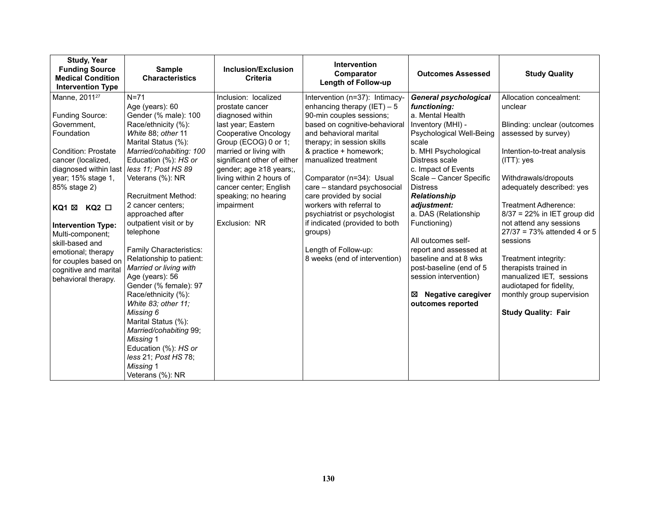| <b>Study, Year</b><br><b>Funding Source</b><br><b>Medical Condition</b><br><b>Intervention Type</b>                                                                                                                                                                                                                                                                              | <b>Sample</b><br><b>Characteristics</b>                                                                                                                                                                                                                                                                                                                                                                                                                                                                                                                                                                                                        | <b>Inclusion/Exclusion</b><br><b>Criteria</b>                                                                                                                                                                                                                                                                                      | <b>Intervention</b><br>Comparator<br><b>Length of Follow-up</b>                                                                                                                                                                                                                                                                                                                                                                                                                                 | <b>Outcomes Assessed</b>                                                                                                                                                                                                                                                                                                                                                                                                                                                                             | <b>Study Quality</b>                                                                                                                                                                                                                                                                                                                                                                                                                                                                                |
|----------------------------------------------------------------------------------------------------------------------------------------------------------------------------------------------------------------------------------------------------------------------------------------------------------------------------------------------------------------------------------|------------------------------------------------------------------------------------------------------------------------------------------------------------------------------------------------------------------------------------------------------------------------------------------------------------------------------------------------------------------------------------------------------------------------------------------------------------------------------------------------------------------------------------------------------------------------------------------------------------------------------------------------|------------------------------------------------------------------------------------------------------------------------------------------------------------------------------------------------------------------------------------------------------------------------------------------------------------------------------------|-------------------------------------------------------------------------------------------------------------------------------------------------------------------------------------------------------------------------------------------------------------------------------------------------------------------------------------------------------------------------------------------------------------------------------------------------------------------------------------------------|------------------------------------------------------------------------------------------------------------------------------------------------------------------------------------------------------------------------------------------------------------------------------------------------------------------------------------------------------------------------------------------------------------------------------------------------------------------------------------------------------|-----------------------------------------------------------------------------------------------------------------------------------------------------------------------------------------------------------------------------------------------------------------------------------------------------------------------------------------------------------------------------------------------------------------------------------------------------------------------------------------------------|
| Manne, 2011 <sup>27</sup><br>Funding Source:<br>Government,<br>Foundation<br><b>Condition: Prostate</b><br>cancer (localized,<br>diagnosed within last<br>year; 15% stage 1,<br>85% stage 2)<br>KQ2 □<br>KQ1 ⊠<br><b>Intervention Type:</b><br>Multi-component;<br>skill-based and<br>emotional; therapy<br>for couples based on<br>cognitive and marital<br>behavioral therapy. | $N=71$<br>Age (years): 60<br>Gender (% male): 100<br>Race/ethnicity (%):<br>White 88; other 11<br>Marital Status (%):<br>Married/cohabiting: 100<br>Education (%): HS or<br>less 11; Post HS 89<br>Veterans (%): NR<br><b>Recruitment Method:</b><br>2 cancer centers;<br>approached after<br>outpatient visit or by<br>telephone<br>Family Characteristics:<br>Relationship to patient:<br>Married or living with<br>Age (years): 56<br>Gender (% female): 97<br>Race/ethnicity (%):<br>White 83; other 11;<br>Missing 6<br>Marital Status (%):<br>Married/cohabiting 99;<br><b>Missing 1</b><br>Education (%): HS or<br>less 21; Post HS 78; | Inclusion: localized<br>prostate cancer<br>diagnosed within<br>last year; Eastern<br>Cooperative Oncology<br>Group (ECOG) 0 or 1;<br>married or living with<br>significant other of either<br>gender; age ≥18 years;,<br>living within 2 hours of<br>cancer center; English<br>speaking; no hearing<br>impairment<br>Exclusion: NR | Intervention (n=37): Intimacy-<br>enhancing therapy $(IET) - 5$<br>90-min couples sessions;<br>based on cognitive-behavioral<br>and behavioral marital<br>therapy; in session skills<br>& practice + homework;<br>manualized treatment<br>Comparator (n=34): Usual<br>care - standard psychosocial<br>care provided by social<br>workers with referral to<br>psychiatrist or psychologist<br>if indicated (provided to both<br>groups)<br>Length of Follow-up:<br>8 weeks (end of intervention) | <b>General psychological</b><br>functioning:<br>a. Mental Health<br>Inventory (MHI) -<br>Psychological Well-Being<br>scale<br>b. MHI Psychological<br>Distress scale<br>c. Impact of Events<br>Scale - Cancer Specific<br><b>Distress</b><br>Relationship<br>adjustment:<br>a. DAS (Relationship<br>Functioning)<br>All outcomes self-<br>report and assessed at<br>baseline and at 8 wks<br>post-baseline (end of 5<br>session intervention)<br><b>Negative caregiver</b><br>⊠<br>outcomes reported | Allocation concealment:<br>unclear<br>Blinding: unclear (outcomes<br>assessed by survey)<br>Intention-to-treat analysis<br>$(ITT)$ : yes<br>Withdrawals/dropouts<br>adequately described: yes<br>Treatment Adherence:<br>$8/37 = 22\%$ in IET group did<br>not attend any sessions<br>$27/37 = 73%$ attended 4 or 5<br>sessions<br>Treatment integrity:<br>therapists trained in<br>manualized IET, sessions<br>audiotaped for fidelity,<br>monthly group supervision<br><b>Study Quality: Fair</b> |
|                                                                                                                                                                                                                                                                                                                                                                                  | Missing 1<br>Veterans (%): NR                                                                                                                                                                                                                                                                                                                                                                                                                                                                                                                                                                                                                  |                                                                                                                                                                                                                                                                                                                                    |                                                                                                                                                                                                                                                                                                                                                                                                                                                                                                 |                                                                                                                                                                                                                                                                                                                                                                                                                                                                                                      |                                                                                                                                                                                                                                                                                                                                                                                                                                                                                                     |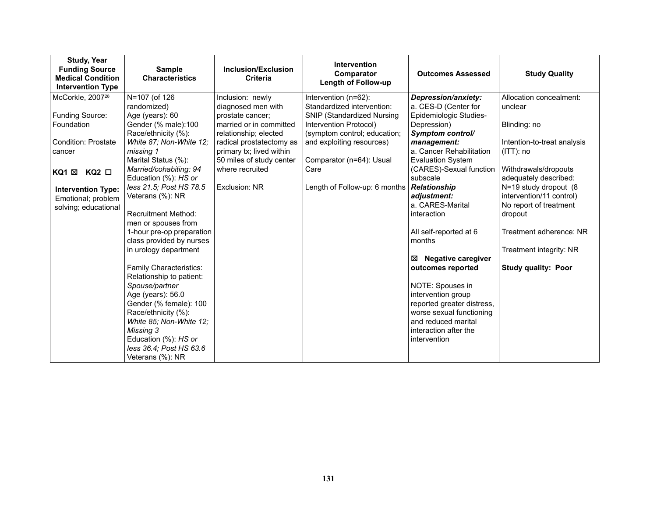| <b>Study, Year</b><br><b>Funding Source</b><br><b>Medical Condition</b><br><b>Intervention Type</b> | <b>Sample</b><br><b>Characteristics</b>               | Inclusion/Exclusion<br><b>Criteria</b> | Intervention<br>Comparator<br><b>Length of Follow-up</b>        | <b>Outcomes Assessed</b>                         | <b>Study Quality</b>                          |
|-----------------------------------------------------------------------------------------------------|-------------------------------------------------------|----------------------------------------|-----------------------------------------------------------------|--------------------------------------------------|-----------------------------------------------|
| McCorkle, 2007 <sup>28</sup>                                                                        | N=107 (of 126                                         | Inclusion: newly                       | Intervention (n=62):                                            | Depression/anxiety:                              | Allocation concealment:                       |
| Funding Source:                                                                                     | randomized)<br>Age (years): 60                        | diagnosed men with<br>prostate cancer; | Standardized intervention:<br><b>SNIP (Standardized Nursing</b> | a. CES-D (Center for<br>Epidemiologic Studies-   | unclear                                       |
| Foundation                                                                                          | Gender (% male):100                                   | married or in committed                | Intervention Protocol)                                          | Depression)                                      | Blinding: no                                  |
|                                                                                                     | Race/ethnicity (%):                                   | relationship; elected                  | (symptom control; education;                                    | Symptom control/                                 |                                               |
| <b>Condition: Prostate</b>                                                                          | White 87; Non-White 12;                               | radical prostatectomy as               | and exploiting resources)                                       | management:                                      | Intention-to-treat analysis                   |
| cancer                                                                                              | missing 1                                             | primary tx; lived within               |                                                                 | a. Cancer Rehabilitation                         | $(ITT)$ : no                                  |
|                                                                                                     | Marital Status (%):                                   | 50 miles of study center               | Comparator (n=64): Usual                                        | <b>Evaluation System</b>                         |                                               |
| KQ1 ⊠<br>$KQ2$ $\square$                                                                            | Married/cohabiting: 94<br>Education (%): HS or        | where recruited                        | Care                                                            | (CARES)-Sexual function<br>subscale              | Withdrawals/dropouts<br>adequately described: |
| <b>Intervention Type:</b>                                                                           | less 21.5; Post HS 78.5                               | Exclusion: NR                          | Length of Follow-up: 6 months                                   | <b>Relationship</b>                              | N=19 study dropout (8                         |
| Emotional; problem                                                                                  | Veterans (%): NR                                      |                                        |                                                                 | adjustment:                                      | intervention/11 control)                      |
| solving; educational                                                                                |                                                       |                                        |                                                                 | a. CARES-Marital                                 | No report of treatment                        |
|                                                                                                     | <b>Recruitment Method:</b>                            |                                        |                                                                 | interaction                                      | dropout                                       |
|                                                                                                     | men or spouses from                                   |                                        |                                                                 |                                                  |                                               |
|                                                                                                     | 1-hour pre-op preparation<br>class provided by nurses |                                        |                                                                 | All self-reported at 6<br>months                 | Treatment adherence: NR                       |
|                                                                                                     | in urology department                                 |                                        |                                                                 |                                                  | Treatment integrity: NR                       |
|                                                                                                     |                                                       |                                        |                                                                 | <b>Negative caregiver</b><br>⊠                   |                                               |
|                                                                                                     | Family Characteristics:                               |                                        |                                                                 | outcomes reported                                | <b>Study quality: Poor</b>                    |
|                                                                                                     | Relationship to patient:                              |                                        |                                                                 |                                                  |                                               |
|                                                                                                     | Spouse/partner                                        |                                        |                                                                 | NOTE: Spouses in                                 |                                               |
|                                                                                                     | Age (years): 56.0<br>Gender (% female): 100           |                                        |                                                                 | intervention group<br>reported greater distress, |                                               |
|                                                                                                     | Race/ethnicity (%):                                   |                                        |                                                                 | worse sexual functioning                         |                                               |
|                                                                                                     | White 85; Non-White 12;                               |                                        |                                                                 | and reduced marital                              |                                               |
|                                                                                                     | Missing 3                                             |                                        |                                                                 | interaction after the                            |                                               |
|                                                                                                     | Education (%): HS or                                  |                                        |                                                                 | intervention                                     |                                               |
|                                                                                                     | less 36.4; Post HS 63.6                               |                                        |                                                                 |                                                  |                                               |
|                                                                                                     | Veterans (%): NR                                      |                                        |                                                                 |                                                  |                                               |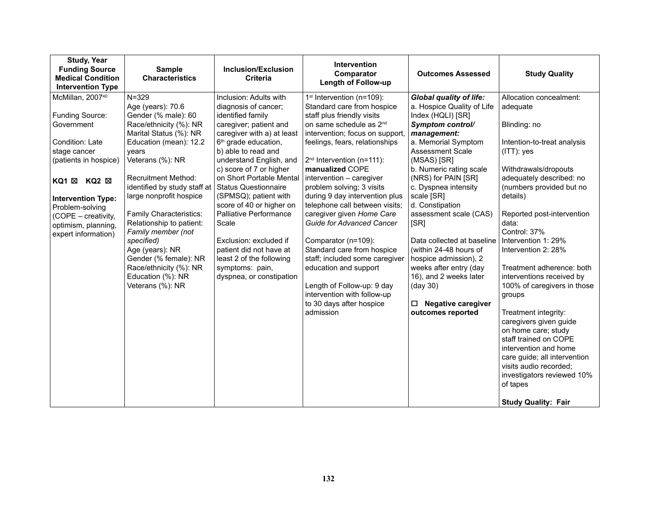| <b>Study, Year</b><br><b>Funding Source</b><br><b>Medical Condition</b><br><b>Intervention Type</b>                                                                                                                                                                        | <b>Sample</b><br><b>Characteristics</b>                                                                                                                                                                                                                                                                                                                                                                                                                             | Inclusion/Exclusion<br><b>Criteria</b>                                                                                                                                                                                                                                                                                                                                                                                                                                                                                          | Intervention<br>Comparator<br>Length of Follow-up                                                                                                                                                                                                                                                                                                                                                                                                                                                                                                                                                                                                                                   | <b>Outcomes Assessed</b>                                                                                                                                                                                                                                                                                                                                                                                                                                                                                                       | <b>Study Quality</b>                                                                                                                                                                                                                                                                                                                                                                                                                                                                                                                                                                                                                   |
|----------------------------------------------------------------------------------------------------------------------------------------------------------------------------------------------------------------------------------------------------------------------------|---------------------------------------------------------------------------------------------------------------------------------------------------------------------------------------------------------------------------------------------------------------------------------------------------------------------------------------------------------------------------------------------------------------------------------------------------------------------|---------------------------------------------------------------------------------------------------------------------------------------------------------------------------------------------------------------------------------------------------------------------------------------------------------------------------------------------------------------------------------------------------------------------------------------------------------------------------------------------------------------------------------|-------------------------------------------------------------------------------------------------------------------------------------------------------------------------------------------------------------------------------------------------------------------------------------------------------------------------------------------------------------------------------------------------------------------------------------------------------------------------------------------------------------------------------------------------------------------------------------------------------------------------------------------------------------------------------------|--------------------------------------------------------------------------------------------------------------------------------------------------------------------------------------------------------------------------------------------------------------------------------------------------------------------------------------------------------------------------------------------------------------------------------------------------------------------------------------------------------------------------------|----------------------------------------------------------------------------------------------------------------------------------------------------------------------------------------------------------------------------------------------------------------------------------------------------------------------------------------------------------------------------------------------------------------------------------------------------------------------------------------------------------------------------------------------------------------------------------------------------------------------------------------|
| McMillan, 2007 <sup>40</sup><br>Funding Source:<br>Government<br>Condition: Late<br>stage cancer<br>(patients in hospice)<br>KQ1 ⊠<br>$KQ2 \boxtimes$<br><b>Intervention Type:</b><br>Problem-solving<br>(COPE - creativity,<br>optimism, planning,<br>expert information) | $N = 329$<br>Age (years): 70.6<br>Gender (% male): 60<br>Race/ethnicity (%): NR<br>Marital Status (%): NR<br>Education (mean): 12.2<br>vears<br>Veterans (%): NR<br><b>Recruitment Method:</b><br>identified by study staff at<br>large nonprofit hospice<br>Family Characteristics:<br>Relationship to patient:<br>Family member (not<br>specified)<br>Age (years): NR<br>Gender (% female): NR<br>Race/ethnicity (%): NR<br>Education (%): NR<br>Veterans (%): NR | Inclusion: Adults with<br>diagnosis of cancer;<br>identified family<br>caregiver; patient and<br>caregiver with a) at least<br>6 <sup>th</sup> grade education,<br>b) able to read and<br>understand English, and<br>c) score of 7 or higher<br>on Short Portable Mental<br><b>Status Questionnaire</b><br>(SPMSQ); patient with<br>score of 40 or higher on<br>Palliative Performance<br>Scale<br>Exclusion: excluded if<br>patient did not have at<br>least 2 of the following<br>symptoms: pain,<br>dyspnea, or constipation | 1 <sup>st</sup> Intervention (n=109):<br>Standard care from hospice<br>staff plus friendly visits<br>on same schedule as 2 <sup>nd</sup><br>intervention; focus on support,<br>feelings, fears, relationships<br>$2nd$ Intervention (n=111):<br>manualized COPE<br>intervention - caregiver<br>problem solving; 3 visits<br>during 9 day intervention plus<br>telephone call between visits;<br>caregiver given Home Care<br><b>Guide for Advanced Cancer</b><br>Comparator (n=109):<br>Standard care from hospice<br>staff; included some caregiver<br>education and support<br>Length of Follow-up: 9 day<br>intervention with follow-up<br>to 30 days after hospice<br>admission | <b>Global quality of life:</b><br>a. Hospice Quality of Life<br>Index (HQLI) [SR]<br>Symptom control/<br>management:<br>a. Memorial Symptom<br>Assessment Scale<br>(MSAS) [SR]<br>b. Numeric rating scale<br>(NRS) for PAIN [SR]<br>c. Dyspnea intensity<br>scale [SR]<br>d. Constipation<br>assessment scale (CAS)<br>[SR]<br>Data collected at baseline<br>(within 24-48 hours of<br>hospice admission), 2<br>weeks after entry (day<br>16), and 2 weeks later<br>(day 30)<br>$\Box$ Negative caregiver<br>outcomes reported | Allocation concealment:<br>adequate<br>Blinding: no<br>Intention-to-treat analysis<br>$(ITT)$ : yes<br>Withdrawals/dropouts<br>adequately described: no<br>(numbers provided but no<br>details)<br>Reported post-intervention<br>data:<br>Control: 37%<br>Intervention 1: 29%<br>Intervention 2: 28%<br>Treatment adherence: both<br>interventions received by<br>100% of caregivers in those<br>groups<br>Treatment integrity:<br>caregivers given guide<br>on home care; study<br>staff trained on COPE<br>intervention and home<br>care guide; all intervention<br>visits audio recorded;<br>investigators reviewed 10%<br>of tapes |
|                                                                                                                                                                                                                                                                            |                                                                                                                                                                                                                                                                                                                                                                                                                                                                     |                                                                                                                                                                                                                                                                                                                                                                                                                                                                                                                                 |                                                                                                                                                                                                                                                                                                                                                                                                                                                                                                                                                                                                                                                                                     |                                                                                                                                                                                                                                                                                                                                                                                                                                                                                                                                | <b>Study Quality: Fair</b>                                                                                                                                                                                                                                                                                                                                                                                                                                                                                                                                                                                                             |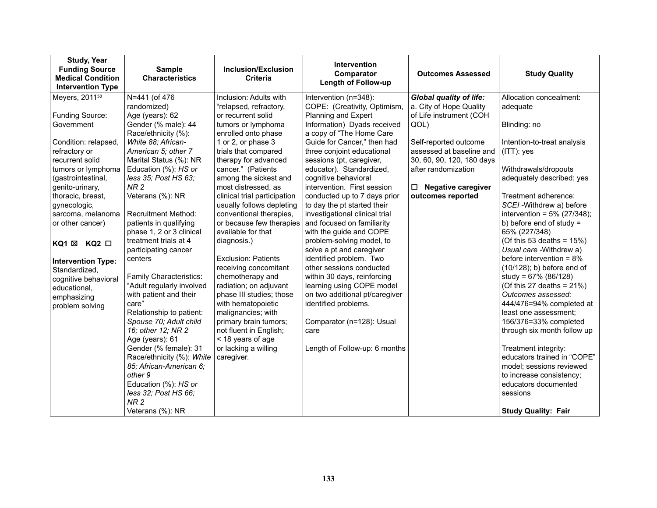| <b>Study, Year</b><br><b>Funding Source</b><br><b>Medical Condition</b><br><b>Intervention Type</b> | <b>Sample</b><br><b>Characteristics</b> | <b>Inclusion/Exclusion</b><br>Criteria | Intervention<br>Comparator<br><b>Length of Follow-up</b> | <b>Outcomes Assessed</b>       | <b>Study Quality</b>           |
|-----------------------------------------------------------------------------------------------------|-----------------------------------------|----------------------------------------|----------------------------------------------------------|--------------------------------|--------------------------------|
| Meyers, 2011 <sup>38</sup>                                                                          | N=441 (of 476                           | Inclusion: Adults with                 | Intervention (n=348):                                    | <b>Global quality of life:</b> | Allocation concealment:        |
|                                                                                                     | randomized)                             | "relapsed, refractory,                 | COPE: (Creativity, Optimism,                             | a. City of Hope Quality        | adequate                       |
| Funding Source:                                                                                     | Age (years): 62                         | or recurrent solid                     | Planning and Expert                                      | of Life instrument (COH        |                                |
| Government                                                                                          | Gender (% male): 44                     | tumors or lymphoma                     | Information) Dyads received                              | QOL)                           | Blinding: no                   |
|                                                                                                     | Race/ethnicity (%):                     | enrolled onto phase                    | a copy of "The Home Care                                 |                                |                                |
| Condition: relapsed,                                                                                | White 88; African-                      | 1 or 2, or phase 3                     | Guide for Cancer," then had                              | Self-reported outcome          | Intention-to-treat analysis    |
| refractory or                                                                                       | American 5; other 7                     | trials that compared                   | three conjoint educational                               | assessed at baseline and       | $(ITT)$ : yes                  |
| recurrent solid                                                                                     | Marital Status (%): NR                  | therapy for advanced                   | sessions (pt, caregiver,                                 | 30, 60, 90, 120, 180 days      |                                |
| tumors or lymphoma                                                                                  | Education (%): HS or                    | cancer." (Patients                     | educator). Standardized,                                 | after randomization            | Withdrawals/dropouts           |
| (gastrointestinal,                                                                                  | less 35; Post HS 63;                    | among the sickest and                  | cognitive behavioral                                     |                                | adequately described: yes      |
| genito-urinary,                                                                                     | NR <sub>2</sub>                         | most distressed, as                    | intervention. First session                              | <b>Negative caregiver</b><br>□ |                                |
| thoracic, breast,                                                                                   | Veterans (%): NR                        | clinical trial participation           | conducted up to 7 days prior                             | outcomes reported              | Treatment adherence:           |
| gynecologic,                                                                                        |                                         | usually follows depleting              | to day the pt started their                              |                                | SCEI - Withdrew a) before      |
| sarcoma, melanoma                                                                                   | Recruitment Method:                     | conventional therapies,                | investigational clinical trial                           |                                | intervention = $5\%$ (27/348); |
| or other cancer)                                                                                    | patients in qualifying                  | or because few therapies               | and focused on familiarity                               |                                | b) before end of study $=$     |
|                                                                                                     | phase 1, 2 or 3 clinical                | available for that                     | with the guide and COPE                                  |                                | 65% (227/348)                  |
| KQ1 ⊠ KQ2 □                                                                                         | treatment trials at 4                   | diagnosis.)                            | problem-solving model, to                                |                                | (Of this 53 deaths = $15\%$ )  |
|                                                                                                     | participating cancer                    |                                        | solve a pt and caregiver                                 |                                | Usual care - Withdrew a)       |
| <b>Intervention Type:</b>                                                                           | centers                                 | <b>Exclusion: Patients</b>             | identified problem. Two                                  |                                | before intervention = $8\%$    |
| Standardized,                                                                                       |                                         | receiving concomitant                  | other sessions conducted                                 |                                | $(10/128)$ ; b) before end of  |
| cognitive behavioral                                                                                | Family Characteristics:                 | chemotherapy and                       | within 30 days, reinforcing                              |                                | study = $67\%$ (86/128)        |
| educational,                                                                                        | "Adult regularly involved               | radiation; on adjuvant                 | learning using COPE model                                |                                | (Of this 27 deaths = $21\%$ )  |
| emphasizing                                                                                         | with patient and their                  | phase III studies; those               | on two additional pt/caregiver                           |                                | Outcomes assessed:             |
| problem solving                                                                                     | care"                                   | with hematopoietic                     | identified problems.                                     |                                | 444/476=94% completed at       |
|                                                                                                     | Relationship to patient:                | malignancies; with                     |                                                          |                                | least one assessment;          |
|                                                                                                     | Spouse 70; Adult child                  | primary brain tumors;                  | Comparator (n=128): Usual                                |                                | 156/376=33% completed          |
|                                                                                                     | 16; other 12; NR 2                      | not fluent in English;                 | care                                                     |                                | through six month follow up    |
|                                                                                                     | Age (years): 61                         | < 18 years of age                      |                                                          |                                |                                |
|                                                                                                     | Gender (% female): 31                   | or lacking a willing                   | Length of Follow-up: 6 months                            |                                | Treatment integrity:           |
|                                                                                                     | Race/ethnicity (%): White               | caregiver.                             |                                                          |                                | educators trained in "COPE"    |
|                                                                                                     | 85; African-American 6;                 |                                        |                                                          |                                | model; sessions reviewed       |
|                                                                                                     | other 9                                 |                                        |                                                          |                                | to increase consistency;       |
|                                                                                                     | Education (%): HS or                    |                                        |                                                          |                                | educators documented           |
|                                                                                                     | less 32; Post HS 66;                    |                                        |                                                          |                                | sessions                       |
|                                                                                                     | NR <sub>2</sub>                         |                                        |                                                          |                                |                                |
|                                                                                                     | Veterans (%): NR                        |                                        |                                                          |                                | <b>Study Quality: Fair</b>     |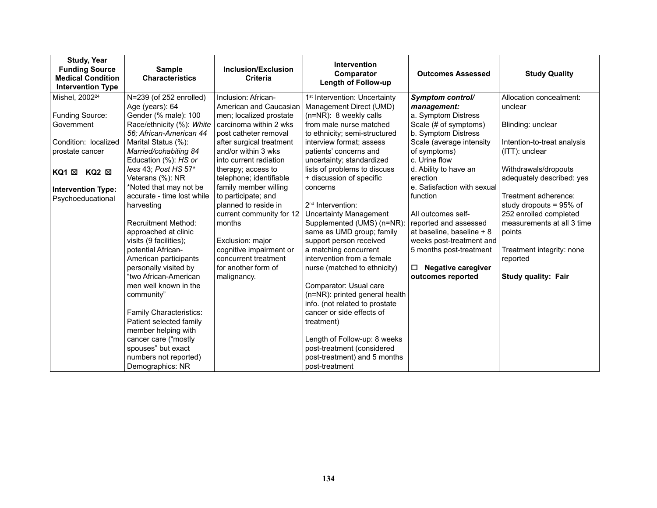| <b>Study, Year</b><br><b>Funding Source</b><br><b>Medical Condition</b><br><b>Intervention Type</b> | <b>Sample</b><br><b>Characteristics</b>  | <b>Inclusion/Exclusion</b><br><b>Criteria</b> | <b>Intervention</b><br>Comparator<br><b>Length of Follow-up</b> | <b>Outcomes Assessed</b>       | <b>Study Quality</b>        |
|-----------------------------------------------------------------------------------------------------|------------------------------------------|-----------------------------------------------|-----------------------------------------------------------------|--------------------------------|-----------------------------|
| Mishel, 2002 <sup>24</sup>                                                                          | N=239 (of 252 enrolled)                  | Inclusion: African-                           | 1 <sup>st</sup> Intervention: Uncertainty                       | Symptom control/               | Allocation concealment:     |
|                                                                                                     | Age (years): 64                          | American and Caucasian                        | Management Direct (UMD)                                         | management:                    | unclear                     |
| Funding Source:                                                                                     | Gender (% male): 100                     | men; localized prostate                       | (n=NR): 8 weekly calls                                          | a. Symptom Distress            |                             |
| Government                                                                                          | Race/ethnicity (%): White                | carcinoma within 2 wks                        | from male nurse matched                                         | Scale (# of symptoms)          | Blinding: unclear           |
|                                                                                                     | 56; African-American 44                  | post catheter removal                         | to ethnicity; semi-structured                                   | b. Symptom Distress            |                             |
| Condition: localized                                                                                | Marital Status (%):                      | after surgical treatment                      | interview format; assess                                        | Scale (average intensity       | Intention-to-treat analysis |
| prostate cancer                                                                                     | Married/cohabiting 84                    | and/or within 3 wks                           | patients' concerns and                                          | of symptoms)                   | (ITT): unclear              |
|                                                                                                     | Education (%): HS or                     | into current radiation                        | uncertainty; standardized                                       | c. Urine flow                  |                             |
| $KQ2 \boxtimes$<br>KQ1 ⊠                                                                            | less 43; Post HS 57*                     | therapy; access to                            | lists of problems to discuss                                    | d. Ability to have an          | Withdrawals/dropouts        |
|                                                                                                     | Veterans (%): NR                         | telephone; identifiable                       | + discussion of specific                                        | erection                       | adequately described: yes   |
| <b>Intervention Type:</b>                                                                           | *Noted that may not be                   | family member willing                         | concerns                                                        | e. Satisfaction with sexual    |                             |
| Psychoeducational                                                                                   | accurate - time lost while<br>harvesting | to participate; and                           |                                                                 | function                       | Treatment adherence:        |
|                                                                                                     |                                          | planned to reside in                          | 2 <sup>nd</sup> Intervention:                                   |                                | study dropouts = 95% of     |
|                                                                                                     |                                          | current community for 12                      | <b>Uncertainty Management</b>                                   | All outcomes self-             | 252 enrolled completed      |
|                                                                                                     | <b>Recruitment Method:</b>               | months                                        | Supplemented (UMS) (n=NR):                                      | reported and assessed          | measurements at all 3 time  |
|                                                                                                     | approached at clinic                     |                                               | same as UMD group; family                                       | at baseline, baseline + 8      | points                      |
|                                                                                                     | visits (9 facilities);                   | Exclusion: major                              | support person received                                         | weeks post-treatment and       |                             |
|                                                                                                     | potential African-                       | cognitive impairment or                       | a matching concurrent                                           | 5 months post-treatment        | Treatment integrity: none   |
|                                                                                                     | American participants                    | concurrent treatment                          | intervention from a female                                      |                                | reported                    |
|                                                                                                     | personally visited by                    | for another form of                           | nurse (matched to ethnicity)                                    | □<br><b>Negative caregiver</b> |                             |
|                                                                                                     | "two African-American                    | malignancy.                                   |                                                                 | outcomes reported              | <b>Study quality: Fair</b>  |
|                                                                                                     | men well known in the                    |                                               | Comparator: Usual care                                          |                                |                             |
|                                                                                                     | community"                               |                                               | (n=NR): printed general health                                  |                                |                             |
|                                                                                                     |                                          |                                               | info. (not related to prostate                                  |                                |                             |
|                                                                                                     | Family Characteristics:                  |                                               | cancer or side effects of                                       |                                |                             |
|                                                                                                     | Patient selected family                  |                                               | treatment)                                                      |                                |                             |
|                                                                                                     | member helping with                      |                                               |                                                                 |                                |                             |
|                                                                                                     | cancer care ("mostly                     |                                               | Length of Follow-up: 8 weeks                                    |                                |                             |
|                                                                                                     | spouses" but exact                       |                                               | post-treatment (considered                                      |                                |                             |
|                                                                                                     | numbers not reported)                    |                                               | post-treatment) and 5 months                                    |                                |                             |
|                                                                                                     | Demographics: NR                         |                                               | post-treatment                                                  |                                |                             |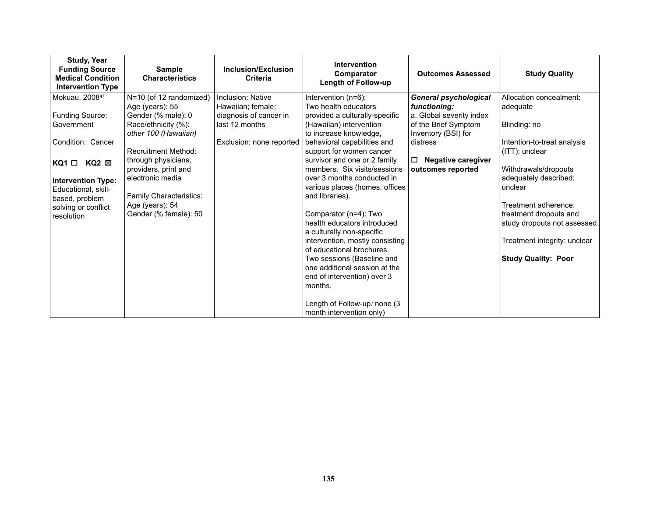| <b>Study, Year</b><br><b>Funding Source</b><br><b>Medical Condition</b><br><b>Intervention Type</b> | <b>Sample</b><br><b>Characteristics</b>  | Inclusion/Exclusion<br><b>Criteria</b> | <b>Intervention</b><br>Comparator<br><b>Length of Follow-up</b> | <b>Outcomes Assessed</b>            | <b>Study Quality</b>                           |
|-----------------------------------------------------------------------------------------------------|------------------------------------------|----------------------------------------|-----------------------------------------------------------------|-------------------------------------|------------------------------------------------|
| Mokuau, 200847                                                                                      | N=10 (of 12 randomized)                  | Inclusion: Native                      | Intervention (n=6):                                             | <b>General psychological</b>        | Allocation concealment:                        |
|                                                                                                     | Age (years): 55                          | Hawaiian; female;                      | Two health educators                                            | functioning:                        | adequate                                       |
| Funding Source:                                                                                     | Gender (% male): 0                       | diagnosis of cancer in                 | provided a culturally-specific                                  | a. Global severity index            |                                                |
| Government                                                                                          | Race/ethnicity (%):                      | last 12 months                         | (Hawaiian) intervention                                         | of the Brief Symptom                | Blinding: no                                   |
|                                                                                                     | other 100 (Hawaiian)                     |                                        | to increase knowledge,                                          | Inventory (BSI) for                 |                                                |
| Condition: Cancer                                                                                   |                                          | Exclusion: none reported               | behavioral capabilities and                                     | distress                            | Intention-to-treat analysis                    |
|                                                                                                     | <b>Recruitment Method:</b>               |                                        | support for women cancer                                        |                                     | (ITT): unclear                                 |
| $KQ1 \Box KQ2 \boxtimes$                                                                            | through physicians,                      |                                        | survivor and one or 2 family                                    | <b>Negative caregiver</b><br>$\Box$ |                                                |
|                                                                                                     | providers, print and                     |                                        | members. Six visits/sessions                                    | outcomes reported                   | Withdrawals/dropouts                           |
| <b>Intervention Type:</b>                                                                           | electronic media                         |                                        | over 3 months conducted in                                      |                                     | adequately described:                          |
| Educational, skill-                                                                                 |                                          |                                        | various places (homes, offices                                  |                                     | unclear                                        |
| based, problem                                                                                      | Family Characteristics:                  |                                        | and libraries).                                                 |                                     |                                                |
| solving or conflict                                                                                 | Age (years): 54<br>Gender (% female): 50 |                                        | Comparator (n=4): Two                                           |                                     | Treatment adherence:<br>treatment dropouts and |
| resolution                                                                                          |                                          |                                        | health educators introduced                                     |                                     | study dropouts not assessed                    |
|                                                                                                     |                                          |                                        | a culturally non-specific                                       |                                     |                                                |
|                                                                                                     |                                          |                                        | intervention, mostly consisting                                 |                                     | Treatment integrity: unclear                   |
|                                                                                                     |                                          |                                        | of educational brochures.                                       |                                     |                                                |
|                                                                                                     |                                          |                                        | Two sessions (Baseline and                                      |                                     | <b>Study Quality: Poor</b>                     |
|                                                                                                     |                                          |                                        | one additional session at the                                   |                                     |                                                |
|                                                                                                     |                                          |                                        | end of intervention) over 3                                     |                                     |                                                |
|                                                                                                     |                                          |                                        | months.                                                         |                                     |                                                |
|                                                                                                     |                                          |                                        |                                                                 |                                     |                                                |
|                                                                                                     |                                          |                                        | Length of Follow-up: none (3                                    |                                     |                                                |
|                                                                                                     |                                          |                                        | month intervention only)                                        |                                     |                                                |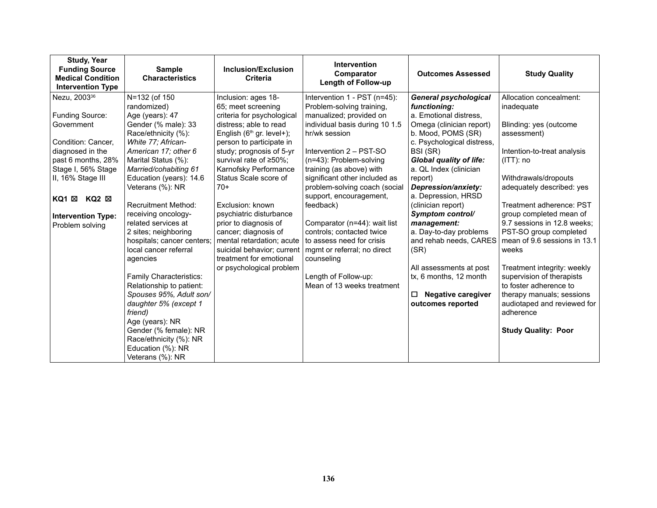| <b>Study, Year</b><br><b>Funding Source</b><br><b>Medical Condition</b><br><b>Intervention Type</b>                                                                                                                                    | <b>Sample</b><br><b>Characteristics</b>                                                                                                                                                                                                                                                                                                                                                                                                                                                             | <b>Inclusion/Exclusion</b><br><b>Criteria</b>                                                                                                                                                                                                                                                                                                                                                                                                                                                   | <b>Intervention</b><br>Comparator<br><b>Length of Follow-up</b>                                                                                                                                                                                                                                                                                                                                                                                                                                                                  | <b>Outcomes Assessed</b>                                                                                                                                                                                                                                                                                                                                                                                                                                                                            | <b>Study Quality</b>                                                                                                                                                                                                                                                                                                                                                                                                                                           |
|----------------------------------------------------------------------------------------------------------------------------------------------------------------------------------------------------------------------------------------|-----------------------------------------------------------------------------------------------------------------------------------------------------------------------------------------------------------------------------------------------------------------------------------------------------------------------------------------------------------------------------------------------------------------------------------------------------------------------------------------------------|-------------------------------------------------------------------------------------------------------------------------------------------------------------------------------------------------------------------------------------------------------------------------------------------------------------------------------------------------------------------------------------------------------------------------------------------------------------------------------------------------|----------------------------------------------------------------------------------------------------------------------------------------------------------------------------------------------------------------------------------------------------------------------------------------------------------------------------------------------------------------------------------------------------------------------------------------------------------------------------------------------------------------------------------|-----------------------------------------------------------------------------------------------------------------------------------------------------------------------------------------------------------------------------------------------------------------------------------------------------------------------------------------------------------------------------------------------------------------------------------------------------------------------------------------------------|----------------------------------------------------------------------------------------------------------------------------------------------------------------------------------------------------------------------------------------------------------------------------------------------------------------------------------------------------------------------------------------------------------------------------------------------------------------|
| Nezu, 2003 <sup>36</sup><br>Funding Source:<br>Government<br>Condition: Cancer,<br>diagnosed in the<br>past 6 months, 28%<br>Stage I, 56% Stage<br>II, 16% Stage III<br>KQ2 ⊠<br>KQ1 ⊠<br><b>Intervention Type:</b><br>Problem solving | N=132 (of 150<br>randomized)<br>Age (years): 47<br>Gender (% male): 33<br>Race/ethnicity (%):<br>White 77; African-<br>American 17; other 6<br>Marital Status (%):<br>Married/cohabiting 61<br>Education (years): 14.6<br>Veterans (%): NR<br><b>Recruitment Method:</b><br>receiving oncology-<br>related services at<br>2 sites; neighboring<br>hospitals; cancer centers;<br>local cancer referral<br>agencies<br>Family Characteristics:<br>Relationship to patient:<br>Spouses 95%, Adult son/ | Inclusion: ages 18-<br>65; meet screening<br>criteria for psychological<br>distress; able to read<br>English $(6th$ gr. level+);<br>person to participate in<br>study; prognosis of 5-yr<br>survival rate of ≥50%;<br>Karnofsky Performance<br>Status Scale score of<br>$70+$<br>Exclusion: known<br>psychiatric disturbance<br>prior to diagnosis of<br>cancer; diagnosis of<br>mental retardation; acute<br>suicidal behavior; current<br>treatment for emotional<br>or psychological problem | Intervention 1 - PST (n=45):<br>Problem-solving training,<br>manualized; provided on<br>individual basis during 10 1.5<br>hr/wk session<br>Intervention 2 - PST-SO<br>(n=43): Problem-solving<br>training (as above) with<br>significant other included as<br>problem-solving coach (social<br>support, encouragement,<br>feedback)<br>Comparator (n=44): wait list<br>controls; contacted twice<br>to assess need for crisis<br>mgmt or referral; no direct<br>counseling<br>Length of Follow-up:<br>Mean of 13 weeks treatment | <b>General psychological</b><br>functioning:<br>a. Emotional distress,<br>Omega (clinician report)<br>b. Mood, POMS (SR)<br>c. Psychological distress,<br>BSI (SR)<br><b>Global quality of life:</b><br>a. QL Index (clinician<br>report)<br>Depression/anxiety:<br>a. Depression, HRSD<br>(clinician report)<br>Symptom control/<br>management:<br>a. Day-to-day problems<br>and rehab needs, CARES<br>(SR)<br>All assessments at post<br>tx, 6 months, 12 month<br><b>Negative caregiver</b><br>□ | Allocation concealment:<br>inadequate<br>Blinding: yes (outcome<br>assessment)<br>Intention-to-treat analysis<br>$(ITT)$ : no<br>Withdrawals/dropouts<br>adequately described: yes<br>Treatment adherence: PST<br>group completed mean of<br>9.7 sessions in 12.8 weeks;<br>PST-SO group completed<br>mean of 9.6 sessions in 13.1<br>weeks<br>Treatment integrity: weekly<br>supervision of therapists<br>to foster adherence to<br>therapy manuals; sessions |
|                                                                                                                                                                                                                                        | daughter 5% (except 1<br>friend)<br>Age (years): NR<br>Gender (% female): NR<br>Race/ethnicity (%): NR<br>Education (%): NR<br>Veterans (%): NR                                                                                                                                                                                                                                                                                                                                                     |                                                                                                                                                                                                                                                                                                                                                                                                                                                                                                 |                                                                                                                                                                                                                                                                                                                                                                                                                                                                                                                                  | outcomes reported                                                                                                                                                                                                                                                                                                                                                                                                                                                                                   | audiotaped and reviewed for<br>adherence<br><b>Study Quality: Poor</b>                                                                                                                                                                                                                                                                                                                                                                                         |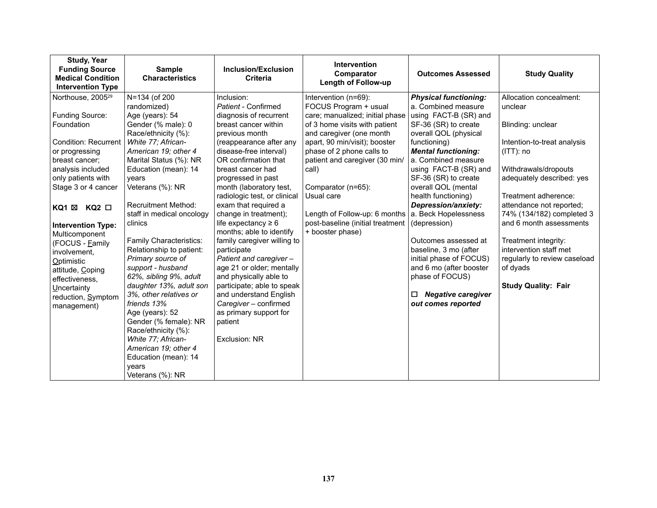| <b>Study, Year</b><br><b>Funding Source</b><br><b>Medical Condition</b><br><b>Intervention Type</b>                                                                                                                                                                                                                                                                                                                              | <b>Sample</b><br><b>Characteristics</b>                                                                                                                                                                                                                                                                                                                                                                                                                                                                                                                                                                                                        | <b>Inclusion/Exclusion</b><br><b>Criteria</b>                                                                                                                                                                                                                                                                                                                                                                                                                                                                                                                                                                                                                           | <b>Intervention</b><br>Comparator<br><b>Length of Follow-up</b>                                                                                                                                                                                                                                                                                                                                                              | <b>Outcomes Assessed</b>                                                                                                                                                                                                                                                                                                                                                                                                                                                                                   | <b>Study Quality</b>                                                                                                                                                                                                                                                                                                                                                                                |
|----------------------------------------------------------------------------------------------------------------------------------------------------------------------------------------------------------------------------------------------------------------------------------------------------------------------------------------------------------------------------------------------------------------------------------|------------------------------------------------------------------------------------------------------------------------------------------------------------------------------------------------------------------------------------------------------------------------------------------------------------------------------------------------------------------------------------------------------------------------------------------------------------------------------------------------------------------------------------------------------------------------------------------------------------------------------------------------|-------------------------------------------------------------------------------------------------------------------------------------------------------------------------------------------------------------------------------------------------------------------------------------------------------------------------------------------------------------------------------------------------------------------------------------------------------------------------------------------------------------------------------------------------------------------------------------------------------------------------------------------------------------------------|------------------------------------------------------------------------------------------------------------------------------------------------------------------------------------------------------------------------------------------------------------------------------------------------------------------------------------------------------------------------------------------------------------------------------|------------------------------------------------------------------------------------------------------------------------------------------------------------------------------------------------------------------------------------------------------------------------------------------------------------------------------------------------------------------------------------------------------------------------------------------------------------------------------------------------------------|-----------------------------------------------------------------------------------------------------------------------------------------------------------------------------------------------------------------------------------------------------------------------------------------------------------------------------------------------------------------------------------------------------|
| Northouse, 2005 <sup>29</sup><br>Funding Source:<br>Foundation<br><b>Condition: Recurrent</b><br>or progressing<br>breast cancer:<br>analysis included<br>only patients with<br>Stage 3 or 4 cancer<br>$KQ2$ $\square$<br>KQ1 ⊠<br><b>Intervention Type:</b><br>Multicomponent<br>(FOCUS - Eamily<br>involvement,<br><b>Optimistic</b><br>attitude, Coping<br>effectiveness,<br>Uncertainty<br>reduction, Symptom<br>management) | N=134 (of 200<br>randomized)<br>Age (years): 54<br>Gender (% male): 0<br>Race/ethnicity (%):<br>White 77; African-<br>American 19; other 4<br>Marital Status (%): NR<br>Education (mean): 14<br>vears<br>Veterans (%): NR<br><b>Recruitment Method:</b><br>staff in medical oncology<br>clinics<br><b>Family Characteristics:</b><br>Relationship to patient:<br>Primary source of<br>support - husband<br>62%, sibling 9%, adult<br>daughter 13%, adult son<br>3%, other relatives or<br>friends 13%<br>Age (years): 52<br>Gender (% female): NR<br>Race/ethnicity (%):<br>White 77; African-<br>American 19; other 4<br>Education (mean): 14 | Inclusion:<br>Patient - Confirmed<br>diagnosis of recurrent<br>breast cancer within<br>previous month<br>(reappearance after any<br>disease-free interval)<br>OR confirmation that<br>breast cancer had<br>progressed in past<br>month (laboratory test,<br>radiologic test, or clinical<br>exam that required a<br>change in treatment);<br>life expectancy $\geq 6$<br>months; able to identify<br>family caregiver willing to<br>participate<br>Patient and caregiver-<br>age 21 or older; mentally<br>and physically able to<br>participate; able to speak<br>and understand English<br>Caregiver - confirmed<br>as primary support for<br>patient<br>Exclusion: NR | Intervention (n=69):<br>FOCUS Program + usual<br>care; manualized; initial phase<br>of 3 home visits with patient<br>and caregiver (one month<br>apart, 90 min/visit); booster<br>phase of 2 phone calls to<br>patient and caregiver (30 min/<br>call)<br>Comparator (n=65):<br>Usual care<br>Length of Follow-up: 6 months $ a $ . Beck Hopelessness<br>post-baseline (initial treatment   (depression)<br>+ booster phase) | <b>Physical functioning:</b><br>a. Combined measure<br>using FACT-B (SR) and<br>SF-36 (SR) to create<br>overall QOL (physical<br>functioning)<br><b>Mental functioning:</b><br>a. Combined measure<br>using FACT-B (SR) and<br>SF-36 (SR) to create<br>overall QOL (mental<br>health functioning)<br>Depression/anxiety:<br>Outcomes assessed at<br>baseline, 3 mo (after<br>initial phase of FOCUS)<br>and 6 mo (after booster<br>phase of FOCUS)<br><b>Negative caregiver</b><br>□<br>out comes reported | Allocation concealment:<br>unclear<br>Blinding: unclear<br>Intention-to-treat analysis<br>$(ITT)$ : no<br>Withdrawals/dropouts<br>adequately described: yes<br>Treatment adherence:<br>attendance not reported;<br>74% (134/182) completed 3<br>and 6 month assessments<br>Treatment integrity:<br>intervention staff met<br>regularly to review caseload<br>of dyads<br><b>Study Quality: Fair</b> |
|                                                                                                                                                                                                                                                                                                                                                                                                                                  | vears<br>Veterans (%): NR                                                                                                                                                                                                                                                                                                                                                                                                                                                                                                                                                                                                                      |                                                                                                                                                                                                                                                                                                                                                                                                                                                                                                                                                                                                                                                                         |                                                                                                                                                                                                                                                                                                                                                                                                                              |                                                                                                                                                                                                                                                                                                                                                                                                                                                                                                            |                                                                                                                                                                                                                                                                                                                                                                                                     |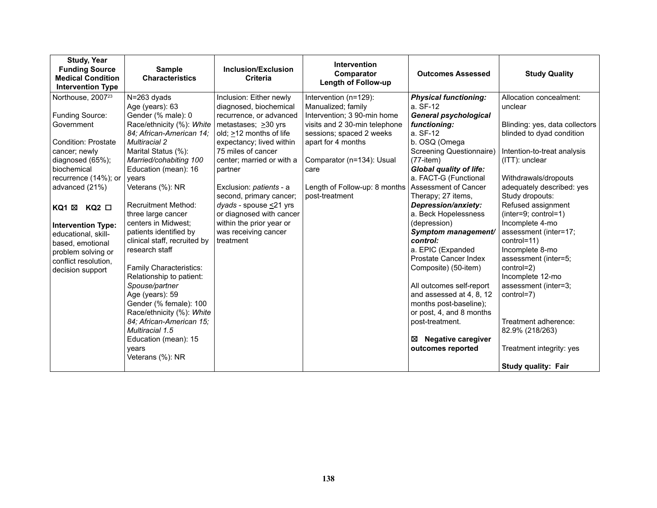| <b>Study, Year</b><br><b>Funding Source</b><br><b>Medical Condition</b><br><b>Intervention Type</b>                                                                                                                                                                                                                                                       | <b>Intervention</b><br><b>Sample</b><br><b>Inclusion/Exclusion</b><br>Comparator<br><b>Characteristics</b><br><b>Criteria</b><br>Length of Follow-up                                                                                                                                                                                                                                                                                                                                                                                                                                                                                         |                                                                                                                                                                                                                                                                                                                                                                                                                         | <b>Outcomes Assessed</b>                                                                                                                                                                                                                              | <b>Study Quality</b>                                                                                                                                                                                                                                                                                                                                                                                                                                                                                                                                                                                                                        |                                                                                                                                                                                                                                                                                                                                                                                                                                                                                                                               |
|-----------------------------------------------------------------------------------------------------------------------------------------------------------------------------------------------------------------------------------------------------------------------------------------------------------------------------------------------------------|----------------------------------------------------------------------------------------------------------------------------------------------------------------------------------------------------------------------------------------------------------------------------------------------------------------------------------------------------------------------------------------------------------------------------------------------------------------------------------------------------------------------------------------------------------------------------------------------------------------------------------------------|-------------------------------------------------------------------------------------------------------------------------------------------------------------------------------------------------------------------------------------------------------------------------------------------------------------------------------------------------------------------------------------------------------------------------|-------------------------------------------------------------------------------------------------------------------------------------------------------------------------------------------------------------------------------------------------------|---------------------------------------------------------------------------------------------------------------------------------------------------------------------------------------------------------------------------------------------------------------------------------------------------------------------------------------------------------------------------------------------------------------------------------------------------------------------------------------------------------------------------------------------------------------------------------------------------------------------------------------------|-------------------------------------------------------------------------------------------------------------------------------------------------------------------------------------------------------------------------------------------------------------------------------------------------------------------------------------------------------------------------------------------------------------------------------------------------------------------------------------------------------------------------------|
| Northouse, 2007 <sup>23</sup><br>Funding Source:<br>Government<br>Condition: Prostate<br>cancer; newly<br>diagnosed (65%);<br>biochemical<br>recurrence (14%); or<br>advanced (21%)<br>$KQ2$ $\square$<br>KQ1 ⊠<br><b>Intervention Type:</b><br>educational, skill-<br>based, emotional<br>problem solving or<br>conflict resolution.<br>decision support | N=263 dyads<br>Age (years): 63<br>Gender (% male): 0<br>Race/ethnicity (%): White<br>84; African-American 14;<br><b>Multiracial 2</b><br>Marital Status (%):<br>Married/cohabiting 100<br>Education (mean): 16<br>vears<br>Veterans (%): NR<br><b>Recruitment Method:</b><br>three large cancer<br>centers in Midwest;<br>patients identified by<br>clinical staff, recruited by<br>research staff<br><b>Family Characteristics:</b><br>Relationship to patient:<br>Spouse/partner<br>Age (years): 59<br>Gender (% female): 100<br>Race/ethnicity (%): White<br>84; African-American 15;<br>Multiracial 1.5<br>Education (mean): 15<br>years | Inclusion: Either newly<br>diagnosed, biochemical<br>recurrence, or advanced<br>metastases; $\geq 30$ yrs<br>old; $\geq$ 12 months of life<br>expectancy; lived within<br>75 miles of cancer<br>center; married or with a<br>partner<br>Exclusion: patients - a<br>second, primary cancer;<br>$dyads - spouse \leq 21 yrs$<br>or diagnosed with cancer<br>within the prior year or<br>was receiving cancer<br>treatment | Intervention (n=129):<br>Manualized; family<br>Intervention; 3 90-min home<br>visits and 2 30-min telephone<br>sessions; spaced 2 weeks<br>apart for 4 months<br>Comparator (n=134): Usual<br>care<br>Length of Follow-up: 8 months<br>post-treatment | <b>Physical functioning:</b><br>a. SF-12<br><b>General psychological</b><br>functioning:<br>a. SF-12<br>b. OSQ (Omega<br>Screening Questionnaire)<br>$(77 - item)$<br><b>Global quality of life:</b><br>a. FACT-G (Functional<br>Assessment of Cancer<br>Therapy; 27 items,<br>Depression/anxiety:<br>a. Beck Hopelessness<br>(depression)<br>Symptom management/<br>control:<br>a. EPIC (Expanded<br>Prostate Cancer Index<br>Composite) (50-item)<br>All outcomes self-report<br>and assessed at 4, 8, 12<br>months post-baseline);<br>or post, 4, and 8 months<br>post-treatment.<br><b>Negative caregiver</b><br>⊠<br>outcomes reported | Allocation concealment:<br>unclear<br>Blinding: yes, data collectors<br>blinded to dyad condition<br>Intention-to-treat analysis<br>(ITT): unclear<br>Withdrawals/dropouts<br>adequately described: yes<br>Study dropouts:<br>Refused assignment<br>(inter=9; control=1)<br>Incomplete 4-mo<br>assessment (inter=17;<br>control=11)<br>Incomplete 8-mo<br>assessment (inter=5;<br>control=2)<br>Incomplete 12-mo<br>assessment (inter=3;<br>control=7)<br>Treatment adherence:<br>82.9% (218/263)<br>Treatment integrity: yes |
|                                                                                                                                                                                                                                                                                                                                                           | Veterans (%): NR                                                                                                                                                                                                                                                                                                                                                                                                                                                                                                                                                                                                                             |                                                                                                                                                                                                                                                                                                                                                                                                                         |                                                                                                                                                                                                                                                       |                                                                                                                                                                                                                                                                                                                                                                                                                                                                                                                                                                                                                                             | <b>Study quality: Fair</b>                                                                                                                                                                                                                                                                                                                                                                                                                                                                                                    |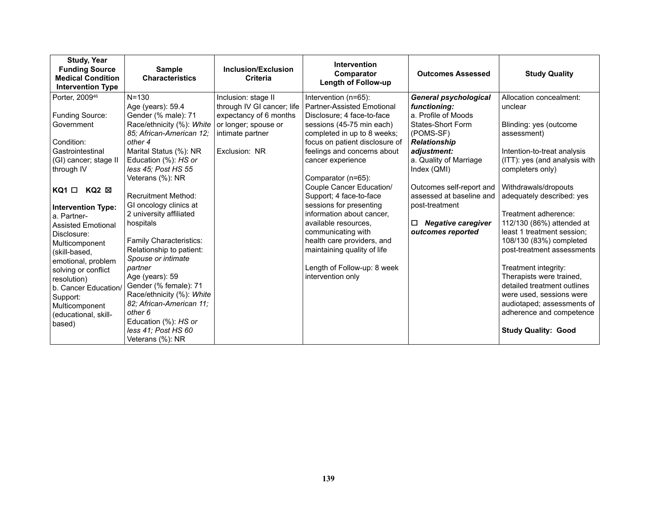| <b>Study, Year</b><br><b>Funding Source</b><br><b>Medical Condition</b><br><b>Intervention Type</b> | <b>Sample</b><br><b>Characteristics</b> | Inclusion/Exclusion<br><b>Criteria</b> | <b>Intervention</b><br>Comparator<br><b>Length of Follow-up</b> | <b>Outcomes Assessed</b>       | <b>Study Quality</b>          |
|-----------------------------------------------------------------------------------------------------|-----------------------------------------|----------------------------------------|-----------------------------------------------------------------|--------------------------------|-------------------------------|
| Porter, 2009 <sup>46</sup>                                                                          | $N = 130$                               | Inclusion: stage II                    | Intervention (n=65):                                            | <b>General psychological</b>   | Allocation concealment:       |
|                                                                                                     | Age (years): 59.4                       | through IV GI cancer; life             | <b>Partner-Assisted Emotional</b>                               | functioning:                   | unclear                       |
| Funding Source:                                                                                     | Gender (% male): 71                     | expectancy of 6 months                 | Disclosure; 4 face-to-face                                      | a. Profile of Moods            |                               |
| Government                                                                                          | Race/ethnicity (%): White               | or longer; spouse or                   | sessions (45-75 min each)                                       | <b>States-Short Form</b>       | Blinding: yes (outcome        |
|                                                                                                     | 85; African-American 12;                | intimate partner                       | completed in up to 8 weeks;                                     | (POMS-SF)                      | assessment)                   |
| Condition:                                                                                          | other 4                                 |                                        | focus on patient disclosure of                                  | <b>Relationship</b>            |                               |
| Gastrointestinal                                                                                    | Marital Status (%): NR                  | Exclusion: NR                          | feelings and concerns about                                     | adjustment:                    | Intention-to-treat analysis   |
| (GI) cancer; stage II                                                                               | Education (%): HS or                    |                                        | cancer experience                                               | a. Quality of Marriage         | (ITT): yes (and analysis with |
| through IV                                                                                          | less 45; Post HS 55                     |                                        |                                                                 | Index (QMI)                    | completers only)              |
|                                                                                                     | Veterans (%): NR                        |                                        | Comparator (n=65):                                              | Outcomes self-report and       | Withdrawals/dropouts          |
| $KQ2 \boxtimes$<br>KQ1 □                                                                            | <b>Recruitment Method:</b>              |                                        | Couple Cancer Education/<br>Support; 4 face-to-face             | assessed at baseline and       | adequately described: yes     |
|                                                                                                     | GI oncology clinics at                  |                                        | sessions for presenting                                         | post-treatment                 |                               |
| <b>Intervention Type:</b>                                                                           | 2 university affiliated                 |                                        | information about cancer,                                       |                                | Treatment adherence:          |
| a. Partner-                                                                                         | hospitals                               |                                        | available resources,                                            | <b>Negative caregiver</b><br>□ | 112/130 (86%) attended at     |
| <b>Assisted Emotional</b><br>Disclosure:                                                            |                                         |                                        | communicating with                                              | outcomes reported              | least 1 treatment session;    |
| Multicomponent                                                                                      | Family Characteristics:                 |                                        | health care providers, and                                      |                                | 108/130 (83%) completed       |
| (skill-based,                                                                                       | Relationship to patient:                |                                        | maintaining quality of life                                     |                                | post-treatment assessments    |
| emotional, problem                                                                                  | Spouse or intimate                      |                                        |                                                                 |                                |                               |
| solving or conflict                                                                                 | partner                                 |                                        | Length of Follow-up: 8 week                                     |                                | Treatment integrity:          |
| resolution)                                                                                         | Age (years): 59                         |                                        | intervention only                                               |                                | Therapists were trained,      |
| b. Cancer Education/                                                                                | Gender (% female): 71                   |                                        |                                                                 |                                | detailed treatment outlines   |
| Support:                                                                                            | Race/ethnicity (%): White               |                                        |                                                                 |                                | were used, sessions were      |
| Multicomponent                                                                                      | 82; African-American 11;                |                                        |                                                                 |                                | audiotaped; assessments of    |
| (educational, skill-                                                                                | other 6                                 |                                        |                                                                 |                                | adherence and competence      |
| based)                                                                                              | Education (%): HS or                    |                                        |                                                                 |                                |                               |
|                                                                                                     | less 41; Post HS 60                     |                                        |                                                                 |                                | <b>Study Quality: Good</b>    |
|                                                                                                     | Veterans (%): NR                        |                                        |                                                                 |                                |                               |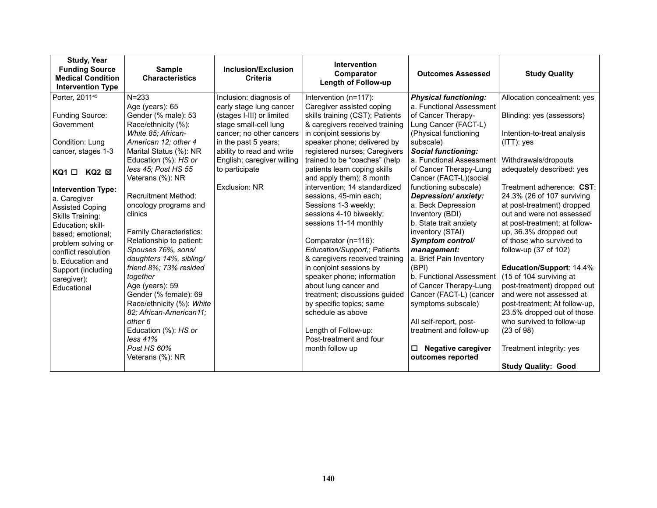| <b>Study, Year</b><br><b>Funding Source</b><br><b>Medical Condition</b><br><b>Intervention Type</b>                                                                                                                                                    | <b>Sample</b><br><b>Characteristics</b>                                                                                                                                                                                                                                                                                                                                        | <b>Inclusion/Exclusion</b><br>Criteria                                                                                                                                                                                          | <b>Intervention</b><br>Comparator<br><b>Length of Follow-up</b>                                                                                                                                                                                                                                                                                                                                                                        | <b>Outcomes Assessed</b>                                                                                                                                                                                                                                                                                                                                                        | <b>Study Quality</b>                                                                                                                                                                                                                                                                                                                                                                                                                                         |
|--------------------------------------------------------------------------------------------------------------------------------------------------------------------------------------------------------------------------------------------------------|--------------------------------------------------------------------------------------------------------------------------------------------------------------------------------------------------------------------------------------------------------------------------------------------------------------------------------------------------------------------------------|---------------------------------------------------------------------------------------------------------------------------------------------------------------------------------------------------------------------------------|----------------------------------------------------------------------------------------------------------------------------------------------------------------------------------------------------------------------------------------------------------------------------------------------------------------------------------------------------------------------------------------------------------------------------------------|---------------------------------------------------------------------------------------------------------------------------------------------------------------------------------------------------------------------------------------------------------------------------------------------------------------------------------------------------------------------------------|--------------------------------------------------------------------------------------------------------------------------------------------------------------------------------------------------------------------------------------------------------------------------------------------------------------------------------------------------------------------------------------------------------------------------------------------------------------|
| Porter, 2011 <sup>45</sup>                                                                                                                                                                                                                             | $N = 233$                                                                                                                                                                                                                                                                                                                                                                      | Inclusion: diagnosis of                                                                                                                                                                                                         | Intervention (n=117):                                                                                                                                                                                                                                                                                                                                                                                                                  | <b>Physical functioning:</b>                                                                                                                                                                                                                                                                                                                                                    | Allocation concealment: yes                                                                                                                                                                                                                                                                                                                                                                                                                                  |
| Funding Source:<br>Government<br>Condition: Lung<br>cancer, stages 1-3<br>$KQ2 \boxtimes$<br>KQ1 □                                                                                                                                                     | Age (years): 65<br>Gender (% male): 53<br>Race/ethnicity (%):<br>White 85; African-<br>American 12; other 4<br>Marital Status (%): NR<br>Education (%): HS or<br>less 45; Post HS 55<br>Veterans (%): NR                                                                                                                                                                       | early stage lung cancer<br>(stages I-III) or limited<br>stage small-cell lung<br>cancer; no other cancers<br>in the past 5 years;<br>ability to read and write<br>English; caregiver willing<br>to participate<br>Exclusion: NR | Caregiver assisted coping<br>skills training (CST); Patients<br>& caregivers received training<br>in conjoint sessions by<br>speaker phone; delivered by<br>registered nurses; Caregivers<br>trained to be "coaches" (help<br>patients learn coping skills<br>and apply them); 8 month<br>intervention; 14 standardized                                                                                                                | a. Functional Assessment<br>of Cancer Therapy-<br>Lung Cancer (FACT-L)<br>(Physical functioning<br>subscale)<br><b>Social functioning:</b><br>a. Functional Assessment<br>of Cancer Therapy-Lung<br>Cancer (FACT-L)(social<br>functioning subscale)                                                                                                                             | Blinding: yes (assessors)<br>Intention-to-treat analysis<br>$(ITT)$ : yes<br>Withdrawals/dropouts<br>adequately described: yes<br>Treatment adherence: CST:                                                                                                                                                                                                                                                                                                  |
| <b>Intervention Type:</b><br>a. Caregiver<br><b>Assisted Coping</b><br>Skills Training:<br>Education; skill-<br>based; emotional;<br>problem solving or<br>conflict resolution<br>b. Education and<br>Support (including<br>caregiver):<br>Educational | <b>Recruitment Method:</b><br>oncology programs and<br>clinics<br>Family Characteristics:<br>Relationship to patient:<br>Spouses 76%, sons/<br>daughters 14%, sibling/<br>friend 8%; 73% resided<br>together<br>Age (years): 59<br>Gender (% female): 69<br>Race/ethnicity (%): White<br>82; African-American11;<br>other 6<br>Education (%): HS or<br>less 41%<br>Post HS 60% |                                                                                                                                                                                                                                 | sessions, 45-min each;<br>Sessions 1-3 weekly;<br>sessions 4-10 biweekly;<br>sessions 11-14 monthly<br>Comparator (n=116):<br>Education/Support,; Patients<br>& caregivers received training<br>in conjoint sessions by<br>speaker phone; information<br>about lung cancer and<br>treatment; discussions guided<br>by specific topics; same<br>schedule as above<br>Length of Follow-up:<br>Post-treatment and four<br>month follow up | Depression/anxiety:<br>a. Beck Depression<br>Inventory (BDI)<br>b. State trait anxiety<br>inventory (STAI)<br>Symptom control/<br>management:<br>a. Brief Pain Inventory<br>(BPI)<br>b. Functional Assessment<br>of Cancer Therapy-Lung<br>Cancer (FACT-L) (cancer<br>symptoms subscale)<br>All self-report, post-<br>treatment and follow-up<br><b>Negative caregiver</b><br>□ | 24.3% (26 of 107 surviving<br>at post-treatment) dropped<br>out and were not assessed<br>at post-treatment; at follow-<br>up, 36.3% dropped out<br>of those who survived to<br>follow-up (37 of 102)<br>Education/Support: 14.4%<br>(15 of 104 surviving at<br>post-treatment) dropped out<br>and were not assessed at<br>post-treatment; At follow-up,<br>23.5% dropped out of those<br>who survived to follow-up<br>(23 of 98)<br>Treatment integrity: yes |
|                                                                                                                                                                                                                                                        | Veterans (%): NR                                                                                                                                                                                                                                                                                                                                                               |                                                                                                                                                                                                                                 |                                                                                                                                                                                                                                                                                                                                                                                                                                        | outcomes reported                                                                                                                                                                                                                                                                                                                                                               | <b>Study Quality: Good</b>                                                                                                                                                                                                                                                                                                                                                                                                                                   |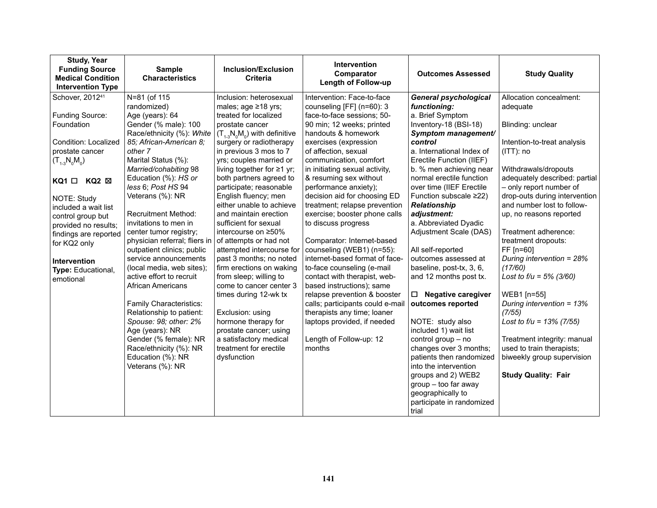| <b>Study, Year</b><br><b>Funding Source</b><br><b>Medical Condition</b><br><b>Intervention Type</b>                                                                                                                                                                                                                                             | <b>Sample</b><br><b>Characteristics</b>                                                                                                                                                                                                                                                                                                                                                                                                                                                                                                                                                                                                                                                              | Inclusion/Exclusion<br>Criteria                                                                                                                                                                                                                                                                                                                                                                                                                                                                                                                                                                                                                                                                                                                                      | Intervention<br>Comparator<br>Length of Follow-up                                                                                                                                                                                                                                                                                                                                                                                                                                                                                                                                                                                                                                                                                                                                                 | <b>Outcomes Assessed</b>                                                                                                                                                                                                                                                                                                                                                                                                                                                                                                                                                                                                                                                           | <b>Study Quality</b>                                                                                                                                                                                                                                                                                                                                                                                                                                                                                                                                                                                   |
|-------------------------------------------------------------------------------------------------------------------------------------------------------------------------------------------------------------------------------------------------------------------------------------------------------------------------------------------------|------------------------------------------------------------------------------------------------------------------------------------------------------------------------------------------------------------------------------------------------------------------------------------------------------------------------------------------------------------------------------------------------------------------------------------------------------------------------------------------------------------------------------------------------------------------------------------------------------------------------------------------------------------------------------------------------------|----------------------------------------------------------------------------------------------------------------------------------------------------------------------------------------------------------------------------------------------------------------------------------------------------------------------------------------------------------------------------------------------------------------------------------------------------------------------------------------------------------------------------------------------------------------------------------------------------------------------------------------------------------------------------------------------------------------------------------------------------------------------|---------------------------------------------------------------------------------------------------------------------------------------------------------------------------------------------------------------------------------------------------------------------------------------------------------------------------------------------------------------------------------------------------------------------------------------------------------------------------------------------------------------------------------------------------------------------------------------------------------------------------------------------------------------------------------------------------------------------------------------------------------------------------------------------------|------------------------------------------------------------------------------------------------------------------------------------------------------------------------------------------------------------------------------------------------------------------------------------------------------------------------------------------------------------------------------------------------------------------------------------------------------------------------------------------------------------------------------------------------------------------------------------------------------------------------------------------------------------------------------------|--------------------------------------------------------------------------------------------------------------------------------------------------------------------------------------------------------------------------------------------------------------------------------------------------------------------------------------------------------------------------------------------------------------------------------------------------------------------------------------------------------------------------------------------------------------------------------------------------------|
| Schover, 2012 <sup>41</sup><br>Funding Source:<br>Foundation<br>Condition: Localized<br>prostate cancer<br>$(T_{1,3}N_0M_0)$<br>$KQ1$ $\square$<br>KQ2 ⊠<br><b>NOTE: Study</b><br>included a wait list<br>control group but<br>provided no results;<br>findings are reported<br>for KQ2 only<br>Intervention<br>Type: Educational,<br>emotional | N=81 (of 115<br>randomized)<br>Age (years): 64<br>Gender (% male): 100<br>Race/ethnicity (%): White<br>85; African-American 8;<br>other 7<br>Marital Status (%):<br>Married/cohabiting 98<br>Education (%): HS or<br>less 6; Post HS 94<br>Veterans (%): NR<br><b>Recruitment Method:</b><br>invitations to men in<br>center tumor registry;<br>physician referral; fliers in<br>outpatient clinics; public<br>service announcements<br>(local media, web sites);<br>active effort to recruit<br><b>African Americans</b><br>Family Characteristics:<br>Relationship to patient:<br>Spouse: 98; other: 2%<br>Age (years): NR<br>Gender (% female): NR<br>Race/ethnicity (%): NR<br>Education (%): NR | Inclusion: heterosexual<br>males; age ≥18 yrs;<br>treated for localized<br>prostate cancer<br>$(T_{1,3}N_0M_0)$ with definitive<br>surgery or radiotherapy<br>in previous 3 mos to 7<br>yrs; couples married or<br>living together for ≥1 yr;<br>both partners agreed to<br>participate; reasonable<br>English fluency; men<br>either unable to achieve<br>and maintain erection<br>sufficient for sexual<br>intercourse on ≥50%<br>of attempts or had not<br>attempted intercourse for<br>past 3 months; no noted<br>firm erections on waking<br>from sleep; willing to<br>come to cancer center 3<br>times during 12-wk tx<br>Exclusion: using<br>hormone therapy for<br>prostate cancer; using<br>a satisfactory medical<br>treatment for erectile<br>dysfunction | Intervention: Face-to-face<br>counseling [FF] (n=60): 3<br>face-to-face sessions; 50-<br>90 min; 12 weeks; printed<br>handouts & homework<br>exercises (expression<br>of affection, sexual<br>communication, comfort<br>in initiating sexual activity,<br>& resuming sex without<br>performance anxiety);<br>decision aid for choosing ED<br>treatment; relapse prevention<br>exercise; booster phone calls<br>to discuss progress<br>Comparator: Internet-based<br>counseling (WEB1) (n=55):<br>internet-based format of face-<br>to-face counseling (e-mail<br>contact with therapist, web-<br>based instructions); same<br>relapse prevention & booster<br>calls; participants could e-mail<br>therapists any time; loaner<br>laptops provided, if needed<br>Length of Follow-up: 12<br>months | <b>General psychological</b><br>functioning:<br>a. Brief Symptom<br>Inventory-18 (BSI-18)<br>Symptom management/<br>control<br>a. International Index of<br>Erectile Function (IIEF)<br>b. % men achieving near<br>normal erectile function<br>over time (IIEF Erectile<br>Function subscale ≥22)<br><b>Relationship</b><br>adjustment:<br>a. Abbreviated Dyadic<br>Adjustment Scale (DAS)<br>All self-reported<br>outcomes assessed at<br>baseline, post-tx, 3, 6,<br>and 12 months post tx.<br><b>Negative caregiver</b><br>$\Box$<br>outcomes reported<br>NOTE: study also<br>included 1) wait list<br>control group - no<br>changes over 3 months;<br>patients then randomized | Allocation concealment:<br>adequate<br>Blinding: unclear<br>Intention-to-treat analysis<br>$(ITT)$ : no<br>Withdrawals/dropouts<br>adequately described: partial<br>- only report number of<br>drop-outs during intervention<br>and number lost to follow-<br>up, no reasons reported<br>Treatment adherence:<br>treatment dropouts:<br>FF [n=60]<br>During intervention = 28%<br>(17/60)<br>Lost to $f/u = 5\%$ (3/60)<br>WEB1 [n=55]<br>During intervention = 13%<br>(7/55)<br>Lost to $f/u = 13\%$ (7/55)<br>Treatment integrity: manual<br>used to train therapists;<br>biweekly group supervision |
|                                                                                                                                                                                                                                                                                                                                                 | Veterans (%): NR                                                                                                                                                                                                                                                                                                                                                                                                                                                                                                                                                                                                                                                                                     |                                                                                                                                                                                                                                                                                                                                                                                                                                                                                                                                                                                                                                                                                                                                                                      |                                                                                                                                                                                                                                                                                                                                                                                                                                                                                                                                                                                                                                                                                                                                                                                                   | into the intervention<br>groups and 2) WEB2<br>group - too far away<br>geographically to<br>participate in randomized<br>trial                                                                                                                                                                                                                                                                                                                                                                                                                                                                                                                                                     | <b>Study Quality: Fair</b>                                                                                                                                                                                                                                                                                                                                                                                                                                                                                                                                                                             |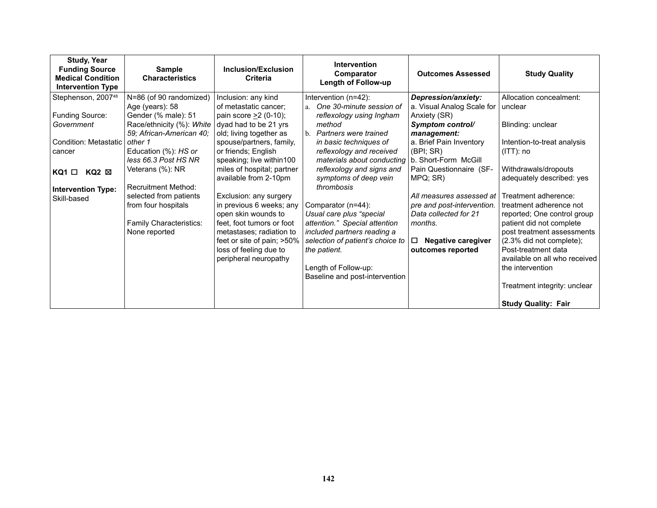| <b>Study, Year</b><br><b>Funding Source</b><br><b>Medical Condition</b><br><b>Intervention Type</b> | <b>Sample</b><br><b>Characteristics</b> | Inclusion/Exclusion<br>Criteria                     | <b>Intervention</b><br>Comparator<br><b>Length of Follow-up</b> | <b>Outcomes Assessed</b>                            | <b>Study Quality</b>                                   |
|-----------------------------------------------------------------------------------------------------|-----------------------------------------|-----------------------------------------------------|-----------------------------------------------------------------|-----------------------------------------------------|--------------------------------------------------------|
| Stephenson, 2007 <sup>48</sup>                                                                      | N=86 (of 90 randomized)                 | Inclusion: any kind                                 | Intervention (n=42):                                            | Depression/anxiety:                                 | Allocation concealment:                                |
|                                                                                                     | Age (years): 58                         | of metastatic cancer;                               | One 30-minute session of<br>$a_{\cdot}$                         | a. Visual Analog Scale for                          | unclear                                                |
| Funding Source:                                                                                     | Gender (% male): 51                     | pain score $\geq$ 2 (0-10);                         | reflexology using Ingham                                        | Anxiety (SR)                                        |                                                        |
| Government                                                                                          | Race/ethnicity (%): White               | dyad had to be 21 yrs                               | method<br>b. Partners were trained                              | Symptom control/                                    | Blinding: unclear                                      |
| <b>Condition: Metastatic</b>                                                                        | 59; African-American 40;<br>other 1     | old; living together as<br>spouse/partners, family, | in basic techniques of                                          | management:<br>a. Brief Pain Inventory              | Intention-to-treat analysis                            |
| cancer                                                                                              | Education (%): HS or                    | or friends; English                                 | reflexology and received                                        | (BPI; SR)                                           | $(ITT)$ : no                                           |
|                                                                                                     | less 66.3 Post HS NR                    | speaking; live within100                            | materials about conducting                                      | b. Short-Form McGill                                |                                                        |
| $KQ1$ $\Box$<br>$KQ2 \boxtimes$                                                                     | Veterans (%): NR                        | miles of hospital; partner                          | reflexology and signs and                                       | Pain Questionnaire (SF-                             | Withdrawals/dropouts                                   |
|                                                                                                     |                                         | available from 2-10pm                               | symptoms of deep vein                                           | MPQ; SR)                                            | adequately described: yes                              |
| <b>Intervention Type:</b>                                                                           | <b>Recruitment Method:</b>              |                                                     | thrombosis                                                      |                                                     |                                                        |
| Skill-based                                                                                         | selected from patients                  | Exclusion: any surgery                              |                                                                 | All measures assessed at                            | Treatment adherence:                                   |
|                                                                                                     | from four hospitals                     | in previous 6 weeks; any<br>open skin wounds to     | Comparator (n=44):<br>Usual care plus "special                  | pre and post-intervention.<br>Data collected for 21 | treatment adherence not<br>reported; One control group |
|                                                                                                     | Family Characteristics:                 | feet, foot tumors or foot                           | attention." Special attention                                   | months.                                             | patient did not complete                               |
|                                                                                                     | None reported                           | metastases; radiation to                            | included partners reading a                                     |                                                     | post treatment assessments                             |
|                                                                                                     |                                         | feet or site of pain; >50%                          | selection of patient's choice to                                | □<br><b>Negative caregiver</b>                      | (2.3% did not complete);                               |
|                                                                                                     |                                         | loss of feeling due to                              | the patient.                                                    | outcomes reported                                   | Post-treatment data                                    |
|                                                                                                     |                                         | peripheral neuropathy                               |                                                                 |                                                     | available on all who received                          |
|                                                                                                     |                                         |                                                     | Length of Follow-up:                                            |                                                     | the intervention                                       |
|                                                                                                     |                                         |                                                     | Baseline and post-intervention                                  |                                                     |                                                        |
|                                                                                                     |                                         |                                                     |                                                                 |                                                     | Treatment integrity: unclear                           |
|                                                                                                     |                                         |                                                     |                                                                 |                                                     | <b>Study Quality: Fair</b>                             |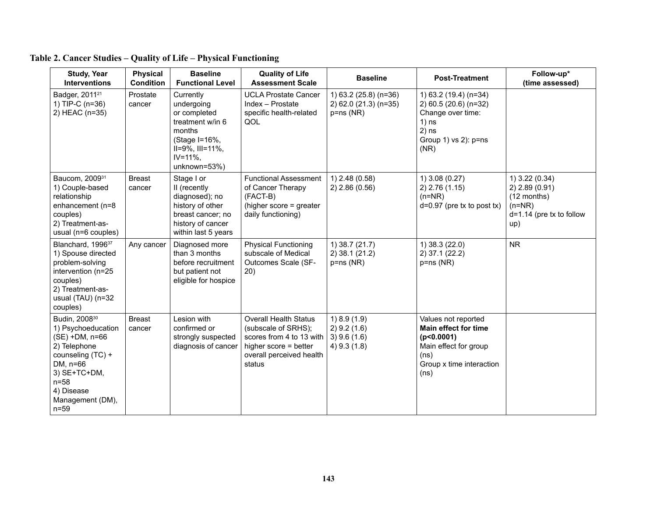| <b>Study, Year</b><br><b>Interventions</b>                                                                                                                                               | <b>Physical</b><br><b>Condition</b> | <b>Baseline</b><br><b>Functional Level</b>                                                                                                         | <b>Quality of Life</b><br><b>Assessment Scale</b>                                                                                              | <b>Baseline</b>                                                | <b>Post-Treatment</b>                                                                                                                 | Follow-up*<br>(time assessed)                                                                        |
|------------------------------------------------------------------------------------------------------------------------------------------------------------------------------------------|-------------------------------------|----------------------------------------------------------------------------------------------------------------------------------------------------|------------------------------------------------------------------------------------------------------------------------------------------------|----------------------------------------------------------------|---------------------------------------------------------------------------------------------------------------------------------------|------------------------------------------------------------------------------------------------------|
| Badger, 2011 <sup>21</sup><br>1) TIP-C (n=36)<br>2) HEAC (n=35)                                                                                                                          | Prostate<br>cancer                  | Currently<br>undergoing<br>or completed<br>treatment w/in 6<br>months<br>(Stage I=16%,<br>$II=9\%$ , $III=11\%$ ,<br>$IV = 11\%$ ,<br>unknown=53%) | <b>UCLA Prostate Cancer</b><br>Index - Prostate<br>specific health-related<br>QOL                                                              | 1) 63.2 (25.8) (n=36)<br>2) 62.0 (21.3) (n=35)<br>$p = ns(NR)$ | 1) 63.2 (19.4) (n=34)<br>2) 60.5 (20.6) (n=32)<br>Change over time:<br>$1)$ ns<br>$2)$ ns<br>Group 1) vs 2): p=ns<br>(NR)             |                                                                                                      |
| Baucom, 200931<br>1) Couple-based<br>relationship<br>enhancement (n=8<br>couples)<br>2) Treatment-as-<br>usual (n=6 couples)                                                             | <b>Breast</b><br>cancer             | Stage I or<br>II (recently<br>diagnosed); no<br>history of other<br>breast cancer; no<br>history of cancer<br>within last 5 years                  | <b>Functional Assessment</b><br>of Cancer Therapy<br>(FACT-B)<br>(higher score = greater<br>daily functioning)                                 | $1)$ 2.48 (0.58)<br>2) 2.86 (0.56)                             | (0.27)<br>2) 2.76 (1.15)<br>$(n=NR)$<br>$d=0.97$ (pre tx to post tx)                                                                  | 1) 3.22 (0.34)<br>$2)$ 2.89 (0.91)<br>$(12$ months)<br>$(n=NR)$<br>$d=1.14$ (pre tx to follow<br>up) |
| Blanchard, 1996 <sup>37</sup><br>1) Spouse directed<br>problem-solving<br>intervention (n=25<br>couples)<br>2) Treatment-as-<br>usual (TAU) (n=32<br>couples)                            | Any cancer                          | Diagnosed more<br>than 3 months<br>before recruitment<br>but patient not<br>eligible for hospice                                                   | <b>Physical Functioning</b><br>subscale of Medical<br>Outcomes Scale (SF-<br>20)                                                               | 1) 38.7 (21.7)<br>$2)$ 38.1 (21.2)<br>$p = ns(NR)$             | 1) 38.3 (22.0)<br>2) 37.1 (22.2)<br>$p = ns(NR)$                                                                                      | <b>NR</b>                                                                                            |
| Budin, 2008 <sup>30</sup><br>1) Psychoeducation<br>(SE) +DM, n=66<br>2) Telephone<br>counseling (TC) +<br>DM, n=66<br>3) SE+TC+DM,<br>$n=58$<br>4) Disease<br>Management (DM),<br>$n=59$ | <b>Breast</b><br>cancer             | Lesion with<br>confirmed or<br>strongly suspected<br>diagnosis of cancer                                                                           | <b>Overall Health Status</b><br>(subscale of SRHS);<br>scores from 4 to 13 with<br>higher score = better<br>overall perceived health<br>status | 1) 8.9(1.9)<br>2) 9.2(1.6)<br>$3)$ 9.6 (1.6)<br>$4)$ 9.3 (1.8) | Values not reported<br><b>Main effect for time</b><br>(p<0.0001)<br>Main effect for group<br>(ns)<br>Group x time interaction<br>(ns) |                                                                                                      |

### **Table 2. Cancer Studies – Quality of Life – Physical Functioning**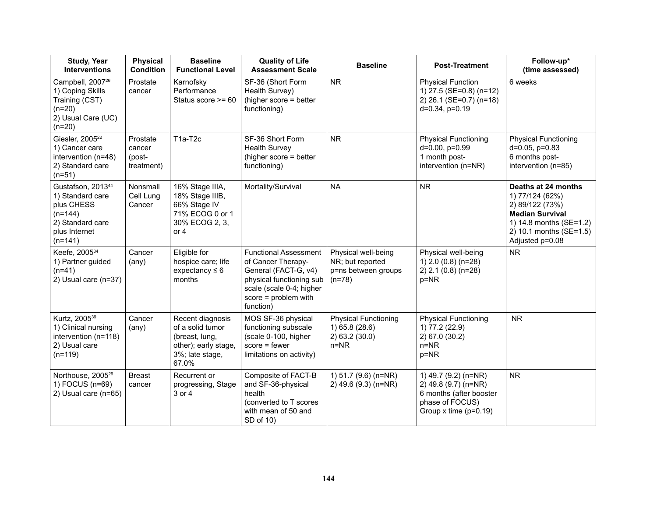| <b>Study, Year</b><br>Interventions                                                                                            | <b>Physical</b><br><b>Condition</b>        | <b>Baseline</b><br><b>Functional Level</b>                                                                 | <b>Quality of Life</b><br><b>Assessment Scale</b>                                                                                                                       | <b>Baseline</b>                                                             | <b>Post-Treatment</b>                                                                                                     | Follow-up*<br>(time assessed)                                                                                                                                |
|--------------------------------------------------------------------------------------------------------------------------------|--------------------------------------------|------------------------------------------------------------------------------------------------------------|-------------------------------------------------------------------------------------------------------------------------------------------------------------------------|-----------------------------------------------------------------------------|---------------------------------------------------------------------------------------------------------------------------|--------------------------------------------------------------------------------------------------------------------------------------------------------------|
| Campbell, 2007 <sup>26</sup><br>1) Coping Skills<br>Training (CST)<br>$(n=20)$<br>2) Usual Care (UC)<br>$(n=20)$               | Prostate<br>cancer                         | Karnofsky<br>Performance<br>Status score >= 60                                                             | SF-36 (Short Form<br>Health Survey)<br>(higher score = better<br>functioning)                                                                                           | <b>NR</b>                                                                   | <b>Physical Function</b><br>1) 27.5 (SE=0.8) (n=12)<br>2) 26.1 (SE=0.7) (n=18)<br>$d=0.34$ , $p=0.19$                     | 6 weeks                                                                                                                                                      |
| Giesler, 2005 <sup>22</sup><br>1) Cancer care<br>intervention (n=48)<br>2) Standard care<br>$(n=51)$                           | Prostate<br>cancer<br>(post-<br>treatment) | T1a-T2c                                                                                                    | SF-36 Short Form<br><b>Health Survey</b><br>(higher score = better<br>functioning)                                                                                      | <b>NR</b>                                                                   | <b>Physical Functioning</b><br>d=0.00, p=0.99<br>1 month post-<br>intervention (n=NR)                                     | <b>Physical Functioning</b><br>$d=0.05$ , $p=0.83$<br>6 months post-<br>intervention (n=85)                                                                  |
| Gustafson, 2013 <sup>44</sup><br>1) Standard care<br>plus CHESS<br>$(n=144)$<br>2) Standard care<br>plus Internet<br>$(n=141)$ | Nonsmall<br>Cell Lung<br>Cancer            | 16% Stage IIIA,<br>18% Stage IIIB,<br>66% Stage IV<br>71% ECOG 0 or 1<br>30% ECOG 2, 3,<br>or $4$          | Mortality/Survival                                                                                                                                                      | <b>NA</b>                                                                   | <b>NR</b>                                                                                                                 | Deaths at 24 months<br>1) 77/124 (62%)<br>2) 89/122 (73%)<br><b>Median Survival</b><br>1) 14.8 months (SE=1.2)<br>2) 10.1 months (SE=1.5)<br>Adjusted p=0.08 |
| Keefe, 2005 <sup>34</sup><br>1) Partner guided<br>$(n=41)$<br>2) Usual care (n=37)                                             | Cancer<br>$(\text{any})$                   | Eligible for<br>hospice care; life<br>expectancy $\leq 6$<br>months                                        | <b>Functional Assessment</b><br>of Cancer Therapy-<br>General (FACT-G, v4)<br>physical functioning sub<br>scale (scale 0-4; higher<br>score = problem with<br>function) | Physical well-being<br>NR; but reported<br>p=ns between groups<br>$(n=78)$  | Physical well-being<br>1) 2.0 (0.8) (n=28)<br>2) 2.1 (0.8) (n=28)<br>p=NR                                                 | <b>NR</b>                                                                                                                                                    |
| Kurtz, 2005 <sup>39</sup><br>1) Clinical nursing<br>intervention (n=118)<br>2) Usual care<br>$(n=119)$                         | Cancer<br>$(\text{any})$                   | Recent diagnosis<br>of a solid tumor<br>(breast, lung,<br>other); early stage,<br>3%; late stage,<br>67.0% | MOS SF-36 physical<br>functioning subscale<br>(scale 0-100, higher<br>$score = fewer$<br>limitations on activity)                                                       | <b>Physical Functioning</b><br>1) 65.8 (28.6)<br>2) 63.2 (30.0)<br>$n = NR$ | <b>Physical Functioning</b><br>1) 77.2 (22.9)<br>2) 67.0 (30.2)<br>$n = NR$<br>p=NR                                       | <b>NR</b>                                                                                                                                                    |
| Northouse, 2005 <sup>29</sup><br>1) FOCUS (n=69)<br>2) Usual care (n=65)                                                       | <b>Breast</b><br>cancer                    | Recurrent or<br>progressing, Stage<br>3 or 4                                                               | Composite of FACT-B<br>and SF-36-physical<br>health<br>(converted to T scores<br>with mean of 50 and<br>SD of 10)                                                       | 1) 51.7 (9.6) (n=NR)<br>2) 49.6 (9.3) (n=NR)                                | 1) 49.7 (9.2) (n=NR)<br>2) 49.8 (9.7) (n=NR)<br>6 months (after booster<br>phase of FOCUS)<br>Group $x$ time ( $p=0.19$ ) | <b>NR</b>                                                                                                                                                    |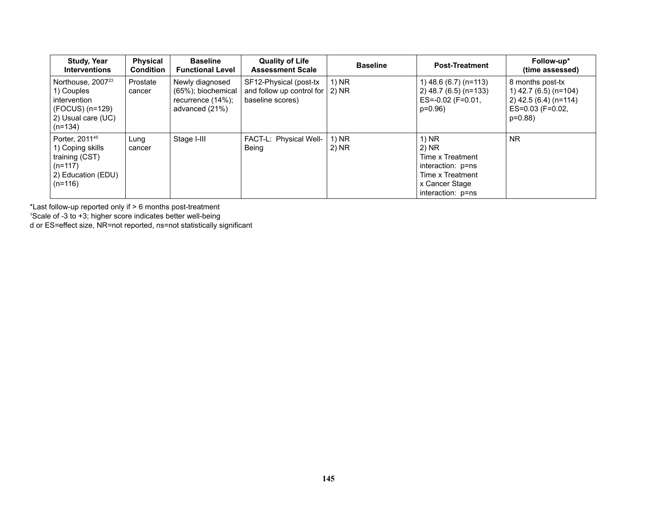| <b>Study, Year</b><br><b>Interventions</b>                                                                        | <b>Physical</b><br><b>Condition</b> | <b>Baseline</b><br><b>Functional Level</b>                                   | <b>Quality of Life</b><br><b>Assessment Scale</b>                       | <b>Baseline</b>  | <b>Post-Treatment</b>                                                                                                | Follow-up*<br>(time assessed)                                                                        |
|-------------------------------------------------------------------------------------------------------------------|-------------------------------------|------------------------------------------------------------------------------|-------------------------------------------------------------------------|------------------|----------------------------------------------------------------------------------------------------------------------|------------------------------------------------------------------------------------------------------|
| Northouse, 2007 <sup>23</sup><br>1) Couples<br>intervention<br>(FOCUS) (n=129)<br>2) Usual care (UC)<br>$(n=134)$ | Prostate<br>cancer                  | Newly diagnosed<br>(65%); biochemical<br>recurrence (14%);<br>advanced (21%) | SF12-Physical (post-tx<br>and follow up control for<br>baseline scores) | 1) NR<br>$2)$ NR | 1) 48.6 (6.7) (n=113)<br>2) 48.7 (6.5) (n=133)<br>$ES=-0.02$ (F=0.01,<br>$p=0.96$                                    | 8 months post-tx<br>1) 42.7 (6.5) (n=104)<br>2) 42.5 (6.4) (n=114)<br>$ES=0.03$ (F=0.02,<br>$p=0.88$ |
| Porter, 2011 <sup>45</sup><br>1) Coping skills<br>training (CST)<br>$(n=117)$<br>2) Education (EDU)<br>$(n=116)$  | Lung<br>cancer                      | Stage I-III                                                                  | FACT-L: Physical Well-<br>Being                                         | 1) NR<br>$2)$ NR | 1) NR<br>$2)$ NR<br>Time x Treatment<br>interaction: p=ns<br>Time x Treatment<br>x Cancer Stage<br>interaction: p=ns | <b>NR</b>                                                                                            |

\*Last follow-up reported only if > 6 months post-treatment 1 Scale of -3 to +3; higher score indicates better well-being

d or ES=effect size, NR=not reported, ns=not statistically significant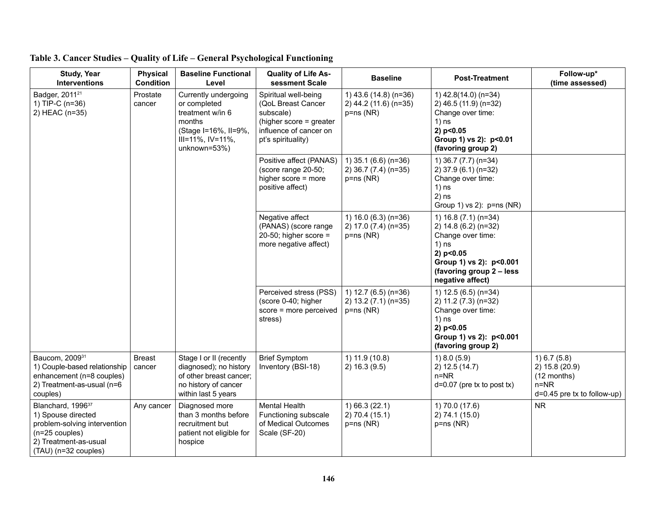| <b>Study, Year</b><br><b>Interventions</b>                                                                                                             | <b>Physical</b><br><b>Condition</b> | <b>Baseline Functional</b><br>Level                                                                                                    | <b>Quality of Life As-</b><br>sessment Scale                                                                                       | <b>Baseline</b>                                              | <b>Post-Treatment</b>                                                                                                                                                | Follow-up*<br>(time assessed)                                                              |
|--------------------------------------------------------------------------------------------------------------------------------------------------------|-------------------------------------|----------------------------------------------------------------------------------------------------------------------------------------|------------------------------------------------------------------------------------------------------------------------------------|--------------------------------------------------------------|----------------------------------------------------------------------------------------------------------------------------------------------------------------------|--------------------------------------------------------------------------------------------|
| Badger, 2011 <sup>21</sup><br>1) TIP-C (n=36)<br>2) HEAC (n=35)                                                                                        | Prostate<br>cancer                  | Currently undergoing<br>or completed<br>treatment w/in 6<br>months<br>(Stage I=16%, II=9%,<br>$III = 11\%, IV = 11\%,$<br>unknown=53%) | Spiritual well-being<br>(QoL Breast Cancer<br>subscale)<br>(higher score = greater<br>influence of cancer on<br>pt's spirituality) | 1) 43.6 (14.8) (n=36)<br>2) 44.2 (11.6) (n=35)<br>p=ns (NR)  | 1) 42.8(14.0) (n=34)<br>2) 46.5 (11.9) (n=32)<br>Change over time:<br>$1)$ ns<br>2) p<0.05<br>Group 1) vs 2): p<0.01<br>(favoring group 2)                           |                                                                                            |
|                                                                                                                                                        |                                     |                                                                                                                                        | Positive affect (PANAS)<br>(score range 20-50;<br>higher score = more<br>positive affect)                                          | 1) 35.1 (6.6) (n=36)<br>2) 36.7 (7.4) (n=35)<br>$p = ns(NR)$ | 1) 36.7 (7.7) (n=34)<br>2) 37.9 (6.1) (n=32)<br>Change over time:<br>$1)$ ns<br>$2)$ ns<br>Group 1) vs 2): $p=ns(NR)$                                                |                                                                                            |
|                                                                                                                                                        |                                     |                                                                                                                                        | Negative affect<br>(PANAS) (score range<br>20-50; higher score $=$<br>more negative affect)                                        | 1) $16.0(6.3)(n=36)$<br>2) 17.0 (7.4) (n=35)<br>p=ns (NR)    | 1) 16.8 (7.1) (n=34)<br>2) 14.8 (6.2) (n=32)<br>Change over time:<br>$1)$ ns<br>2) p<0.05<br>Group 1) vs 2): p<0.001<br>(favoring group 2 - less<br>negative affect) |                                                                                            |
|                                                                                                                                                        |                                     |                                                                                                                                        | Perceived stress (PSS)<br>(score 0-40; higher<br>score = more perceived<br>stress)                                                 | 1) 12.7 (6.5) (n=36)<br>2) 13.2 (7.1) (n=35)<br>$p = ns(NR)$ | 1) 12.5 (6.5) (n=34)<br>2) 11.2 (7.3) (n=32)<br>Change over time:<br>$1)$ ns<br>2) p<0.05<br>Group 1) vs 2): p<0.001<br>(favoring group 2)                           |                                                                                            |
| Baucom, 200931<br>1) Couple-based relationship<br>enhancement (n=8 couples)<br>2) Treatment-as-usual (n=6<br>couples)                                  | <b>Breast</b><br>cancer             | Stage I or II (recently<br>diagnosed); no history<br>of other breast cancer;<br>no history of cancer<br>within last 5 years            | <b>Brief Symptom</b><br>Inventory (BSI-18)                                                                                         | 1) 11.9 (10.8)<br>2) 16.3 (9.5)                              | 1) 8.0 (5.9)<br>2) 12.5 (14.7)<br>$n=NR$<br>$d=0.07$ (pre tx to post tx)                                                                                             | 1) 6.7 (5.8)<br>2) 15.8 (20.9)<br>(12 months)<br>$n = NR$<br>$d=0.45$ pre tx to follow-up) |
| Blanchard, 1996 <sup>37</sup><br>1) Spouse directed<br>problem-solving intervention<br>(n=25 couples)<br>2) Treatment-as-usual<br>(TAU) (n=32 couples) | Any cancer                          | Diagnosed more<br>than 3 months before<br>recruitment but<br>patient not eligible for<br>hospice                                       | Mental Health<br>Functioning subscale<br>of Medical Outcomes<br>Scale (SF-20)                                                      | 1) 66.3 (22.1)<br>2) 70.4 (15.1)<br>p=ns (NR)                | 1) 70.0 (17.6)<br>2) 74.1 (15.0)<br>p=ns (NR)                                                                                                                        | <b>NR</b>                                                                                  |

|  |  |  | Table 3. Cancer Studies – Quality of Life – General Psychological Functioning |  |
|--|--|--|-------------------------------------------------------------------------------|--|
|  |  |  |                                                                               |  |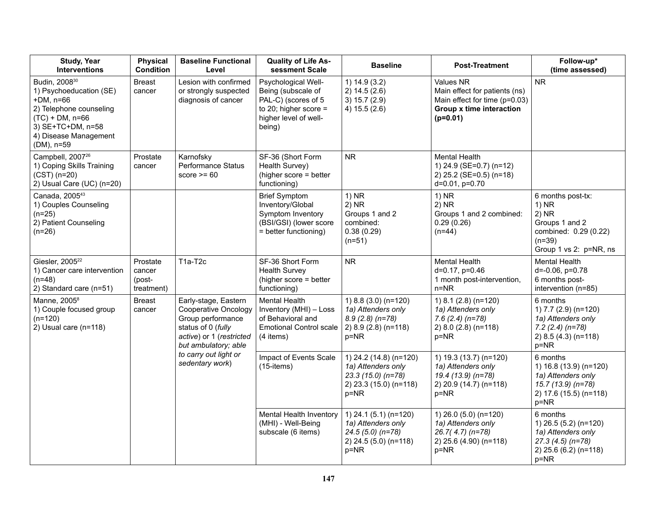| <b>Study, Year</b><br><b>Interventions</b>                                                                                                                                     | <b>Physical</b><br><b>Condition</b>        | <b>Baseline Functional</b><br>Level                                                                                                                | <b>Quality of Life As-</b><br>sessment Scale                                                                                   | <b>Baseline</b>                                                                                      | <b>Post-Treatment</b>                                                                                                        | Follow-up*<br>(time assessed)                                                                                            |
|--------------------------------------------------------------------------------------------------------------------------------------------------------------------------------|--------------------------------------------|----------------------------------------------------------------------------------------------------------------------------------------------------|--------------------------------------------------------------------------------------------------------------------------------|------------------------------------------------------------------------------------------------------|------------------------------------------------------------------------------------------------------------------------------|--------------------------------------------------------------------------------------------------------------------------|
| Budin, 2008 <sup>30</sup><br>1) Psychoeducation (SE)<br>+DM, n=66<br>2) Telephone counseling<br>$(TC) + DM$ , n=66<br>3) SE+TC+DM, n=58<br>4) Disease Management<br>(DM), n=59 | <b>Breast</b><br>cancer                    | Lesion with confirmed<br>or strongly suspected<br>diagnosis of cancer                                                                              | Psychological Well-<br>Being (subscale of<br>PAL-C) (scores of 5<br>to 20; higher score $=$<br>higher level of well-<br>being) | 1) 14.9 (3.2)<br>2) 14.5 (2.6)<br>3) 15.7 (2.9)<br>4) 15.5 (2.6)                                     | <b>Values NR</b><br>Main effect for patients (ns)<br>Main effect for time (p=0.03)<br>Group x time interaction<br>$(p=0.01)$ | <b>NR</b>                                                                                                                |
| Campbell, 2007 <sup>26</sup><br>1) Coping Skills Training<br>$(CST)$ (n=20)<br>2) Usual Care (UC) (n=20)                                                                       | Prostate<br>cancer                         | Karnofsky<br>Performance Status<br>score $>= 60$                                                                                                   | SF-36 (Short Form<br>Health Survey)<br>(higher score = better<br>functioning)                                                  | <b>NR</b>                                                                                            | <b>Mental Health</b><br>1) 24.9 (SE=0.7) (n=12)<br>2) 25.2 (SE=0.5) (n=18)<br>$d=0.01$ , $p=0.70$                            |                                                                                                                          |
| Canada, 2005 <sup>43</sup><br>1) Couples Counseling<br>$(n=25)$<br>2) Patient Counseling<br>$(n=26)$                                                                           |                                            |                                                                                                                                                    | <b>Brief Symptom</b><br>Inventory/Global<br>Symptom Inventory<br>(BSI/GSI) (lower score<br>= better functioning)               | $1)$ NR<br>$2)$ NR<br>Groups 1 and 2<br>combined:<br>0.38(0.29)<br>$(n=51)$                          | $1)$ NR<br>$2)$ NR<br>Groups 1 and 2 combined:<br>0.29(0.26)<br>$(n=44)$                                                     | 6 months post-tx:<br>$1)$ NR<br>$2)$ NR<br>Groups 1 and 2<br>combined: 0.29 (0.22)<br>$(n=39)$<br>Group 1 vs 2: p=NR, ns |
| Giesler, 2005 <sup>22</sup><br>1) Cancer care intervention<br>(n=48)<br>2) Standard care (n=51)                                                                                | Prostate<br>cancer<br>(post-<br>treatment) | T1a-T2c                                                                                                                                            | SF-36 Short Form<br><b>Health Survey</b><br>(higher score = better<br>functioning)                                             | <b>NR</b>                                                                                            | <b>Mental Health</b><br>d=0.17, p=0.46<br>1 month post-intervention,<br>$n = NR$                                             | <b>Mental Health</b><br>$d = -0.06$ , $p = 0.78$<br>6 months post-<br>intervention (n=85)                                |
| Manne, 2005 <sup>8</sup><br>1) Couple focused group<br>$(n=120)$<br>2) Usual care (n=118)                                                                                      | <b>Breast</b><br>cancer                    | Early-stage, Eastern<br><b>Cooperative Oncology</b><br>Group performance<br>status of 0 (fully<br>active) or 1 (restricted<br>but ambulatory; able | <b>Mental Health</b><br>Inventory (MHI) - Loss<br>of Behavioral and<br><b>Emotional Control scale</b><br>(4 items)             | 1) 8.8 (3.0) (n=120)<br>1a) Attenders only<br>$8.9(2.8)(n=78)$<br>2) 8.9 (2.8) (n=118)<br>p=NR       | 1) 8.1 (2.8) (n=120)<br>1a) Attenders only<br>$7.6(2.4)(n=78)$<br>2) 8.0 (2.8) (n=118)<br>p=NR                               | 6 months<br>1) 7.7 (2.9) (n=120)<br>1a) Attenders only<br>$7.2$ (2.4) (n=78)<br>2) 8.5 (4.3) (n=118)<br>$p = NR$         |
|                                                                                                                                                                                |                                            | to carry out light or<br>sedentary work)                                                                                                           | Impact of Events Scale<br>$(15$ -items)                                                                                        | 1) 24.2 (14.8) (n=120)<br>1a) Attenders only<br>$23.3(15.0)(n=78)$<br>2) 23.3 (15.0) (n=118)<br>p=NR | 1) 19.3 (13.7) (n=120)<br>1a) Attenders only<br>19.4 (13.9) (n=78)<br>2) 20.9 (14.7) (n=118)<br>$p = NR$                     | 6 months<br>1) 16.8 (13.9) (n=120)<br>1a) Attenders only<br>15.7 (13.9) (n=78)<br>2) 17.6 (15.5) (n=118)<br>$p = NR$     |
|                                                                                                                                                                                |                                            |                                                                                                                                                    | Mental Health Inventory<br>(MHI) - Well-Being<br>subscale (6 items)                                                            | 1) 24.1 (5.1) (n=120)<br>1a) Attenders only<br>$24.5(5.0)(n=78)$<br>2) 24.5 (5.0) (n=118)<br>p=NR    | 1) 26.0 (5.0) (n=120)<br>1a) Attenders only<br>$26.7(4.7)$ (n=78)<br>2) 25.6 (4.90) (n=118)<br>$p = NR$                      | 6 months<br>1) 26.5 (5.2) (n=120)<br>1a) Attenders only<br>$27.3(4.5)(n=78)$<br>2) 25.6 (6.2) (n=118)<br>$p=NR$          |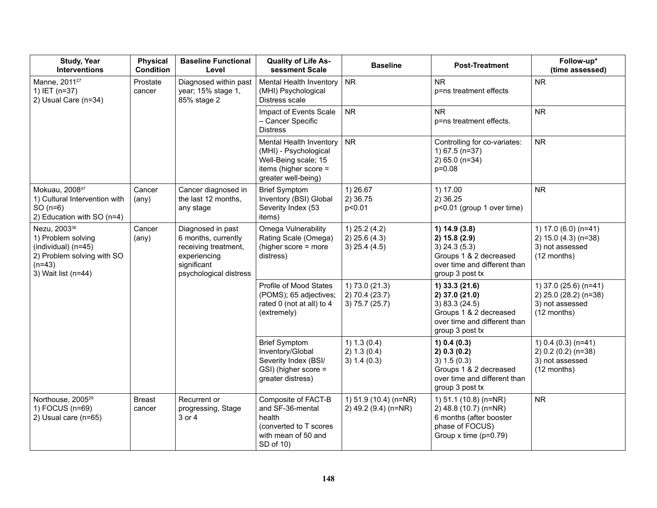| <b>Study, Year</b><br><b>Interventions</b>                                                                                             | <b>Physical</b><br><b>Condition</b> | <b>Baseline Functional</b><br>Level                                                                                       | <b>Quality of Life As-</b><br>sessment Scale                                                                             | <b>Baseline</b>                                       | <b>Post-Treatment</b>                                                                                                           | Follow-up*<br>(time assessed)                                                    |
|----------------------------------------------------------------------------------------------------------------------------------------|-------------------------------------|---------------------------------------------------------------------------------------------------------------------------|--------------------------------------------------------------------------------------------------------------------------|-------------------------------------------------------|---------------------------------------------------------------------------------------------------------------------------------|----------------------------------------------------------------------------------|
| Manne, 2011 <sup>27</sup><br>1) IET (n=37)<br>2) Usual Care (n=34)                                                                     | Prostate<br>cancer                  | Diagnosed within past<br>year; 15% stage 1,<br>85% stage 2                                                                | Mental Health Inventory<br>(MHI) Psychological<br>Distress scale                                                         | <b>NR</b>                                             | <b>NR</b><br>p=ns treatment effects                                                                                             | <b>NR</b>                                                                        |
|                                                                                                                                        |                                     |                                                                                                                           | Impact of Events Scale<br>- Cancer Specific<br><b>Distress</b>                                                           | NR                                                    | <b>NR</b><br>p=ns treatment effects.                                                                                            | <b>NR</b>                                                                        |
|                                                                                                                                        |                                     |                                                                                                                           | Mental Health Inventory<br>(MHI) - Psychological<br>Well-Being scale; 15<br>items (higher score =<br>greater well-being) | <b>NR</b>                                             | Controlling for co-variates:<br>1) 67.5 (n=37)<br>2) 65.0 (n=34)<br>p=0.08                                                      | <b>NR</b>                                                                        |
| Mokuau, 200847<br>1) Cultural Intervention with<br>$SO(n=6)$<br>2) Education with SO (n=4)                                             | Cancer<br>$(\text{any})$            | Cancer diagnosed in<br>the last 12 months,<br>any stage                                                                   | <b>Brief Symptom</b><br>Inventory (BSI) Global<br>Severity Index (53<br>items)                                           | 1) 26.67<br>2) 36.75<br>p<0.01                        | 1) 17.00<br>2) 36.25<br>p<0.01 (group 1 over time)                                                                              | <b>NR</b>                                                                        |
| Nezu, 2003 <sup>36</sup><br>1) Problem solving<br>(individual) (n=45)<br>2) Problem solving with SO<br>$(n=43)$<br>3) Wait list (n=44) | Cancer<br>$(\text{any})$            | Diagnosed in past<br>6 months, currently<br>receiving treatment,<br>experiencing<br>significant<br>psychological distress | Omega Vulnerability<br>Rating Scale (Omega)<br>(higher score = more<br>distress)                                         | $1)$ 25.2 (4.2)<br>$2)$ 25.6 (4.3)<br>$3)$ 25.4 (4.5) | 1) 14.9 (3.8)<br>2) 15.8 (2.9)<br>$3)$ 24.3 (5.3)<br>Groups 1 & 2 decreased<br>over time and different than<br>group 3 post tx  | 1) 17.0 (6.0) (n=41)<br>2) 15.0 (4.3) (n=38)<br>3) not assessed<br>(12 months)   |
|                                                                                                                                        |                                     |                                                                                                                           | Profile of Mood States<br>(POMS); 65 adjectives;<br>rated 0 (not at all) to 4<br>(extremely)                             | 1) 73.0 (21.3)<br>2) 70.4 (23.7)<br>3) 75.7 (25.7)    | 1) 33.3 (21.6)<br>2) 37.0 (21.0)<br>3) 83.3 (24.5)<br>Groups 1 & 2 decreased<br>over time and different than<br>group 3 post tx | 1) 37.0 (25.6) (n=41)<br>2) 25.0 (28.2) (n=38)<br>3) not assessed<br>(12 months) |
|                                                                                                                                        |                                     |                                                                                                                           | <b>Brief Symptom</b><br>Inventory/Global<br>Severity Index (BSI/<br>GSI) (higher score =<br>greater distress)            | 1) 1.3 (0.4)<br>2) 1.3 (0.4)<br>3) 1.4 (0.3)          | 1) 0.4 (0.3)<br>2) 0.3 (0.2)<br>3) 1.5 (0.3)<br>Groups 1 & 2 decreased<br>over time and different than<br>group 3 post tx       | 1) $0.4$ (0.3) (n=41)<br>2) 0.2 (0.2) (n=38)<br>3) not assessed<br>(12 months)   |
| Northouse, 2005 <sup>29</sup><br>1) FOCUS (n=69)<br>2) Usual care (n=65)                                                               | <b>Breast</b><br>cancer             | Recurrent or<br>progressing, Stage<br>3 or 4                                                                              | Composite of FACT-B<br>and SF-36-mental<br>health<br>(converted to T scores<br>with mean of 50 and<br>SD of 10)          | 1) 51.9 (10.4) (n=NR)<br>2) 49.2 (9.4) (n=NR)         | 1) 51.1 (10.8) (n=NR)<br>2) 48.8 (10.7) (n=NR)<br>6 months (after booster<br>phase of FOCUS)<br>Group $x$ time ( $p=0.79$ )     | NR                                                                               |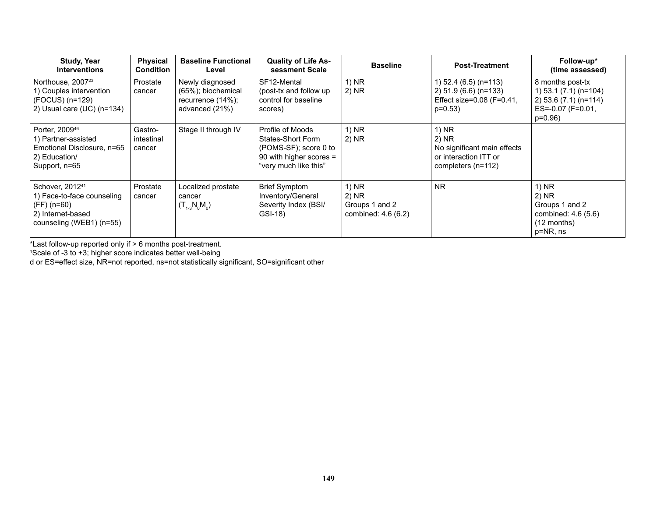| <b>Study, Year</b><br><b>Interventions</b>                                                                                | <b>Physical</b><br><b>Condition</b> | <b>Baseline Functional</b><br>Level                                             | <b>Quality of Life As-</b><br>sessment Scale                                                                       | <b>Baseline</b>                                         | <b>Post-Treatment</b>                                                                            | Follow-up*<br>(time assessed)                                                                         |
|---------------------------------------------------------------------------------------------------------------------------|-------------------------------------|---------------------------------------------------------------------------------|--------------------------------------------------------------------------------------------------------------------|---------------------------------------------------------|--------------------------------------------------------------------------------------------------|-------------------------------------------------------------------------------------------------------|
| Northouse, 2007 <sup>23</sup><br>1) Couples intervention<br>(FOCUS) (n=129)<br>2) Usual care $(UC)$ (n=134)               | Prostate<br>cancer                  | Newly diagnosed<br>(65%); biochemical<br>recurrence $(14%)$ ;<br>advanced (21%) | SF12-Mental<br>(post-tx and follow up<br>control for baseline<br>scores)                                           | 1) NR<br>2) NR                                          | 1) $52.4$ (6.5) (n=113)<br>2) 51.9 (6.6) (n=133)<br>Effect size= $0.08$ (F= $0.41$ ,<br>$p=0.53$ | 8 months post-tx<br>1) 53.1 (7.1) (n=104)<br>$2) 53.6 (7.1) (n=114)$<br>ES=-0.07 (F=0.01,<br>$p=0.96$ |
| Porter, 2009 <sup>46</sup><br>1) Partner-assisted<br>Emotional Disclosure, n=65<br>2) Education/<br>Support, n=65         | Gastro-<br>intestinal<br>cancer     | Stage II through IV                                                             | Profile of Moods<br>States-Short Form<br>(POMS-SF); score 0 to<br>90 with higher scores =<br>"very much like this" | $1)$ NR<br>2) NR                                        | 1) NR<br>2) NR<br>No significant main effects<br>or interaction ITT or<br>completers (n=112)     |                                                                                                       |
| Schover, 2012 <sup>41</sup><br>1) Face-to-face counseling<br>(FF) (n=60)<br>2) Internet-based<br>counseling (WEB1) (n=55) | Prostate<br>cancer                  | Localized prostate<br>cancer<br>$(T_{1-3}N_0M_0)$                               | <b>Brief Symptom</b><br>Inventory/General<br>Severity Index (BSI/<br>GSI-18)                                       | 1) NR<br>2) NR<br>Groups 1 and 2<br>combined: 4.6 (6.2) | <b>NR</b>                                                                                        | $1)$ NR<br>$2)$ NR<br>Groups 1 and 2<br>combined: 4.6 (5.6)<br>$(12$ months)<br>p=NR, ns              |

\*Last follow-up reported only if > 6 months post-treatment. 1 Scale of -3 to +3; higher score indicates better well-being

d or ES=effect size, NR=not reported, ns=not statistically significant, SO=significant other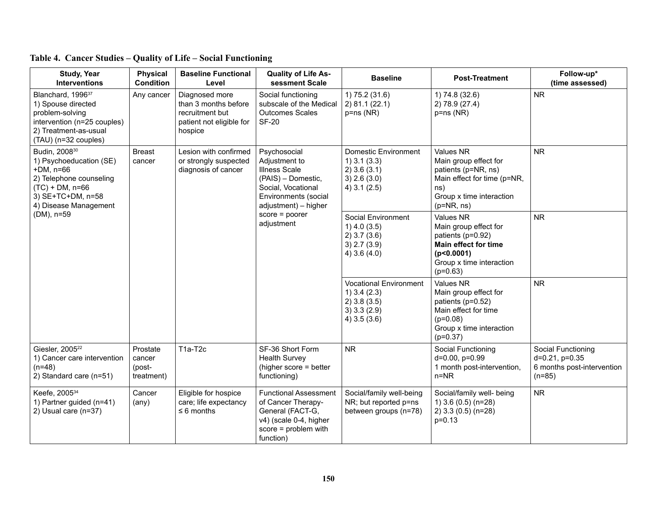| <b>Study, Year</b><br><b>Interventions</b>                                                                                                                         | <b>Physical</b><br><b>Condition</b>        | <b>Baseline Functional</b><br>Level                                                              | <b>Quality of Life As-</b><br>sessment Scale                                                                                                      | <b>Baseline</b>                                                                                       | <b>Post-Treatment</b>                                                                                                                                 | Follow-up*<br>(time assessed)                                                       |
|--------------------------------------------------------------------------------------------------------------------------------------------------------------------|--------------------------------------------|--------------------------------------------------------------------------------------------------|---------------------------------------------------------------------------------------------------------------------------------------------------|-------------------------------------------------------------------------------------------------------|-------------------------------------------------------------------------------------------------------------------------------------------------------|-------------------------------------------------------------------------------------|
| Blanchard, 1996 <sup>37</sup><br>1) Spouse directed<br>problem-solving<br>intervention (n=25 couples)<br>2) Treatment-as-usual<br>(TAU) (n=32 couples)             | Any cancer                                 | Diagnosed more<br>than 3 months before<br>recruitment but<br>patient not eligible for<br>hospice | Social functioning<br>subscale of the Medical<br><b>Outcomes Scales</b><br><b>SF-20</b>                                                           | 1) 75.2 (31.6)<br>2) 81.1 (22.1)<br>$p = ns(NR)$                                                      | 1) 74.8 (32.6)<br>2) 78.9 (27.4)<br>$p = ns(NR)$                                                                                                      | <b>NR</b>                                                                           |
| Budin, 2008 <sup>30</sup><br>1) Psychoeducation (SE)<br>$+DM, n=66$<br>2) Telephone counseling<br>$(TC) + DM$ , n=66<br>3) SE+TC+DM, n=58<br>4) Disease Management | <b>Breast</b><br>cancer                    | Lesion with confirmed<br>or strongly suspected<br>diagnosis of cancer                            | Psychosocial<br>Adjustment to<br><b>Illness Scale</b><br>(PAIS) - Domestic,<br>Social, Vocational<br>Environments (social<br>adjustment) - higher | <b>Domestic Environment</b><br>$1)$ 3.1 (3.3)<br>$2)$ 3.6 (3.1)<br>$3)$ 2.6 (3.0)<br>$4)$ 3.1 (2.5)   | <b>Values NR</b><br>Main group effect for<br>patients (p=NR, ns)<br>Main effect for time (p=NR,<br>ns)<br>Group x time interaction<br>$(p=NR, ns)$    | <b>NR</b>                                                                           |
| (DM), n=59                                                                                                                                                         |                                            |                                                                                                  | $score = poorer$<br>adjustment                                                                                                                    | Social Environment<br>$1)$ 4.0 (3.5)<br>$2)$ 3.7 (3.6)<br>3) 2.7 (3.9)<br>4) $3.6(4.0)$               | <b>Values NR</b><br>Main group effect for<br>patients (p=0.92)<br><b>Main effect for time</b><br>(p<0.0001)<br>Group x time interaction<br>$(p=0.63)$ | <b>NR</b>                                                                           |
|                                                                                                                                                                    |                                            |                                                                                                  |                                                                                                                                                   | <b>Vocational Environment</b><br>$1)$ 3.4 (2.3)<br>$2)$ 3.8 (3.5)<br>$3)$ 3.3 (2.9)<br>$4)$ 3.5 (3.6) | <b>Values NR</b><br>Main group effect for<br>patients (p=0.52)<br>Main effect for time<br>$(p=0.08)$<br>Group x time interaction<br>$(p=0.37)$        | <b>NR</b>                                                                           |
| Giesler, 2005 <sup>22</sup><br>1) Cancer care intervention<br>$(n=48)$<br>2) Standard care (n=51)                                                                  | Prostate<br>cancer<br>(post-<br>treatment) | T1a-T2c                                                                                          | SF-36 Short Form<br><b>Health Survey</b><br>(higher score = better<br>functioning)                                                                | <b>NR</b>                                                                                             | Social Functioning<br>d=0.00, p=0.99<br>1 month post-intervention,<br>$n = NR$                                                                        | Social Functioning<br>$d=0.21$ , $p=0.35$<br>6 months post-intervention<br>$(n=85)$ |
| Keefe, 2005 <sup>34</sup><br>1) Partner guided (n=41)<br>2) Usual care (n=37)                                                                                      | Cancer<br>$(\text{any})$                   | Eligible for hospice<br>care; life expectancy<br>$\leq 6$ months                                 | <b>Functional Assessment</b><br>of Cancer Therapy-<br>General (FACT-G,<br>v4) (scale 0-4, higher<br>$score = problem with$<br>function)           | Social/family well-being<br>NR; but reported p=ns<br>between groups (n=78)                            | Social/family well- being<br>1) $3.6(0.5)(n=28)$<br>2) 3.3 (0.5) (n=28)<br>$p = 0.13$                                                                 | ${\sf NR}$                                                                          |

|  |  |  | Table 4. Cancer Studies - Quality of Life - Social Functioning |
|--|--|--|----------------------------------------------------------------|
|  |  |  |                                                                |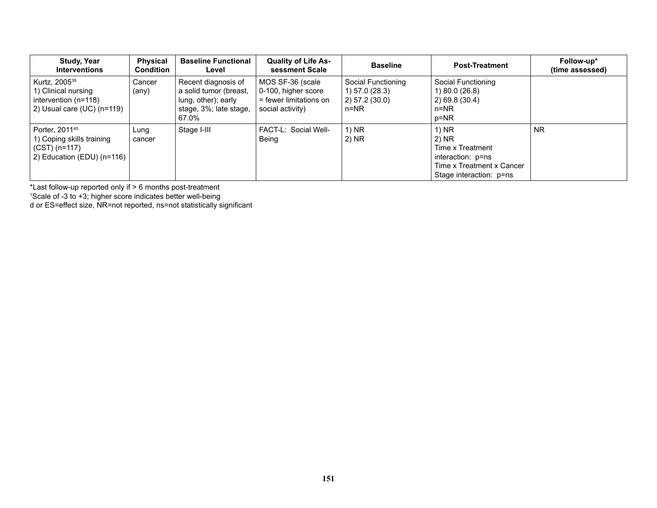| <b>Study, Year</b><br><b>Interventions</b>                                                               | <b>Physical</b><br><b>Condition</b> | <b>Baseline Functional</b><br>Level                                                                     | <b>Quality of Life As-</b><br>sessment Scale                                          | <b>Baseline</b>                                                    | <b>Post-Treatment</b>                                                                                             | Follow-up*<br>(time assessed) |
|----------------------------------------------------------------------------------------------------------|-------------------------------------|---------------------------------------------------------------------------------------------------------|---------------------------------------------------------------------------------------|--------------------------------------------------------------------|-------------------------------------------------------------------------------------------------------------------|-------------------------------|
| Kurtz, 2005 <sup>39</sup><br>1) Clinical nursing<br>intervention (n=118)<br>2) Usual care $(UC)$ (n=119) | Cancer<br>(any)                     | Recent diagnosis of<br>a solid tumor (breast,<br>lung, other); early<br>stage, 3%; late stage,<br>67.0% | MOS SF-36 (scale<br>0-100, higher score<br>= fewer limitations on<br>social activity) | Social Functioning<br>1) 57.0 (28.3)<br>2) 57.2 (30.0)<br>$n = NR$ | Social Functioning<br>1) 80.0 (26.8)<br>$2)$ 69.8 (30.4)<br>$n = NR$<br>p=NR                                      |                               |
| Porter, 2011 <sup>45</sup><br>1) Coping skills training<br>$(CST)$ (n=117)<br>2) Education (EDU) (n=116) | Lung<br>cancer                      | Stage I-III                                                                                             | FACT-L: Social Well-<br>Being                                                         | 1) NR<br>2) NR                                                     | 1) NR<br>$2)$ NR<br>Time x Treatment<br>interaction: p=ns<br>Time x Treatment x Cancer<br>Stage interaction: p=ns | <b>NR</b>                     |

\*Last follow-up reported only if > 6 months post-treatment 1 Scale of -3 to +3; higher score indicates better well-being

d or ES=effect size, NR=not reported, ns=not statistically significant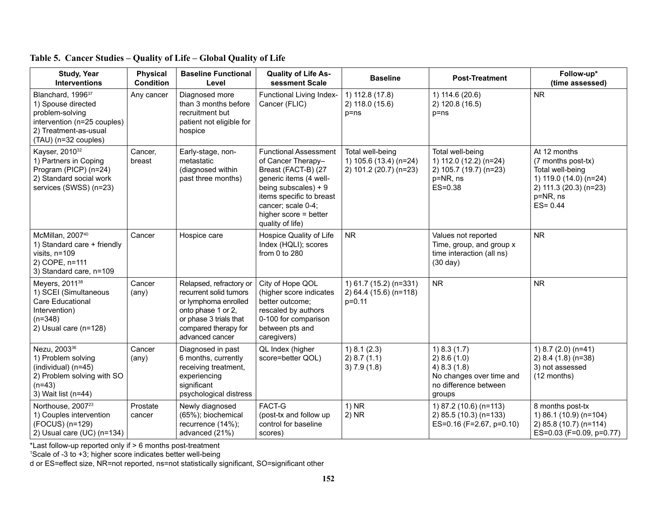| <b>Study, Year</b><br><b>Interventions</b>                                                                                                             | <b>Physical</b><br><b>Condition</b> | <b>Baseline Functional</b><br>Level                                                                                                                                  | <b>Quality of Life As-</b><br>sessment Scale                                                                                                                                                                                 | <b>Baseline</b>                                                      | <b>Post-Treatment</b>                                                                                      | Follow-up*<br>(time assessed)                                                                                                         |
|--------------------------------------------------------------------------------------------------------------------------------------------------------|-------------------------------------|----------------------------------------------------------------------------------------------------------------------------------------------------------------------|------------------------------------------------------------------------------------------------------------------------------------------------------------------------------------------------------------------------------|----------------------------------------------------------------------|------------------------------------------------------------------------------------------------------------|---------------------------------------------------------------------------------------------------------------------------------------|
| Blanchard, 1996 <sup>37</sup><br>1) Spouse directed<br>problem-solving<br>intervention (n=25 couples)<br>2) Treatment-as-usual<br>(TAU) (n=32 couples) | Any cancer                          | Diagnosed more<br>than 3 months before<br>recruitment but<br>patient not eligible for<br>hospice                                                                     | Functional Living Index-<br>Cancer (FLIC)                                                                                                                                                                                    | 1) 112.8 (17.8)<br>2) 118.0 (15.6)<br>$p = ns$                       | 1) 114.6 (20.6)<br>2) 120.8 (16.5)<br>$p = ns$                                                             | <b>NR</b>                                                                                                                             |
| Kayser, 2010 <sup>32</sup><br>1) Partners in Coping<br>Program (PICP) (n=24)<br>2) Standard social work<br>services (SWSS) (n=23)                      | Cancer,<br>breast                   | Early-stage, non-<br>metastatic<br>(diagnosed within<br>past three months)                                                                                           | <b>Functional Assessment</b><br>of Cancer Therapy-<br>Breast (FACT-B) (27<br>generic items (4 well-<br>being subscales) + $9$<br>items specific to breast<br>cancer; scale 0-4;<br>higher score = better<br>quality of life) | Total well-being<br>1) 105.6 (13.4) (n=24)<br>2) 101.2 (20.7) (n=23) | Total well-being<br>1) 112.0 (12.2) (n=24)<br>2) 105.7 (19.7) (n=23)<br>p=NR, ns<br>$ES=0.38$              | At 12 months<br>(7 months post-tx)<br>Total well-being<br>1) 119.0 (14.0) (n=24)<br>2) 111.3 (20.3) (n=23)<br>p=NR, ns<br>$ES = 0.44$ |
| McMillan, 2007 <sup>40</sup><br>1) Standard care + friendly<br>visits, n=109<br>2) COPE, n=111<br>3) Standard care, n=109                              | Cancer                              | Hospice care                                                                                                                                                         | Hospice Quality of Life<br>Index (HQLI); scores<br>from 0 to 280                                                                                                                                                             | <b>NR</b>                                                            | Values not reported<br>Time, group, and group x<br>time interaction (all ns)<br>$(30 \text{ day})$         | <b>NR</b>                                                                                                                             |
| Meyers, 2011 <sup>38</sup><br>1) SCEI (Simultaneous<br>Care Educational<br>Intervention)<br>$(n=348)$<br>2) Usual care (n=128)                         | Cancer<br>$(\text{any})$            | Relapsed, refractory or<br>recurrent solid tumors<br>or lymphoma enrolled<br>onto phase 1 or 2,<br>or phase 3 trials that<br>compared therapy for<br>advanced cancer | City of Hope QOL<br>(higher score indicates<br>better outcome;<br>rescaled by authors<br>0-100 for comparison<br>between pts and<br>caregivers)                                                                              | 1) 61.7 (15.2) (n=331)<br>2) 64.4 (15.6) (n=118)<br>$p=0.11$         | <b>NR</b>                                                                                                  | <b>NR</b>                                                                                                                             |
| Nezu, 2003 <sup>36</sup><br>1) Problem solving<br>(individual) (n=45)<br>2) Problem solving with SO<br>$(n=43)$<br>3) Wait list (n=44)                 | Cancer<br>$(\text{any})$            | Diagnosed in past<br>6 months, currently<br>receiving treatment,<br>experiencing<br>significant<br>psychological distress                                            | QL Index (higher<br>score=better QOL)                                                                                                                                                                                        | 1) 8.1 (2.3)<br>2) 8.7 (1.1)<br>3) 7.9(1.8)                          | 1) 8.3 (1.7)<br>2) 8.6(1.0)<br>4) 8.3 (1.8)<br>No changes over time and<br>no difference between<br>groups | 1) $8.7(2.0)(n=41)$<br>2) 8.4 (1.8) (n=38)<br>3) not assessed<br>(12 months)                                                          |
| Northouse, 2007 <sup>23</sup><br>1) Couples intervention<br>(FOCUS) (n=129)<br>2) Usual care (UC) (n=134)                                              | Prostate<br>cancer                  | Newly diagnosed<br>(65%); biochemical<br>recurrence (14%);<br>advanced (21%)                                                                                         | FACT-G<br>(post-tx and follow up<br>control for baseline<br>scores)                                                                                                                                                          | $1)$ NR<br>$2)$ NR                                                   | 1) 87.2 (10.6) (n=113)<br>2) 85.5 (10.3) (n=133)<br>ES=0.16 (F=2.67, p=0.10)                               | 8 months post-tx<br>1) 86.1 (10.9) (n=104)<br>2) 85.8 (10.7) (n=114)<br>ES=0.03 (F=0.09, p=0.77)                                      |

\*Last follow-up reported only if > 6 months post-treatment 1 Scale of -3 to +3; higher score indicates better well-being

d or ES=effect size, NR=not reported, ns=not statistically significant, SO=significant other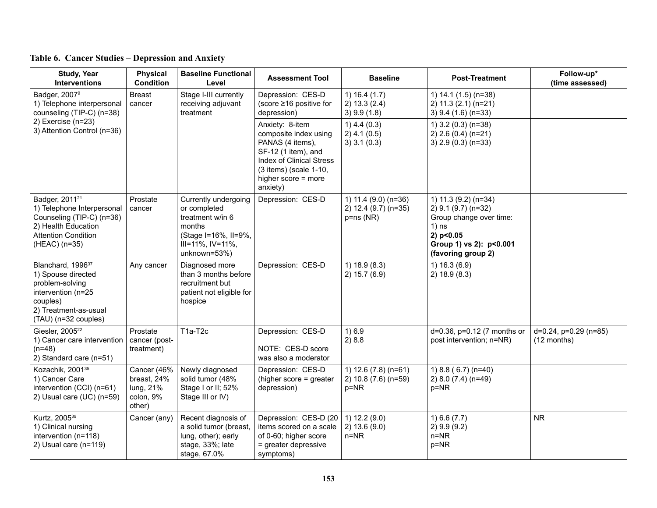| <b>Study, Year</b><br><b>Interventions</b>                                                                                                                  | <b>Physical</b><br><b>Condition</b>                            | <b>Baseline Functional</b><br>Level                                                                                            | <b>Assessment Tool</b>                                                                                                                                                              | <b>Baseline</b>                                              | <b>Post-Treatment</b>                                                                                                                           | Follow-up*<br>(time assessed)        |
|-------------------------------------------------------------------------------------------------------------------------------------------------------------|----------------------------------------------------------------|--------------------------------------------------------------------------------------------------------------------------------|-------------------------------------------------------------------------------------------------------------------------------------------------------------------------------------|--------------------------------------------------------------|-------------------------------------------------------------------------------------------------------------------------------------------------|--------------------------------------|
| Badger, 2007 <sup>9</sup><br>1) Telephone interpersonal<br>counseling (TIP-C) (n=38)                                                                        | <b>Breast</b><br>cancer                                        | Stage I-III currently<br>receiving adjuvant<br>treatment                                                                       | Depression: CES-D<br>(score $\geq 16$ positive for<br>depression)                                                                                                                   | 1) $16.4(1.7)$<br>2) 13.3 (2.4)<br>$3)$ 9.9 (1.8)            | 1) 14.1 (1.5) (n=38)<br>$2)$ 11.3 (2.1) (n=21)<br>3) 9.4 (1.6) (n=33)                                                                           |                                      |
| 2) Exercise (n=23)<br>3) Attention Control (n=36)                                                                                                           |                                                                |                                                                                                                                | Anxiety: 8-item<br>composite index using<br>PANAS (4 items),<br>SF-12 (1 item), and<br><b>Index of Clinical Stress</b><br>(3 items) (scale 1-10,<br>higher score = more<br>anxiety) | $1)$ 4.4 (0.3)<br>$2)$ 4.1 (0.5)<br>3) 3.1 (0.3)             | 1) $3.2(0.3)(n=38)$<br>2) 2.6 (0.4) (n=21)<br>3) 2.9 (0.3) (n=33)                                                                               |                                      |
| Badger, 2011 <sup>21</sup><br>1) Telephone Interpersonal<br>Counseling (TIP-C) (n=36)<br>2) Health Education<br><b>Attention Condition</b><br>(HEAC) (n=35) | Prostate<br>cancer                                             | Currently undergoing<br>or completed<br>treatment w/in 6<br>months<br>(Stage I=16%, II=9%,<br>III=11%, IV=11%,<br>unknown=53%) | Depression: CES-D                                                                                                                                                                   | 1) 11.4 (9.0) (n=36)<br>2) 12.4 (9.7) (n=35)<br>$p = ns(NR)$ | 1) 11.3 (9.2) (n=34)<br>2) 9.1 (9.7) (n=32)<br>Group change over time:<br>$1)$ ns<br>2) p<0.05<br>Group 1) vs 2): p<0.001<br>(favoring group 2) |                                      |
| Blanchard, 1996 <sup>37</sup><br>1) Spouse directed<br>problem-solving<br>intervention (n=25<br>couples)<br>2) Treatment-as-usual<br>(TAU) (n=32 couples)   | Any cancer                                                     | Diagnosed more<br>than 3 months before<br>recruitment but<br>patient not eligible for<br>hospice                               | Depression: CES-D                                                                                                                                                                   | 1) 18.9 (8.3)<br>2) 15.7 (6.9)                               | 1) 16.3(6.9)<br>2) 18.9 (8.3)                                                                                                                   |                                      |
| Giesler, 2005 <sup>22</sup><br>1) Cancer care intervention<br>$(n=48)$<br>2) Standard care (n=51)                                                           | Prostate<br>cancer (post-<br>treatment)                        | T1a-T2c                                                                                                                        | Depression: CES-D<br>NOTE: CES-D score<br>was also a moderator                                                                                                                      | 1)6.9<br>2)8.8                                               | d=0.36, p=0.12 (7 months or<br>post intervention; n=NR)                                                                                         | d=0.24, p=0.29 (n=85)<br>(12 months) |
| Kozachik, 2001 <sup>35</sup><br>1) Cancer Care<br>intervention (CCI) (n=61)<br>2) Usual care (UC) (n=59)                                                    | Cancer (46%<br>breast, 24%<br>lung, 21%<br>colon, 9%<br>other) | Newly diagnosed<br>solid tumor (48%<br>Stage I or II; 52%<br>Stage III or IV)                                                  | Depression: CES-D<br>(higher score = greater<br>depression)                                                                                                                         | 1) $12.6(7.8)(n=61)$<br>2) 10.8 (7.6) (n=59)<br>$p = NR$     | 1) $8.8$ (6.7) (n=40)<br>2) 8.0 (7.4) (n=49)<br>p=NR                                                                                            |                                      |
| Kurtz, 2005 <sup>39</sup><br>1) Clinical nursing<br>intervention (n=118)<br>2) Usual care (n=119)                                                           | Cancer (any)                                                   | Recent diagnosis of<br>a solid tumor (breast,<br>lung, other); early<br>stage, 33%; late<br>stage, 67.0%                       | Depression: CES-D (20<br>items scored on a scale<br>of 0-60; higher score<br>= greater depressive<br>symptoms)                                                                      | 1) 12.2 (9.0)<br>2) 13.6 (9.0)<br>$n = NR$                   | 1) 6.6 (7.7)<br>2) 9.9 (9.2)<br>$n=NR$<br>$p=NR$                                                                                                | <b>NR</b>                            |

## **Table 6. Cancer Studies – Depression and Anxiety**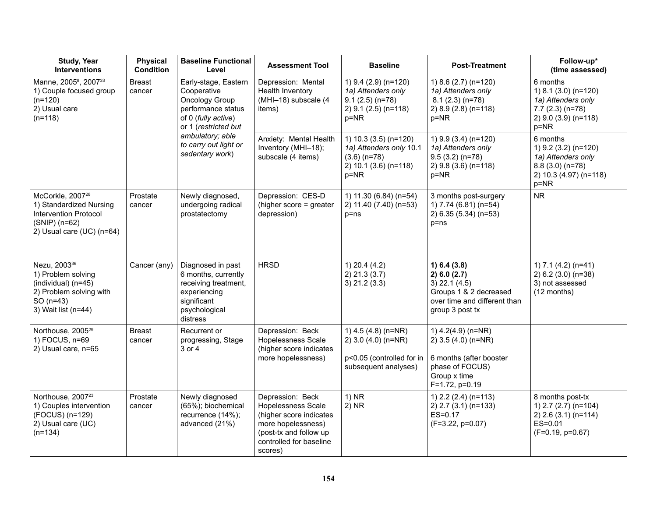| <b>Study, Year</b><br><b>Interventions</b>                                                                                              | <b>Physical</b><br><b>Condition</b> | <b>Baseline Functional</b><br>Level                                                                                          | <b>Assessment Tool</b>                                                                                                                                         | <b>Baseline</b>                                                                                           | <b>Post-Treatment</b>                                                                                                        | Follow-up*<br>(time assessed)                                                                                    |
|-----------------------------------------------------------------------------------------------------------------------------------------|-------------------------------------|------------------------------------------------------------------------------------------------------------------------------|----------------------------------------------------------------------------------------------------------------------------------------------------------------|-----------------------------------------------------------------------------------------------------------|------------------------------------------------------------------------------------------------------------------------------|------------------------------------------------------------------------------------------------------------------|
| Manne, 2005 <sup>8</sup> , 2007 <sup>33</sup><br>1) Couple focused group<br>$(n=120)$<br>2) Usual care<br>$(n=118)$                     | <b>Breast</b><br>cancer             | Early-stage, Eastern<br>Cooperative<br>Oncology Group<br>performance status<br>of 0 (fully active)<br>or 1 (restricted but   | Depression: Mental<br>Health Inventory<br>(MHI-18) subscale (4<br>items)                                                                                       | 1) 9.4 (2.9) (n=120)<br>1a) Attenders only<br>$9.1(2.5)(n=78)$<br>$2)$ 9.1 (2.5) (n=118)<br>$p = NR$      | 1) $8.6$ (2.7) (n=120)<br>1a) Attenders only<br>$8.1(2.3)(n=78)$<br>2) 8.9 (2.8) (n=118)<br>p=NR                             | 6 months<br>1) 8.1 (3.0) (n=120)<br>1a) Attenders only<br>$7.7(2.3)(n=78)$<br>2) 9.0 (3.9) (n=118)<br>$p = NR$   |
|                                                                                                                                         |                                     | ambulatory; able<br>to carry out light or<br>sedentary work)                                                                 | Anxiety: Mental Health<br>Inventory (MHI-18);<br>subscale (4 items)                                                                                            | 1) $10.3$ (3.5) (n=120)<br>1a) Attenders only 10.1<br>$(3.6)$ (n=78)<br>2) 10.1 (3.6) (n=118)<br>$p = NR$ | 1) 9.9 (3.4) (n=120)<br>1a) Attenders only<br>$9.5(3.2)(n=78)$<br>2) 9.8 (3.6) (n=118)<br>$p = NR$                           | 6 months<br>1) 9.2 (3.2) (n=120)<br>1a) Attenders only<br>$8.8(3.0)(n=78)$<br>2) 10.3 (4.97) (n=118)<br>$p = NR$ |
| McCorkle, 2007 <sup>28</sup><br>1) Standardized Nursing<br><b>Intervention Protocol</b><br>$(SNIP)$ (n=62)<br>2) Usual care (UC) (n=64) | Prostate<br>cancer                  | Newly diagnosed,<br>undergoing radical<br>prostatectomy                                                                      | Depression: CES-D<br>(higher score = greater<br>depression)                                                                                                    | 1) 11.30 (6.84) (n=54)<br>2) 11.40 (7.40) (n=53)<br>$p = ns$                                              | 3 months post-surgery<br>1) 7.74 (6.81) (n=54)<br>2) 6.35 (5.34) (n=53)<br>$p = ns$                                          | <b>NR</b>                                                                                                        |
| Nezu, 2003 <sup>36</sup><br>1) Problem solving<br>(individual) (n=45)<br>2) Problem solving with<br>$SO(n=43)$<br>3) Wait list (n=44)   | Cancer (any)                        | Diagnosed in past<br>6 months, currently<br>receiving treatment,<br>experiencing<br>significant<br>psychological<br>distress | <b>HRSD</b>                                                                                                                                                    | $1)$ 20.4 (4.2)<br>$2)$ 21.3 (3.7)<br>$3)$ 21.2 (3.3)                                                     | 1) 6.4 (3.8)<br>2) 6.0 (2.7)<br>$3)$ 22.1 (4.5)<br>Groups 1 & 2 decreased<br>over time and different than<br>group 3 post tx | 1) 7.1 (4.2) (n=41)<br>$2) 6.2 (3.0) (n=38)$<br>3) not assessed<br>(12 months)                                   |
| Northouse, 2005 <sup>29</sup><br>1) FOCUS, n=69<br>2) Usual care, n=65                                                                  | <b>Breast</b><br>cancer             | Recurrent or<br>progressing, Stage<br>3 or 4                                                                                 | Depression: Beck<br>Hopelessness Scale<br>(higher score indicates<br>more hopelessness)                                                                        | 1) $4.5(4.8)(n=NR)$<br>2) $3.0$ (4.0) (n=NR)<br>p<0.05 (controlled for in<br>subsequent analyses)         | 1) $4.2(4.9)$ (n=NR)<br>2) 3.5 (4.0) (n=NR)<br>6 months (after booster<br>phase of FOCUS)<br>Group x time<br>F=1.72, p=0.19  |                                                                                                                  |
| Northouse, 2007 <sup>23</sup><br>1) Couples intervention<br>(FOCUS) (n=129)<br>2) Usual care (UC)<br>$(n=134)$                          | Prostate<br>cancer                  | Newly diagnosed<br>(65%); biochemical<br>recurrence (14%);<br>advanced (21%)                                                 | Depression: Beck<br><b>Hopelessness Scale</b><br>(higher score indicates<br>more hopelessness)<br>(post-tx and follow up<br>controlled for baseline<br>scores) | $1)$ NR<br>$2)$ NR                                                                                        | 1) 2.2 (2.4) (n=113)<br>2) 2.7 (3.1) (n=133)<br>ES=0.17<br>$(F=3.22, p=0.07)$                                                | 8 months post-tx<br>1) $2.7$ ( $2.7$ ) ( $n=104$ )<br>$2)$ 2.6 (3.1) (n=114)<br>$ES=0.01$<br>$(F=0.19, p=0.67)$  |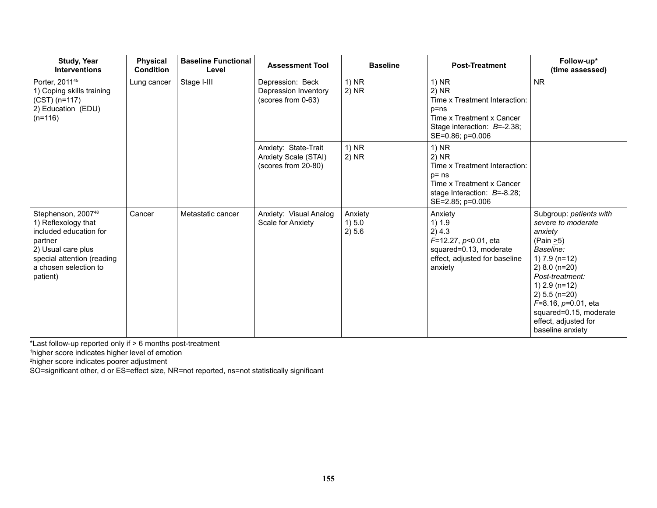| <b>Study, Year</b><br><b>Interventions</b>                                                                                                                                          | <b>Physical</b><br><b>Condition</b> | <b>Baseline Functional</b><br>Level | <b>Assessment Tool</b>                                              | <b>Baseline</b>             | <b>Post-Treatment</b>                                                                                                                           | Follow-up*<br>(time assessed)                                                                                                                                                                                                                                                              |
|-------------------------------------------------------------------------------------------------------------------------------------------------------------------------------------|-------------------------------------|-------------------------------------|---------------------------------------------------------------------|-----------------------------|-------------------------------------------------------------------------------------------------------------------------------------------------|--------------------------------------------------------------------------------------------------------------------------------------------------------------------------------------------------------------------------------------------------------------------------------------------|
| Porter, 2011 <sup>45</sup><br>1) Coping skills training<br>$(CST)$ (n=117)<br>2) Education (EDU)<br>$(n=116)$                                                                       | Lung cancer                         | Stage I-III                         | Depression: Beck<br>Depression Inventory<br>(scores from 0-63)      | $1)$ NR<br>2) NR            | $1)$ NR<br>$2)$ NR<br>Time x Treatment Interaction:<br>$p = ns$<br>Time x Treatment x Cancer<br>Stage interaction: B=-2.38;<br>SE=0.86; p=0.006 | <b>NR</b>                                                                                                                                                                                                                                                                                  |
|                                                                                                                                                                                     |                                     |                                     | Anxiety: State-Trait<br>Anxiety Scale (STAI)<br>(scores from 20-80) | $1)$ NR<br>2) NR            | 1) NR<br>2) NR<br>Time x Treatment Interaction:<br>$p = ns$<br>Time x Treatment x Cancer<br>stage Interaction: $B=-8.28$ ;<br>SE=2.85; p=0.006  |                                                                                                                                                                                                                                                                                            |
| Stephenson, 2007 <sup>48</sup><br>1) Reflexology that<br>included education for<br>partner<br>2) Usual care plus<br>special attention (reading<br>a chosen selection to<br>patient) | Cancer                              | Metastatic cancer                   | Anxiety: Visual Analog<br>Scale for Anxiety                         | Anxiety<br>1) 5.0<br>2) 5.6 | Anxiety<br>1) 1.9<br>2) 4.3<br>$F=12.27, p<0.01$ , eta<br>squared=0.13, moderate<br>effect, adjusted for baseline<br>anxiety                    | Subgroup: patients with<br>severe to moderate<br>anxiety<br>(Pain $\geq$ 5)<br>Baseline:<br>1) $7.9$ (n=12)<br>$2) 8.0 (n=20)$<br>Post-treatment:<br>$1)$ 2.9 (n=12)<br>$2) 5.5 (n=20)$<br>$F=8.16$ , $p=0.01$ , eta<br>squared=0.15, moderate<br>effect, adjusted for<br>baseline anxiety |

\*Last follow-up reported only if > 6 months post-treatment 1 higher score indicates higher level of emotion 2 higher score indicates poorer adjustment

SO=significant other, d or ES=effect size, NR=not reported, ns=not statistically significant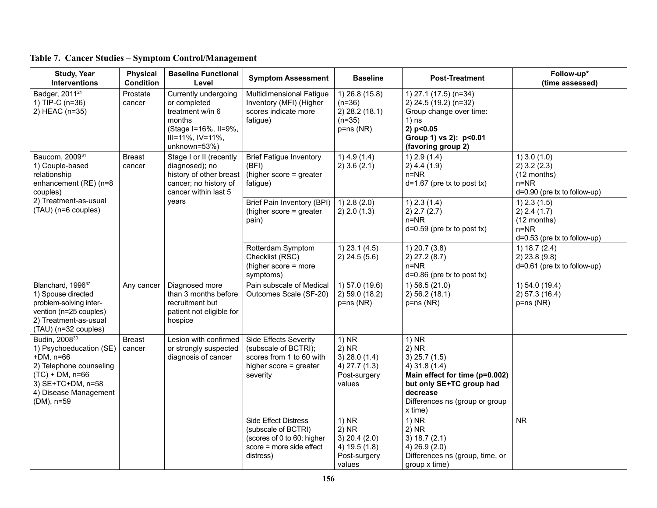| <b>Study, Year</b><br><b>Interventions</b>                                                                                                                                       | <b>Physical</b><br><b>Condition</b> | <b>Baseline Functional</b><br>Level                                                                                                    | <b>Symptom Assessment</b>                                                                                                 | <b>Baseline</b>                                                                  | <b>Post-Treatment</b>                                                                                                                                                         | Follow-up*<br>(time assessed)                                                                 |
|----------------------------------------------------------------------------------------------------------------------------------------------------------------------------------|-------------------------------------|----------------------------------------------------------------------------------------------------------------------------------------|---------------------------------------------------------------------------------------------------------------------------|----------------------------------------------------------------------------------|-------------------------------------------------------------------------------------------------------------------------------------------------------------------------------|-----------------------------------------------------------------------------------------------|
| Badger, 2011 <sup>21</sup><br>1) TIP-C (n=36)<br>2) HEAC (n=35)                                                                                                                  | Prostate<br>cancer                  | Currently undergoing<br>or completed<br>treatment w/in 6<br>months<br>(Stage I=16%, II=9%,<br>$III = 11\%, IV = 11\%,$<br>unknown=53%) | Multidimensional Fatigue<br>Inventory (MFI) (Higher<br>scores indicate more<br>fatigue)                                   | 1) 26.8 (15.8)<br>$(n=36)$<br>2) 28.2 (18.1)<br>$(n=35)$<br>$p = ns(NR)$         | 1) 27.1 (17.5) (n=34)<br>2) 24.5 (19.2) (n=32)<br>Group change over time:<br>$1)$ ns<br>2) p<0.05<br>Group 1) vs 2): p<0.01<br>(favoring group 2)                             |                                                                                               |
| Baucom, 200931<br>1) Couple-based<br>relationship<br>enhancement (RE) (n=8<br>couples)                                                                                           | <b>Breast</b><br>cancer             | Stage I or II (recently<br>diagnosed); no<br>history of other breast<br>cancer; no history of<br>cancer within last 5                  | <b>Brief Fatigue Inventory</b><br>(BFI)<br>(higher score = greater<br>fatigue)                                            | $1)$ 4.9 (1.4)<br>$2)$ 3.6 (2.1)                                                 | $1)$ 2.9 (1.4)<br>$2)$ 4.4 (1.9)<br>$n = NR$<br>$d=1.67$ (pre tx to post tx)                                                                                                  | $1)$ 3.0 (1.0)<br>$2)$ 3.2 (2.3)<br>(12 months)<br>$n = NR$<br>$d=0.90$ (pre tx to follow-up) |
| 2) Treatment-as-usual<br>years<br>(TAU) (n=6 couples)                                                                                                                            |                                     | Brief Pain Inventory (BPI)<br>(higher score = greater<br>pain)                                                                         | $1)$ 2.8 (2.0)<br>2) 2.0 (1.3)                                                                                            | $1)$ 2.3 (1.4)<br>2) 2.7 (2.7)<br>$n = NR$<br>$d=0.59$ (pre tx to post tx)       | $1)$ 2.3 (1.5)<br>2) 2.4 (1.7)<br>(12 months)<br>$n = NR$<br>$d=0.53$ (pre tx to follow-up)                                                                                   |                                                                                               |
|                                                                                                                                                                                  |                                     |                                                                                                                                        | Rotterdam Symptom<br>Checklist (RSC)<br>(higher score = more<br>symptoms)                                                 | $1)$ 23.1 (4.5)<br>$2)$ 24.5 (5.6)                                               | $1)$ 20.7 (3.8)<br>$2)$ 27.2 (8.7)<br>$n = NR$<br>$d=0.86$ (pre tx to post tx)                                                                                                | 1) $18.7(2.4)$<br>$2)$ 23.8 (9.8)<br>$d=0.61$ (pre tx to follow-up)                           |
| Blanchard, 1996 <sup>37</sup><br>1) Spouse directed<br>problem-solving inter-<br>vention (n=25 couples)<br>2) Treatment-as-usual<br>(TAU) (n=32 couples)                         | Any cancer                          | Diagnosed more<br>than 3 months before<br>recruitment but<br>patient not eligible for<br>hospice                                       | Pain subscale of Medical<br>Outcomes Scale (SF-20)                                                                        | 1) 57.0 (19.6)<br>2) 59.0 (18.2)<br>$p = ns(NR)$                                 | $1)$ 56.5 (21.0)<br>2) 56.2 (18.1)<br>$p = ns(NR)$                                                                                                                            | 1) 54.0 (19.4)<br>2) 57.3 (16.4)<br>$p = ns(NR)$                                              |
| Budin, 2008 <sup>30</sup><br>1) Psychoeducation (SE)<br>$+DM, n=66$<br>2) Telephone counseling<br>$(TC) + DM$ , n=66<br>3) SE+TC+DM, n=58<br>4) Disease Management<br>(DM), n=59 | <b>Breast</b><br>cancer             | Lesion with confirmed<br>or strongly suspected<br>diagnosis of cancer                                                                  | Side Effects Severity<br>(subscale of BCTRI);<br>scores from 1 to 60 with<br>higher score = greater<br>severity           | $1)$ NR<br>$2)$ NR<br>$3)$ 28.0 (1.4)<br>4) 27.7 (1.3)<br>Post-surgery<br>values | $1)$ NR<br>$2)$ NR<br>$3)$ 25.7 (1.5)<br>4) 31.8 (1.4)<br>Main effect for time (p=0.002)<br>but only SE+TC group had<br>decrease<br>Differences ns (group or group<br>x time) |                                                                                               |
|                                                                                                                                                                                  |                                     |                                                                                                                                        | <b>Side Effect Distress</b><br>(subscale of BCTRI)<br>(scores of 0 to 60; higher<br>score = more side effect<br>distress) | 1) NR<br>$2)$ NR<br>$3)$ 20.4 (2.0)<br>4) 19.5 (1.8)<br>Post-surgery<br>values   | $1)$ NR<br>$2)$ NR<br>3) $18.7(2.1)$<br>4) 26.9 (2.0)<br>Differences ns (group, time, or<br>group x time)                                                                     | <b>NR</b>                                                                                     |

|  |  | Table 7. Cancer Studies - Symptom Control/Management |
|--|--|------------------------------------------------------|
|  |  |                                                      |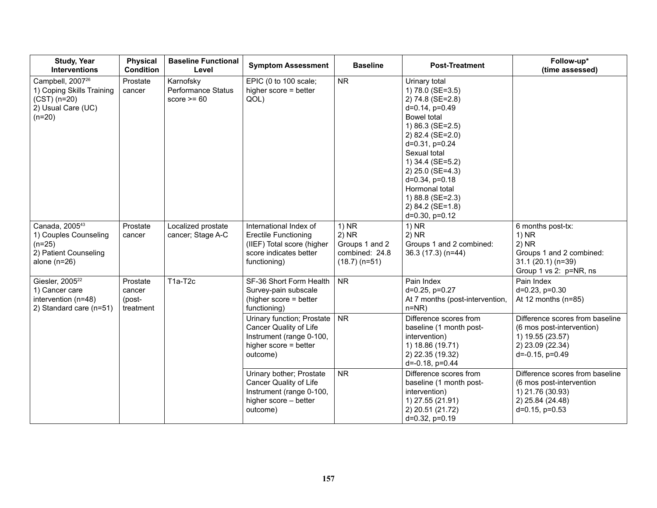| <b>Study, Year</b><br><b>Interventions</b>                                                                    | <b>Physical</b><br><b>Condition</b>       | <b>Baseline Functional</b><br>Level              | <b>Symptom Assessment</b>                                                                                                     | <b>Baseline</b>                                                           | <b>Post-Treatment</b>                                                                                                                                                                                                                                                                                                     | Follow-up*<br>(time assessed)                                                                                                    |
|---------------------------------------------------------------------------------------------------------------|-------------------------------------------|--------------------------------------------------|-------------------------------------------------------------------------------------------------------------------------------|---------------------------------------------------------------------------|---------------------------------------------------------------------------------------------------------------------------------------------------------------------------------------------------------------------------------------------------------------------------------------------------------------------------|----------------------------------------------------------------------------------------------------------------------------------|
| Campbell, 2007 <sup>26</sup><br>1) Coping Skills Training<br>$(CST)$ (n=20)<br>2) Usual Care (UC)<br>$(n=20)$ | Prostate<br>cancer                        | Karnofsky<br>Performance Status<br>score $>= 60$ | EPIC (0 to 100 scale;<br>higher score = better<br>QOL)                                                                        | <b>NR</b>                                                                 | Urinary total<br>1) 78.0 (SE=3.5)<br>2) 74.8 (SE=2.8)<br>$d=0.14$ , $p=0.49$<br><b>Bowel</b> total<br>1) 86.3 (SE=2.5)<br>2) 82.4 (SE=2.0)<br>d=0.31, p=0.24<br>Sexual total<br>1) 34.4 (SE=5.2)<br>2) 25.0 (SE=4.3)<br>$d=0.34$ , $p=0.18$<br>Hormonal total<br>1) 88.8 (SE=2.3)<br>2) 84.2 (SE=1.8)<br>$d=0.30, p=0.12$ |                                                                                                                                  |
| Canada, 2005 <sup>43</sup><br>1) Couples Counseling<br>$(n=25)$<br>2) Patient Counseling<br>alone $(n=26)$    | Prostate<br>cancer                        | Localized prostate<br>cancer; Stage A-C          | International Index of<br><b>Erectile Functioning</b><br>(IIEF) Total score (higher<br>score indicates better<br>functioning) | $1)$ NR<br>$2)$ NR<br>Groups 1 and 2<br>combined: 24.8<br>$(18.7)$ (n=51) | $1)$ NR<br>$2)$ NR<br>Groups 1 and 2 combined:<br>36.3 (17.3) (n=44)                                                                                                                                                                                                                                                      | 6 months post-tx:<br>$1)$ NR<br>$2)$ NR<br>Groups 1 and 2 combined:<br>$31.1(20.1)(n=39)$<br>Group 1 vs 2: p=NR, ns              |
| Giesler, 2005 <sup>22</sup><br>1) Cancer care<br>intervention (n=48)<br>2) Standard care (n=51)               | Prostate<br>cancer<br>(post-<br>treatment | T1a-T2c                                          | SF-36 Short Form Health<br>Survey-pain subscale<br>(higher score = better<br>functioning)                                     | <b>NR</b>                                                                 | Pain Index<br>d=0.25, p=0.27<br>At 7 months (post-intervention,<br>$n=NR)$                                                                                                                                                                                                                                                | Pain Index<br>$d=0.23$ , $p=0.30$<br>At 12 months $(n=85)$                                                                       |
|                                                                                                               |                                           |                                                  | Urinary function; Prostate<br>Cancer Quality of Life<br>Instrument (range 0-100,<br>higher score = better<br>outcome)         | <b>NR</b>                                                                 | Difference scores from<br>baseline (1 month post-<br>intervention)<br>1) 18.86 (19.71)<br>2) 22.35 (19.32)<br>$d=-0.18$ , $p=0.44$                                                                                                                                                                                        | Difference scores from baseline<br>(6 mos post-intervention)<br>1) 19.55 (23.57)<br>2) 23.09 (22.34)<br>$d = -0.15$ , $p = 0.49$ |
|                                                                                                               |                                           |                                                  | Urinary bother; Prostate<br>Cancer Quality of Life<br>Instrument (range 0-100,<br>higher score - better<br>outcome)           | <b>NR</b>                                                                 | Difference scores from<br>baseline (1 month post-<br>intervention)<br>1) 27.55 (21.91)<br>2) 20.51 (21.72)<br>$d=0.32$ , $p=0.19$                                                                                                                                                                                         | Difference scores from baseline<br>(6 mos post-intervention<br>1) 21.76 (30.93)<br>2) 25.84 (24.48)<br>$d=0.15$ , $p=0.53$       |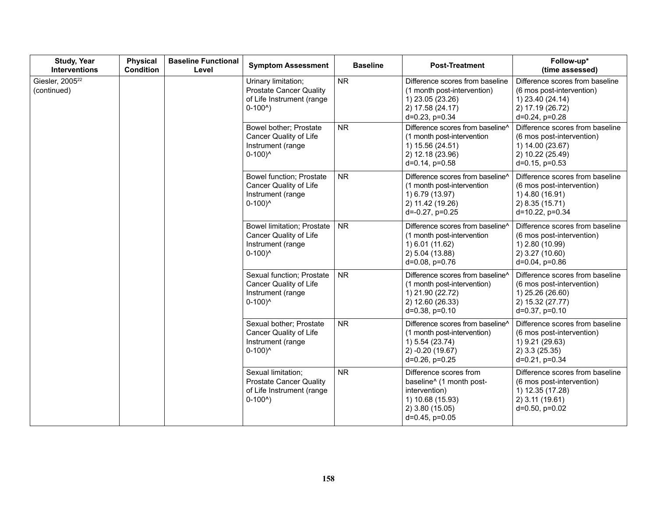| <b>Study, Year</b><br><b>Interventions</b> | <b>Physical</b><br><b>Condition</b> | <b>Baseline Functional</b><br>Level                                                                    | <b>Symptom Assessment</b>                                                                                | <b>Baseline</b>                                                                                                               | <b>Post-Treatment</b>                                                                                                             | Follow-up*<br>(time assessed)                                                                                               |
|--------------------------------------------|-------------------------------------|--------------------------------------------------------------------------------------------------------|----------------------------------------------------------------------------------------------------------|-------------------------------------------------------------------------------------------------------------------------------|-----------------------------------------------------------------------------------------------------------------------------------|-----------------------------------------------------------------------------------------------------------------------------|
| Giesler, 2005 <sup>22</sup><br>(continued) |                                     |                                                                                                        | Urinary limitation;<br><b>Prostate Cancer Quality</b><br>of Life Instrument (range<br>$0-1000$ )         | <b>NR</b>                                                                                                                     | Difference scores from baseline<br>(1 month post-intervention)<br>1) 23.05 (23.26)<br>2) 17.58 (24.17)<br>$d=0.23$ , $p=0.34$     | Difference scores from baseline<br>(6 mos post-intervention)<br>1) 23.40 (24.14)<br>2) 17.19 (26.72)<br>$d=0.24$ , $p=0.28$ |
|                                            |                                     |                                                                                                        | Bowel bother; Prostate<br>Cancer Quality of Life<br>Instrument (range<br>$0-100$ <sup>^</sup>            | <b>NR</b>                                                                                                                     | Difference scores from baseline^<br>(1 month post-intervention<br>1) 15.56 (24.51)<br>2) 12.18 (23.96)<br>$d=0.14$ , $p=0.58$     | Difference scores from baseline<br>(6 mos post-intervention)<br>1) 14.00 (23.67)<br>2) 10.22 (25.49)<br>$d=0.15$ , $p=0.53$ |
|                                            |                                     | <b>Bowel function; Prostate</b><br>Cancer Quality of Life<br>Instrument (range<br>$0-100$ <sup>^</sup> | <b>NR</b>                                                                                                | Difference scores from baseline^<br>(1 month post-intervention<br>1) 6.79 (13.97)<br>2) 11.42 (19.26)<br>$d=-0.27$ , $p=0.25$ | Difference scores from baseline<br>(6 mos post-intervention)<br>1) 4.80 (16.91)<br>2) 8.35 (15.71)<br>d=10.22, p=0.34             |                                                                                                                             |
|                                            |                                     |                                                                                                        | <b>Bowel limitation; Prostate</b><br>Cancer Quality of Life<br>Instrument (range<br>$0-100$ <sup>^</sup> | <b>NR</b>                                                                                                                     | Difference scores from baseline^<br>(1 month post-intervention<br>1) 6.01 (11.62)<br>2) 5.04 (13.88)<br>$d=0.08$ , $p=0.76$       | Difference scores from baseline<br>(6 mos post-intervention)<br>1) 2.80 (10.99)<br>2) 3.27 (10.60)<br>$d=0.04$ , $p=0.86$   |
|                                            |                                     |                                                                                                        | Sexual function; Prostate<br><b>Cancer Quality of Life</b><br>Instrument (range<br>$0-100$ <sup>^</sup>  | <b>NR</b>                                                                                                                     | Difference scores from baseline^<br>(1 month post-intervention)<br>1) 21.90 (22.72)<br>2) 12.60 (26.33)<br>$d=0.38$ , $p=0.10$    | Difference scores from baseline<br>(6 mos post-intervention)<br>1) 25.26 (26.60)<br>2) 15.32 (27.77)<br>$d=0.37$ , $p=0.10$ |
|                                            |                                     |                                                                                                        | Sexual bother; Prostate<br>Cancer Quality of Life<br>Instrument (range<br>$0-100$ <sup>^</sup>           | <b>NR</b>                                                                                                                     | Difference scores from baseline^<br>(1 month post-intervention)<br>1) 5.54 (23.74)<br>2) -0.20 (19.67)<br>d=0.26, p=0.25          | Difference scores from baseline<br>(6 mos post-intervention)<br>1) 9.21 (29.63)<br>2) 3.3 (25.35)<br>d=0.21, p=0.34         |
|                                            |                                     |                                                                                                        | Sexual limitation;<br><b>Prostate Cancer Quality</b><br>of Life Instrument (range<br>$0-1000$ )          | <b>NR</b>                                                                                                                     | Difference scores from<br>baseline^ (1 month post-<br>intervention)<br>1) 10.68 (15.93)<br>2) 3.80 (15.05)<br>$d=0.45$ , $p=0.05$ | Difference scores from baseline<br>(6 mos post-intervention)<br>1) 12.35 (17.28)<br>2) 3.11 (19.61)<br>$d=0.50, p=0.02$     |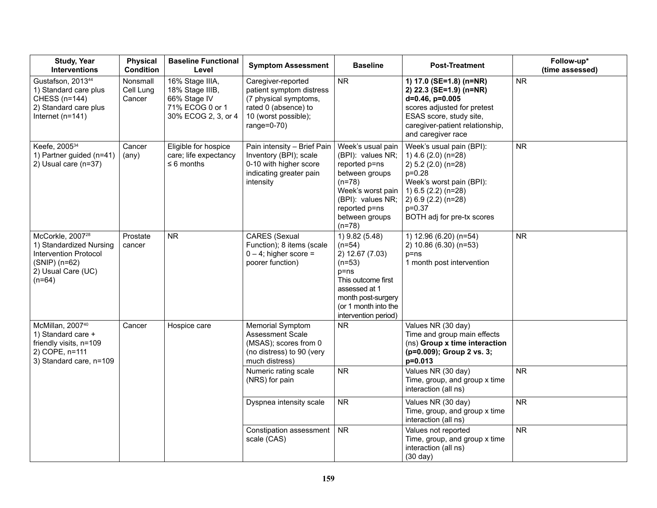| <b>Study, Year</b><br><b>Interventions</b>                                                                                                   | <b>Physical</b><br><b>Condition</b> | <b>Baseline Functional</b><br>Level                                                          | <b>Symptom Assessment</b>                                                                                                                  | <b>Baseline</b>                                                                                                                                                                    | <b>Post-Treatment</b>                                                                                                                                                                                    | Follow-up*<br>(time assessed) |
|----------------------------------------------------------------------------------------------------------------------------------------------|-------------------------------------|----------------------------------------------------------------------------------------------|--------------------------------------------------------------------------------------------------------------------------------------------|------------------------------------------------------------------------------------------------------------------------------------------------------------------------------------|----------------------------------------------------------------------------------------------------------------------------------------------------------------------------------------------------------|-------------------------------|
| Gustafson, 201344<br>1) Standard care plus<br><b>CHESS (n=144)</b><br>2) Standard care plus<br>Internet $(n=141)$                            | Nonsmall<br>Cell Lung<br>Cancer     | 16% Stage IIIA,<br>18% Stage IIIB,<br>66% Stage IV<br>71% ECOG 0 or 1<br>30% ECOG 2, 3, or 4 | Caregiver-reported<br>patient symptom distress<br>(7 physical symptoms,<br>rated 0 (absence) to<br>10 (worst possible);<br>range= $0-70$ ) | <b>NR</b>                                                                                                                                                                          | 1) 17.0 (SE=1.8) (n=NR)<br>2) 22.3 (SE=1.9) (n=NR)<br>d=0.46, p=0.005<br>scores adjusted for pretest<br>ESAS score, study site,<br>caregiver-patient relationship,<br>and caregiver race                 | <b>NR</b>                     |
| Keefe, 2005 <sup>34</sup><br>1) Partner guided (n=41)<br>2) Usual care (n=37)                                                                | Cancer<br>$(\text{any})$            | Eligible for hospice<br>care; life expectancy<br>$\leq 6$ months                             | Pain intensity - Brief Pain<br>Inventory (BPI); scale<br>0-10 with higher score<br>indicating greater pain<br>intensity                    | Week's usual pain<br>(BPI): values NR;<br>reported p=ns<br>between groups<br>$(n=78)$<br>Week's worst pain<br>(BPI): values NR;<br>reported p=ns<br>between groups<br>$(n=78)$     | Week's usual pain (BPI):<br>1) 4.6 (2.0) (n=28)<br>2) 5.2 (2.0) (n=28)<br>$p=0.28$<br>Week's worst pain (BPI):<br>1) 6.5 (2.2) (n=28)<br>2) 6.9 (2.2) (n=28)<br>$p = 0.37$<br>BOTH adj for pre-tx scores | ${\sf NR}$                    |
| McCorkle, 2007 <sup>28</sup><br>1) Standardized Nursing<br><b>Intervention Protocol</b><br>$(SNIP)$ (n=62)<br>2) Usual Care (UC)<br>$(n=64)$ | Prostate<br>cancer                  | <b>NR</b>                                                                                    | <b>CARES</b> (Sexual<br>Function); 8 items (scale<br>$0 - 4$ ; higher score =<br>poorer function)                                          | 1) 9.82 (5.48)<br>$(n=54)$<br>2) 12.67 (7.03)<br>$(n=53)$<br>$p = ns$<br>This outcome first<br>assessed at 1<br>month post-surgery<br>(or 1 month into the<br>intervention period) | 1) 12.96 (6.20) (n=54)<br>2) 10.86 (6.30) (n=53)<br>$p = ns$<br>1 month post intervention                                                                                                                | <b>NR</b>                     |
| McMillan, 2007 <sup>40</sup><br>1) Standard care +<br>friendly visits, n=109<br>2) COPE, n=111<br>3) Standard care, n=109                    | Cancer                              | Hospice care                                                                                 | <b>Memorial Symptom</b><br><b>Assessment Scale</b><br>(MSAS); scores from 0<br>(no distress) to 90 (very<br>much distress)                 | NR.                                                                                                                                                                                | Values NR (30 day)<br>Time and group main effects<br>(ns) Group x time interaction<br>(p=0.009); Group 2 vs. 3;<br>p=0.013                                                                               |                               |
|                                                                                                                                              |                                     |                                                                                              | Numeric rating scale<br>(NRS) for pain                                                                                                     | <b>NR</b>                                                                                                                                                                          | Values NR (30 day)<br>Time, group, and group x time<br>interaction (all ns)                                                                                                                              | <b>NR</b>                     |
|                                                                                                                                              |                                     |                                                                                              | Dyspnea intensity scale                                                                                                                    | <b>NR</b>                                                                                                                                                                          | Values NR (30 day)<br>Time, group, and group x time<br>interaction (all ns)                                                                                                                              | <b>NR</b>                     |
|                                                                                                                                              |                                     |                                                                                              | Constipation assessment<br>scale (CAS)                                                                                                     | <b>NR</b>                                                                                                                                                                          | Values not reported<br>Time, group, and group x time<br>interaction (all ns)<br>$(30 \text{ day})$                                                                                                       | <b>NR</b>                     |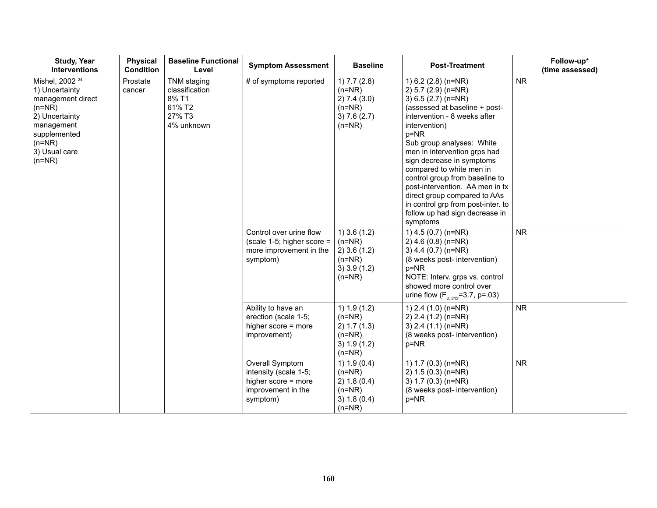| <b>Study, Year</b><br><b>Interventions</b>                                                                                                                             | <b>Physical</b><br><b>Condition</b> | <b>Baseline Functional</b><br>Level                                      | <b>Symptom Assessment</b>                                                                         | <b>Baseline</b>                                                                        | <b>Post-Treatment</b>                                                                                                                                                                                                                                                                                                                                                                                                                                                          | Follow-up*<br>(time assessed) |
|------------------------------------------------------------------------------------------------------------------------------------------------------------------------|-------------------------------------|--------------------------------------------------------------------------|---------------------------------------------------------------------------------------------------|----------------------------------------------------------------------------------------|--------------------------------------------------------------------------------------------------------------------------------------------------------------------------------------------------------------------------------------------------------------------------------------------------------------------------------------------------------------------------------------------------------------------------------------------------------------------------------|-------------------------------|
| Mishel, 2002 <sup>24</sup><br>1) Uncertainty<br>management direct<br>$(n=NR)$<br>2) Uncertainty<br>management<br>supplemented<br>$(n=NR)$<br>3) Usual care<br>$(n=NR)$ | Prostate<br>cancer                  | TNM staging<br>classification<br>8% T1<br>61% T2<br>27% T3<br>4% unknown | # of symptoms reported                                                                            | 1) 7.7 (2.8)<br>$(n=NR)$<br>2) 7.4 (3.0)<br>$(n=NR)$<br>3) 7.6 (2.7)<br>$(n=NR)$       | 1) 6.2 (2.8) (n=NR)<br>2) 5.7 (2.9) (n=NR)<br>3) 6.5 (2.7) (n=NR)<br>(assessed at baseline + post-<br>intervention - 8 weeks after<br>intervention)<br>$p = NR$<br>Sub group analyses: White<br>men in intervention grps had<br>sign decrease in symptoms<br>compared to white men in<br>control group from baseline to<br>post-intervention. AA men in tx<br>direct group compared to AAs<br>in control grp from post-inter. to<br>follow up had sign decrease in<br>symptoms | <b>NR</b>                     |
|                                                                                                                                                                        |                                     |                                                                          | Control over urine flow<br>(scale 1-5; higher score $=$<br>more improvement in the<br>symptom)    | $1)$ 3.6 (1.2)<br>$(n=NR)$<br>$2)$ 3.6 (1.2)<br>$(n=NR)$<br>$3)$ 3.9 (1.2)<br>$(n=NR)$ | 1) 4.5 (0.7) (n=NR)<br>$2)$ 4.6 (0.8) (n=NR)<br>3) 4.4 (0.7) (n=NR)<br>(8 weeks post- intervention)<br>$p = NR$<br>NOTE: Interv. grps vs. control<br>showed more control over<br>urine flow $(F_{2,212} = 3.7, p = .03)$                                                                                                                                                                                                                                                       | <b>NR</b>                     |
|                                                                                                                                                                        |                                     |                                                                          | Ability to have an<br>erection (scale 1-5;<br>higher score = more<br>improvement)                 | 1) 1.9 (1.2)<br>$(n=NR)$<br>2) 1.7 (1.3)<br>$(n=NR)$<br>3) 1.9 (1.2)<br>$(n=NR)$       | 1) 2.4 (1.0) (n=NR)<br>2) 2.4 (1.2) (n=NR)<br>3) $2.4$ (1.1) (n=NR)<br>(8 weeks post- intervention)<br>p=NR                                                                                                                                                                                                                                                                                                                                                                    | <b>NR</b>                     |
|                                                                                                                                                                        |                                     |                                                                          | Overall Symptom<br>intensity (scale 1-5;<br>higher score = more<br>improvement in the<br>symptom) | 1) $1.9(0.4)$<br>$(n=NR)$<br>2) 1.8 (0.4)<br>$(n=NR)$<br>3) 1.8 (0.4)<br>$(n=NR)$      | 1) 1.7 (0.3) (n=NR)<br>2) 1.5 (0.3) (n=NR)<br>3) 1.7 (0.3) (n=NR)<br>(8 weeks post- intervention)<br>p=NR                                                                                                                                                                                                                                                                                                                                                                      | ${\sf NR}$                    |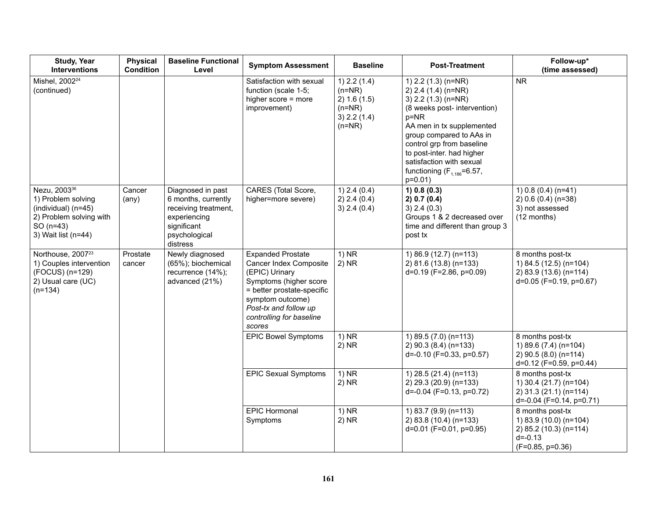| <b>Study, Year</b><br><b>Interventions</b>                                                                                              | <b>Physical</b><br><b>Condition</b> | <b>Baseline Functional</b><br>Level                                                                                          | <b>Symptom Assessment</b>                                                                                                                                                                                       | <b>Baseline</b>                                                                      | <b>Post-Treatment</b>                                                                                                                                                                                                                                                                                                | Follow-up*<br>(time assessed)                                                                             |
|-----------------------------------------------------------------------------------------------------------------------------------------|-------------------------------------|------------------------------------------------------------------------------------------------------------------------------|-----------------------------------------------------------------------------------------------------------------------------------------------------------------------------------------------------------------|--------------------------------------------------------------------------------------|----------------------------------------------------------------------------------------------------------------------------------------------------------------------------------------------------------------------------------------------------------------------------------------------------------------------|-----------------------------------------------------------------------------------------------------------|
| Mishel, 2002 <sup>24</sup><br>(continued)                                                                                               |                                     |                                                                                                                              | Satisfaction with sexual<br>function (scale 1-5;<br>higher score = more<br>improvement)                                                                                                                         | $1)$ 2.2 (1.4)<br>$(n=NR)$<br>2) 1.6 (1.5)<br>$(n=NR)$<br>$3)$ 2.2 (1.4)<br>$(n=NR)$ | 1) $2.2$ (1.3) (n=NR)<br>2) $2.4$ (1.4) (n=NR)<br>3) 2.2 (1.3) (n=NR)<br>(8 weeks post- intervention)<br>$p = NR$<br>AA men in tx supplemented<br>group compared to AAs in<br>control grp from baseline<br>to post-inter. had higher<br>satisfaction with sexual<br>functioning $(F_{1.186} = 6.57)$ ,<br>$p=0.01$ ) | <b>NR</b>                                                                                                 |
| Nezu, 2003 <sup>36</sup><br>1) Problem solving<br>$(individual)$ (n=45)<br>2) Problem solving with<br>$SO(n=43)$<br>3) Wait list (n=44) | Cancer<br>$(\text{any})$            | Diagnosed in past<br>6 months, currently<br>receiving treatment,<br>experiencing<br>significant<br>psychological<br>distress | CARES (Total Score,<br>higher=more severe)                                                                                                                                                                      | $1)$ 2.4 (0.4)<br>2) 2.4 (0.4)<br>3) 2.4 (0.4)                                       | 1) 0.8 (0.3)<br>2) 0.7 (0.4)<br>$3)$ 2.4 (0.3)<br>Groups 1 & 2 decreased over<br>time and different than group 3<br>post tx                                                                                                                                                                                          | 1) $0.8(0.4)(n=41)$<br>$2) 0.6 (0.4) (n=38)$<br>3) not assessed<br>(12 months)                            |
| Northouse, 2007 <sup>23</sup><br>1) Couples intervention<br>(FOCUS) (n=129)<br>2) Usual care (UC)<br>$(n=134)$                          | Prostate<br>cancer                  | Newly diagnosed<br>(65%); biochemical<br>recurrence (14%);<br>advanced (21%)                                                 | <b>Expanded Prostate</b><br>Cancer Index Composite<br>(EPIC) Urinary<br>Symptoms (higher score<br>= better prostate-specific<br>symptom outcome)<br>Post-tx and follow up<br>controlling for baseline<br>scores | $1)$ NR<br>$2)$ NR                                                                   | 1) 86.9 (12.7) (n=113)<br>2) 81.6 (13.8) (n=133)<br>d=0.19 (F=2.86, p=0.09)                                                                                                                                                                                                                                          | 8 months post-tx<br>1) 84.5 (12.5) (n=104)<br>2) 83.9 (13.6) (n=114)<br>d=0.05 (F=0.19, p=0.67)           |
|                                                                                                                                         |                                     |                                                                                                                              | <b>EPIC Bowel Symptoms</b>                                                                                                                                                                                      | $1)$ NR<br>$2)$ NR                                                                   | 1) 89.5 (7.0) (n=113)<br>2) 90.3 (8.4) (n=133)<br>$d=-0.10$ (F=0.33, p=0.57)                                                                                                                                                                                                                                         | 8 months post-tx<br>1) 89.6 (7.4) (n=104)<br>2) 90.5 (8.0) (n=114)<br>d=0.12 (F=0.59, p=0.44)             |
|                                                                                                                                         |                                     |                                                                                                                              | <b>EPIC Sexual Symptoms</b>                                                                                                                                                                                     | $1)$ NR<br>$2)$ NR                                                                   | 1) 28.5 (21.4) (n=113)<br>2) 29.3 (20.9) (n=133)<br>$d = -0.04$ (F=0.13, p=0.72)                                                                                                                                                                                                                                     | 8 months post-tx<br>1) 30.4 (21.7) (n=104)<br>2) 31.3 (21.1) (n=114)<br>$d=-0.04$ (F=0.14, p=0.71)        |
|                                                                                                                                         |                                     |                                                                                                                              | <b>EPIC Hormonal</b><br>Symptoms                                                                                                                                                                                | 1) NR<br>$2)$ NR                                                                     | 1) 83.7 (9.9) (n=113)<br>2) 83.8 (10.4) (n=133)<br>d=0.01 (F=0.01, p=0.95)                                                                                                                                                                                                                                           | 8 months post-tx<br>1) 83.9 (10.0) (n=104)<br>2) 85.2 (10.3) (n=114)<br>$d = -0.13$<br>$(F=0.85, p=0.36)$ |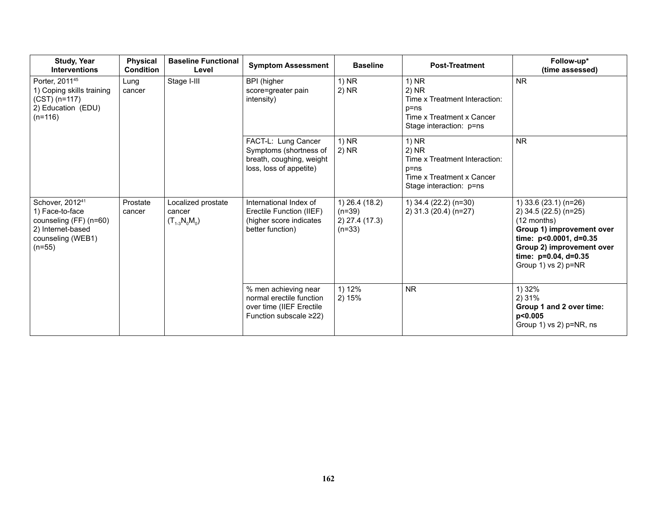| <b>Study, Year</b><br><b>Interventions</b>                                                                                     | <b>Physical</b><br><b>Condition</b> | <b>Baseline Functional</b><br>Level               | <b>Symptom Assessment</b>                                                                                    | <b>Baseline</b>                                          | <b>Post-Treatment</b>                                                                                                 | Follow-up*<br>(time assessed)                                                                                                                                                                      |
|--------------------------------------------------------------------------------------------------------------------------------|-------------------------------------|---------------------------------------------------|--------------------------------------------------------------------------------------------------------------|----------------------------------------------------------|-----------------------------------------------------------------------------------------------------------------------|----------------------------------------------------------------------------------------------------------------------------------------------------------------------------------------------------|
| Porter, 2011 <sup>45</sup><br>1) Coping skills training<br>$(CST)$ (n=117)<br>2) Education (EDU)<br>$(n=116)$                  | Lung<br>cancer                      | Stage I-III                                       | <b>BPI</b> (higher<br>score=greater pain<br>intensity)                                                       | 1) NR<br>$2)$ NR                                         | $1)$ NR<br>2) NR<br>Time x Treatment Interaction:<br>$p = ns$<br>Time x Treatment x Cancer<br>Stage interaction: p=ns | <b>NR</b>                                                                                                                                                                                          |
|                                                                                                                                |                                     |                                                   | FACT-L: Lung Cancer<br>Symptoms (shortness of<br>breath, coughing, weight<br>loss, loss of appetite)         | $1)$ NR<br>$2)$ NR                                       | 1) NR<br>2) NR<br>Time x Treatment Interaction:<br>$p = ns$<br>Time x Treatment x Cancer<br>Stage interaction: p=ns   | <b>NR</b>                                                                                                                                                                                          |
| Schover, 2012 <sup>41</sup><br>1) Face-to-face<br>counseling (FF) (n=60)<br>2) Internet-based<br>counseling (WEB1)<br>$(n=55)$ | Prostate<br>cancer                  | Localized prostate<br>cancer<br>$(T_{1-3}N_0M_0)$ | International Index of<br>Erectile Function (IIEF)<br>(higher score indicates<br>better function)            | 1) 26.4 (18.2)<br>$(n=39)$<br>2) 27.4 (17.3)<br>$(n=33)$ | 1) 34.4 (22.2) (n=30)<br>2) 31.3 (20.4) (n=27)                                                                        | 1) 33.6 (23.1) (n=26)<br>2) 34.5 (22.5) (n=25)<br>$(12$ months)<br>Group 1) improvement over<br>time: p<0.0001, d=0.35<br>Group 2) improvement over<br>time: p=0.04, d=0.35<br>Group 1) vs 2) p=NR |
|                                                                                                                                |                                     |                                                   | % men achieving near<br>normal erectile function<br>over time (IIEF Erectile<br>Function subscale $\geq$ 22) | 1) 12%<br>2)15%                                          | <b>NR</b>                                                                                                             | 1) 32%<br>2) 31%<br>Group 1 and 2 over time:<br>p<0.005<br>Group 1) vs 2) $p=NR$ , ns                                                                                                              |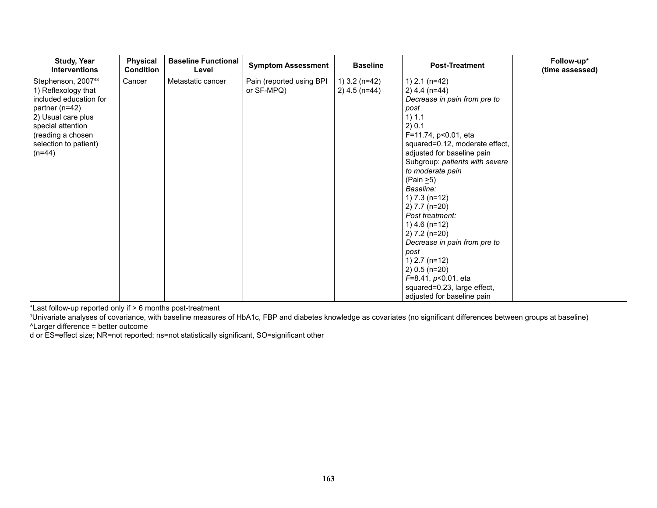| Study, Year<br><b>Interventions</b>                                                                                                                                                                    | Physical<br><b>Condition</b> | <b>Baseline Functional</b><br>Level | <b>Symptom Assessment</b>              | <b>Baseline</b>                    | <b>Post-Treatment</b>                                                                                                                                                                                                                                                                                                                                                                                                                                                                                                                            | Follow-up*<br>(time assessed) |
|--------------------------------------------------------------------------------------------------------------------------------------------------------------------------------------------------------|------------------------------|-------------------------------------|----------------------------------------|------------------------------------|--------------------------------------------------------------------------------------------------------------------------------------------------------------------------------------------------------------------------------------------------------------------------------------------------------------------------------------------------------------------------------------------------------------------------------------------------------------------------------------------------------------------------------------------------|-------------------------------|
| Stephenson, 2007 <sup>48</sup><br>1) Reflexology that<br>included education for<br>partner (n=42)<br>2) Usual care plus<br>special attention<br>(reading a chosen<br>selection to patient)<br>$(n=44)$ | Cancer                       | Metastatic cancer                   | Pain (reported using BPI<br>or SF-MPQ) | 1) $3.2$ (n=42)<br>$2)$ 4.5 (n=44) | 1) $2.1$ (n=42)<br>$2)$ 4.4 (n=44)<br>Decrease in pain from pre to<br>post<br>1) 1.1<br>2) 0.1<br>F=11.74, p<0.01, eta<br>squared=0.12, moderate effect,<br>adjusted for baseline pain<br>Subgroup: patients with severe<br>to moderate pain<br>(Pain $\geq$ 5)<br>Baseline:<br>1) $7.3$ (n=12)<br>$2) 7.7 (n=20)$<br>Post treatment:<br>1) $4.6$ (n=12)<br>$2) 7.2 (n=20)$<br>Decrease in pain from pre to<br>post<br>1) $2.7$ (n=12)<br>$2) 0.5 (n=20)$<br>$F=8.41, p<0.01$ , eta<br>squared=0.23, large effect,<br>adjusted for baseline pain |                               |

\*Last follow-up reported only if > 6 months post-treatment

1 Univariate analyses of covariance, with baseline measures of HbA1c, FBP and diabetes knowledge as covariates (no significant differences between groups at baseline) ^Larger difference = better outcome

d or ES=effect size; NR=not reported; ns=not statistically significant, SO=significant other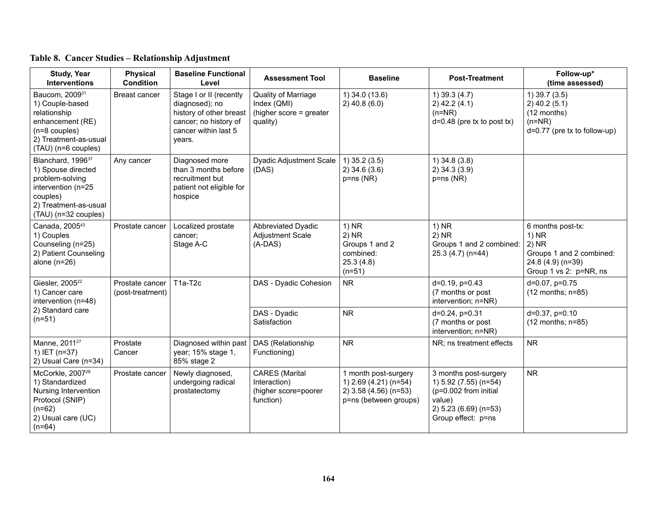| <b>Study, Year</b><br><b>Interventions</b>                                                                                                                | <b>Physical</b><br><b>Condition</b> | <b>Baseline Functional</b><br>Level                                                                                             | <b>Assessment Tool</b>                                                     | <b>Baseline</b>                                                                                 | <b>Post-Treatment</b>                                                                                                            | Follow-up*<br>(time assessed)                                                                                      |
|-----------------------------------------------------------------------------------------------------------------------------------------------------------|-------------------------------------|---------------------------------------------------------------------------------------------------------------------------------|----------------------------------------------------------------------------|-------------------------------------------------------------------------------------------------|----------------------------------------------------------------------------------------------------------------------------------|--------------------------------------------------------------------------------------------------------------------|
| Baucom, 200931<br>1) Couple-based<br>relationship<br>enhancement (RE)<br>$(n=8$ couples)<br>2) Treatment-as-usual<br>(TAU) (n=6 couples)                  | Breast cancer                       | Stage I or II (recently<br>diagnosed); no<br>history of other breast<br>cancer; no history of<br>cancer within last 5<br>years. | Quality of Marriage<br>Index (QMI)<br>(higher score = greater<br>quality)  | 1) 34.0 (13.6)<br>$2)$ 40.8 (6.0)                                                               | $1)$ 39.3 (4.7)<br>$2)$ 42.2 (4.1)<br>$(n=NR)$<br>$d=0.48$ (pre tx to post tx)                                                   | $1)$ 39.7 (3.5)<br>$2)$ 40.2 (5.1)<br>(12 months)<br>$(n=NR)$<br>$d=0.77$ (pre tx to follow-up)                    |
| Blanchard, 1996 <sup>37</sup><br>1) Spouse directed<br>problem-solving<br>intervention (n=25<br>couples)<br>2) Treatment-as-usual<br>(TAU) (n=32 couples) | Any cancer                          | Diagnosed more<br>than 3 months before<br>recruitment but<br>patient not eligible for<br>hospice                                | <b>Dyadic Adjustment Scale</b><br>(DAS)                                    | $1)$ 35.2 (3.5)<br>$2)$ 34.6 (3.6)<br>$p = ns(NR)$                                              | $1)$ 34.8 (3.8)<br>$2)$ 34.3 (3.9)<br>$p = ns(NR)$                                                                               |                                                                                                                    |
| Canada, 200543<br>1) Couples<br>Counseling (n=25)<br>2) Patient Counseling<br>alone $(n=26)$                                                              | Prostate cancer                     | Localized prostate<br>cancer:<br>Stage A-C                                                                                      | <b>Abbreviated Dyadic</b><br>Adjustment Scale<br>$(A-DAS)$                 | $1)$ NR<br>$2)$ NR<br>Groups 1 and 2<br>combined:<br>25.3(4.8)<br>$(n=51)$                      | $1)$ NR<br>$2)$ NR<br>Groups 1 and 2 combined:<br>25.3 (4.7) (n=44)                                                              | 6 months post-tx:<br>$1)$ NR<br>$2)$ NR<br>Groups 1 and 2 combined:<br>24.8 (4.9) (n=39)<br>Group 1 vs 2: p=NR, ns |
| Giesler, 2005 <sup>22</sup><br>1) Cancer care<br>intervention (n=48)                                                                                      | Prostate cancer<br>(post-treatment) | T1a-T2c                                                                                                                         | DAS - Dyadic Cohesion                                                      | <b>NR</b>                                                                                       | $d=0.19$ , $p=0.43$<br>(7 months or post<br>intervention; n=NR)                                                                  | d=0.07, p=0.75<br>$(12$ months; $n=85$ )                                                                           |
| 2) Standard care<br>$(n=51)$                                                                                                                              |                                     |                                                                                                                                 | DAS - Dyadic<br>Satisfaction                                               | <b>NR</b>                                                                                       | $d=0.24$ , $p=0.31$<br>(7 months or post<br>intervention; n=NR)                                                                  | $d=0.37, p=0.10$<br>$(12$ months; $n=85$ )                                                                         |
| Manne, 2011 <sup>27</sup><br>1) IET (n=37)<br>2) Usual Care (n=34)                                                                                        | Prostate<br>Cancer                  | Diagnosed within past<br>year; 15% stage 1,<br>85% stage 2                                                                      | DAS (Relationship<br>Functioning)                                          | <b>NR</b>                                                                                       | NR; ns treatment effects                                                                                                         | <b>NR</b>                                                                                                          |
| McCorkle, 2007 <sup>28</sup><br>1) Standardized<br>Nursing Intervention<br>Protocol (SNIP)<br>$(n=62)$<br>2) Usual care (UC)<br>$(n=64)$                  | Prostate cancer                     | Newly diagnosed,<br>undergoing radical<br>prostatectomy                                                                         | <b>CARES</b> (Marital<br>Interaction)<br>(higher score=poorer<br>function) | 1 month post-surgery<br>1) 2.69 (4.21) (n=54)<br>2) 3.58 (4.56) (n=53)<br>p=ns (between groups) | 3 months post-surgery<br>1) 5.92 (7.55) (n=54)<br>(p=0.002 from initial<br>value)<br>2) 5.23 (6.69) (n=53)<br>Group effect: p=ns | <b>NR</b>                                                                                                          |

## **Table 8. Cancer Studies – Relationship Adjustment**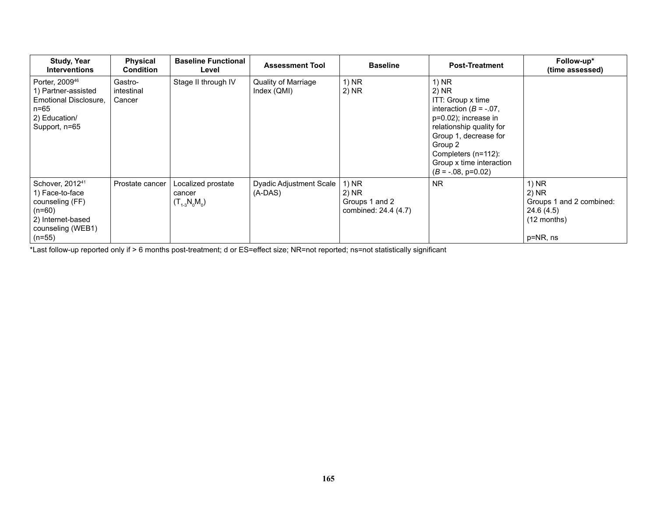| <b>Study, Year</b><br><b>Interventions</b>                                                                                          | <b>Physical</b><br><b>Condition</b> | <b>Baseline Functional</b><br>Level               | <b>Assessment Tool</b>               | <b>Baseline</b>                                          | <b>Post-Treatment</b>                                                                                                                                                                                                               | Follow-up*<br>(time assessed)                                                         |
|-------------------------------------------------------------------------------------------------------------------------------------|-------------------------------------|---------------------------------------------------|--------------------------------------|----------------------------------------------------------|-------------------------------------------------------------------------------------------------------------------------------------------------------------------------------------------------------------------------------------|---------------------------------------------------------------------------------------|
| Porter, 2009 <sup>46</sup><br>1) Partner-assisted<br>Emotional Disclosure.<br>n=65<br>2) Education/<br>Support, n=65                | Gastro-<br>intestinal<br>Cancer     | Stage II through IV                               | Quality of Marriage<br>Index (QMI)   | $1)$ NR<br>$2)$ NR                                       | 1) NR<br>2) NR<br>ITT: Group x time<br>interaction ( $B = -07$ ,<br>p=0.02); increase in<br>relationship quality for<br>Group 1, decrease for<br>Group 2<br>Completers (n=112):<br>Group x time interaction<br>$(B = -.08, p=0.02)$ |                                                                                       |
| Schover, 2012 <sup>41</sup><br>1) Face-to-face<br>counseling (FF)<br>$(n=60)$<br>2) Internet-based<br>counseling (WEB1)<br>$(n=55)$ | Prostate cancer                     | Localized prostate<br>cancer<br>$(T_{1-3}N_0M_0)$ | Dyadic Adjustment Scale<br>$(A-DAS)$ | 1) NR<br>2) NR<br>Groups 1 and 2<br>combined: 24.4 (4.7) | <b>NR</b>                                                                                                                                                                                                                           | 1) NR<br>2) NR<br>Groups 1 and 2 combined:<br>24.6 (4.5)<br>$(12$ months)<br>p=NR, ns |

\*Last follow-up reported only if > 6 months post-treatment; d or ES=effect size; NR=not reported; ns=not statistically significant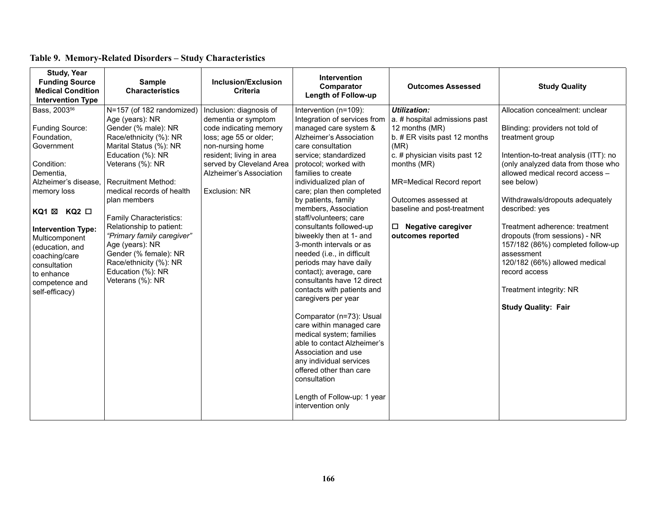| <b>Study, Year</b><br><b>Funding Source</b><br><b>Medical Condition</b><br><b>Intervention Type</b>                                                                                                                                                                                                            | <b>Sample</b><br><b>Characteristics</b>                                                                                                                                                                                                                                                                                                                                                                                                         | Inclusion/Exclusion<br><b>Criteria</b>                                                                                                                                                                                     | <b>Intervention</b><br>Comparator<br><b>Length of Follow-up</b>                                                                                                                                                                                                                                                                                                                                                                                                                                                                                                                                                                                                                                                                                                                                                                                                   | <b>Outcomes Assessed</b>                                                                                                                                                                                                                                                                             | <b>Study Quality</b>                                                                                                                                                                                                                                                                                                                                                                                                                                                                                        |
|----------------------------------------------------------------------------------------------------------------------------------------------------------------------------------------------------------------------------------------------------------------------------------------------------------------|-------------------------------------------------------------------------------------------------------------------------------------------------------------------------------------------------------------------------------------------------------------------------------------------------------------------------------------------------------------------------------------------------------------------------------------------------|----------------------------------------------------------------------------------------------------------------------------------------------------------------------------------------------------------------------------|-------------------------------------------------------------------------------------------------------------------------------------------------------------------------------------------------------------------------------------------------------------------------------------------------------------------------------------------------------------------------------------------------------------------------------------------------------------------------------------------------------------------------------------------------------------------------------------------------------------------------------------------------------------------------------------------------------------------------------------------------------------------------------------------------------------------------------------------------------------------|------------------------------------------------------------------------------------------------------------------------------------------------------------------------------------------------------------------------------------------------------------------------------------------------------|-------------------------------------------------------------------------------------------------------------------------------------------------------------------------------------------------------------------------------------------------------------------------------------------------------------------------------------------------------------------------------------------------------------------------------------------------------------------------------------------------------------|
| Bass, 2003 <sup>56</sup><br>Funding Source:<br>Foundation,<br>Government<br>Condition:<br>Dementia.<br>Alzheimer's disease.<br>memory loss<br>KQ1 ⊠ KQ2 □<br><b>Intervention Type:</b><br>Multicomponent<br>(education, and<br>coaching/care<br>consultation<br>to enhance<br>competence and<br>self-efficacy) | N=157 (of 182 randomized)<br>Age (years): NR<br>Gender (% male): NR<br>Race/ethnicity (%): NR<br>Marital Status (%): NR<br>Education (%): NR<br>Veterans (%): NR<br><b>Recruitment Method:</b><br>medical records of health<br>plan members<br>Family Characteristics:<br>Relationship to patient:<br>"Primary family caregiver"<br>Age (years): NR<br>Gender (% female): NR<br>Race/ethnicity (%): NR<br>Education (%): NR<br>Veterans (%): NR | Inclusion: diagnosis of<br>dementia or symptom<br>code indicating memory<br>loss; age 55 or older;<br>non-nursing home<br>resident; living in area<br>served by Cleveland Area<br>Alzheimer's Association<br>Exclusion: NR | Intervention (n=109):<br>Integration of services from<br>managed care system &<br>Alzheimer's Association<br>care consultation<br>service; standardized<br>protocol; worked with<br>families to create<br>individualized plan of<br>care; plan then completed<br>by patients, family<br>members, Association<br>staff/volunteers; care<br>consultants followed-up<br>biweekly then at 1- and<br>3-month intervals or as<br>needed (i.e., in difficult<br>periods may have daily<br>contact); average, care<br>consultants have 12 direct<br>contacts with patients and<br>caregivers per year<br>Comparator (n=73): Usual<br>care within managed care<br>medical system; families<br>able to contact Alzheimer's<br>Association and use<br>any individual services<br>offered other than care<br>consultation<br>Length of Follow-up: 1 year<br>intervention only | <b>Utilization:</b><br>a. # hospital admissions past<br>12 months (MR)<br>b. # ER visits past 12 months<br>(MR)<br>c. # physician visits past 12<br>months (MR)<br>MR=Medical Record report<br>Outcomes assessed at<br>baseline and post-treatment<br>$\Box$ Negative caregiver<br>outcomes reported | Allocation concealment: unclear<br>Blinding: providers not told of<br>treatment group<br>Intention-to-treat analysis (ITT): no<br>(only analyzed data from those who<br>allowed medical record access -<br>see below)<br>Withdrawals/dropouts adequately<br>described: yes<br>Treatment adherence: treatment<br>dropouts (from sessions) - NR<br>157/182 (86%) completed follow-up<br>assessment<br>120/182 (66%) allowed medical<br>record access<br>Treatment integrity: NR<br><b>Study Quality: Fair</b> |

## **Table 9. Memory-Related Disorders – Study Characteristics**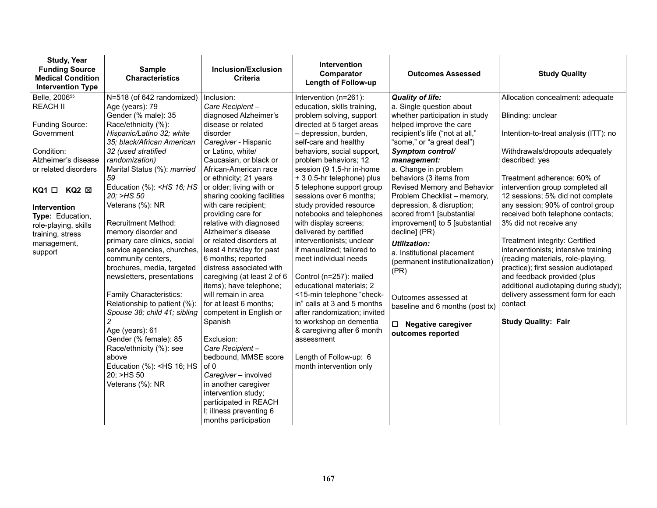| <b>Study, Year</b><br><b>Funding Source</b><br><b>Medical Condition</b><br><b>Intervention Type</b> | <b>Sample</b><br><b>Characteristics</b>                                                                                                                                                      | Inclusion/Exclusion<br><b>Criteria</b>                 | <b>Intervention</b><br>Comparator<br><b>Length of Follow-up</b> | <b>Outcomes Assessed</b>         | <b>Study Quality</b>                                                       |
|-----------------------------------------------------------------------------------------------------|----------------------------------------------------------------------------------------------------------------------------------------------------------------------------------------------|--------------------------------------------------------|-----------------------------------------------------------------|----------------------------------|----------------------------------------------------------------------------|
| Belle, 2006 <sup>55</sup>                                                                           | N=518 (of 642 randomized)                                                                                                                                                                    | Inclusion:                                             | Intervention (n=261):                                           | <b>Quality of life:</b>          | Allocation concealment: adequate                                           |
| <b>REACH II</b>                                                                                     | Age (years): 79                                                                                                                                                                              | Care Recipient-                                        | education, skills training,                                     | a. Single question about         |                                                                            |
|                                                                                                     | Gender (% male): 35                                                                                                                                                                          | diagnosed Alzheimer's                                  | problem solving, support                                        | whether participation in study   | Blinding: unclear                                                          |
| Funding Source:                                                                                     | Race/ethnicity (%):                                                                                                                                                                          | disease or related                                     | directed at 5 target areas                                      | helped improve the care          |                                                                            |
| Government                                                                                          | Hispanic/Latino 32; white                                                                                                                                                                    | disorder                                               | - depression, burden,                                           | recipient's life ("not at all,"  | Intention-to-treat analysis (ITT): no                                      |
|                                                                                                     | 35; black/African American                                                                                                                                                                   | Caregiver - Hispanic                                   | self-care and healthy                                           | "some," or "a great deal")       |                                                                            |
| Condition:                                                                                          | 32 (used stratified                                                                                                                                                                          | or Latino, white/                                      | behaviors, social support,                                      | Symptom control/                 | Withdrawals/dropouts adequately                                            |
| Alzheimer's disease                                                                                 | randomization)                                                                                                                                                                               | Caucasian, or black or                                 | problem behaviors; 12                                           | management:                      | described: yes                                                             |
| or related disorders                                                                                | Marital Status (%): married                                                                                                                                                                  | African-American race                                  | session (9 1.5-hr in-home                                       | a. Change in problem             |                                                                            |
|                                                                                                     | 59                                                                                                                                                                                           | or ethnicity; 21 years                                 | + 3 0.5-hr telephone) plus                                      | behaviors (3 items from          | Treatment adherence: 60% of                                                |
| $KQ1 \Box KQ2 \boxtimes$                                                                            | Education (%): <hs 16;="" hs<="" td=""><td>or older; living with or</td><td>5 telephone support group</td><td>Revised Memory and Behavior</td><td>intervention group completed all</td></hs> | or older; living with or                               | 5 telephone support group                                       | Revised Memory and Behavior      | intervention group completed all                                           |
|                                                                                                     | 20; >HS 50                                                                                                                                                                                   | sharing cooking facilities                             | sessions over 6 months;                                         | Problem Checklist - memory,      | 12 sessions; 5% did not complete                                           |
| Intervention                                                                                        | Veterans (%): NR                                                                                                                                                                             | with care recipient;                                   | study provided resource                                         | depression, & disruption;        | any session; 90% of control group                                          |
| Type: Education,                                                                                    |                                                                                                                                                                                              | providing care for                                     | notebooks and telephones                                        | scored from1 [substantial        | received both telephone contacts;                                          |
| role-playing, skills                                                                                | <b>Recruitment Method:</b>                                                                                                                                                                   | relative with diagnosed                                | with display screens;                                           | improvement] to 5 [substantial   | 3% did not receive any                                                     |
| training, stress                                                                                    | memory disorder and                                                                                                                                                                          | Alzheimer's disease                                    | delivered by certified                                          | decline] (PR)                    |                                                                            |
| management,                                                                                         | primary care clinics, social                                                                                                                                                                 | or related disorders at                                | interventionists; unclear                                       | <b>Utilization:</b>              | Treatment integrity: Certified                                             |
| support                                                                                             | service agencies, churches,                                                                                                                                                                  | least 4 hrs/day for past                               | if manualized; tailored to                                      | a. Institutional placement       | interventionists; intensive training                                       |
|                                                                                                     | community centers,                                                                                                                                                                           | 6 months; reported                                     | meet individual needs                                           | (permanent institutionalization) | (reading materials, role-playing,                                          |
|                                                                                                     | brochures, media, targeted                                                                                                                                                                   | distress associated with                               |                                                                 | (PR)                             | practice); first session audiotaped                                        |
|                                                                                                     | newsletters, presentations                                                                                                                                                                   | caregiving (at least 2 of 6<br>items); have telephone; | Control (n=257): mailed<br>educational materials; 2             |                                  | and feedback provided (plus                                                |
|                                                                                                     | Family Characteristics:                                                                                                                                                                      | will remain in area                                    | <15-min telephone "check-                                       |                                  | additional audiotaping during study);<br>delivery assessment form for each |
|                                                                                                     | Relationship to patient (%):                                                                                                                                                                 | for at least 6 months;                                 | in" calls at 3 and 5 months                                     | Outcomes assessed at             | contact                                                                    |
|                                                                                                     | Spouse 38; child 41; sibling                                                                                                                                                                 | competent in English or                                | after randomization; invited                                    | baseline and 6 months (post tx)  |                                                                            |
|                                                                                                     | $\overline{c}$                                                                                                                                                                               | Spanish                                                | to workshop on dementia                                         |                                  | <b>Study Quality: Fair</b>                                                 |
|                                                                                                     | Age (years): 61                                                                                                                                                                              |                                                        | & caregiving after 6 month                                      | <b>Negative caregiver</b><br>□   |                                                                            |
|                                                                                                     | Gender (% female): 85                                                                                                                                                                        | Exclusion:                                             | assessment                                                      | outcomes reported                |                                                                            |
|                                                                                                     | Race/ethnicity (%): see                                                                                                                                                                      | Care Recipient-                                        |                                                                 |                                  |                                                                            |
|                                                                                                     | above                                                                                                                                                                                        | bedbound, MMSE score                                   | Length of Follow-up: 6                                          |                                  |                                                                            |
|                                                                                                     | Education (%): <hs 16;="" hs<="" td=""><td>of 0</td><td>month intervention only</td><td></td><td></td></hs>                                                                                  | of 0                                                   | month intervention only                                         |                                  |                                                                            |
|                                                                                                     | 20: >HS 50                                                                                                                                                                                   | Caregiver - involved                                   |                                                                 |                                  |                                                                            |
|                                                                                                     | Veterans (%): NR                                                                                                                                                                             | in another caregiver                                   |                                                                 |                                  |                                                                            |
|                                                                                                     |                                                                                                                                                                                              | intervention study;                                    |                                                                 |                                  |                                                                            |
|                                                                                                     |                                                                                                                                                                                              | participated in REACH                                  |                                                                 |                                  |                                                                            |
|                                                                                                     |                                                                                                                                                                                              | I; illness preventing 6                                |                                                                 |                                  |                                                                            |
|                                                                                                     |                                                                                                                                                                                              | months participation                                   |                                                                 |                                  |                                                                            |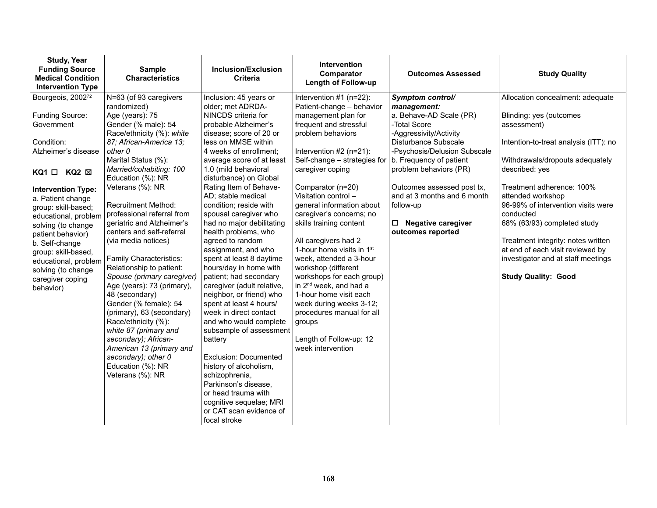| <b>Study, Year</b><br><b>Funding Source</b><br><b>Medical Condition</b><br><b>Intervention Type</b>                                                                                                                                                                                                                                                                                                 | <b>Sample</b><br><b>Characteristics</b>                                                                                                                                                                                                                                                                                                                                                                                                                                                                                                                                                                                                                                                                                                                          | <b>Inclusion/Exclusion</b><br><b>Criteria</b>                                                                                                                                                                                                                                                                                                                                                                                                                                                                                                                                                                                                                                                                                                                                                                                                                                                     | <b>Intervention</b><br>Comparator<br><b>Length of Follow-up</b>                                                                                                                                                                                                                                                                                                                                                                                                                                                                                                                                                                                                                | <b>Outcomes Assessed</b>                                                                                                                                                                                                                                                                                                                           | <b>Study Quality</b>                                                                                                                                                                                                                                                                                                                                                                                                                                       |
|-----------------------------------------------------------------------------------------------------------------------------------------------------------------------------------------------------------------------------------------------------------------------------------------------------------------------------------------------------------------------------------------------------|------------------------------------------------------------------------------------------------------------------------------------------------------------------------------------------------------------------------------------------------------------------------------------------------------------------------------------------------------------------------------------------------------------------------------------------------------------------------------------------------------------------------------------------------------------------------------------------------------------------------------------------------------------------------------------------------------------------------------------------------------------------|---------------------------------------------------------------------------------------------------------------------------------------------------------------------------------------------------------------------------------------------------------------------------------------------------------------------------------------------------------------------------------------------------------------------------------------------------------------------------------------------------------------------------------------------------------------------------------------------------------------------------------------------------------------------------------------------------------------------------------------------------------------------------------------------------------------------------------------------------------------------------------------------------|--------------------------------------------------------------------------------------------------------------------------------------------------------------------------------------------------------------------------------------------------------------------------------------------------------------------------------------------------------------------------------------------------------------------------------------------------------------------------------------------------------------------------------------------------------------------------------------------------------------------------------------------------------------------------------|----------------------------------------------------------------------------------------------------------------------------------------------------------------------------------------------------------------------------------------------------------------------------------------------------------------------------------------------------|------------------------------------------------------------------------------------------------------------------------------------------------------------------------------------------------------------------------------------------------------------------------------------------------------------------------------------------------------------------------------------------------------------------------------------------------------------|
| Bourgeois, 2002 <sup>72</sup><br>Funding Source:<br>Government<br>Condition:<br>Alzheimer's disease<br>$KQ1 \Box KQ2 \boxtimes$<br><b>Intervention Type:</b><br>a. Patient change<br>group: skill-based;<br>educational, problem<br>solving (to change<br>patient behavior)<br>b. Self-change<br>group: skill-based,<br>educational, problem<br>solving (to change<br>caregiver coping<br>behavior) | N=63 (of 93 caregivers<br>randomized)<br>Age (years): 75<br>Gender (% male): 54<br>Race/ethnicity (%): white<br>87: African-America 13:<br>other 0<br>Marital Status (%):<br>Married/cohabiting: 100<br>Education (%): NR<br>Veterans (%): NR<br><b>Recruitment Method:</b><br>professional referral from<br>geriatric and Alzheimer's<br>centers and self-referral<br>(via media notices)<br><b>Family Characteristics:</b><br>Relationship to patient:<br>Spouse (primary caregiver)<br>Age (years): 73 (primary),<br>48 (secondary)<br>Gender (% female): 54<br>(primary), 63 (secondary)<br>Race/ethnicity (%):<br>white 87 (primary and<br>secondary); African-<br>American 13 (primary and<br>secondary); other 0<br>Education (%): NR<br>Veterans (%): NR | Inclusion: 45 years or<br>older; met ADRDA-<br>NINCDS criteria for<br>probable Alzheimer's<br>disease; score of 20 or<br>less on MMSE within<br>4 weeks of enrollment:<br>average score of at least<br>1.0 (mild behavioral<br>disturbance) on Global<br>Rating Item of Behave-<br>AD; stable medical<br>condition; reside with<br>spousal caregiver who<br>had no major debilitating<br>health problems, who<br>agreed to random<br>assignment, and who<br>spent at least 8 daytime<br>hours/day in home with<br>patient; had secondary<br>caregiver (adult relative,<br>neighbor, or friend) who<br>spent at least 4 hours/<br>week in direct contact<br>and who would complete<br>subsample of assessment<br>battery<br>Exclusion: Documented<br>history of alcoholism,<br>schizophrenia,<br>Parkinson's disease,<br>or head trauma with<br>cognitive sequelae; MRI<br>or CAT scan evidence of | Intervention #1 (n=22):<br>Patient-change - behavior<br>management plan for<br>frequent and stressful<br>problem behaviors<br>Intervention $#2$ (n=21):<br>Self-change - strategies for<br>caregiver coping<br>Comparator (n=20)<br>Visitation control -<br>general information about<br>caregiver's concerns; no<br>skills training content<br>All caregivers had 2<br>1-hour home visits in 1 <sup>st</sup><br>week, attended a 3-hour<br>workshop (different<br>workshops for each group)<br>in 2 <sup>nd</sup> week, and had a<br>1-hour home visit each<br>week during weeks 3-12;<br>procedures manual for all<br>groups<br>Length of Follow-up: 12<br>week intervention | Symptom control/<br>management:<br>a. Behave-AD Scale (PR)<br>-Total Score<br>-Aggressivity/Activity<br>Disturbance Subscale<br>-Psychosis/Delusion Subscale<br>b. Frequency of patient<br>problem behaviors (PR)<br>Outcomes assessed post tx,<br>and at 3 months and 6 month<br>follow-up<br><b>Negative caregiver</b><br>□<br>outcomes reported | Allocation concealment: adequate<br>Blinding: yes (outcomes<br>assessment)<br>Intention-to-treat analysis (ITT): no<br>Withdrawals/dropouts adequately<br>described: yes<br>Treatment adherence: 100%<br>attended workshop<br>96-99% of intervention visits were<br>conducted<br>68% (63/93) completed study<br>Treatment integrity: notes written<br>at end of each visit reviewed by<br>investigator and at staff meetings<br><b>Study Quality: Good</b> |
|                                                                                                                                                                                                                                                                                                                                                                                                     |                                                                                                                                                                                                                                                                                                                                                                                                                                                                                                                                                                                                                                                                                                                                                                  | focal stroke                                                                                                                                                                                                                                                                                                                                                                                                                                                                                                                                                                                                                                                                                                                                                                                                                                                                                      |                                                                                                                                                                                                                                                                                                                                                                                                                                                                                                                                                                                                                                                                                |                                                                                                                                                                                                                                                                                                                                                    |                                                                                                                                                                                                                                                                                                                                                                                                                                                            |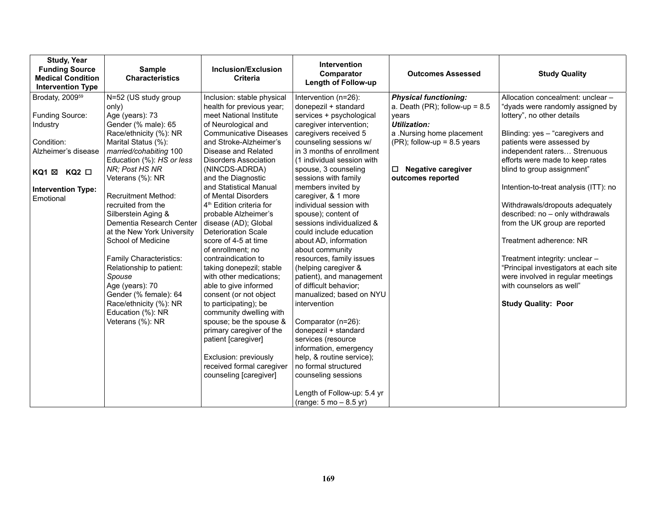| <b>Study, Year</b><br><b>Funding Source</b><br><b>Medical Condition</b><br><b>Intervention Type</b> | <b>Sample</b><br><b>Characteristics</b>          | <b>Inclusion/Exclusion</b><br><b>Criteria</b>                | <b>Intervention</b><br>Comparator<br><b>Length of Follow-up</b> | <b>Outcomes Assessed</b>                                         | <b>Study Quality</b>                                                  |
|-----------------------------------------------------------------------------------------------------|--------------------------------------------------|--------------------------------------------------------------|-----------------------------------------------------------------|------------------------------------------------------------------|-----------------------------------------------------------------------|
| Brodaty, 2009 <sup>59</sup>                                                                         | N=52 (US study group<br>only)                    | Inclusion: stable physical<br>health for previous year;      | Intervention (n=26):<br>donepezil + standard                    | <b>Physical functioning:</b><br>a. Death (PR); follow-up = $8.5$ | Allocation concealment: unclear -<br>"dyads were randomly assigned by |
| Funding Source:<br>Industry                                                                         | Age (years): 73<br>Gender (% male): 65           | meet National Institute<br>of Neurological and               | services + psychological<br>caregiver intervention;             | vears<br><b>Utilization:</b>                                     | lottery", no other details                                            |
|                                                                                                     | Race/ethnicity (%): NR                           | <b>Communicative Diseases</b>                                | caregivers received 5                                           | a .Nursing home placement                                        | Blinding: yes - "caregivers and                                       |
| Condition:<br>Alzheimer's disease                                                                   | Marital Status (%):<br>married/cohabiting 100    | and Stroke-Alzheimer's<br>Disease and Related                | counseling sessions w/<br>in 3 months of enrollment             | $(PR)$ ; follow-up = 8.5 years                                   | patients were assessed by<br>independent raters Strenuous             |
|                                                                                                     | Education (%): HS or less<br>NR; Post HS NR      | <b>Disorders Association</b><br>(NINCDS-ADRDA)               | (1 individual session with<br>spouse, 3 counseling              | <b>Negative caregiver</b><br>□                                   | efforts were made to keep rates<br>blind to group assignment"         |
| KQ1 ⊠ KQ2 □                                                                                         | Veterans (%): NR                                 | and the Diagnostic                                           | sessions with family                                            | outcomes reported                                                |                                                                       |
| <b>Intervention Type:</b><br>Emotional                                                              | <b>Recruitment Method:</b>                       | and Statistical Manual<br>of Mental Disorders                | members invited by<br>caregiver, & 1 more                       |                                                                  | Intention-to-treat analysis (ITT): no                                 |
|                                                                                                     | recruited from the<br>Silberstein Aging &        | 4 <sup>th</sup> Edition criteria for<br>probable Alzheimer's | individual session with<br>spouse); content of                  |                                                                  | Withdrawals/dropouts adequately<br>described: no - only withdrawals   |
|                                                                                                     | Dementia Research Center                         | disease (AD); Global                                         | sessions individualized &                                       |                                                                  | from the UK group are reported                                        |
|                                                                                                     | at the New York University<br>School of Medicine | <b>Deterioration Scale</b><br>score of 4-5 at time           | could include education<br>about AD, information                |                                                                  | Treatment adherence: NR                                               |
|                                                                                                     | Family Characteristics:                          | of enrollment; no<br>contraindication to                     | about community<br>resources, family issues                     |                                                                  | Treatment integrity: unclear -                                        |
|                                                                                                     | Relationship to patient:                         | taking donepezil; stable                                     | (helping caregiver &                                            |                                                                  | "Principal investigators at each site                                 |
|                                                                                                     | Spouse<br>Age (years): 70                        | with other medications:<br>able to give informed             | patient), and management<br>of difficult behavior;              |                                                                  | were involved in regular meetings<br>with counselors as well"         |
|                                                                                                     | Gender (% female): 64<br>Race/ethnicity (%): NR  | consent (or not object<br>to participating); be              | manualized; based on NYU<br>intervention                        |                                                                  | <b>Study Quality: Poor</b>                                            |
|                                                                                                     | Education (%): NR                                | community dwelling with                                      |                                                                 |                                                                  |                                                                       |
|                                                                                                     | Veterans (%): NR                                 | spouse; be the spouse &<br>primary caregiver of the          | Comparator (n=26):<br>donepezil + standard                      |                                                                  |                                                                       |
|                                                                                                     |                                                  | patient [caregiver]                                          | services (resource<br>information, emergency                    |                                                                  |                                                                       |
|                                                                                                     |                                                  | Exclusion: previously                                        | help, & routine service);                                       |                                                                  |                                                                       |
|                                                                                                     |                                                  | received formal caregiver<br>counseling [caregiver]          | no formal structured<br>counseling sessions                     |                                                                  |                                                                       |
|                                                                                                     |                                                  |                                                              | Length of Follow-up: 5.4 yr                                     |                                                                  |                                                                       |
|                                                                                                     |                                                  |                                                              | (range: $5 \text{ mo} - 8.5 \text{ yr}$ )                       |                                                                  |                                                                       |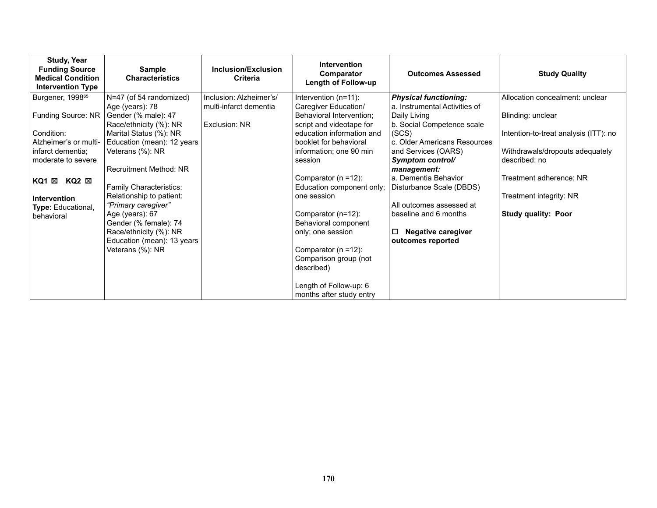| <b>Study, Year</b><br><b>Funding Source</b><br><b>Medical Condition</b><br><b>Intervention Type</b> | <b>Sample</b><br><b>Characteristics</b>                            | Inclusion/Exclusion<br>Criteria | <b>Intervention</b><br>Comparator<br><b>Length of Follow-up</b> | <b>Outcomes Assessed</b>                                | <b>Study Quality</b>                             |
|-----------------------------------------------------------------------------------------------------|--------------------------------------------------------------------|---------------------------------|-----------------------------------------------------------------|---------------------------------------------------------|--------------------------------------------------|
| Burgener, 1998 <sup>65</sup>                                                                        | N=47 (of 54 randomized)                                            | Inclusion: Alzheimer's/         | Intervention (n=11):                                            | <b>Physical functioning:</b>                            | Allocation concealment: unclear                  |
| Funding Source: NR                                                                                  | Age (years): 78<br>Gender (% male): 47                             | multi-infarct dementia          | Caregiver Education/<br>Behavioral Intervention;                | a. Instrumental Activities of<br>Daily Living           | Blinding: unclear                                |
|                                                                                                     | Race/ethnicity (%): NR                                             | Exclusion: NR                   | script and videotape for                                        | b. Social Competence scale                              |                                                  |
| Condition:                                                                                          | Marital Status (%): NR                                             |                                 | education information and                                       | (SCS)                                                   | Intention-to-treat analysis (ITT): no            |
| Alzheimer's or multi-                                                                               | Education (mean): 12 years                                         |                                 | booklet for behavioral                                          | c. Older Americans Resources                            |                                                  |
| infarct dementia;<br>moderate to severe                                                             | Veterans (%): NR                                                   |                                 | information; one 90 min<br>session                              | and Services (OARS)<br>Symptom control/                 | Withdrawals/dropouts adequately<br>described: no |
|                                                                                                     | Recruitment Method: NR                                             |                                 |                                                                 | management:                                             |                                                  |
| KQ1 ⊠<br>KQ2 ⊠                                                                                      |                                                                    |                                 | Comparator ( $n = 12$ ):                                        | a. Dementia Behavior                                    | Treatment adherence: NR                          |
|                                                                                                     | Family Characteristics:                                            |                                 | Education component only;                                       | Disturbance Scale (DBDS)                                |                                                  |
| Intervention                                                                                        | Relationship to patient:<br>"Primary caregiver"                    |                                 | one session                                                     | All outcomes assessed at                                | Treatment integrity: NR                          |
| Type: Educational,<br>behavioral                                                                    | Age (years): 67<br>Gender (% female): 74<br>Race/ethnicity (%): NR |                                 | Comparator (n=12):<br>Behavioral component<br>only; one session | baseline and 6 months<br><b>Negative caregiver</b><br>◻ | <b>Study quality: Poor</b>                       |
|                                                                                                     | Education (mean): 13 years                                         |                                 |                                                                 | outcomes reported                                       |                                                  |
|                                                                                                     | Veterans (%): NR                                                   |                                 | Comparator (n =12):                                             |                                                         |                                                  |
|                                                                                                     |                                                                    |                                 | Comparison group (not<br>described)                             |                                                         |                                                  |
|                                                                                                     |                                                                    |                                 | Length of Follow-up: 6<br>months after study entry              |                                                         |                                                  |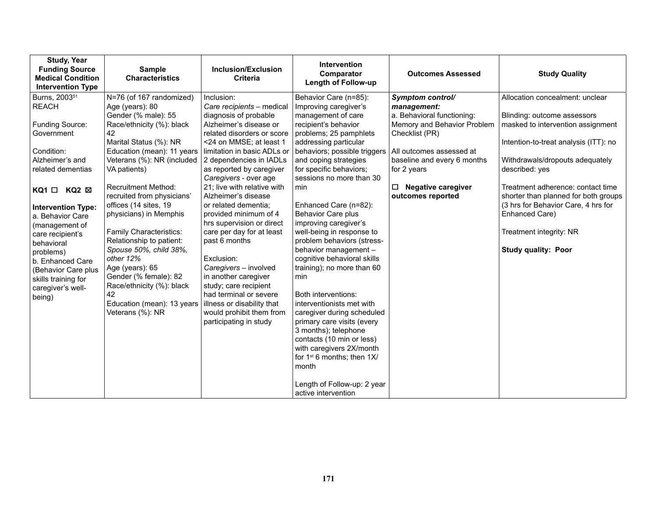| <b>Study, Year</b><br><b>Funding Source</b><br><b>Medical Condition</b><br><b>Intervention Type</b> | <b>Sample</b><br><b>Characteristics</b>          | Inclusion/Exclusion<br><b>Criteria</b>                 | Intervention<br>Comparator<br>Length of Follow-up     | <b>Outcomes Assessed</b>                                  | <b>Study Quality</b>                                             |
|-----------------------------------------------------------------------------------------------------|--------------------------------------------------|--------------------------------------------------------|-------------------------------------------------------|-----------------------------------------------------------|------------------------------------------------------------------|
| Burns, 2003 <sup>51</sup>                                                                           | N=76 (of 167 randomized)                         | Inclusion:                                             | Behavior Care (n=85):                                 | Symptom control/                                          | Allocation concealment: unclear                                  |
| <b>REACH</b>                                                                                        | Age (years): 80                                  | Care recipients - medical                              | Improving caregiver's                                 | management:                                               |                                                                  |
| Funding Source:                                                                                     | Gender (% male): 55<br>Race/ethnicity (%): black | diagnosis of probable<br>Alzheimer's disease or        | management of care<br>recipient's behavior            | a. Behavioral functioning:<br>Memory and Behavior Problem | Blinding: outcome assessors<br>masked to intervention assignment |
| Government                                                                                          | 42                                               | related disorders or score                             | problems; 25 pamphlets                                | Checklist (PR)                                            |                                                                  |
|                                                                                                     | Marital Status (%): NR                           | <24 on MMSE; at least 1                                | addressing particular                                 |                                                           | Intention-to-treat analysis (ITT): no                            |
| Condition:                                                                                          | Education (mean): 11 years                       | limitation in basic ADLs or                            | behaviors; possible triggers                          | All outcomes assessed at                                  |                                                                  |
| Alzheimer's and                                                                                     | Veterans (%): NR (included                       | 2 dependencies in IADLs                                | and coping strategies                                 | baseline and every 6 months                               | Withdrawals/dropouts adequately                                  |
| related dementias                                                                                   | VA patients)                                     | as reported by caregiver<br>Caregivers - over age      | for specific behaviors;<br>sessions no more than 30   | for 2 years                                               | described: yes                                                   |
|                                                                                                     | <b>Recruitment Method:</b>                       | 21: live with relative with                            | min                                                   | $\Box$ Negative caregiver                                 | Treatment adherence: contact time                                |
| $KQ1 \Box KQ2 \boxtimes$                                                                            | recruited from physicians'                       | Alzheimer's disease                                    |                                                       | outcomes reported                                         | shorter than planned for both groups                             |
| Intervention Type:                                                                                  | offices (14 sites, 19                            | or related dementia:                                   | Enhanced Care (n=82):                                 |                                                           | (3 hrs for Behavior Care, 4 hrs for                              |
| a. Behavior Care                                                                                    | physicians) in Memphis                           | provided minimum of 4                                  | Behavior Care plus                                    |                                                           | Enhanced Care)                                                   |
| (management of                                                                                      | <b>Family Characteristics:</b>                   | hrs supervision or direct<br>care per day for at least | improving caregiver's<br>well-being in response to    |                                                           | Treatment integrity: NR                                          |
| care recipient's<br>behavioral                                                                      | Relationship to patient:                         | past 6 months                                          | problem behaviors (stress-                            |                                                           |                                                                  |
| problems)                                                                                           | Spouse 50%, child 38%,                           |                                                        | behavior management -                                 |                                                           | <b>Study quality: Poor</b>                                       |
| b. Enhanced Care                                                                                    | other 12%                                        | Exclusion:                                             | cognitive behavioral skills                           |                                                           |                                                                  |
| (Behavior Care plus                                                                                 | Age (years): 65                                  | Caregivers - involved                                  | training); no more than 60                            |                                                           |                                                                  |
| skills training for                                                                                 | Gender (% female): 82                            | in another caregiver                                   | min                                                   |                                                           |                                                                  |
| caregiver's well-                                                                                   | Race/ethnicity (%): black<br>42                  | study; care recipient<br>had terminal or severe        | Both interventions:                                   |                                                           |                                                                  |
| being)                                                                                              | Education (mean): 13 years                       | illness or disability that                             | interventionists met with                             |                                                           |                                                                  |
|                                                                                                     | Veterans (%): NR                                 | would prohibit them from                               | caregiver during scheduled                            |                                                           |                                                                  |
|                                                                                                     |                                                  | participating in study                                 | primary care visits (every                            |                                                           |                                                                  |
|                                                                                                     |                                                  |                                                        | 3 months); telephone                                  |                                                           |                                                                  |
|                                                                                                     |                                                  |                                                        | contacts (10 min or less)<br>with caregivers 2X/month |                                                           |                                                                  |
|                                                                                                     |                                                  |                                                        | for 1 <sup>st</sup> 6 months; then 1X/                |                                                           |                                                                  |
|                                                                                                     |                                                  |                                                        | month                                                 |                                                           |                                                                  |
|                                                                                                     |                                                  |                                                        | Length of Follow-up: 2 year                           |                                                           |                                                                  |
|                                                                                                     |                                                  |                                                        | active intervention                                   |                                                           |                                                                  |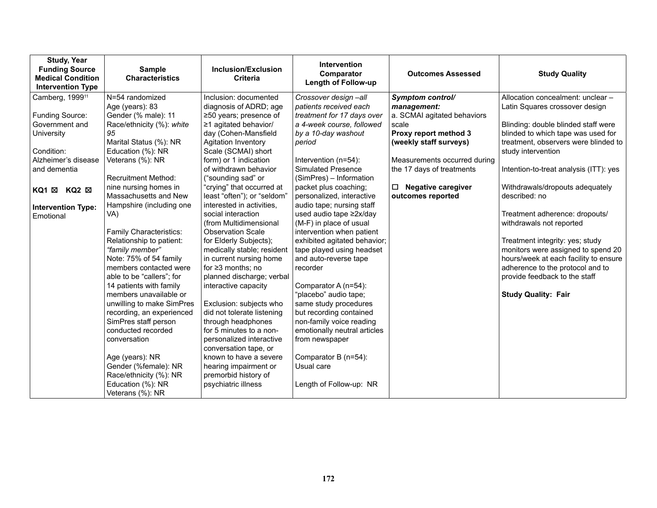| <b>Study, Year</b><br><b>Funding Source</b><br><b>Medical Condition</b><br><b>Intervention Type</b> | <b>Sample</b><br><b>Characteristics</b> | <b>Inclusion/Exclusion</b><br><b>Criteria</b>   | <b>Intervention</b><br>Comparator<br><b>Length of Follow-up</b> | <b>Outcomes Assessed</b>            | <b>Study Quality</b>                   |
|-----------------------------------------------------------------------------------------------------|-----------------------------------------|-------------------------------------------------|-----------------------------------------------------------------|-------------------------------------|----------------------------------------|
| Camberg, 1999 <sup>11</sup>                                                                         | N=54 randomized                         | Inclusion: documented                           | Crossover design-all                                            | Symptom control/                    | Allocation concealment: unclear -      |
|                                                                                                     | Age (years): 83                         | diagnosis of ADRD; age                          | patients received each                                          | management:                         | Latin Squares crossover design         |
| Funding Source:                                                                                     | Gender (% male): 11                     | ≥50 years; presence of                          | treatment for 17 days over                                      | a. SCMAI agitated behaviors         |                                        |
| Government and                                                                                      | Race/ethnicity (%): white               | $\geq$ 1 agitated behavior/                     | a 4-week course, followed                                       | scale                               | Blinding: double blinded staff were    |
| University                                                                                          | 95                                      | day (Cohen-Mansfield                            | by a 10-day washout                                             | Proxy report method 3               | blinded to which tape was used for     |
|                                                                                                     | Marital Status (%): NR                  | <b>Agitation Inventory</b>                      | period                                                          | (weekly staff surveys)              | treatment, observers were blinded to   |
| Condition:                                                                                          | Education (%): NR                       | Scale (SCMAI) short                             |                                                                 |                                     | study intervention                     |
| Alzheimer's disease<br>and dementia                                                                 | Veterans (%): NR                        | form) or 1 indication<br>of withdrawn behavior  | Intervention (n=54):<br><b>Simulated Presence</b>               | Measurements occurred during        |                                        |
|                                                                                                     | <b>Recruitment Method:</b>              |                                                 | (SimPres) - Information                                         | the 17 days of treatments           | Intention-to-treat analysis (ITT): yes |
|                                                                                                     | nine nursing homes in                   | ("sounding sad" or<br>"crying" that occurred at | packet plus coaching;                                           | <b>Negative caregiver</b><br>$\Box$ | Withdrawals/dropouts adequately        |
| KQ1 X KQ2 X                                                                                         | Massachusetts and New                   | least "often"); or "seldom"                     | personalized, interactive                                       | outcomes reported                   | described: no                          |
|                                                                                                     | Hampshire (including one                | interested in activities,                       | audio tape; nursing staff                                       |                                     |                                        |
| <b>Intervention Type:</b>                                                                           | VA)                                     | social interaction                              | used audio tape ≥2x/day                                         |                                     | Treatment adherence: dropouts/         |
| Emotional                                                                                           |                                         | (from Multidimensional                          | (M-F) in place of usual                                         |                                     | withdrawals not reported               |
|                                                                                                     | Family Characteristics:                 | <b>Observation Scale</b>                        | intervention when patient                                       |                                     |                                        |
|                                                                                                     | Relationship to patient:                | for Elderly Subjects);                          | exhibited agitated behavior;                                    |                                     | Treatment integrity: yes; study        |
|                                                                                                     | "family member"                         | medically stable; resident                      | tape played using headset                                       |                                     | monitors were assigned to spend 20     |
|                                                                                                     | Note: 75% of 54 family                  | in current nursing home                         | and auto-reverse tape                                           |                                     | hours/week at each facility to ensure  |
|                                                                                                     | members contacted were                  | for $\geq$ 3 months; no                         | recorder                                                        |                                     | adherence to the protocol and to       |
|                                                                                                     | able to be "callers"; for               | planned discharge; verbal                       |                                                                 |                                     | provide feedback to the staff          |
|                                                                                                     | 14 patients with family                 | interactive capacity                            | Comparator A (n=54):                                            |                                     |                                        |
|                                                                                                     | members unavailable or                  |                                                 | "placebo" audio tape;                                           |                                     | <b>Study Quality: Fair</b>             |
|                                                                                                     | unwilling to make SimPres               | Exclusion: subjects who                         | same study procedures                                           |                                     |                                        |
|                                                                                                     | recording, an experienced               | did not tolerate listening                      | but recording contained                                         |                                     |                                        |
|                                                                                                     | SimPres staff person                    | through headphones                              | non-family voice reading                                        |                                     |                                        |
|                                                                                                     | conducted recorded                      | for 5 minutes to a non-                         | emotionally neutral articles                                    |                                     |                                        |
|                                                                                                     | conversation                            | personalized interactive                        | from newspaper                                                  |                                     |                                        |
|                                                                                                     |                                         | conversation tape, or                           |                                                                 |                                     |                                        |
|                                                                                                     | Age (years): NR                         | known to have a severe                          | Comparator B (n=54):                                            |                                     |                                        |
|                                                                                                     | Gender (%female): NR                    | hearing impairment or                           | Usual care                                                      |                                     |                                        |
|                                                                                                     | Race/ethnicity (%): NR                  | premorbid history of                            |                                                                 |                                     |                                        |
|                                                                                                     | Education (%): NR<br>Veterans (%): NR   | psychiatric illness                             | Length of Follow-up: NR                                         |                                     |                                        |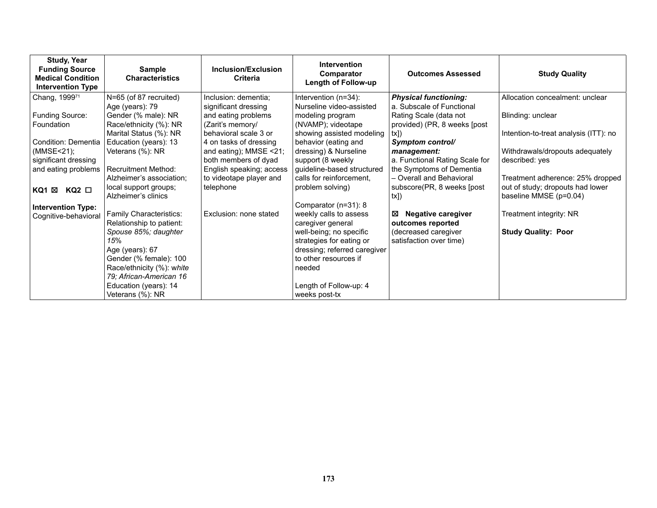| <b>Study, Year</b><br><b>Funding Source</b><br><b>Medical Condition</b><br><b>Intervention Type</b> | <b>Sample</b><br><b>Characteristics</b>                | Inclusion/Exclusion<br><b>Criteria</b>              | <b>Intervention</b><br>Comparator<br>Length of Follow-up            | <b>Outcomes Assessed</b>                                  | <b>Study Quality</b>                                       |
|-----------------------------------------------------------------------------------------------------|--------------------------------------------------------|-----------------------------------------------------|---------------------------------------------------------------------|-----------------------------------------------------------|------------------------------------------------------------|
| Chang, 199971                                                                                       | N=65 (of 87 recruited)<br>Age (years): 79              | Inclusion: dementia;<br>significant dressing        | Intervention (n=34):<br>Nurseline video-assisted                    | <b>Physical functioning:</b><br>a. Subscale of Functional | Allocation concealment: unclear                            |
| Funding Source:<br>Foundation                                                                       | Gender (% male): NR<br>Race/ethnicity (%): NR          | and eating problems<br>(Zarit's memory/             | modeling program<br>(NVAMP); videotape                              | Rating Scale (data not<br>provided) (PR, 8 weeks [post    | Blinding: unclear                                          |
| Condition: Dementia                                                                                 | Marital Status (%): NR<br>Education (years): 13        | behavioral scale 3 or<br>4 on tasks of dressing     | showing assisted modeling<br>behavior (eating and                   | $tx$ ]<br>Symptom control/                                | Intention-to-treat analysis (ITT): no                      |
| (MMSE<21);<br>significant dressing                                                                  | Veterans (%): NR                                       | and eating); MMSE <21;<br>both members of dyad      | dressing) & Nurseline<br>support (8 weekly                          | management:<br>a. Functional Rating Scale for             | Withdrawals/dropouts adequately<br>described: yes          |
| and eating problems                                                                                 | <b>Recruitment Method:</b><br>Alzheimer's association; | English speaking; access<br>to videotape player and | guideline-based structured<br>calls for reinforcement.              | the Symptoms of Dementia<br>- Overall and Behavioral      | Treatment adherence: 25% dropped                           |
| $KQ2$ $\square$<br>KQ1 ⊠                                                                            | local support groups;<br>Alzheimer's clinics           | telephone                                           | problem solving)                                                    | subscore(PR, 8 weeks [post]<br>tx]                        | out of study; dropouts had lower<br>baseline MMSE (p=0.04) |
| <b>Intervention Type:</b><br>Cognitive-behavioral                                                   | Family Characteristics:<br>Relationship to patient:    | Exclusion: none stated                              | Comparator (n=31): 8<br>weekly calls to assess<br>caregiver general | <b>Negative caregiver</b><br>⊠<br>outcomes reported       | Treatment integrity: NR                                    |
|                                                                                                     | Spouse 85%; daughter<br>15%                            |                                                     | well-being; no specific<br>strategies for eating or                 | (decreased caregiver<br>satisfaction over time)           | <b>Study Quality: Poor</b>                                 |
|                                                                                                     | Age (years): 67<br>Gender (% female): 100              |                                                     | dressing; referred caregiver<br>to other resources if               |                                                           |                                                            |
|                                                                                                     | Race/ethnicity (%): white<br>79; African-American 16   |                                                     | needed                                                              |                                                           |                                                            |
|                                                                                                     | Education (years): 14<br>Veterans (%): NR              |                                                     | Length of Follow-up: 4<br>weeks post-tx                             |                                                           |                                                            |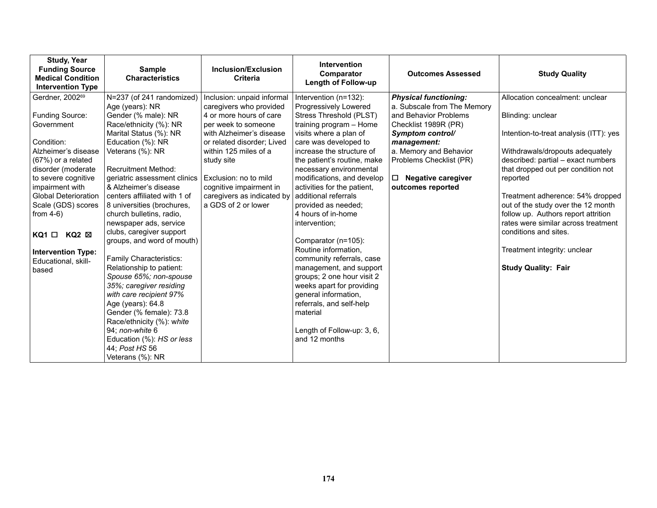| <b>Study, Year</b><br><b>Funding Source</b><br><b>Medical Condition</b><br><b>Intervention Type</b> | <b>Sample</b><br><b>Characteristics</b> | Inclusion/Exclusion<br><b>Criteria</b> | Intervention<br>Comparator<br><b>Length of Follow-up</b> | <b>Outcomes Assessed</b>     | <b>Study Quality</b>                   |
|-----------------------------------------------------------------------------------------------------|-----------------------------------------|----------------------------------------|----------------------------------------------------------|------------------------------|----------------------------------------|
| Gerdner, 200269                                                                                     | N=237 (of 241 randomized)               | Inclusion: unpaid informal             | Intervention (n=132):                                    | <b>Physical functioning:</b> | Allocation concealment: unclear        |
|                                                                                                     | Age (years): NR                         | caregivers who provided                | Progressively Lowered                                    | a. Subscale from The Memory  |                                        |
| <b>Funding Source:</b>                                                                              | Gender (% male): NR                     | 4 or more hours of care                | Stress Threshold (PLST)                                  | and Behavior Problems        | Blinding: unclear                      |
| Government                                                                                          | Race/ethnicity (%): NR                  | per week to someone                    | training program - Home                                  | Checklist 1989R (PR)         |                                        |
|                                                                                                     | Marital Status (%): NR                  | with Alzheimer's disease               | visits where a plan of                                   | Symptom control/             | Intention-to-treat analysis (ITT): yes |
| Condition:                                                                                          | Education (%): NR                       | or related disorder; Lived             | care was developed to                                    | management:                  |                                        |
| Alzheimer's disease                                                                                 | Veterans (%): NR                        | within 125 miles of a                  | increase the structure of                                | a. Memory and Behavior       | Withdrawals/dropouts adequately        |
| (67%) or a related                                                                                  |                                         | study site                             | the patient's routine, make                              | Problems Checklist (PR)      | described: partial - exact numbers     |
| disorder (moderate                                                                                  | <b>Recruitment Method:</b>              |                                        | necessary environmental                                  |                              | that dropped out per condition not     |
| to severe cognitive                                                                                 | geriatric assessment clinics            | Exclusion: no to mild                  | modifications, and develop                               | $\Box$ Negative caregiver    | reported                               |
| impairment with                                                                                     | & Alzheimer's disease                   | cognitive impairment in                | activities for the patient,                              | outcomes reported            |                                        |
| <b>Global Deterioration</b>                                                                         | centers affiliated with 1 of            | caregivers as indicated by             | additional referrals                                     |                              | Treatment adherence: 54% dropped       |
| Scale (GDS) scores                                                                                  | 8 universities (brochures,              | a GDS of 2 or lower                    | provided as needed;                                      |                              | out of the study over the 12 month     |
| from $4-6$ )                                                                                        | church bulletins, radio,                |                                        | 4 hours of in-home                                       |                              | follow up. Authors report attrition    |
|                                                                                                     | newspaper ads, service                  |                                        | intervention;                                            |                              | rates were similar across treatment    |
| KQ2 ⊠<br>$KQ1$ $\Box$                                                                               | clubs, caregiver support                |                                        |                                                          |                              | conditions and sites.                  |
|                                                                                                     | groups, and word of mouth)              |                                        | Comparator (n=105):                                      |                              |                                        |
| <b>Intervention Type:</b>                                                                           | Family Characteristics:                 |                                        | Routine information,<br>community referrals, case        |                              | Treatment integrity: unclear           |
| Educational, skill-                                                                                 | Relationship to patient:                |                                        | management, and support                                  |                              | <b>Study Quality: Fair</b>             |
| based                                                                                               | Spouse 65%; non-spouse                  |                                        | groups; 2 one hour visit 2                               |                              |                                        |
|                                                                                                     | 35%; caregiver residing                 |                                        | weeks apart for providing                                |                              |                                        |
|                                                                                                     | with care recipient 97%                 |                                        | general information,                                     |                              |                                        |
|                                                                                                     | Age (years): 64.8                       |                                        | referrals, and self-help                                 |                              |                                        |
|                                                                                                     | Gender (% female): 73.8                 |                                        | material                                                 |                              |                                        |
|                                                                                                     | Race/ethnicity (%): white               |                                        |                                                          |                              |                                        |
|                                                                                                     | 94; non-white 6                         |                                        | Length of Follow-up: 3, 6,                               |                              |                                        |
|                                                                                                     | Education (%): HS or less               |                                        | and 12 months                                            |                              |                                        |
|                                                                                                     | 44; Post HS 56                          |                                        |                                                          |                              |                                        |
|                                                                                                     | Veterans (%): NR                        |                                        |                                                          |                              |                                        |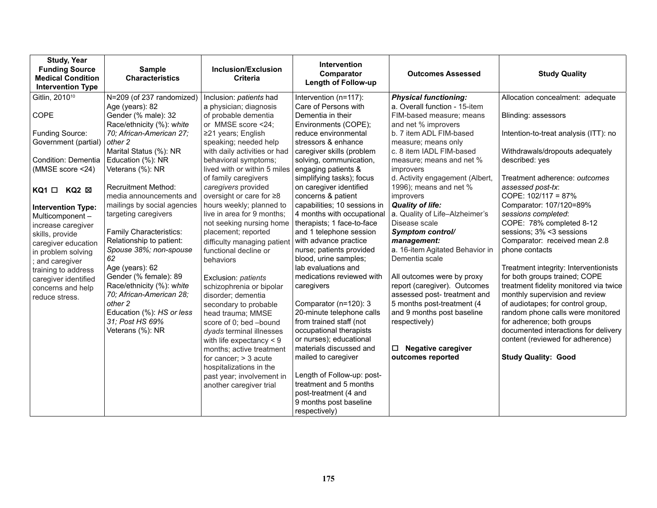| <b>Study, Year</b><br><b>Funding Source</b><br><b>Medical Condition</b><br><b>Intervention Type</b>                                                                        | <b>Sample</b><br><b>Characteristics</b>                                                                                                                              | Inclusion/Exclusion<br><b>Criteria</b>                                                                                                                                                                                                                         | <b>Intervention</b><br>Comparator<br><b>Length of Follow-up</b>                                                                                                                                                                  | <b>Outcomes Assessed</b>                                                                                                                                                                                                       | <b>Study Quality</b>                                                                                                                                                                                                                                                                                                        |
|----------------------------------------------------------------------------------------------------------------------------------------------------------------------------|----------------------------------------------------------------------------------------------------------------------------------------------------------------------|----------------------------------------------------------------------------------------------------------------------------------------------------------------------------------------------------------------------------------------------------------------|----------------------------------------------------------------------------------------------------------------------------------------------------------------------------------------------------------------------------------|--------------------------------------------------------------------------------------------------------------------------------------------------------------------------------------------------------------------------------|-----------------------------------------------------------------------------------------------------------------------------------------------------------------------------------------------------------------------------------------------------------------------------------------------------------------------------|
| Gitlin, 2010 <sup>10</sup>                                                                                                                                                 | N=209 (of 237 randomized)                                                                                                                                            | Inclusion: patients had                                                                                                                                                                                                                                        | Intervention (n=117):                                                                                                                                                                                                            | <b>Physical functioning:</b>                                                                                                                                                                                                   | Allocation concealment: adequate                                                                                                                                                                                                                                                                                            |
| COPE                                                                                                                                                                       | Age (years): 82<br>Gender (% male): 32<br>Race/ethnicity (%): white                                                                                                  | a physician; diagnosis<br>of probable dementia<br>or MMSE score <24;                                                                                                                                                                                           | Care of Persons with<br>Dementia in their<br>Environments (COPE);                                                                                                                                                                | a. Overall function - 15-item<br>FIM-based measure; means<br>and net % improvers                                                                                                                                               | Blinding: assessors                                                                                                                                                                                                                                                                                                         |
| Funding Source:<br>Government (partial)                                                                                                                                    | 70; African-American 27;<br>other 2                                                                                                                                  | $\geq$ 21 years; English<br>speaking; needed help                                                                                                                                                                                                              | reduce environmental<br>stressors & enhance                                                                                                                                                                                      | b. 7 item ADL FIM-based<br>measure; means only                                                                                                                                                                                 | Intention-to-treat analysis (ITT): no                                                                                                                                                                                                                                                                                       |
| Condition: Dementia<br>(MMSE score <24)                                                                                                                                    | Marital Status (%): NR<br>Education (%): NR<br>Veterans (%): NR                                                                                                      | with daily activities or had<br>behavioral symptoms;<br>lived with or within 5 miles engaging patients &                                                                                                                                                       | caregiver skills (problem<br>solving, communication,                                                                                                                                                                             | c. 8 item IADL FIM-based<br>measure; means and net %<br>improvers                                                                                                                                                              | Withdrawals/dropouts adequately<br>described: yes                                                                                                                                                                                                                                                                           |
| $KQ1 \Box KQ2 \boxtimes$                                                                                                                                                   | <b>Recruitment Method:</b><br>media announcements and                                                                                                                | of family caregivers<br>caregivers provided<br>oversight or care for ≥8                                                                                                                                                                                        | simplifying tasks); focus<br>on caregiver identified<br>concerns & patient                                                                                                                                                       | d. Activity engagement (Albert,<br>1996); means and net %<br>improvers                                                                                                                                                         | Treatment adherence: outcomes<br>assessed post-tx:<br>COPE: 102/117 = 87%                                                                                                                                                                                                                                                   |
| <b>Intervention Type:</b><br>Multicomponent-<br>increase caregiver<br>skills, provide<br>caregiver education<br>in problem solving<br>and caregiver<br>training to address | mailings by social agencies<br>targeting caregivers<br><b>Family Characteristics:</b><br>Relationship to patient:<br>Spouse 38%; non-spouse<br>62<br>Age (years): 62 | hours weekly; planned to<br>live in area for 9 months;<br>not seeking nursing home<br>placement; reported<br>difficulty managing patient<br>functional decline or<br>behaviors                                                                                 | capabilities; 10 sessions in<br>4 months with occupational<br>therapists; 1 face-to-face<br>and 1 telephone session<br>with advance practice<br>nurse; patients provided<br>blood, urine samples;<br>lab evaluations and         | <b>Quality of life:</b><br>a. Quality of Life-Alzheimer's<br>Disease scale<br>Symptom control/<br>management:<br>a. 16-item Agitated Behavior in<br>Dementia scale                                                             | Comparator: 107/120=89%<br>sessions completed:<br>COPE: 78% completed 8-12<br>sessions; 3% <3 sessions<br>Comparator: received mean 2.8<br>phone contacts<br>Treatment integrity: Interventionists                                                                                                                          |
| caregiver identified<br>concerns and help<br>reduce stress.                                                                                                                | Gender (% female): 89<br>Race/ethnicity (%): white<br>70; African-American 28;<br>other 2<br>Education (%): HS or less<br>31; Post HS 69%<br>Veterans (%): NR        | Exclusion: patients<br>schizophrenia or bipolar<br>disorder; dementia<br>secondary to probable<br>head trauma; MMSE<br>score of 0; bed -bound<br>dyads terminal illnesses<br>with life expectancy $< 9$<br>months; active treatment<br>for cancer; $>$ 3 acute | medications reviewed with<br>caregivers<br>Comparator (n=120): 3<br>20-minute telephone calls<br>from trained staff (not<br>occupational therapists<br>or nurses); educational<br>materials discussed and<br>mailed to caregiver | All outcomes were by proxy<br>report (caregiver). Outcomes<br>assessed post- treatment and<br>5 months post-treatment (4<br>and 9 months post baseline<br>respectively)<br><b>Negative caregiver</b><br>□<br>outcomes reported | for both groups trained; COPE<br>treatment fidelity monitored via twice<br>monthly supervision and review<br>of audiotapes; for control group,<br>random phone calls were monitored<br>for adherence; both groups<br>documented interactions for delivery<br>content (reviewed for adherence)<br><b>Study Quality: Good</b> |
|                                                                                                                                                                            |                                                                                                                                                                      | hospitalizations in the<br>past year; involvement in<br>another caregiver trial                                                                                                                                                                                | Length of Follow-up: post-<br>treatment and 5 months<br>post-treatment (4 and<br>9 months post baseline<br>respectively)                                                                                                         |                                                                                                                                                                                                                                |                                                                                                                                                                                                                                                                                                                             |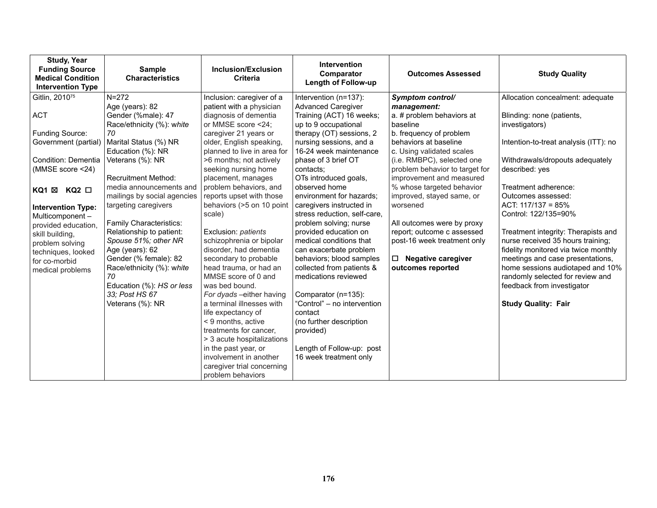| <b>Study, Year</b><br><b>Funding Source</b><br><b>Medical Condition</b><br><b>Intervention Type</b> | <b>Sample</b><br><b>Characteristics</b>                             | <b>Inclusion/Exclusion</b><br><b>Criteria</b>                             | <b>Intervention</b><br>Comparator<br><b>Length of Follow-up</b>                    | <b>Outcomes Assessed</b>                                                                 | <b>Study Quality</b>                                                                                             |
|-----------------------------------------------------------------------------------------------------|---------------------------------------------------------------------|---------------------------------------------------------------------------|------------------------------------------------------------------------------------|------------------------------------------------------------------------------------------|------------------------------------------------------------------------------------------------------------------|
| Gitlin, 2010 <sup>75</sup>                                                                          | $N = 272$<br>Age (years): 82                                        | Inclusion: caregiver of a<br>patient with a physician                     | Intervention (n=137):<br><b>Advanced Caregiver</b>                                 | Symptom control/<br>management:                                                          | Allocation concealment: adequate                                                                                 |
| <b>ACT</b>                                                                                          | Gender (%male): 47<br>Race/ethnicity (%): white                     | diagnosis of dementia<br>or MMSE score <24;                               | Training (ACT) 16 weeks;<br>up to 9 occupational                                   | a. # problem behaviors at<br>baseline                                                    | Blinding: none (patients,<br>investigators)                                                                      |
| Funding Source:                                                                                     | 70                                                                  | caregiver 21 years or                                                     | therapy (OT) sessions, 2                                                           | b. frequency of problem                                                                  |                                                                                                                  |
| Government (partial)                                                                                | Marital Status (%) NR<br>Education (%): NR                          | older, English speaking,<br>planned to live in area for                   | nursing sessions, and a<br>16-24 week maintenance                                  | behaviors at baseline<br>c. Using validated scales                                       | Intention-to-treat analysis (ITT): no                                                                            |
| Condition: Dementia<br>(MMSE score <24)                                                             | Veterans (%): NR<br><b>Recruitment Method:</b>                      | >6 months; not actively<br>seeking nursing home<br>placement, manages     | phase of 3 brief OT<br>contacts:<br>OTs introduced goals,                          | (i.e. RMBPC), selected one<br>problem behavior to target for<br>improvement and measured | Withdrawals/dropouts adequately<br>described: yes                                                                |
| KQ1 ⊠ KQ2 □                                                                                         | media announcements and<br>mailings by social agencies              | problem behaviors, and<br>reports upset with those                        | observed home<br>environment for hazards:                                          | % whose targeted behavior<br>improved, stayed same, or                                   | Treatment adherence:<br>Outcomes assessed:                                                                       |
| <b>Intervention Type:</b><br>Multicomponent-<br>provided education,                                 | targeting caregivers<br>Family Characteristics:                     | behaviors (>5 on 10 point<br>scale)                                       | caregivers instructed in<br>stress reduction, self-care,<br>problem solving; nurse | worsened<br>All outcomes were by proxy                                                   | ACT: $117/137 = 85%$<br>Control: 122/135=90%                                                                     |
| skill building.<br>problem solving                                                                  | Relationship to patient:<br>Spouse 51%; other NR<br>Age (years): 62 | Exclusion: patients<br>schizophrenia or bipolar<br>disorder, had dementia | provided education on<br>medical conditions that<br>can exacerbate problem         | report; outcome c assessed<br>post-16 week treatment only                                | Treatment integrity: Therapists and<br>nurse received 35 hours training;<br>fidelity monitored via twice monthly |
| techniques, looked<br>for co-morbid                                                                 | Gender (% female): 82<br>Race/ethnicity (%): white                  | secondary to probable<br>head trauma, or had an                           | behaviors; blood samples<br>collected from patients &                              | $\Box$ Negative caregiver<br>outcomes reported                                           | meetings and case presentations,<br>home sessions audiotaped and 10%                                             |
| medical problems                                                                                    | 70                                                                  | MMSE score of 0 and                                                       | medications reviewed                                                               |                                                                                          | randomly selected for review and                                                                                 |
|                                                                                                     | Education (%): HS or less                                           | was bed bound.                                                            |                                                                                    |                                                                                          | feedback from investigator                                                                                       |
|                                                                                                     | 33: Post HS 67<br>Veterans (%): NR                                  | For dyads - either having<br>a terminal illnesses with                    | Comparator (n=135):<br>"Control" - no intervention                                 |                                                                                          | <b>Study Quality: Fair</b>                                                                                       |
|                                                                                                     |                                                                     | life expectancy of                                                        | contact                                                                            |                                                                                          |                                                                                                                  |
|                                                                                                     |                                                                     | < 9 months, active                                                        | (no further description                                                            |                                                                                          |                                                                                                                  |
|                                                                                                     |                                                                     | treatments for cancer,                                                    | provided)                                                                          |                                                                                          |                                                                                                                  |
|                                                                                                     |                                                                     | > 3 acute hospitalizations                                                |                                                                                    |                                                                                          |                                                                                                                  |
|                                                                                                     |                                                                     | in the past year, or                                                      | Length of Follow-up: post                                                          |                                                                                          |                                                                                                                  |
|                                                                                                     |                                                                     | involvement in another                                                    | 16 week treatment only                                                             |                                                                                          |                                                                                                                  |
|                                                                                                     |                                                                     | caregiver trial concerning                                                |                                                                                    |                                                                                          |                                                                                                                  |
|                                                                                                     |                                                                     | problem behaviors                                                         |                                                                                    |                                                                                          |                                                                                                                  |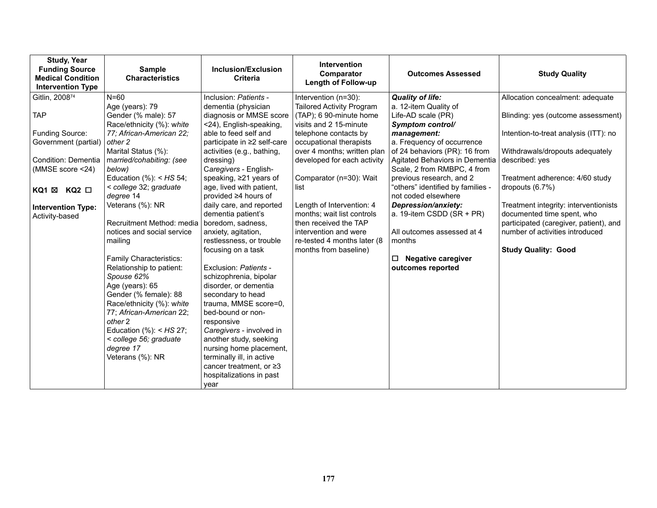| <b>Study, Year</b><br><b>Funding Source</b><br><b>Medical Condition</b><br><b>Intervention Type</b> | <b>Sample</b><br><b>Characteristics</b>               | Inclusion/Exclusion<br><b>Criteria</b>           | <b>Intervention</b><br>Comparator<br><b>Length of Follow-up</b> | <b>Outcomes Assessed</b>                           | <b>Study Quality</b>                                                |
|-----------------------------------------------------------------------------------------------------|-------------------------------------------------------|--------------------------------------------------|-----------------------------------------------------------------|----------------------------------------------------|---------------------------------------------------------------------|
| Gitlin, 200874                                                                                      | $N=60$                                                | Inclusion: Patients -                            | Intervention (n=30):                                            | <b>Quality of life:</b>                            | Allocation concealment: adequate                                    |
|                                                                                                     | Age (years): 79                                       | dementia (physician                              | <b>Tailored Activity Program</b>                                | a. 12-item Quality of                              |                                                                     |
| <b>TAP</b>                                                                                          | Gender (% male): 57                                   | diagnosis or MMSE score                          | (TAP); 6 90-minute home                                         | Life-AD scale (PR)                                 | Blinding: yes (outcome assessment)                                  |
| <b>Funding Source:</b>                                                                              | Race/ethnicity (%): white<br>77; African-American 22; | <24), English-speaking,<br>able to feed self and | visits and 2 15-minute<br>telephone contacts by                 | Symptom control/<br>management:                    | Intention-to-treat analysis (ITT): no                               |
| Government (partial)                                                                                | other 2                                               | participate in ≥2 self-care                      | occupational therapists                                         | a. Frequency of occurrence                         |                                                                     |
|                                                                                                     | Marital Status (%):                                   | activities (e.g., bathing,                       | over 4 months; written plan                                     | of 24 behaviors (PR): 16 from                      | Withdrawals/dropouts adequately                                     |
| Condition: Dementia                                                                                 | married/cohabiting: (see                              | dressing)                                        | developed for each activity                                     | Agitated Behaviors in Dementia                     | described: yes                                                      |
| (MMSE score <24)                                                                                    | below)                                                | Caregivers - English-                            |                                                                 | Scale, 2 from RMBPC, 4 from                        |                                                                     |
|                                                                                                     | Education $%$ : < HS 54;                              | speaking, ≥21 years of                           | Comparator (n=30): Wait                                         | previous research, and 2                           | Treatment adherence: 4/60 study                                     |
| KQ1 ⊠<br>$KQ2$ $\square$                                                                            | < college 32; graduate                                | age, lived with patient,                         | list                                                            | "others" identified by families -                  | dropouts $(6.7%)$                                                   |
|                                                                                                     | degree 14                                             | provided ≥4 hours of                             |                                                                 | not coded elsewhere                                |                                                                     |
| <b>Intervention Type:</b>                                                                           | Veterans (%): NR                                      | daily care, and reported                         | Length of Intervention: 4<br>months; wait list controls         | Depression/anxiety:<br>a. 19-item CSDD $(SR + PR)$ | Treatment integrity: interventionists<br>documented time spent, who |
| Activity-based                                                                                      | Recruitment Method: media                             | dementia patient's<br>boredom, sadness,          | then received the TAP                                           |                                                    | participated (caregiver, patient), and                              |
|                                                                                                     | notices and social service                            | anxiety, agitation,                              | intervention and were                                           | All outcomes assessed at 4                         | number of activities introduced                                     |
|                                                                                                     | mailing                                               | restlessness, or trouble                         | re-tested 4 months later (8                                     | months                                             |                                                                     |
|                                                                                                     |                                                       | focusing on a task                               | months from baseline)                                           |                                                    | <b>Study Quality: Good</b>                                          |
|                                                                                                     | <b>Family Characteristics:</b>                        |                                                  |                                                                 | <b>Negative caregiver</b><br>□                     |                                                                     |
|                                                                                                     | Relationship to patient:                              | Exclusion: Patients -                            |                                                                 | outcomes reported                                  |                                                                     |
|                                                                                                     | Spouse 62%                                            | schizophrenia, bipolar                           |                                                                 |                                                    |                                                                     |
|                                                                                                     | Age (years): 65                                       | disorder, or dementia                            |                                                                 |                                                    |                                                                     |
|                                                                                                     | Gender (% female): 88<br>Race/ethnicity (%): white    | secondary to head<br>trauma, MMSE score=0,       |                                                                 |                                                    |                                                                     |
|                                                                                                     | 77; African-American 22;                              | bed-bound or non-                                |                                                                 |                                                    |                                                                     |
|                                                                                                     | other 2                                               | responsive                                       |                                                                 |                                                    |                                                                     |
|                                                                                                     | Education $%$ : < HS 27;                              | Caregivers - involved in                         |                                                                 |                                                    |                                                                     |
|                                                                                                     | < college 56; graduate                                | another study, seeking                           |                                                                 |                                                    |                                                                     |
|                                                                                                     | degree 17                                             | nursing home placement,                          |                                                                 |                                                    |                                                                     |
|                                                                                                     | Veterans (%): NR                                      | terminally ill, in active                        |                                                                 |                                                    |                                                                     |
|                                                                                                     |                                                       | cancer treatment, or $\geq 3$                    |                                                                 |                                                    |                                                                     |
|                                                                                                     |                                                       | hospitalizations in past                         |                                                                 |                                                    |                                                                     |
|                                                                                                     |                                                       | year                                             |                                                                 |                                                    |                                                                     |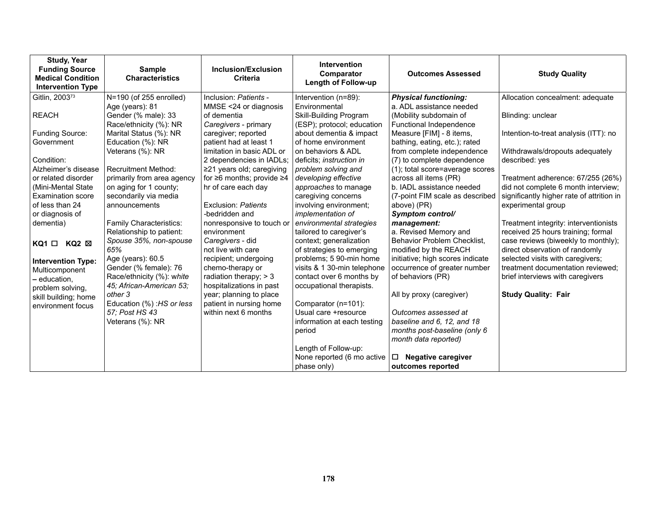| <b>Study, Year</b><br><b>Funding Source</b><br><b>Medical Condition</b><br><b>Intervention Type</b> | <b>Sample</b><br><b>Characteristics</b>         | <b>Inclusion/Exclusion</b><br><b>Criteria</b> | <b>Intervention</b><br>Comparator<br>Length of Follow-up | <b>Outcomes Assessed</b>                                   | <b>Study Quality</b>                                                             |
|-----------------------------------------------------------------------------------------------------|-------------------------------------------------|-----------------------------------------------|----------------------------------------------------------|------------------------------------------------------------|----------------------------------------------------------------------------------|
| Gitlin, 2003 <sup>73</sup>                                                                          | N=190 (of 255 enrolled)                         | Inclusion: Patients -                         | Intervention (n=89):                                     | <b>Physical functioning:</b>                               | Allocation concealment: adequate                                                 |
|                                                                                                     | Age (years): 81                                 | MMSE <24 or diagnosis<br>of dementia          | <b>Fnvironmental</b>                                     | a. ADL assistance needed                                   |                                                                                  |
| <b>REACH</b>                                                                                        | Gender (% male): 33<br>Race/ethnicity (%): NR   | Caregivers - primary                          | Skill-Building Program<br>(ESP); protocol; education     | (Mobility subdomain of<br>Functional Independence          | Blinding: unclear                                                                |
| <b>Funding Source:</b>                                                                              | Marital Status (%): NR                          | caregiver; reported                           | about dementia & impact                                  | Measure [FIM] - 8 items,                                   | Intention-to-treat analysis (ITT): no                                            |
| Government                                                                                          | Education (%): NR                               | patient had at least 1                        | of home environment                                      | bathing, eating, etc.); rated                              |                                                                                  |
|                                                                                                     | Veterans (%): NR                                | limitation in basic ADL or                    | on behaviors & ADL                                       | from complete independence                                 | Withdrawals/dropouts adequately                                                  |
| Condition:                                                                                          |                                                 | 2 dependencies in IADLs;                      | deficits; instruction in                                 | (7) to complete dependence                                 | described: yes                                                                   |
| Alzheimer's disease                                                                                 | <b>Recruitment Method:</b>                      | $\geq$ 21 years old; caregiving               | problem solving and                                      | (1); total score=average scores                            |                                                                                  |
| or related disorder                                                                                 | primarily from area agency                      | for $\geq 6$ months; provide $\geq 4$         | developing effective                                     | across all items (PR)<br>b. IADL assistance needed         | Treatment adherence: 67/255 (26%)                                                |
| (Mini-Mental State)<br><b>Examination score</b>                                                     | on aging for 1 county;<br>secondarily via media | hr of care each day                           | approaches to manage<br>caregiving concerns              | (7-point FIM scale as described                            | did not complete 6 month interview;<br>significantly higher rate of attrition in |
| of less than 24                                                                                     | announcements                                   | Exclusion: Patients                           | involving environment;                                   | above) (PR)                                                | experimental group                                                               |
| or diagnosis of                                                                                     |                                                 | -bedridden and                                | <i>implementation of</i>                                 | Symptom control/                                           |                                                                                  |
| dementia)                                                                                           | Family Characteristics:                         | nonresponsive to touch or                     | environmental strategies                                 | management:                                                | Treatment integrity: interventionists                                            |
|                                                                                                     | Relationship to patient:                        | environment                                   | tailored to caregiver's                                  | a. Revised Memory and                                      | received 25 hours training; formal                                               |
| $KQ1 \Box KQ2 \boxtimes$                                                                            | Spouse 35%, non-spouse                          | Caregivers - did                              | context; generalization                                  | Behavior Problem Checklist,                                | case reviews (biweekly to monthly);                                              |
|                                                                                                     | 65%<br>Age (years): 60.5                        | not live with care<br>recipient; undergoing   | of strategies to emerging<br>problems; 5 90-min home     | modified by the REACH<br>initiative; high scores indicate  | direct observation of randomly<br>selected visits with caregivers;               |
| <b>Intervention Type:</b>                                                                           | Gender (% female): 76                           | chemo-therapy or                              | visits & 1 30-min telephone                              | occurrence of greater number                               | treatment documentation reviewed:                                                |
| Multicomponent<br>- education,                                                                      | Race/ethnicity (%): white                       | radiation therapy; $>$ 3                      | contact over 6 months by                                 | of behaviors (PR)                                          | brief interviews with caregivers                                                 |
| problem solving,                                                                                    | 45; African-American 53;                        | hospitalizations in past                      | occupational therapists.                                 |                                                            |                                                                                  |
| skill building; home                                                                                | other 3                                         | year; planning to place                       |                                                          | All by proxy (caregiver)                                   | <b>Study Quality: Fair</b>                                                       |
| environment focus                                                                                   | Education (%) : HS or less                      | patient in nursing home                       | Comparator (n=101):                                      |                                                            |                                                                                  |
|                                                                                                     | 57; Post HS 43                                  | within next 6 months                          | Usual care +resource                                     | Outcomes assessed at                                       |                                                                                  |
|                                                                                                     | Veterans (%): NR                                |                                               | information at each testing                              | baseline and 6, 12, and 18<br>months post-baseline (only 6 |                                                                                  |
|                                                                                                     |                                                 |                                               | period                                                   | month data reported)                                       |                                                                                  |
|                                                                                                     |                                                 |                                               | Length of Follow-up:                                     |                                                            |                                                                                  |
|                                                                                                     |                                                 |                                               | None reported (6 mo active                               | <b>Negative caregiver</b><br>□                             |                                                                                  |
|                                                                                                     |                                                 |                                               | phase only)                                              | outcomes reported                                          |                                                                                  |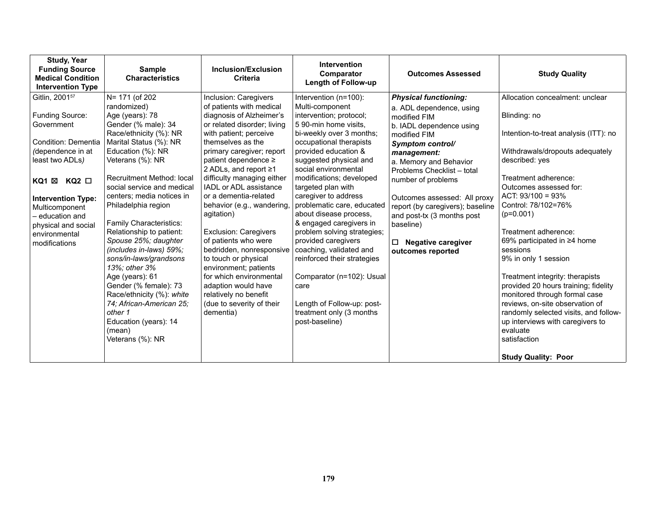| <b>Study, Year</b><br><b>Funding Source</b><br><b>Medical Condition</b><br><b>Intervention Type</b>                                                                                                                                              | <b>Sample</b><br><b>Characteristics</b>                                                                                                                                                                                                                                                                                                                                                                                                                                                                                                                                                       | Inclusion/Exclusion<br><b>Criteria</b>                                                                                                                                                                                                                                                                                                                                                                                                                                                                                                                                                                         | <b>Intervention</b><br>Comparator<br><b>Length of Follow-up</b>                                                                                                                                                                                                                                                                                                                                                                                                                                                                                                                                    | <b>Outcomes Assessed</b>                                                                                                                                                                                                                                                                                                                                               | <b>Study Quality</b>                                                                                                                                                                                                                                                                                                                                                                                                                                                                                                                                                                                        |
|--------------------------------------------------------------------------------------------------------------------------------------------------------------------------------------------------------------------------------------------------|-----------------------------------------------------------------------------------------------------------------------------------------------------------------------------------------------------------------------------------------------------------------------------------------------------------------------------------------------------------------------------------------------------------------------------------------------------------------------------------------------------------------------------------------------------------------------------------------------|----------------------------------------------------------------------------------------------------------------------------------------------------------------------------------------------------------------------------------------------------------------------------------------------------------------------------------------------------------------------------------------------------------------------------------------------------------------------------------------------------------------------------------------------------------------------------------------------------------------|----------------------------------------------------------------------------------------------------------------------------------------------------------------------------------------------------------------------------------------------------------------------------------------------------------------------------------------------------------------------------------------------------------------------------------------------------------------------------------------------------------------------------------------------------------------------------------------------------|------------------------------------------------------------------------------------------------------------------------------------------------------------------------------------------------------------------------------------------------------------------------------------------------------------------------------------------------------------------------|-------------------------------------------------------------------------------------------------------------------------------------------------------------------------------------------------------------------------------------------------------------------------------------------------------------------------------------------------------------------------------------------------------------------------------------------------------------------------------------------------------------------------------------------------------------------------------------------------------------|
| Gitlin, 2001 <sup>57</sup>                                                                                                                                                                                                                       | N= 171 (of 202                                                                                                                                                                                                                                                                                                                                                                                                                                                                                                                                                                                | Inclusion: Caregivers                                                                                                                                                                                                                                                                                                                                                                                                                                                                                                                                                                                          | Intervention (n=100):                                                                                                                                                                                                                                                                                                                                                                                                                                                                                                                                                                              | <b>Physical functioning:</b>                                                                                                                                                                                                                                                                                                                                           | Allocation concealment: unclear                                                                                                                                                                                                                                                                                                                                                                                                                                                                                                                                                                             |
| Funding Source:<br>Government<br><b>Condition: Dementia</b><br>(dependence in at<br>least two ADLs)<br>KQ2 □<br>KQ1 ⊠<br><b>Intervention Type:</b><br>Multicomponent<br>– education and<br>physical and social<br>environmental<br>modifications | randomized)<br>Age (years): 78<br>Gender (% male): 34<br>Race/ethnicity (%): NR<br>Marital Status (%): NR<br>Education (%): NR<br>Veterans (%): NR<br>Recruitment Method: local<br>social service and medical<br>centers; media notices in<br>Philadelphia region<br>Family Characteristics:<br>Relationship to patient:<br>Spouse 25%; daughter<br>(includes in-laws) 59%;<br>sons/in-laws/grandsons<br>13%; other 3%<br>Age (years): 61<br>Gender (% female): 73<br>Race/ethnicity (%): white<br>74; African-American 25;<br>other 1<br>Education (years): 14<br>(mean)<br>Veterans (%): NR | of patients with medical<br>diagnosis of Alzheimer's<br>or related disorder; living<br>with patient; perceive<br>themselves as the<br>primary caregiver; report<br>patient dependence ≥<br>2 ADLs, and report ≥1<br>difficulty managing either<br><b>IADL or ADL assistance</b><br>or a dementia-related<br>behavior (e.g., wandering,<br>agitation)<br><b>Exclusion: Caregivers</b><br>of patients who were<br>bedridden, nonresponsive<br>to touch or physical<br>environment; patients<br>for which environmental<br>adaption would have<br>relatively no benefit<br>(due to severity of their<br>dementia) | Multi-component<br>intervention; protocol;<br>5 90-min home visits.<br>bi-weekly over 3 months;<br>occupational therapists<br>provided education &<br>suggested physical and<br>social environmental<br>modifications; developed<br>targeted plan with<br>caregiver to address<br>problematic care, educated<br>about disease process,<br>& engaged caregivers in<br>problem solving strategies;<br>provided caregivers<br>coaching, validated and<br>reinforced their strategies<br>Comparator (n=102): Usual<br>care<br>Length of Follow-up: post-<br>treatment only (3 months<br>post-baseline) | a. ADL dependence, using<br>modified FIM<br>b. IADL dependence using<br>modified FIM<br>Symptom control/<br>management:<br>a. Memory and Behavior<br>Problems Checklist - total<br>number of problems<br>Outcomes assessed: All proxy<br>report (by caregivers); baseline<br>and post-tx (3 months post<br>baseline)<br>$\Box$ Negative caregiver<br>outcomes reported | Blinding: no<br>Intention-to-treat analysis (ITT): no<br>Withdrawals/dropouts adequately<br>described: yes<br>Treatment adherence:<br>Outcomes assessed for:<br>ACT: $93/100 = 93\%$<br>Control: 78/102=76%<br>$(p=0.001)$<br>Treatment adherence:<br>69% participated in ≥4 home<br>sessions<br>9% in only 1 session<br>Treatment integrity: therapists<br>provided 20 hours training; fidelity<br>monitored through formal case<br>reviews, on-site observation of<br>randomly selected visits, and follow-<br>up interviews with caregivers to<br>evaluate<br>satisfaction<br><b>Study Quality: Poor</b> |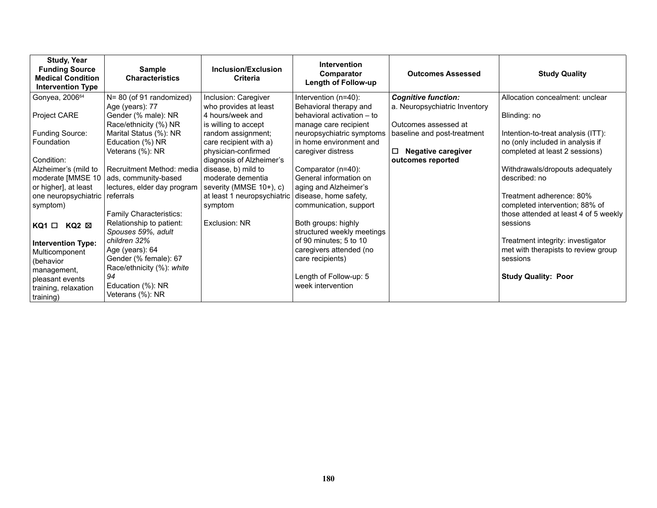| <b>Study, Year</b><br><b>Funding Source</b><br><b>Medical Condition</b><br><b>Intervention Type</b> | <b>Sample</b><br><b>Characteristics</b>                         | Inclusion/Exclusion<br><b>Criteria</b>                            | <b>Intervention</b><br>Comparator<br>Length of Follow-up                      | <b>Outcomes Assessed</b>                              | <b>Study Quality</b>                                                    |
|-----------------------------------------------------------------------------------------------------|-----------------------------------------------------------------|-------------------------------------------------------------------|-------------------------------------------------------------------------------|-------------------------------------------------------|-------------------------------------------------------------------------|
| Gonyea, 200664                                                                                      | N= 80 (of 91 randomized)                                        | Inclusion: Caregiver                                              | Intervention (n=40):                                                          | <b>Cognitive function:</b>                            | Allocation concealment: unclear                                         |
| Project CARE                                                                                        | Age (years): 77<br>Gender (% male): NR<br>Race/ethnicity (%) NR | who provides at least<br>4 hours/week and<br>is willing to accept | Behavioral therapy and<br>behavioral activation - to<br>manage care recipient | a. Neuropsychiatric Inventory<br>Outcomes assessed at | Blinding: no                                                            |
| Funding Source:                                                                                     | Marital Status (%): NR                                          | random assignment;                                                | neuropsychiatric symptoms                                                     | baseline and post-treatment                           | Intention-to-treat analysis (ITT):                                      |
| Foundation                                                                                          | Education (%) NR                                                | care recipient with a)                                            | in home environment and                                                       |                                                       | no (only included in analysis if                                        |
| Condition:                                                                                          | Veterans (%): NR                                                | physician-confirmed<br>diagnosis of Alzheimer's                   | caregiver distress                                                            | П<br><b>Negative caregiver</b><br>outcomes reported   | completed at least 2 sessions)                                          |
| Alzheimer's (mild to                                                                                | Recruitment Method: media                                       | disease, b) mild to                                               | Comparator (n=40):                                                            |                                                       | Withdrawals/dropouts adequately                                         |
| moderate [MMSE 10                                                                                   | ads, community-based                                            | moderate dementia                                                 | General information on                                                        |                                                       | described: no                                                           |
| or higher], at least                                                                                | lectures, elder day program                                     | severity (MMSE 10+), c)                                           | aging and Alzheimer's                                                         |                                                       |                                                                         |
| one neuropsychiatric                                                                                | referrals                                                       | at least 1 neuropsychiatric disease, home safety,                 |                                                                               |                                                       | Treatment adherence: 80%                                                |
| symptom)                                                                                            | Family Characteristics:                                         | symptom                                                           | communication, support                                                        |                                                       | completed intervention; 88% of<br>those attended at least 4 of 5 weekly |
| KQ2 ⊠<br>KQ1 □                                                                                      | Relationship to patient:<br>Spouses 59%, adult                  | Exclusion: NR                                                     | Both groups: highly<br>structured weekly meetings                             |                                                       | sessions                                                                |
| <b>Intervention Type:</b>                                                                           | children 32%                                                    |                                                                   | of 90 minutes; 5 to 10                                                        |                                                       | Treatment integrity: investigator                                       |
| Multicomponent                                                                                      | Age (years): 64                                                 |                                                                   | caregivers attended (no                                                       |                                                       | met with therapists to review group                                     |
| (behavior                                                                                           | Gender (% female): 67                                           |                                                                   | care recipients)                                                              |                                                       | sessions                                                                |
| management,                                                                                         | Race/ethnicity (%): white                                       |                                                                   |                                                                               |                                                       |                                                                         |
| pleasant events                                                                                     | 94                                                              |                                                                   | Length of Follow-up: 5                                                        |                                                       | <b>Study Quality: Poor</b>                                              |
| training, relaxation<br>training)                                                                   | Education (%): NR<br>Veterans (%): NR                           |                                                                   | week intervention                                                             |                                                       |                                                                         |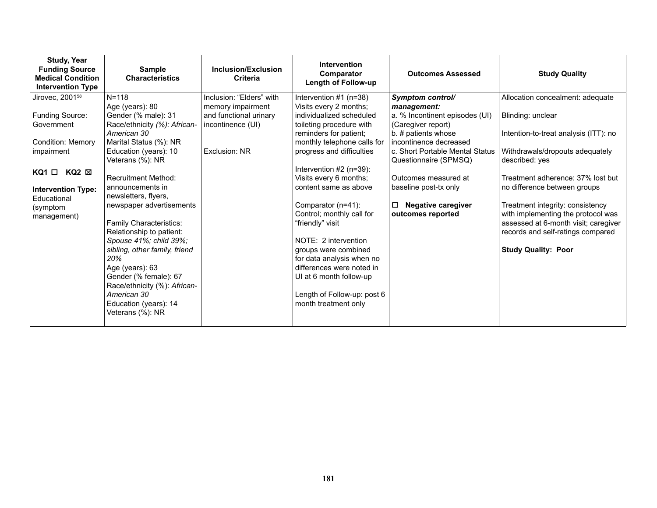| <b>Study, Year</b><br><b>Funding Source</b><br><b>Medical Condition</b><br><b>Intervention Type</b> | <b>Sample</b><br><b>Characteristics</b>                                                                                                                                                                                                                                                                                               | Inclusion/Exclusion<br>Criteria                                                   | <b>Intervention</b><br>Comparator<br>Length of Follow-up                                                                                                                                                                                                                                 | <b>Outcomes Assessed</b>                                                                                                                                                         | <b>Study Quality</b>                                                                                                                                                                                              |
|-----------------------------------------------------------------------------------------------------|---------------------------------------------------------------------------------------------------------------------------------------------------------------------------------------------------------------------------------------------------------------------------------------------------------------------------------------|-----------------------------------------------------------------------------------|------------------------------------------------------------------------------------------------------------------------------------------------------------------------------------------------------------------------------------------------------------------------------------------|----------------------------------------------------------------------------------------------------------------------------------------------------------------------------------|-------------------------------------------------------------------------------------------------------------------------------------------------------------------------------------------------------------------|
| Jirovec, 2001 <sup>58</sup>                                                                         | $N = 118$                                                                                                                                                                                                                                                                                                                             | Inclusion: "Elders" with                                                          | Intervention $#1$ (n=38)                                                                                                                                                                                                                                                                 | Symptom control/                                                                                                                                                                 | Allocation concealment: adequate                                                                                                                                                                                  |
| Funding Source:<br>Government<br><b>Condition: Memory</b><br>impairment                             | Age (years): 80<br>Gender (% male): 31<br>Race/ethnicity (%): African-<br>American 30<br>Marital Status (%): NR<br>Education (years): 10<br>Veterans (%): NR                                                                                                                                                                          | memory impairment<br>and functional urinary<br>incontinence (UI)<br>Exclusion: NR | Visits every 2 months;<br>individualized scheduled<br>toileting procedure with<br>reminders for patient;<br>monthly telephone calls for<br>progress and difficulties                                                                                                                     | management:<br>a. % Incontinent episodes (UI)<br>(Caregiver report)<br>b. # patients whose<br>incontinence decreased<br>c. Short Portable Mental Status<br>Questionnaire (SPMSQ) | Blinding: unclear<br>Intention-to-treat analysis (ITT): no<br>Withdrawals/dropouts adequately<br>described: yes                                                                                                   |
| KQ2 ⊠<br>KQ1 □                                                                                      | <b>Recruitment Method:</b>                                                                                                                                                                                                                                                                                                            |                                                                                   | Intervention $#2$ (n=39):<br>Visits every 6 months;                                                                                                                                                                                                                                      | Outcomes measured at                                                                                                                                                             | Treatment adherence: 37% lost but                                                                                                                                                                                 |
| <b>Intervention Type:</b><br>Educational<br>(symptom<br>management)                                 | announcements in<br>newsletters, flyers,<br>newspaper advertisements<br>Family Characteristics:<br>Relationship to patient:<br>Spouse 41%; child 39%;<br>sibling, other family, friend<br>20%<br>Age (years): 63<br>Gender (% female): 67<br>Race/ethnicity (%): African-<br>American 30<br>Education (years): 14<br>Veterans (%): NR |                                                                                   | content same as above<br>Comparator (n=41):<br>Control; monthly call for<br>"friendly" visit<br>NOTE: 2 intervention<br>groups were combined<br>for data analysis when no<br>differences were noted in<br>UI at 6 month follow-up<br>Length of Follow-up: post 6<br>month treatment only | baseline post-tx only<br><b>Negative caregiver</b><br>$\Box$<br>outcomes reported                                                                                                | no difference between groups<br>Treatment integrity: consistency<br>with implementing the protocol was<br>assessed at 6-month visit; caregiver<br>records and self-ratings compared<br><b>Study Quality: Poor</b> |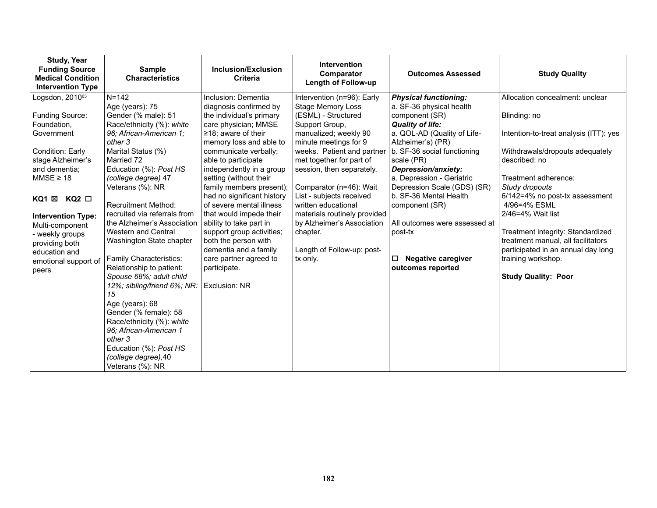| <b>Study, Year</b><br><b>Funding Source</b><br><b>Medical Condition</b><br><b>Intervention Type</b>                                                                                                                                                                                                                 | <b>Sample</b><br><b>Characteristics</b>                                                                                                                                                                                                                                                                                                                                                                                                                                                                                                                                                                                                                                                    | Inclusion/Exclusion<br><b>Criteria</b>                                                                                                                                                                                                                                                                                                                                                                                                                                                                                                               | Intervention<br>Comparator<br><b>Length of Follow-up</b>                                                                                                                                                                                                                                                                                                                                                                                   | <b>Outcomes Assessed</b>                                                                                                                                                                                                                                                                                                                                                                                                                 | <b>Study Quality</b>                                                                                                                                                                                                                                                                                                                                                                                                                |
|---------------------------------------------------------------------------------------------------------------------------------------------------------------------------------------------------------------------------------------------------------------------------------------------------------------------|--------------------------------------------------------------------------------------------------------------------------------------------------------------------------------------------------------------------------------------------------------------------------------------------------------------------------------------------------------------------------------------------------------------------------------------------------------------------------------------------------------------------------------------------------------------------------------------------------------------------------------------------------------------------------------------------|------------------------------------------------------------------------------------------------------------------------------------------------------------------------------------------------------------------------------------------------------------------------------------------------------------------------------------------------------------------------------------------------------------------------------------------------------------------------------------------------------------------------------------------------------|--------------------------------------------------------------------------------------------------------------------------------------------------------------------------------------------------------------------------------------------------------------------------------------------------------------------------------------------------------------------------------------------------------------------------------------------|------------------------------------------------------------------------------------------------------------------------------------------------------------------------------------------------------------------------------------------------------------------------------------------------------------------------------------------------------------------------------------------------------------------------------------------|-------------------------------------------------------------------------------------------------------------------------------------------------------------------------------------------------------------------------------------------------------------------------------------------------------------------------------------------------------------------------------------------------------------------------------------|
| Logsdon, $2010^{63}$<br>Funding Source:<br>Foundation,<br>Government<br>Condition: Early<br>stage Alzheimer's<br>and dementia;<br>$MMSE \geq 18$<br>$KQ2$ $\square$<br>KQ1 ⊠<br><b>Intervention Type:</b><br>Multi-component<br>- weekly groups<br>providing both<br>education and<br>emotional support of<br>peers | $N = 142$<br>Age (years): 75<br>Gender (% male): 51<br>Race/ethnicity (%): white<br>96; African-American 1;<br>other 3<br>Marital Status (%)<br>Married 72<br>Education (%): Post HS<br>(college degree) 47<br>Veterans (%): NR<br><b>Recruitment Method:</b><br>recruited via referrals from<br>the Alzheimer's Association<br>Western and Central<br>Washington State chapter<br>Family Characteristics:<br>Relationship to patient:<br>Spouse 68%; adult child<br>12%; sibling/friend 6%; NR:<br>15<br>Age (years): 68<br>Gender (% female): 58<br>Race/ethnicity (%): white<br>96: African-American 1<br>other 3<br>Education (%): Post HS<br>(college degree), 40<br>Veterans (%): NR | Inclusion: Dementia<br>diagnosis confirmed by<br>the individual's primary<br>care physician; MMSE<br>$\geq$ 18; aware of their<br>memory loss and able to<br>communicate verbally;<br>able to participate<br>independently in a group<br>setting (without their<br>family members present);<br>had no significant history<br>of severe mental illness<br>that would impede their<br>ability to take part in<br>support group activities;<br>both the person with<br>dementia and a family<br>care partner agreed to<br>participate.<br>Exclusion: NR | Intervention (n=96): Early<br><b>Stage Memory Loss</b><br>(ESML) - Structured<br>Support Group,<br>manualized; weekly 90<br>minute meetings for 9<br>weeks. Patient and partner<br>met together for part of<br>session, then separately.<br>Comparator (n=46): Wait<br>List - subjects received<br>written educational<br>materials routinely provided<br>by Alzheimer's Association<br>chapter.<br>Length of Follow-up: post-<br>tx only. | <b>Physical functioning:</b><br>a. SF-36 physical health<br>component (SR)<br><b>Quality of life:</b><br>a. QOL-AD (Quality of Life-<br>Alzheimer's) (PR)<br>b. SF-36 social functioning<br>scale (PR)<br>Depression/anxiety:<br>a. Depression - Geriatric<br>Depression Scale (GDS) (SR)<br>b. SF-36 Mental Health<br>component (SR)<br>All outcomes were assessed at<br>post-tx<br>□<br><b>Negative caregiver</b><br>outcomes reported | Allocation concealment: unclear<br>Blinding: no<br>Intention-to-treat analysis (ITT): yes<br>Withdrawals/dropouts adequately<br>described: no<br>Treatment adherence:<br>Study dropouts<br>6/142=4% no post-tx assessment<br>4/96=4% ESML<br>2/46=4% Wait list<br>Treatment integrity: Standardized<br>treatment manual, all facilitators<br>participated in an annual day long<br>training workshop.<br><b>Study Quality: Poor</b> |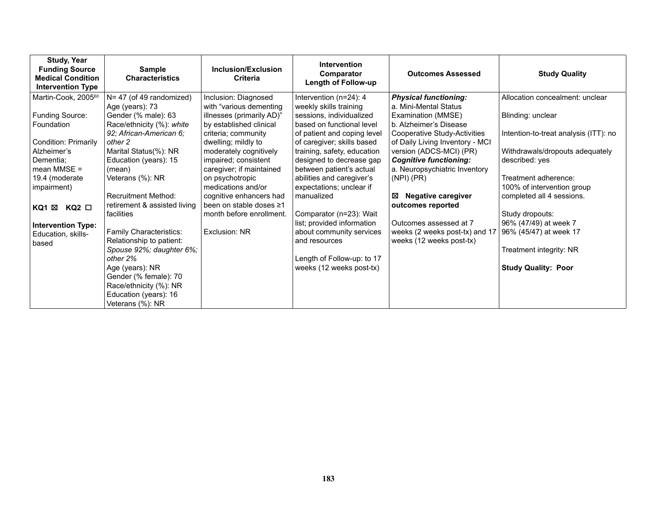| <b>Study, Year</b><br><b>Funding Source</b><br><b>Medical Condition</b><br><b>Intervention Type</b> | <b>Sample</b><br><b>Characteristics</b> | Inclusion/Exclusion<br>Criteria | <b>Intervention</b><br>Comparator<br>Length of Follow-up | <b>Outcomes Assessed</b>                                   | <b>Study Quality</b>                  |
|-----------------------------------------------------------------------------------------------------|-----------------------------------------|---------------------------------|----------------------------------------------------------|------------------------------------------------------------|---------------------------------------|
| Martin-Cook, 2005 <sup>60</sup>                                                                     | $N = 47$ (of 49 randomized)             | Inclusion: Diagnosed            | Intervention (n=24): 4                                   | <b>Physical functioning:</b>                               | Allocation concealment: unclear       |
|                                                                                                     | Age (years): 73                         | with "various dementing         | weekly skills training                                   | a. Mini-Mental Status                                      |                                       |
| <b>Funding Source:</b>                                                                              | Gender (% male): 63                     | illnesses (primarily AD)"       | sessions, individualized                                 | Examination (MMSE)                                         | Blinding: unclear                     |
| Foundation                                                                                          | Race/ethnicity (%): white               | by established clinical         | based on functional level                                | b. Alzheimer's Disease                                     |                                       |
|                                                                                                     | 92; African-American 6;                 | criteria; community             | of patient and coping level                              | Cooperative Study-Activities                               | Intention-to-treat analysis (ITT): no |
| <b>Condition: Primarily</b>                                                                         | other 2                                 | dwelling; mildly to             | of caregiver; skills based                               | of Daily Living Inventory - MCI                            |                                       |
| Alzheimer's                                                                                         | Marital Status(%): NR                   | moderately cognitively          | training, safety, education                              | version (ADCS-MCI) (PR)                                    | Withdrawals/dropouts adequately       |
| Dementia;                                                                                           | Education (years): 15                   | impaired; consistent            | designed to decrease gap                                 | <b>Cognitive functioning:</b>                              | described: yes                        |
| mean MMSE $=$                                                                                       | (mean)                                  | caregiver; if maintained        | between patient's actual                                 | a. Neuropsychiatric Inventory                              |                                       |
| 19.4 (moderate                                                                                      | Veterans (%): NR                        | on psychotropic                 | abilities and caregiver's                                | $(NPI)$ $(PR)$                                             | Treatment adherence:                  |
| impairment)                                                                                         |                                         | medications and/or              | expectations; unclear if                                 |                                                            | 100% of intervention group            |
|                                                                                                     | <b>Recruitment Method:</b>              | cognitive enhancers had         | manualized                                               | <b>Negative caregiver</b><br>⊠                             | completed all 4 sessions.             |
| KQ1 ⊠<br>$KQ2$ $\square$                                                                            | retirement & assisted living            | been on stable doses ≥1         |                                                          | outcomes reported                                          |                                       |
|                                                                                                     | facilities                              | month before enrollment.        | Comparator (n=23): Wait                                  | Outcomes assessed at 7                                     | Study dropouts:                       |
| <b>Intervention Type:</b>                                                                           | Family Characteristics:                 | Exclusion: NR                   | list; provided information                               |                                                            | 96% (47/49) at week 7                 |
| Education, skills-                                                                                  | Relationship to patient:                |                                 | about community services<br>and resources                | weeks (2 weeks post-tx) and 17<br>weeks (12 weeks post-tx) | 96% (45/47) at week 17                |
| based                                                                                               | Spouse 92%; daughter 6%;                |                                 |                                                          |                                                            | Treatment integrity: NR               |
|                                                                                                     | other 2%                                |                                 | Length of Follow-up: to 17                               |                                                            |                                       |
|                                                                                                     | Age (years): NR                         |                                 | weeks (12 weeks post-tx)                                 |                                                            | <b>Study Quality: Poor</b>            |
|                                                                                                     | Gender (% female): 70                   |                                 |                                                          |                                                            |                                       |
|                                                                                                     | Race/ethnicity (%): NR                  |                                 |                                                          |                                                            |                                       |
|                                                                                                     | Education (years): 16                   |                                 |                                                          |                                                            |                                       |
|                                                                                                     | Veterans (%): NR                        |                                 |                                                          |                                                            |                                       |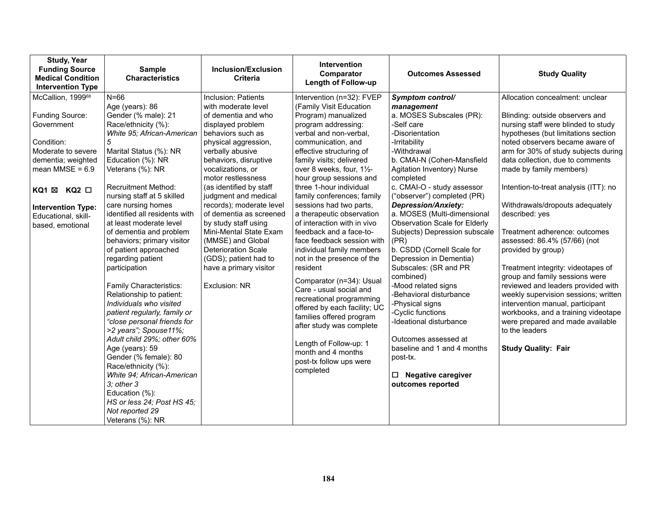| <b>Study, Year</b><br><b>Funding Source</b><br><b>Medical Condition</b><br><b>Intervention Type</b>                                                                                                                                  | <b>Sample</b><br><b>Characteristics</b>                                                                                                                                                                                                                                                                                                                                                                                                                                                                                                                                                                                                                                                                                                                                                                                                             | Inclusion/Exclusion<br><b>Criteria</b>                                                                                                                                                                                                                                                                                                                                                                                                                                                                         | Intervention<br>Comparator<br>Length of Follow-up                                                                                                                                                                                                                                                                                                                                                                                                                                                                                                                                                                                                                                                                                                                                                                     | <b>Outcomes Assessed</b>                                                                                                                                                                                                                                                                                                                                                                                                                                                                                                                                                                                                                                                                                                                              | <b>Study Quality</b>                                                                                                                                                                                                                                                                                                                                                                                                                                                                                                                                                                                                                                                                                                                                                                                 |
|--------------------------------------------------------------------------------------------------------------------------------------------------------------------------------------------------------------------------------------|-----------------------------------------------------------------------------------------------------------------------------------------------------------------------------------------------------------------------------------------------------------------------------------------------------------------------------------------------------------------------------------------------------------------------------------------------------------------------------------------------------------------------------------------------------------------------------------------------------------------------------------------------------------------------------------------------------------------------------------------------------------------------------------------------------------------------------------------------------|----------------------------------------------------------------------------------------------------------------------------------------------------------------------------------------------------------------------------------------------------------------------------------------------------------------------------------------------------------------------------------------------------------------------------------------------------------------------------------------------------------------|-----------------------------------------------------------------------------------------------------------------------------------------------------------------------------------------------------------------------------------------------------------------------------------------------------------------------------------------------------------------------------------------------------------------------------------------------------------------------------------------------------------------------------------------------------------------------------------------------------------------------------------------------------------------------------------------------------------------------------------------------------------------------------------------------------------------------|-------------------------------------------------------------------------------------------------------------------------------------------------------------------------------------------------------------------------------------------------------------------------------------------------------------------------------------------------------------------------------------------------------------------------------------------------------------------------------------------------------------------------------------------------------------------------------------------------------------------------------------------------------------------------------------------------------------------------------------------------------|------------------------------------------------------------------------------------------------------------------------------------------------------------------------------------------------------------------------------------------------------------------------------------------------------------------------------------------------------------------------------------------------------------------------------------------------------------------------------------------------------------------------------------------------------------------------------------------------------------------------------------------------------------------------------------------------------------------------------------------------------------------------------------------------------|
| McCallion, 1999 <sup>68</sup><br>Funding Source:<br>Government<br>Condition:<br>Moderate to severe<br>dementia; weighted<br>mean $MMSE = 6.9$<br>KQ1 ⊠ KQ2 □<br><b>Intervention Type:</b><br>Educational, skill-<br>based, emotional | $N = 66$<br>Age (years): 86<br>Gender (% male): 21<br>Race/ethnicity (%):<br>White 95; African-American<br>5<br>Marital Status (%): NR<br>Education (%): NR<br>Veterans (%): NR<br><b>Recruitment Method:</b><br>nursing staff at 5 skilled<br>care nursing homes<br>identified all residents with<br>at least moderate level<br>of dementia and problem<br>behaviors; primary visitor<br>of patient approached<br>regarding patient<br>participation<br>Family Characteristics:<br>Relationship to patient:<br>Individuals who visited<br>patient regularly, family or<br>"close personal friends for<br>>2 years"; Spouse11%;<br>Adult child 29%; other 60%<br>Age (years): 59<br>Gender (% female): 80<br>Race/ethnicity (%):<br>White 94; African-American<br>$3:$ other $3$<br>Education (%):<br>HS or less 24; Post HS 45;<br>Not reported 29 | Inclusion: Patients<br>with moderate level<br>of dementia and who<br>displayed problem<br>behaviors such as<br>physical aggression,<br>verbally abusive<br>behaviors, disruptive<br>vocalizations, or<br>motor restlessness<br>(as identified by staff<br>judgment and medical<br>records); moderate level<br>of dementia as screened<br>by study staff using<br>Mini-Mental State Exam<br>(MMSE) and Global<br><b>Deterioration Scale</b><br>(GDS); patient had to<br>have a primary visitor<br>Exclusion: NR | Intervention (n=32): FVEP<br>(Family Visit Education<br>Program) manualized<br>program addressing:<br>verbal and non-verbal,<br>communication, and<br>effective structuring of<br>family visits; delivered<br>over 8 weeks, four, 11/2-<br>hour group sessions and<br>three 1-hour individual<br>family conferences; family<br>sessions had two parts,<br>a therapeutic observation<br>of interaction with in vivo<br>feedback and a face-to-<br>face feedback session with<br>individual family members<br>not in the presence of the<br>resident<br>Comparator (n=34): Usual<br>Care - usual social and<br>recreational programming<br>offered by each facility; UC<br>families offered program<br>after study was complete<br>Length of Follow-up: 1<br>month and 4 months<br>post-tx follow ups were<br>completed | Symptom control/<br>management<br>a. MOSES Subscales (PR):<br>-Self care<br>-Disorientation<br>-Irritability<br>-Withdrawal<br>b. CMAI-N (Cohen-Mansfield<br>Agitation Inventory) Nurse<br>completed<br>c. CMAI-O - study assessor<br>("observer") completed (PR)<br><b>Depression/Anxiety:</b><br>a. MOSES (Multi-dimensional<br>Observation Scale for Elderly<br>Subjects) Depression subscale<br>(PR)<br>b. CSDD (Cornell Scale for<br>Depression in Dementia)<br>Subscales: (SR and PR<br>combined)<br>-Mood related signs<br>-Behavioral disturbance<br>-Physical signs<br>-Cyclic functions<br>Ideational disturbance<br>Outcomes assessed at<br>baseline and 1 and 4 months<br>post-tx.<br>◻<br><b>Negative caregiver</b><br>outcomes reported | Allocation concealment: unclear<br>Blinding: outside observers and<br>nursing staff were blinded to study<br>hypotheses (but limitations section<br>noted observers became aware of<br>arm for 30% of study subjects during<br>data collection, due to comments<br>made by family members)<br>Intention-to-treat analysis (ITT): no<br>Withdrawals/dropouts adequately<br>described: yes<br>Treatment adherence: outcomes<br>assessed: 86.4% (57/66) (not<br>provided by group)<br>Treatment integrity: videotapes of<br>group and family sessions were<br>reviewed and leaders provided with<br>weekly supervision sessions; written<br>intervention manual, participant<br>workbooks, and a training videotape<br>were prepared and made available<br>to the leaders<br><b>Study Quality: Fair</b> |
|                                                                                                                                                                                                                                      | Veterans (%): NR                                                                                                                                                                                                                                                                                                                                                                                                                                                                                                                                                                                                                                                                                                                                                                                                                                    |                                                                                                                                                                                                                                                                                                                                                                                                                                                                                                                |                                                                                                                                                                                                                                                                                                                                                                                                                                                                                                                                                                                                                                                                                                                                                                                                                       |                                                                                                                                                                                                                                                                                                                                                                                                                                                                                                                                                                                                                                                                                                                                                       |                                                                                                                                                                                                                                                                                                                                                                                                                                                                                                                                                                                                                                                                                                                                                                                                      |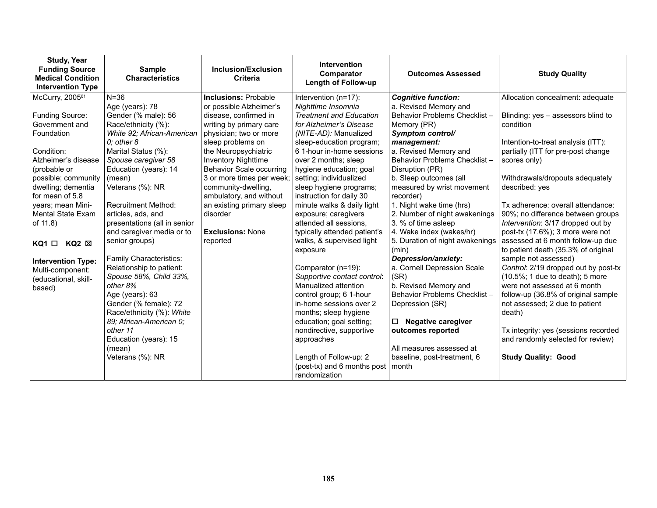| <b>Study, Year</b><br><b>Funding Source</b><br><b>Medical Condition</b><br><b>Intervention Type</b> | <b>Sample</b><br><b>Characteristics</b>       | Inclusion/Exclusion<br><b>Criteria</b>      | Intervention<br>Comparator<br>Length of Follow-up   | <b>Outcomes Assessed</b>                               | <b>Study Quality</b>                                            |
|-----------------------------------------------------------------------------------------------------|-----------------------------------------------|---------------------------------------------|-----------------------------------------------------|--------------------------------------------------------|-----------------------------------------------------------------|
| McCurry, 2005 <sup>61</sup>                                                                         | $N = 36$                                      | <b>Inclusions: Probable</b>                 | Intervention (n=17):                                | <b>Cognitive function:</b>                             | Allocation concealment: adequate                                |
|                                                                                                     | Age (years): 78                               | or possible Alzheimer's                     | Nighttime Insomnia                                  | a. Revised Memory and                                  |                                                                 |
| Funding Source:                                                                                     | Gender (% male): 56                           | disease, confirmed in                       | <b>Treatment and Education</b>                      | Behavior Problems Checklist -                          | Blinding: yes - assessors blind to                              |
| Government and                                                                                      | Race/ethnicity (%):                           | writing by primary care                     | for Alzheimer's Disease                             | Memory (PR)                                            | condition                                                       |
| Foundation                                                                                          | White 92; African-American<br>$0$ : other $8$ | physician; two or more<br>sleep problems on | (NITE-AD): Manualized<br>sleep-education program;   | Symptom control/<br>management:                        | Intention-to-treat analysis (ITT):                              |
| Condition:                                                                                          | Marital Status (%):                           | the Neuropsychiatric                        | 6 1-hour in-home sessions                           | a. Revised Memory and                                  | partially (ITT for pre-post change                              |
| Alzheimer's disease                                                                                 | Spouse caregiver 58                           | <b>Inventory Nighttime</b>                  | over 2 months; sleep                                | Behavior Problems Checklist-                           | scores only)                                                    |
| (probable or                                                                                        | Education (years): 14                         | <b>Behavior Scale occurring</b>             | hygiene education; goal                             | Disruption (PR)                                        |                                                                 |
| possible; community                                                                                 | (mean)                                        | 3 or more times per week;                   | setting; individualized                             | b. Sleep outcomes (all                                 | Withdrawals/dropouts adequately                                 |
| dwelling; dementia                                                                                  | Veterans (%): NR                              | community-dwelling,                         | sleep hygiene programs;                             | measured by wrist movement                             | described: yes                                                  |
| for mean of 5.8                                                                                     |                                               | ambulatory, and without                     | instruction for daily 30                            | recorder)                                              |                                                                 |
| years; mean Mini-                                                                                   | <b>Recruitment Method:</b>                    | an existing primary sleep                   | minute walks & daily light                          | 1. Night wake time (hrs)                               | Tx adherence: overall attendance:                               |
| Mental State Exam                                                                                   | articles, ads, and                            | disorder                                    | exposure; caregivers                                | 2. Number of night awakenings                          | 90%; no difference between groups                               |
| of 11.8)                                                                                            | presentations (all in senior                  |                                             | attended all sessions,                              | 3. % of time asleep                                    | Intervention: 3/17 dropped out by                               |
|                                                                                                     | and caregiver media or to                     | <b>Exclusions: None</b>                     | typically attended patient's                        | 4. Wake index (wakes/hr)                               | post-tx (17.6%); 3 more were not                                |
| $KQ2 \boxtimes$<br>KQ1 □                                                                            | senior groups)                                | reported                                    | walks, & supervised light                           | 5. Duration of night awakenings                        | assessed at 6 month follow-up due                               |
|                                                                                                     |                                               |                                             | exposure                                            | (min)                                                  | to patient death (35.3% of original                             |
| <b>Intervention Type:</b>                                                                           | Family Characteristics:                       |                                             |                                                     | Depression/anxiety:                                    | sample not assessed)                                            |
| Multi-component:                                                                                    | Relationship to patient:                      |                                             | Comparator (n=19):                                  | a. Cornell Depression Scale                            | Control: 2/19 dropped out by post-tx                            |
| (educational, skill-                                                                                | Spouse 58%, Child 33%,<br>other 8%            |                                             | Supportive contact control:<br>Manualized attention | (SR)                                                   | (10.5%; 1 due to death); 5 more<br>were not assessed at 6 month |
| based)                                                                                              | Age (years): 63                               |                                             | control group; 6 1-hour                             | b. Revised Memory and<br>Behavior Problems Checklist - | follow-up (36.8% of original sample                             |
|                                                                                                     | Gender (% female): 72                         |                                             | in-home sessions over 2                             | Depression (SR)                                        | not assessed; 2 due to patient                                  |
|                                                                                                     | Race/ethnicity (%): White                     |                                             | months; sleep hygiene                               |                                                        | death)                                                          |
|                                                                                                     | 89; African-American 0;                       |                                             | education; goal setting;                            | <b>Negative caregiver</b><br>□                         |                                                                 |
|                                                                                                     | other 11                                      |                                             | nondirective, supportive                            | outcomes reported                                      | Tx integrity: yes (sessions recorded                            |
|                                                                                                     | Education (years): 15                         |                                             | approaches                                          |                                                        | and randomly selected for review)                               |
|                                                                                                     | (mean)                                        |                                             |                                                     | All measures assessed at                               |                                                                 |
|                                                                                                     | Veterans (%): NR                              |                                             | Length of Follow-up: 2                              | baseline, post-treatment, 6                            | <b>Study Quality: Good</b>                                      |
|                                                                                                     |                                               |                                             | (post-tx) and 6 months post   month                 |                                                        |                                                                 |
|                                                                                                     |                                               |                                             | randomization                                       |                                                        |                                                                 |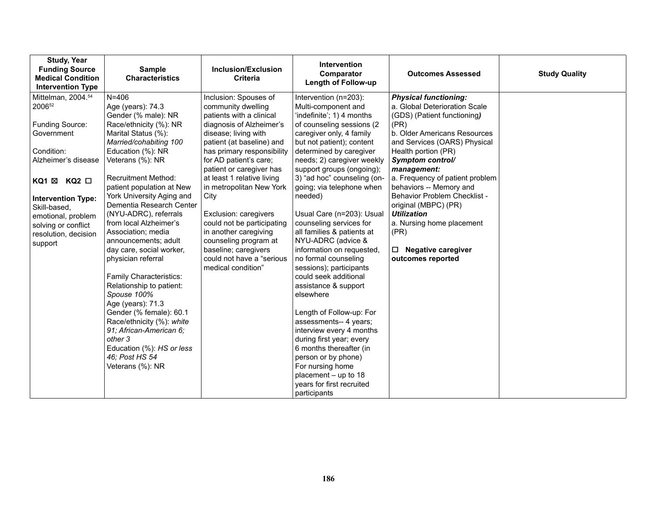| <b>Study, Year</b><br><b>Funding Source</b><br><b>Medical Condition</b><br><b>Intervention Type</b>                                                                                                                                                        | <b>Sample</b><br><b>Characteristics</b>                                                                                                                                                                                                                                                                                                                                                                                                                                                                                                                                                                                                                                                                             | Inclusion/Exclusion<br><b>Criteria</b>                                                                                                                                                                                                                                                                                                                                                                                                                                                              | <b>Intervention</b><br>Comparator<br><b>Length of Follow-up</b>                                                                                                                                                                                                                                                                                                                                                                                                                                                                                                                                                                                                                                                                                                            | <b>Outcomes Assessed</b>                                                                                                                                                                                                                                                                                                                                                                                                                                                           | <b>Study Quality</b> |
|------------------------------------------------------------------------------------------------------------------------------------------------------------------------------------------------------------------------------------------------------------|---------------------------------------------------------------------------------------------------------------------------------------------------------------------------------------------------------------------------------------------------------------------------------------------------------------------------------------------------------------------------------------------------------------------------------------------------------------------------------------------------------------------------------------------------------------------------------------------------------------------------------------------------------------------------------------------------------------------|-----------------------------------------------------------------------------------------------------------------------------------------------------------------------------------------------------------------------------------------------------------------------------------------------------------------------------------------------------------------------------------------------------------------------------------------------------------------------------------------------------|----------------------------------------------------------------------------------------------------------------------------------------------------------------------------------------------------------------------------------------------------------------------------------------------------------------------------------------------------------------------------------------------------------------------------------------------------------------------------------------------------------------------------------------------------------------------------------------------------------------------------------------------------------------------------------------------------------------------------------------------------------------------------|------------------------------------------------------------------------------------------------------------------------------------------------------------------------------------------------------------------------------------------------------------------------------------------------------------------------------------------------------------------------------------------------------------------------------------------------------------------------------------|----------------------|
| Mittelman, 2004. <sup>54</sup><br>200652<br>Funding Source:<br>Government<br>Condition:<br>Alzheimer's disease<br>KQ1 ⊠ KQ2 □<br><b>Intervention Type:</b><br>Skill-based,<br>emotional, problem<br>solving or conflict<br>resolution, decision<br>support | $N = 406$<br>Age (years): 74.3<br>Gender (% male): NR<br>Race/ethnicity (%): NR<br>Marital Status (%):<br>Married/cohabiting 100<br>Education (%): NR<br>Veterans (%): NR<br><b>Recruitment Method:</b><br>patient population at New<br>York University Aging and<br>Dementia Research Center<br>(NYU-ADRC), referrals<br>from local Alzheimer's<br>Association; media<br>announcements; adult<br>day care, social worker,<br>physician referral<br><b>Family Characteristics:</b><br>Relationship to patient:<br>Spouse 100%<br>Age (years): 71.3<br>Gender (% female): 60.1<br>Race/ethnicity (%): white<br>91; African-American 6;<br>other 3<br>Education (%): HS or less<br>46; Post HS 54<br>Veterans (%): NR | Inclusion: Spouses of<br>community dwelling<br>patients with a clinical<br>diagnosis of Alzheimer's<br>disease; living with<br>patient (at baseline) and<br>has primary responsibility<br>for AD patient's care;<br>patient or caregiver has<br>at least 1 relative living<br>in metropolitan New York<br>City<br>Exclusion: caregivers<br>could not be participating<br>in another caregiving<br>counseling program at<br>baseline; caregivers<br>could not have a "serious"<br>medical condition" | Intervention (n=203):<br>Multi-component and<br>'indefinite'; 1) 4 months<br>of counseling sessions (2<br>caregiver only, 4 family<br>but not patient); content<br>determined by caregiver<br>needs; 2) caregiver weekly<br>support groups (ongoing);<br>3) "ad hoc" counseling (on-<br>going; via telephone when<br>needed)<br>Usual Care (n=203): Usual<br>counseling services for<br>all families & patients at<br>NYU-ADRC (advice &<br>information on requested,<br>no formal counseling<br>sessions); participants<br>could seek additional<br>assistance & support<br>elsewhere<br>Length of Follow-up: For<br>assessments-- 4 years;<br>interview every 4 months<br>during first year; every<br>6 months thereafter (in<br>person or by phone)<br>For nursing home | <b>Physical functioning:</b><br>a. Global Deterioration Scale<br>(GDS) (Patient functioning)<br>(PR)<br>b. Older Americans Resources<br>and Services (OARS) Physical<br>Health portion (PR)<br>Symptom control/<br>management:<br>a. Frequency of patient problem<br>behaviors -- Memory and<br><b>Behavior Problem Checklist -</b><br>original (MBPC) (PR)<br><b>Utilization</b><br>a. Nursing home placement<br>(PR)<br><b>Negative caregiver</b><br>$\Box$<br>outcomes reported |                      |
|                                                                                                                                                                                                                                                            |                                                                                                                                                                                                                                                                                                                                                                                                                                                                                                                                                                                                                                                                                                                     |                                                                                                                                                                                                                                                                                                                                                                                                                                                                                                     | placement - up to 18<br>years for first recruited<br>participants                                                                                                                                                                                                                                                                                                                                                                                                                                                                                                                                                                                                                                                                                                          |                                                                                                                                                                                                                                                                                                                                                                                                                                                                                    |                      |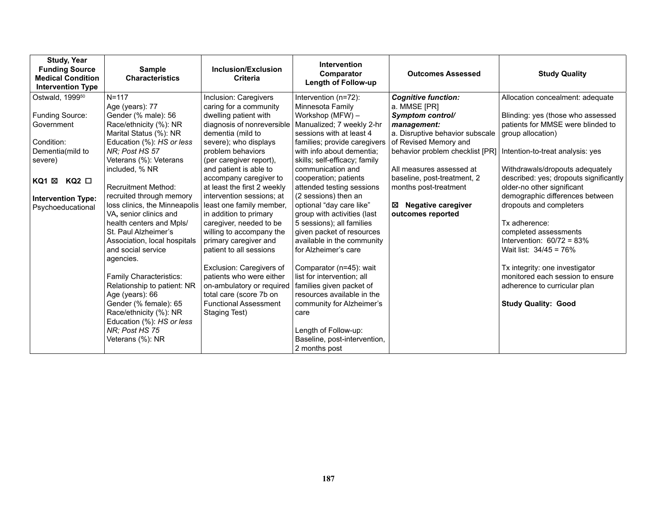| <b>Study, Year</b><br><b>Funding Source</b><br><b>Medical Condition</b><br><b>Intervention Type</b> | <b>Sample</b><br><b>Characteristics</b>             | Inclusion/Exclusion<br><b>Criteria</b>                | <b>Intervention</b><br>Comparator<br><b>Length of Follow-up</b> | <b>Outcomes Assessed</b>                             | <b>Study Quality</b>                                                 |
|-----------------------------------------------------------------------------------------------------|-----------------------------------------------------|-------------------------------------------------------|-----------------------------------------------------------------|------------------------------------------------------|----------------------------------------------------------------------|
| Ostwald, 1999 <sup>50</sup>                                                                         | $N = 117$                                           | Inclusion: Caregivers                                 | Intervention (n=72):                                            | <b>Cognitive function:</b>                           | Allocation concealment: adequate                                     |
|                                                                                                     | Age (years): 77                                     | caring for a community                                | Minnesota Family                                                | a. MMSE [PR]                                         |                                                                      |
| Funding Source:                                                                                     | Gender (% male): 56                                 | dwelling patient with                                 | Workshop (MFW) -                                                | Symptom control/                                     | Blinding: yes (those who assessed                                    |
| Government                                                                                          | Race/ethnicity (%): NR                              |                                                       | diagnosis of nonreversible   Manualized; 7 weekly 2-hr          | management:                                          | patients for MMSE were blinded to                                    |
|                                                                                                     | Marital Status (%): NR                              | dementia (mild to                                     | sessions with at least 4                                        | a. Disruptive behavior subscale                      | group allocation)                                                    |
| Condition:                                                                                          | Education (%): HS or less                           | severe); who displays                                 | families; provide caregivers                                    | of Revised Memory and                                |                                                                      |
| Dementia(mild to                                                                                    | NR: Post HS 57                                      | problem behaviors                                     | with info about dementia:                                       | behavior problem checklist [PR]                      | Intention-to-treat analysis: yes                                     |
| severe)                                                                                             | Veterans (%): Veterans                              | (per caregiver report),                               | skills; self-efficacy; family                                   |                                                      |                                                                      |
|                                                                                                     | included, % NR                                      | and patient is able to                                | communication and                                               | All measures assessed at                             | Withdrawals/dropouts adequately                                      |
| KQ1 ⊠<br>KQ2 □                                                                                      | <b>Recruitment Method:</b>                          | accompany caregiver to<br>at least the first 2 weekly | cooperation; patients<br>attended testing sessions              | baseline, post-treatment, 2<br>months post-treatment | described: yes; dropouts significantly<br>older-no other significant |
|                                                                                                     | recruited through memory                            | intervention sessions: at                             | (2 sessions) then an                                            |                                                      | demographic differences between                                      |
| <b>Intervention Type:</b>                                                                           | loss clinics, the Minneapolis                       | least one family member,                              | optional "day care like"                                        | <b>Negative caregiver</b><br>X                       | dropouts and completers                                              |
| Psychoeducational                                                                                   | VA, senior clinics and                              | in addition to primary                                | group with activities (last                                     | outcomes reported                                    |                                                                      |
|                                                                                                     | health centers and Mpls/                            | caregiver, needed to be                               | 5 sessions); all families                                       |                                                      | Tx adherence:                                                        |
|                                                                                                     | St. Paul Alzheimer's                                | willing to accompany the                              | given packet of resources                                       |                                                      | completed assessments                                                |
|                                                                                                     | Association, local hospitals                        | primary caregiver and                                 | available in the community                                      |                                                      | Intervention: $60/72 = 83%$                                          |
|                                                                                                     | and social service                                  | patient to all sessions                               | for Alzheimer's care                                            |                                                      | Wait list: 34/45 = 76%                                               |
|                                                                                                     | agencies.                                           |                                                       |                                                                 |                                                      |                                                                      |
|                                                                                                     |                                                     | Exclusion: Caregivers of                              | Comparator (n=45): wait                                         |                                                      | Tx integrity: one investigator                                       |
|                                                                                                     | Family Characteristics:                             | patients who were either                              | list for intervention: all                                      |                                                      | monitored each session to ensure                                     |
|                                                                                                     | Relationship to patient: NR                         | on-ambulatory or required                             | families given packet of                                        |                                                      | adherence to curricular plan                                         |
|                                                                                                     | Age (years): 66                                     | total care (score 7b on                               | resources available in the                                      |                                                      |                                                                      |
|                                                                                                     | Gender (% female): 65                               | <b>Functional Assessment</b>                          | community for Alzheimer's                                       |                                                      | <b>Study Quality: Good</b>                                           |
|                                                                                                     | Race/ethnicity (%): NR<br>Education (%): HS or less | Staging Test)                                         | care                                                            |                                                      |                                                                      |
|                                                                                                     | NR; Post HS 75                                      |                                                       | Length of Follow-up:                                            |                                                      |                                                                      |
|                                                                                                     | Veterans (%): NR                                    |                                                       | Baseline, post-intervention,                                    |                                                      |                                                                      |
|                                                                                                     |                                                     |                                                       | 2 months post                                                   |                                                      |                                                                      |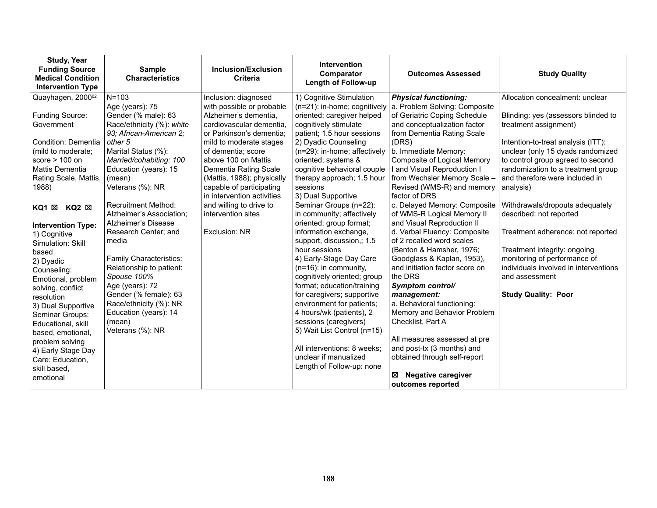| <b>Study, Year</b><br><b>Funding Source</b><br><b>Medical Condition</b><br><b>Intervention Type</b>                                                                         | <b>Sample</b><br><b>Characteristics</b>                                                                | Inclusion/Exclusion<br><b>Criteria</b>                                                                                                                     | <b>Intervention</b><br>Comparator<br>Length of Follow-up                                                                                                                                                                         | <b>Outcomes Assessed</b>                                                                                                                                                                    | <b>Study Quality</b>                                                                                                                                        |
|-----------------------------------------------------------------------------------------------------------------------------------------------------------------------------|--------------------------------------------------------------------------------------------------------|------------------------------------------------------------------------------------------------------------------------------------------------------------|----------------------------------------------------------------------------------------------------------------------------------------------------------------------------------------------------------------------------------|---------------------------------------------------------------------------------------------------------------------------------------------------------------------------------------------|-------------------------------------------------------------------------------------------------------------------------------------------------------------|
| Quayhagen, 2000 <sup>62</sup>                                                                                                                                               | $N = 103$                                                                                              | Inclusion: diagnosed                                                                                                                                       | 1) Cognitive Stimulation                                                                                                                                                                                                         | <b>Physical functioning:</b>                                                                                                                                                                | Allocation concealment: unclear                                                                                                                             |
| Funding Source:<br>Government                                                                                                                                               | Age (years): 75<br>Gender (% male): 63<br>Race/ethnicity (%): white<br>93; African-American 2;         | with possible or probable<br>Alzheimer's dementia,<br>cardiovascular dementia,<br>or Parkinson's dementia;                                                 | oriented; caregiver helped<br>cognitively stimulate<br>patient; 1.5 hour sessions                                                                                                                                                | $(n=21)$ : in-home; cognitively   a. Problem Solving: Composite<br>of Geriatric Coping Schedule<br>and conceptualization factor<br>from Dementia Rating Scale                               | Blinding: yes (assessors blinded to<br>treatment assignment)                                                                                                |
| Condition: Dementia                                                                                                                                                         | other 5                                                                                                | mild to moderate stages                                                                                                                                    | 2) Dyadic Counseling                                                                                                                                                                                                             | (DRS)                                                                                                                                                                                       | Intention-to-treat analysis (ITT):                                                                                                                          |
| (mild to moderate;<br>score $> 100$ on<br>Mattis Dementia<br>Rating Scale, Mattis,<br>1988)                                                                                 | Marital Status (%):<br>Married/cohabiting: 100<br>Education (years): 15<br>(mean)<br>Veterans (%): NR  | of dementia; score<br>above 100 on Mattis<br>Dementia Rating Scale<br>(Mattis, 1988); physically<br>capable of participating<br>in intervention activities | (n=29): in-home; affectively<br>oriented; systems &<br>cognitive behavioral couple<br>therapy approach; 1.5 hour<br>sessions<br>3) Dual Supportive                                                                               | b. Immediate Memory:<br>Composite of Logical Memory<br>I and Visual Reproduction I<br>from Wechsler Memory Scale -<br>Revised (WMS-R) and memory<br>factor of DRS                           | unclear (only 15 dyads randomized<br>to control group agreed to second<br>randomization to a treatment group<br>and therefore were included in<br>analysis) |
| KQ1 ⊠<br>KQ2 ⊠                                                                                                                                                              | <b>Recruitment Method:</b><br>Alzheimer's Association;                                                 | and willing to drive to<br>intervention sites                                                                                                              | Seminar Groups (n=22):<br>in community; affectively                                                                                                                                                                              | c. Delayed Memory: Composite<br>of WMS-R Logical Memory II                                                                                                                                  | Withdrawals/dropouts adequately<br>described: not reported                                                                                                  |
| <b>Intervention Type:</b><br>1) Cognitive<br>Simulation: Skill                                                                                                              | Alzheimer's Disease<br>Research Center; and<br>media                                                   | Exclusion: NR                                                                                                                                              | oriented; group format;<br>information exchange,<br>support, discussion,; 1.5                                                                                                                                                    | and Visual Reproduction II<br>d. Verbal Fluency: Composite<br>of 2 recalled word scales                                                                                                     | Treatment adherence: not reported                                                                                                                           |
| based<br>2) Dyadic<br>Counseling:<br>Emotional, problem<br>solving, conflict                                                                                                | Family Characteristics:<br>Relationship to patient:<br>Spouse 100%<br>Age (years): 72                  |                                                                                                                                                            | hour sessions<br>4) Early-Stage Day Care<br>$(n=16)$ : in community,<br>cognitively oriented; group<br>format; education/training                                                                                                | (Benton & Hamsher, 1976;<br>Goodglass & Kaplan, 1953),<br>and initiation factor score on<br>the DRS<br>Symptom control/                                                                     | Treatment integrity: ongoing<br>monitoring of performance of<br>individuals involved in interventions<br>and assessment                                     |
| resolution<br>3) Dual Supportive<br>Seminar Groups:<br>Educational, skill<br>based, emotional,<br>problem solving<br>4) Early Stage Day<br>Care: Education,<br>skill based, | Gender (% female): 63<br>Race/ethnicity (%): NR<br>Education (years): 14<br>(mean)<br>Veterans (%): NR |                                                                                                                                                            | for caregivers; supportive<br>environment for patients;<br>4 hours/wk (patients), 2<br>sessions (caregivers)<br>5) Wait List Control (n=15)<br>All interventions: 8 weeks;<br>unclear if manualized<br>Length of Follow-up: none | management:<br>a. Behavioral functioning:<br>Memory and Behavior Problem<br>Checklist, Part A<br>All measures assessed at pre<br>and post-tx (3 months) and<br>obtained through self-report | <b>Study Quality: Poor</b>                                                                                                                                  |
| emotional                                                                                                                                                                   |                                                                                                        |                                                                                                                                                            |                                                                                                                                                                                                                                  | <b>Negative caregiver</b><br>⊠<br>outcomes reported                                                                                                                                         |                                                                                                                                                             |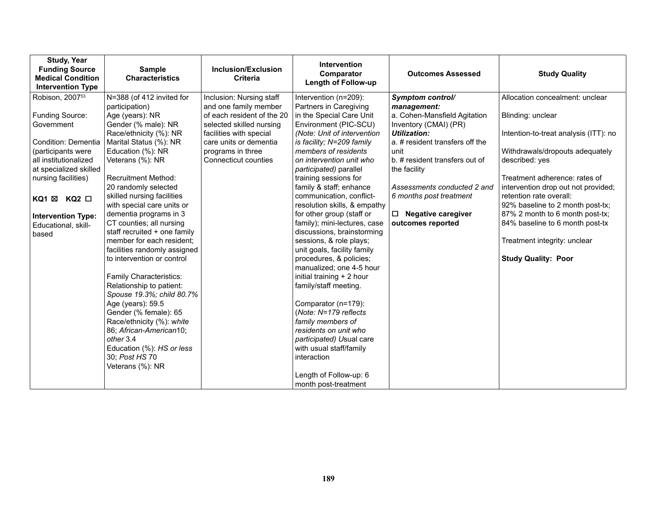| Study, Year<br><b>Funding Source</b><br><b>Medical Condition</b><br><b>Intervention Type</b> | <b>Sample</b><br><b>Characteristics</b>                    | Inclusion/Exclusion<br><b>Criteria</b>              | Intervention<br>Comparator<br><b>Length of Follow-up</b> | <b>Outcomes Assessed</b>                              | <b>Study Quality</b>                  |
|----------------------------------------------------------------------------------------------|------------------------------------------------------------|-----------------------------------------------------|----------------------------------------------------------|-------------------------------------------------------|---------------------------------------|
| Robison, 2007 <sup>53</sup>                                                                  | N=388 (of 412 invited for                                  | Inclusion: Nursing staff                            | Intervention (n=209):                                    | Symptom control/                                      | Allocation concealment: unclear       |
| Funding Source:                                                                              | participation)<br>Age (years): NR                          | and one family member<br>of each resident of the 20 | Partners in Caregiving<br>in the Special Care Unit       | management:                                           |                                       |
| Government                                                                                   | Gender (% male): NR                                        | selected skilled nursing                            | Environment (PIC-SCU)                                    | a. Cohen-Mansfield Agitation<br>Inventory (CMAI) (PR) | Blinding: unclear                     |
|                                                                                              | Race/ethnicity (%): NR                                     | facilities with special                             | (Note: Unit of intervention                              | Utilization:                                          | Intention-to-treat analysis (ITT): no |
| Condition: Dementia                                                                          | Marital Status (%): NR                                     | care units or dementia                              | is facility; N=209 family                                | a. # resident transfers off the                       |                                       |
| (participants were                                                                           | Education (%): NR                                          | programs in three                                   | members of residents                                     | unit                                                  | Withdrawals/dropouts adequately       |
| all institutionalized                                                                        | Veterans (%): NR                                           | Connecticut counties                                | on intervention unit who                                 | b. # resident transfers out of                        | described: yes                        |
| at specialized skilled<br>nursing facilities)                                                | <b>Recruitment Method:</b>                                 |                                                     | participated) parallel<br>training sessions for          | the facility                                          | Treatment adherence: rates of         |
|                                                                                              | 20 randomly selected                                       |                                                     | family & staff; enhance                                  | Assessments conducted 2 and                           | intervention drop out not provided;   |
| KQ1 ⊠ KQ2 □                                                                                  | skilled nursing facilities                                 |                                                     | communication, conflict-                                 | 6 months post treatment                               | retention rate overall:               |
|                                                                                              | with special care units or                                 |                                                     | resolution skills, & empathy                             |                                                       | 92% baseline to 2 month post-tx;      |
| <b>Intervention Type:</b>                                                                    | dementia programs in 3                                     |                                                     | for other group (staff or                                | $\Box$ Negative caregiver                             | 87% 2 month to 6 month post-tx;       |
| Educational, skill-                                                                          | CT counties; all nursing                                   |                                                     | family); mini-lectures, case                             | outcomes reported                                     | 84% baseline to 6 month post-tx       |
| based                                                                                        | staff recruited + one family                               |                                                     | discussions, brainstorming                               |                                                       |                                       |
|                                                                                              | member for each resident;                                  |                                                     | sessions, & role plays;                                  |                                                       | Treatment integrity: unclear          |
|                                                                                              | facilities randomly assigned<br>to intervention or control |                                                     | unit goals, facility family<br>procedures, & policies;   |                                                       | <b>Study Quality: Poor</b>            |
|                                                                                              |                                                            |                                                     | manualized; one 4-5 hour                                 |                                                       |                                       |
|                                                                                              | Family Characteristics:                                    |                                                     | initial training + 2 hour                                |                                                       |                                       |
|                                                                                              | Relationship to patient:                                   |                                                     | family/staff meeting.                                    |                                                       |                                       |
|                                                                                              | Spouse 19.3%; child 80.7%                                  |                                                     |                                                          |                                                       |                                       |
|                                                                                              | Age (years): 59.5                                          |                                                     | Comparator (n=179):                                      |                                                       |                                       |
|                                                                                              | Gender (% female): 65                                      |                                                     | (Note: N=179 reflects                                    |                                                       |                                       |
|                                                                                              | Race/ethnicity (%): white                                  |                                                     | family members of                                        |                                                       |                                       |
|                                                                                              | 86; African-American10;                                    |                                                     | residents on unit who                                    |                                                       |                                       |
|                                                                                              | other 3.4<br>Education (%): HS or less                     |                                                     | participated) Usual care<br>with usual staff/family      |                                                       |                                       |
|                                                                                              | 30; Post HS 70                                             |                                                     | interaction                                              |                                                       |                                       |
|                                                                                              | Veterans (%): NR                                           |                                                     |                                                          |                                                       |                                       |
|                                                                                              |                                                            |                                                     | Length of Follow-up: 6                                   |                                                       |                                       |
|                                                                                              |                                                            |                                                     | month post-treatment                                     |                                                       |                                       |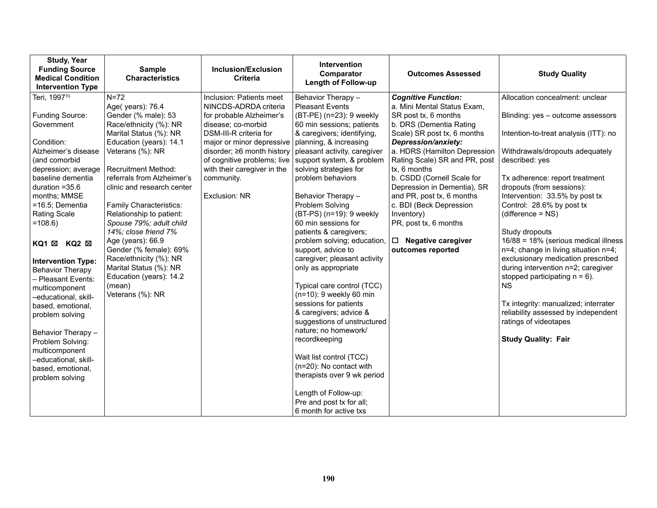| <b>Study, Year</b><br><b>Funding Source</b><br><b>Medical Condition</b><br><b>Intervention Type</b>                                                                                                                                                                                                                                                                                                                                                                                                                                                  | <b>Sample</b><br><b>Characteristics</b>                                                                                                                                                                                                                                                                                                                                                                                                                                                                              | Inclusion/Exclusion<br><b>Criteria</b>                                                                                                                                                                                                                       | <b>Intervention</b><br>Comparator<br><b>Length of Follow-up</b>                                                                                                                                                                                                                                                                                                                                                                                                                                                                                                                                                                                                                                                                                                                                                                                                        | <b>Outcomes Assessed</b>                                                                                                                                                                                                                                                                                                                                                                                                                                          | <b>Study Quality</b>                                                                                                                                                                                                                                                                                                                                                                                                                                                                                                                                                                                                                                                                         |
|------------------------------------------------------------------------------------------------------------------------------------------------------------------------------------------------------------------------------------------------------------------------------------------------------------------------------------------------------------------------------------------------------------------------------------------------------------------------------------------------------------------------------------------------------|----------------------------------------------------------------------------------------------------------------------------------------------------------------------------------------------------------------------------------------------------------------------------------------------------------------------------------------------------------------------------------------------------------------------------------------------------------------------------------------------------------------------|--------------------------------------------------------------------------------------------------------------------------------------------------------------------------------------------------------------------------------------------------------------|------------------------------------------------------------------------------------------------------------------------------------------------------------------------------------------------------------------------------------------------------------------------------------------------------------------------------------------------------------------------------------------------------------------------------------------------------------------------------------------------------------------------------------------------------------------------------------------------------------------------------------------------------------------------------------------------------------------------------------------------------------------------------------------------------------------------------------------------------------------------|-------------------------------------------------------------------------------------------------------------------------------------------------------------------------------------------------------------------------------------------------------------------------------------------------------------------------------------------------------------------------------------------------------------------------------------------------------------------|----------------------------------------------------------------------------------------------------------------------------------------------------------------------------------------------------------------------------------------------------------------------------------------------------------------------------------------------------------------------------------------------------------------------------------------------------------------------------------------------------------------------------------------------------------------------------------------------------------------------------------------------------------------------------------------------|
| Teri, 199770<br>Funding Source:<br>Government<br>Condition:<br>Alzheimer's disease<br>(and comorbid<br>depression; average<br>baseline dementia<br>duration $=35.6$<br>months; MMSE<br>=16.5; Dementia<br><b>Rating Scale</b><br>$=108.6$<br>KQ1 X KQ2 X<br><b>Intervention Type:</b><br><b>Behavior Therapy</b><br>- Pleasant Events:<br>multicomponent<br>-educational, skill-<br>based, emotional,<br>problem solving<br>Behavior Therapy -<br>Problem Solving:<br>multicomponent<br>-educational, skill-<br>based, emotional,<br>problem solving | $N=72$<br>Age(years): 76.4<br>Gender (% male): 53<br>Race/ethnicity (%): NR<br>Marital Status (%): NR<br>Education (years): 14.1<br>Veterans (%): NR<br><b>Recruitment Method:</b><br>referrals from Alzheimer's<br>clinic and research center<br>Family Characteristics:<br>Relationship to patient:<br>Spouse 79%; adult child<br>14%; close friend 7%<br>Age (years): 66.9<br>Gender (% female): 69%<br>Race/ethnicity (%): NR<br>Marital Status (%): NR<br>Education (years): 14.2<br>(mean)<br>Veterans (%): NR | Inclusion: Patients meet<br>NINCDS-ADRDA criteria<br>for probable Alzheimer's<br>disease; co-morbid<br>DSM-III-R criteria for<br>major or minor depressive<br>disorder; $\geq 6$ month history<br>with their caregiver in the<br>community.<br>Exclusion: NR | Behavior Therapy -<br><b>Pleasant Events</b><br>(BT-PE) (n=23): 9 weekly<br>60 min sessions; patients<br>& caregivers; identifying,<br>planning, & increasing<br>pleasant activity, caregiver<br>of cognitive problems; live   support system, & problem<br>solving strategies for<br>problem behaviors<br>Behavior Therapy -<br>Problem Solving<br>(BT-PS) (n=19): 9 weekly<br>60 min sessions for<br>patients & caregivers;<br>problem solving; education,<br>support, advice to<br>caregiver; pleasant activity<br>only as appropriate<br>Typical care control (TCC)<br>(n=10): 9 weekly 60 min<br>sessions for patients<br>& caregivers; advice &<br>suggestions of unstructured<br>nature; no homework/<br>recordkeeping<br>Wait list control (TCC)<br>(n=20): No contact with<br>therapists over 9 wk period<br>Length of Follow-up:<br>Pre and post tx for all; | <b>Cognitive Function:</b><br>a. Mini Mental Status Exam,<br>SR post tx, 6 months<br>b. DRS (Dementia Rating<br>Scale) SR post tx, 6 months<br>Depression/anxiety:<br>a. HDRS (Hamilton Depression<br>Rating Scale) SR and PR, post<br>tx, 6 months<br>b. CSDD (Cornell Scale for<br>Depression in Dementia), SR<br>and PR, post tx, 6 months<br>c. BDI (Beck Depression<br>Inventory)<br>PR, post tx, 6 months<br>$\Box$ Negative caregiver<br>outcomes reported | Allocation concealment: unclear<br>Blinding: yes - outcome assessors<br>Intention-to-treat analysis (ITT): no<br>Withdrawals/dropouts adequately<br>described: yes<br>Tx adherence: report treatment<br>dropouts (from sessions):<br>Intervention: 33.5% by post tx<br>Control: 28.6% by post tx<br>$(difference = NS)$<br>Study dropouts<br>16/88 = 18% (serious medical illness<br>n=4; change in living situation n=4;<br>exclusionary medication prescribed<br>during intervention n=2; caregiver<br>stopped participating $n = 6$ ).<br><b>NS</b><br>Tx integrity: manualized; interrater<br>reliability assessed by independent<br>ratings of videotapes<br><b>Study Quality: Fair</b> |
|                                                                                                                                                                                                                                                                                                                                                                                                                                                                                                                                                      |                                                                                                                                                                                                                                                                                                                                                                                                                                                                                                                      |                                                                                                                                                                                                                                                              | 6 month for active txs                                                                                                                                                                                                                                                                                                                                                                                                                                                                                                                                                                                                                                                                                                                                                                                                                                                 |                                                                                                                                                                                                                                                                                                                                                                                                                                                                   |                                                                                                                                                                                                                                                                                                                                                                                                                                                                                                                                                                                                                                                                                              |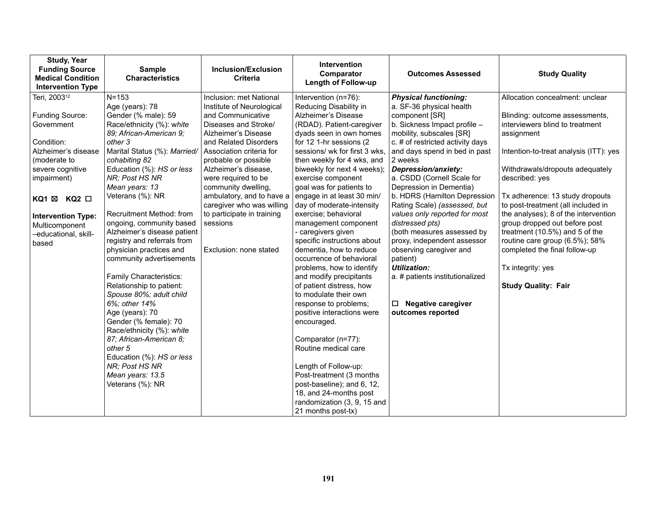| <b>Study, Year</b><br><b>Funding Source</b><br><b>Medical Condition</b><br><b>Intervention Type</b>                                                                                                                                                              | <b>Sample</b><br><b>Characteristics</b>                                                                                                                                                                                                                                                                                                                                                                                                                                                                                                                                                                                                                                                                                                            | Inclusion/Exclusion<br><b>Criteria</b>                                                                                                                                                                                                                                                                                                                                                                    | Intervention<br>Comparator<br><b>Length of Follow-up</b>                                                                                                                                                                                                                                                                                                                                                                                                                                                                                                                                                                                                                                                                                                                                                                                                                                                    | <b>Outcomes Assessed</b>                                                                                                                                                                                                                                                                                                                                                                                                                                                                                                                                                                                                                   | <b>Study Quality</b>                                                                                                                                                                                                                                                                                                                                                                                                                                                                                                        |
|------------------------------------------------------------------------------------------------------------------------------------------------------------------------------------------------------------------------------------------------------------------|----------------------------------------------------------------------------------------------------------------------------------------------------------------------------------------------------------------------------------------------------------------------------------------------------------------------------------------------------------------------------------------------------------------------------------------------------------------------------------------------------------------------------------------------------------------------------------------------------------------------------------------------------------------------------------------------------------------------------------------------------|-----------------------------------------------------------------------------------------------------------------------------------------------------------------------------------------------------------------------------------------------------------------------------------------------------------------------------------------------------------------------------------------------------------|-------------------------------------------------------------------------------------------------------------------------------------------------------------------------------------------------------------------------------------------------------------------------------------------------------------------------------------------------------------------------------------------------------------------------------------------------------------------------------------------------------------------------------------------------------------------------------------------------------------------------------------------------------------------------------------------------------------------------------------------------------------------------------------------------------------------------------------------------------------------------------------------------------------|--------------------------------------------------------------------------------------------------------------------------------------------------------------------------------------------------------------------------------------------------------------------------------------------------------------------------------------------------------------------------------------------------------------------------------------------------------------------------------------------------------------------------------------------------------------------------------------------------------------------------------------------|-----------------------------------------------------------------------------------------------------------------------------------------------------------------------------------------------------------------------------------------------------------------------------------------------------------------------------------------------------------------------------------------------------------------------------------------------------------------------------------------------------------------------------|
| Teri, 2003 <sup>12</sup><br>Funding Source:<br>Government<br>Condition:<br>Alzheimer's disease<br>(moderate to<br>severe cognitive<br>impairment)<br>$KQ1 \boxtimes KQ2 \square$<br><b>Intervention Type:</b><br>Multicomponent<br>-educational, skill-<br>based | $N = 153$<br>Age (years): 78<br>Gender (% male): 59<br>Race/ethnicity (%): white<br>89; African-American 9;<br>other 3<br>Marital Status (%): Married/<br>cohabiting 82<br>Education (%): HS or less<br>NR; Post HS NR<br>Mean years: 13<br>Veterans (%): NR<br>Recruitment Method: from<br>ongoing, community based<br>Alzheimer's disease patient<br>registry and referrals from<br>physician practices and<br>community advertisements<br>Family Characteristics:<br>Relationship to patient:<br>Spouse 80%; adult child<br>6%; other 14%<br>Age (years): 70<br>Gender (% female): 70<br>Race/ethnicity (%): white<br>87; African-American 8;<br>other 5<br>Education (%): HS or less<br>NR; Post HS NR<br>Mean years: 13.5<br>Veterans (%): NR | Inclusion: met National<br>Institute of Neurological<br>and Communicative<br>Diseases and Stroke/<br>Alzheimer's Disease<br>and Related Disorders<br>Association criteria for<br>probable or possible<br>Alzheimer's disease.<br>were required to be<br>community dwelling,<br>ambulatory, and to have a<br>caregiver who was willing<br>to participate in training<br>sessions<br>Exclusion: none stated | Intervention (n=76):<br>Reducing Disability in<br>Alzheimer's Disease<br>(RDAD). Patient-caregiver<br>dyads seen in own homes<br>for 12 1-hr sessions (2<br>sessions/ wk for first 3 wks.<br>then weekly for 4 wks, and<br>biweekly for next 4 weeks);<br>exercise component<br>goal was for patients to<br>engage in at least 30 min/<br>day of moderate-intensity<br>exercise; behavioral<br>management component<br>- caregivers given<br>specific instructions about<br>dementia, how to reduce<br>occurrence of behavioral<br>problems, how to identify<br>and modify precipitants<br>of patient distress, how<br>to modulate their own<br>response to problems;<br>positive interactions were<br>encouraged.<br>Comparator (n=77):<br>Routine medical care<br>Length of Follow-up:<br>Post-treatment (3 months<br>post-baseline); and 6, 12,<br>18, and 24-months post<br>randomization (3, 9, 15 and | <b>Physical functioning:</b><br>a. SF-36 physical health<br>component [SR]<br>b. Sickness Impact profile -<br>mobility, subscales [SR]<br>c. # of restricted activity days<br>and days spend in bed in past<br>2 weeks<br>Depression/anxiety:<br>a. CSDD (Cornell Scale for<br>Depression in Dementia)<br>b. HDRS (Hamilton Depression<br>Rating Scale) (assessed, but<br>values only reported for most<br>distressed pts)<br>(both measures assessed by<br>proxy, independent assessor<br>observing caregiver and<br>patient)<br><b>Utilization:</b><br>a. # patients institutionalized<br>$\Box$ Negative caregiver<br>outcomes reported | Allocation concealment: unclear<br>Blinding: outcome assessments,<br>interviewers blind to treatment<br>assignment<br>Intention-to-treat analysis (ITT): yes<br>Withdrawals/dropouts adequately<br>described: yes<br>Tx adherence: 13 study dropouts<br>to post-treatment (all included in<br>the analyses); 8 of the intervention<br>group dropped out before post<br>treatment (10.5%) and 5 of the<br>routine care group (6.5%); 58%<br>completed the final follow-up<br>Tx integrity: yes<br><b>Study Quality: Fair</b> |
|                                                                                                                                                                                                                                                                  |                                                                                                                                                                                                                                                                                                                                                                                                                                                                                                                                                                                                                                                                                                                                                    |                                                                                                                                                                                                                                                                                                                                                                                                           | 21 months post-tx)                                                                                                                                                                                                                                                                                                                                                                                                                                                                                                                                                                                                                                                                                                                                                                                                                                                                                          |                                                                                                                                                                                                                                                                                                                                                                                                                                                                                                                                                                                                                                            |                                                                                                                                                                                                                                                                                                                                                                                                                                                                                                                             |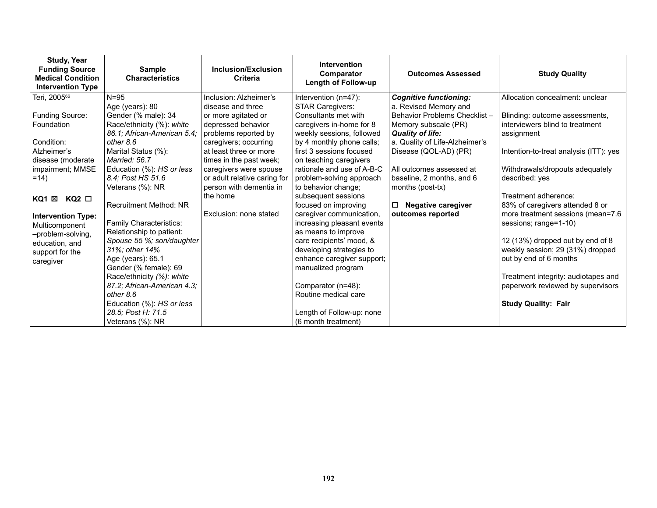| <b>Study, Year</b><br><b>Funding Source</b><br><b>Medical Condition</b><br><b>Intervention Type</b>                                            | <b>Sample</b><br><b>Characteristics</b>                                                                                                                                                                                                                                                                                                        | Inclusion/Exclusion<br>Criteria                                                                                                                                                                | <b>Intervention</b><br>Comparator<br><b>Length of Follow-up</b>                                                                                                                                                                                                                                                                                                   | <b>Outcomes Assessed</b>                                                                                                                                                                         | <b>Study Quality</b>                                                                                                                                                                                                                                                                                                              |
|------------------------------------------------------------------------------------------------------------------------------------------------|------------------------------------------------------------------------------------------------------------------------------------------------------------------------------------------------------------------------------------------------------------------------------------------------------------------------------------------------|------------------------------------------------------------------------------------------------------------------------------------------------------------------------------------------------|-------------------------------------------------------------------------------------------------------------------------------------------------------------------------------------------------------------------------------------------------------------------------------------------------------------------------------------------------------------------|--------------------------------------------------------------------------------------------------------------------------------------------------------------------------------------------------|-----------------------------------------------------------------------------------------------------------------------------------------------------------------------------------------------------------------------------------------------------------------------------------------------------------------------------------|
| Teri, 2005 <sup>66</sup>                                                                                                                       | $N = 95$                                                                                                                                                                                                                                                                                                                                       | Inclusion: Alzheimer's                                                                                                                                                                         | Intervention (n=47):                                                                                                                                                                                                                                                                                                                                              | <b>Cognitive functioning:</b>                                                                                                                                                                    | Allocation concealment: unclear                                                                                                                                                                                                                                                                                                   |
| Funding Source:<br>Foundation<br>Condition:<br>Alzheimer's<br>disease (moderate<br>impairment; MMSE                                            | Age (years): 80<br>Gender (% male): 34<br>Race/ethnicity (%): white<br>86.1; African-American 5.4;<br>other 8.6<br>Marital Status (%):<br>Married: 56.7<br>Education (%): HS or less                                                                                                                                                           | disease and three<br>or more agitated or<br>depressed behavior<br>problems reported by<br>caregivers; occurring<br>at least three or more<br>times in the past week;<br>caregivers were spouse | <b>STAR Caregivers:</b><br>Consultants met with<br>caregivers in-home for 8<br>weekly sessions, followed<br>by 4 monthly phone calls;<br>first 3 sessions focused<br>on teaching caregivers<br>rationale and use of A-B-C                                                                                                                                         | a. Revised Memory and<br>Behavior Problems Checklist -<br>Memory subscale (PR)<br><b>Quality of life:</b><br>a. Quality of Life-Alzheimer's<br>Disease (QOL-AD) (PR)<br>All outcomes assessed at | Blinding: outcome assessments,<br>interviewers blind to treatment<br>assignment<br>Intention-to-treat analysis (ITT): yes<br>Withdrawals/dropouts adequately                                                                                                                                                                      |
| $=14$                                                                                                                                          | 8.4; Post HS 51.6                                                                                                                                                                                                                                                                                                                              | or adult relative caring for                                                                                                                                                                   | problem-solving approach                                                                                                                                                                                                                                                                                                                                          | baseline, 2 months, and 6                                                                                                                                                                        | described: yes                                                                                                                                                                                                                                                                                                                    |
| $KQ2$ $\square$<br>KQ1 ⊠<br><b>Intervention Type:</b><br>Multicomponent<br>-problem-solving,<br>education, and<br>support for the<br>caregiver | Veterans (%): NR<br>Recruitment Method: NR<br>Family Characteristics:<br>Relationship to patient:<br>Spouse 55 %; son/daughter<br>31%; other 14%<br>Age (years): 65.1<br>Gender (% female): 69<br>Race/ethnicity (%): white<br>87.2; African-American 4.3;<br>other 8.6<br>Education (%): HS or less<br>28.5; Post H: 71.5<br>Veterans (%): NR | person with dementia in<br>the home<br>Exclusion: none stated                                                                                                                                  | to behavior change;<br>subsequent sessions<br>focused on improving<br>caregiver communication,<br>increasing pleasant events<br>as means to improve<br>care recipients' mood, &<br>developing strategies to<br>enhance caregiver support;<br>manualized program<br>Comparator (n=48):<br>Routine medical care<br>Length of Follow-up: none<br>(6 month treatment) | months (post-tx)<br><b>Negative caregiver</b><br>□<br>outcomes reported                                                                                                                          | Treatment adherence:<br>83% of caregivers attended 8 or<br>more treatment sessions (mean=7.6<br>sessions; range=1-10)<br>12 (13%) dropped out by end of 8<br>weekly session; 29 (31%) dropped<br>out by end of 6 months<br>Treatment integrity: audiotapes and<br>paperwork reviewed by supervisors<br><b>Study Quality: Fair</b> |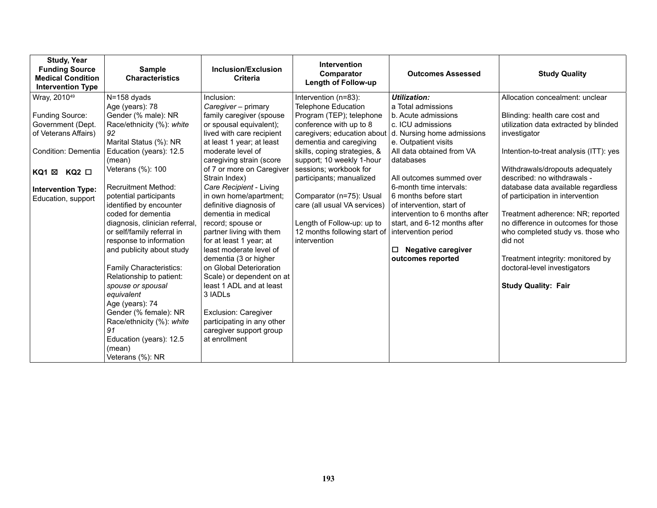| <b>Study, Year</b><br><b>Funding Source</b><br><b>Medical Condition</b><br><b>Intervention Type</b> | <b>Sample</b><br><b>Characteristics</b>  | Inclusion/Exclusion<br><b>Criteria</b>                | <b>Intervention</b><br>Comparator<br><b>Length of Follow-up</b> | <b>Outcomes Assessed</b>       | <b>Study Quality</b>                   |
|-----------------------------------------------------------------------------------------------------|------------------------------------------|-------------------------------------------------------|-----------------------------------------------------------------|--------------------------------|----------------------------------------|
| Wray, 2010 <sup>49</sup>                                                                            | N=158 dyads                              | Inclusion:                                            | Intervention (n=83):                                            | <b>Utilization:</b>            | Allocation concealment: unclear        |
|                                                                                                     | Age (years): 78                          | Caregiver - primary                                   | <b>Telephone Education</b>                                      | a Total admissions             |                                        |
| Funding Source:                                                                                     | Gender (% male): NR                      | family caregiver (spouse                              | Program (TEP); telephone                                        | b. Acute admissions            | Blinding: health care cost and         |
| Government (Dept.                                                                                   | Race/ethnicity (%): white                | or spousal equivalent);                               | conference with up to 8                                         | c. ICU admissions              | utilization data extracted by blinded  |
| of Veterans Affairs)                                                                                | 92                                       | lived with care recipient                             | caregivers; education about                                     | d. Nursing home admissions     | investigator                           |
|                                                                                                     | Marital Status (%): NR                   | at least 1 year; at least                             | dementia and caregiving                                         | e. Outpatient visits           |                                        |
| Condition: Dementia                                                                                 | Education (years): 12.5                  | moderate level of                                     | skills, coping strategies, &                                    | All data obtained from VA      | Intention-to-treat analysis (ITT): yes |
|                                                                                                     | (mean)<br>Veterans (%): 100              | caregiving strain (score<br>of 7 or more on Caregiver | support; 10 weekly 1-hour<br>sessions; workbook for             | databases                      | Withdrawals/dropouts adequately        |
| $KQ2$ $\square$<br>KQ1 ⊠                                                                            |                                          | Strain Index)                                         | participants; manualized                                        | All outcomes summed over       | described: no withdrawals -            |
|                                                                                                     | <b>Recruitment Method:</b>               | Care Recipient - Living                               |                                                                 | 6-month time intervals:        | database data available regardless     |
| <b>Intervention Type:</b>                                                                           | potential participants                   | in own home/apartment;                                | Comparator (n=75): Usual                                        | 6 months before start          | of participation in intervention       |
| Education, support                                                                                  | identified by encounter                  | definitive diagnosis of                               | care (all usual VA services)                                    | of intervention, start of      |                                        |
|                                                                                                     | coded for dementia                       | dementia in medical                                   |                                                                 | intervention to 6 months after | Treatment adherence: NR; reported      |
|                                                                                                     | diagnosis, clinician referral,           | record; spouse or                                     | Length of Follow-up: up to                                      | start, and 6-12 months after   | no difference in outcomes for those    |
|                                                                                                     | or self/family referral in               | partner living with them                              | 12 months following start of                                    | intervention period            | who completed study vs. those who      |
|                                                                                                     | response to information                  | for at least 1 year; at                               | intervention                                                    |                                | did not                                |
|                                                                                                     | and publicity about study                | least moderate level of                               |                                                                 | $\Box$ Negative caregiver      |                                        |
|                                                                                                     |                                          | dementia (3 or higher                                 |                                                                 | outcomes reported              | Treatment integrity: monitored by      |
|                                                                                                     | Family Characteristics:                  | on Global Deterioration                               |                                                                 |                                | doctoral-level investigators           |
|                                                                                                     | Relationship to patient:                 | Scale) or dependent on at                             |                                                                 |                                |                                        |
|                                                                                                     | spouse or spousal                        | least 1 ADL and at least                              |                                                                 |                                | <b>Study Quality: Fair</b>             |
|                                                                                                     | equivalent                               | 3 IADL <sub>S</sub>                                   |                                                                 |                                |                                        |
|                                                                                                     | Age (years): 74<br>Gender (% female): NR | <b>Exclusion: Caregiver</b>                           |                                                                 |                                |                                        |
|                                                                                                     | Race/ethnicity (%): white                | participating in any other                            |                                                                 |                                |                                        |
|                                                                                                     | 91                                       | caregiver support group                               |                                                                 |                                |                                        |
|                                                                                                     | Education (years): 12.5                  | at enrollment                                         |                                                                 |                                |                                        |
|                                                                                                     | (mean)                                   |                                                       |                                                                 |                                |                                        |
|                                                                                                     | Veterans (%): NR                         |                                                       |                                                                 |                                |                                        |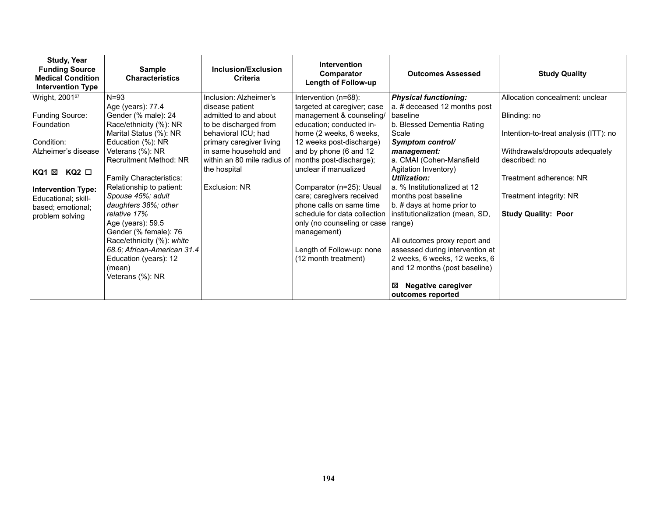| <b>Study, Year</b><br><b>Funding Source</b><br><b>Medical Condition</b><br><b>Intervention Type</b> | <b>Sample</b><br><b>Characteristics</b>          | Inclusion/Exclusion<br>Criteria              | <b>Intervention</b><br>Comparator<br>Length of Follow-up | <b>Outcomes Assessed</b>                                      | <b>Study Quality</b>                  |
|-----------------------------------------------------------------------------------------------------|--------------------------------------------------|----------------------------------------------|----------------------------------------------------------|---------------------------------------------------------------|---------------------------------------|
| Wright, 2001 <sup>67</sup>                                                                          | $N = 93$                                         | Inclusion: Alzheimer's                       | Intervention (n=68):                                     | <b>Physical functioning:</b>                                  | Allocation concealment: unclear       |
|                                                                                                     | Age (years): 77.4                                | disease patient                              | targeted at caregiver; case                              | a. # deceased 12 months post                                  |                                       |
| Funding Source:                                                                                     | Gender (% male): 24                              | admitted to and about                        | management & counseling/                                 | baseline                                                      | Blinding: no                          |
| Foundation                                                                                          | Race/ethnicity (%): NR<br>Marital Status (%): NR | to be discharged from<br>behavioral ICU; had | education; conducted in-<br>home (2 weeks, 6 weeks,      | b. Blessed Dementia Rating<br>Scale                           | Intention-to-treat analysis (ITT): no |
| Condition:                                                                                          | Education (%): NR                                | primary caregiver living                     | 12 weeks post-discharge)                                 | Symptom control/                                              |                                       |
| Alzheimer's disease                                                                                 | Veterans (%): NR                                 | in same household and                        | and by phone (6 and 12                                   | management:                                                   | Withdrawals/dropouts adequately       |
|                                                                                                     | Recruitment Method: NR                           | within an 80 mile radius of                  | months post-discharge);                                  | a. CMAI (Cohen-Mansfield                                      | described: no                         |
| KQ1 ⊠<br>KQ2 □                                                                                      |                                                  | the hospital                                 | unclear if manualized                                    | Agitation Inventory)                                          |                                       |
|                                                                                                     | Family Characteristics:                          |                                              |                                                          | Utilization:                                                  | Treatment adherence: NR               |
| <b>Intervention Type:</b>                                                                           | Relationship to patient:                         | Exclusion: NR                                | Comparator (n=25): Usual                                 | a. % Institutionalized at 12                                  |                                       |
| Educational; skill-                                                                                 | Spouse 45%; adult                                |                                              | care; caregivers received                                | months post baseline                                          | Treatment integrity: NR               |
| based; emotional;                                                                                   | daughters 38%; other<br>relative 17%             |                                              | phone calls on same time<br>schedule for data collection | b. # days at home prior to<br>institutionalization (mean, SD, | <b>Study Quality: Poor</b>            |
| problem solving                                                                                     | Age (years): 59.5                                |                                              | only (no counseling or case                              | range)                                                        |                                       |
|                                                                                                     | Gender (% female): 76                            |                                              | management)                                              |                                                               |                                       |
|                                                                                                     | Race/ethnicity (%): white                        |                                              |                                                          | All outcomes proxy report and                                 |                                       |
|                                                                                                     | 68.6; African-American 31.4                      |                                              | Length of Follow-up: none                                | assessed during intervention at                               |                                       |
|                                                                                                     | Education (years): 12                            |                                              | (12 month treatment)                                     | 2 weeks, 6 weeks, 12 weeks, 6                                 |                                       |
|                                                                                                     | (mean)                                           |                                              |                                                          | and 12 months (post baseline)                                 |                                       |
|                                                                                                     | Veterans (%): NR                                 |                                              |                                                          | ⊠                                                             |                                       |
|                                                                                                     |                                                  |                                              |                                                          | <b>Negative caregiver</b><br>outcomes reported                |                                       |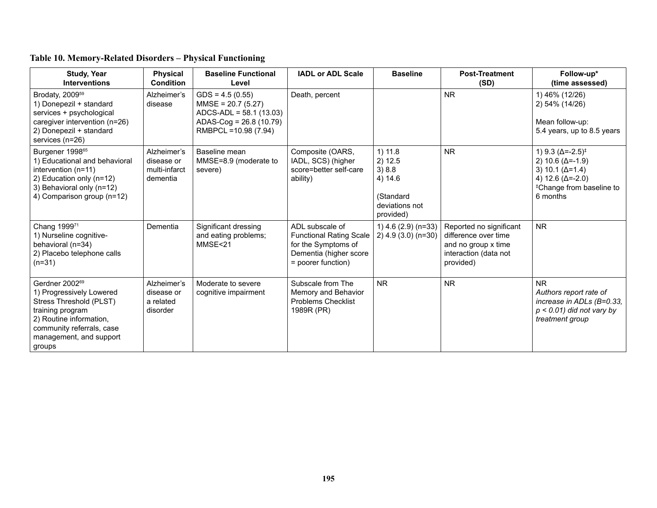| <b>Study, Year</b><br><b>Interventions</b>                                                                                                                                                         | <b>Physical</b><br><b>Condition</b>                    | <b>Baseline Functional</b><br>Level                                                                                      | <b>IADL or ADL Scale</b>                                                                                                 | <b>Baseline</b>                                                                    | <b>Post-Treatment</b><br>(SD)                                                                                | Follow-up*<br>(time assessed)                                                                                                                                                 |
|----------------------------------------------------------------------------------------------------------------------------------------------------------------------------------------------------|--------------------------------------------------------|--------------------------------------------------------------------------------------------------------------------------|--------------------------------------------------------------------------------------------------------------------------|------------------------------------------------------------------------------------|--------------------------------------------------------------------------------------------------------------|-------------------------------------------------------------------------------------------------------------------------------------------------------------------------------|
| Brodaty, 2009 <sup>59</sup><br>1) Donepezil + standard<br>services + psychological<br>caregiver intervention (n=26)<br>2) Donepezil + standard<br>services (n=26)                                  | Alzheimer's<br>disease                                 | $GDS = 4.5(0.55)$<br>$MMSE = 20.7(5.27)$<br>$ADCS-ADL = 58.1(13.03)$<br>ADAS-Cog = 26.8 (10.79)<br>RMBPCL = 10.98 (7.94) | Death, percent                                                                                                           |                                                                                    | <b>NR</b>                                                                                                    | 1) 46% (12/26)<br>2) 54% (14/26)<br>Mean follow-up:<br>5.4 years, up to 8.5 years                                                                                             |
| Burgener 1998 <sup>65</sup><br>1) Educational and behavioral<br>intervention (n=11)<br>2) Education only (n=12)<br>3) Behavioral only (n=12)<br>4) Comparison group (n=12)                         | Alzheimer's<br>disease or<br>multi-infarct<br>dementia | Baseline mean<br>MMSE=8.9 (moderate to<br>severe)                                                                        | Composite (OARS,<br>IADL, SCS) (higher<br>score=better self-care<br>ability)                                             | 1) 11.8<br>2) 12.5<br>3)8.8<br>4) 14.6<br>(Standard<br>deviations not<br>provided) | <b>NR</b>                                                                                                    | 1) 9.3 $(\Delta = -2.5)^{\ddagger}$<br>2) 10.6 $(\Delta = -1.9)$<br>3) 10.1 $(\Delta = 1.4)$<br>4) 12.6 ( $\Delta$ =-2.0)<br><sup>‡</sup> Change from baseline to<br>6 months |
| Chang 199971<br>1) Nurseline cognitive-<br>behavioral (n=34)<br>2) Placebo telephone calls<br>$(n=31)$                                                                                             | Dementia                                               | Significant dressing<br>and eating problems;<br>MMSE<21                                                                  | ADL subscale of<br><b>Functional Rating Scale</b><br>for the Symptoms of<br>Dementia (higher score<br>= poorer function) | 1) $4.6$ (2.9) (n=33)<br>$2)$ 4.9 (3.0) (n=30)                                     | Reported no significant<br>difference over time<br>and no group x time<br>interaction (data not<br>provided) | <b>NR</b>                                                                                                                                                                     |
| Gerdner 2002 <sup>69</sup><br>1) Progressively Lowered<br>Stress Threshold (PLST)<br>training program<br>2) Routine information,<br>community referrals, case<br>management, and support<br>groups | Alzheimer's<br>disease or<br>a related<br>disorder     | Moderate to severe<br>cognitive impairment                                                                               | Subscale from The<br>Memory and Behavior<br><b>Problems Checklist</b><br>1989R (PR)                                      | <b>NR</b>                                                                          | <b>NR</b>                                                                                                    | <b>NR</b><br>Authors report rate of<br>increase in ADLs $(B=0.33, )$<br>$p < 0.01$ ) did not vary by<br>treatment group                                                       |

# **Table 10. Memory-Related Disorders – Physical Functioning**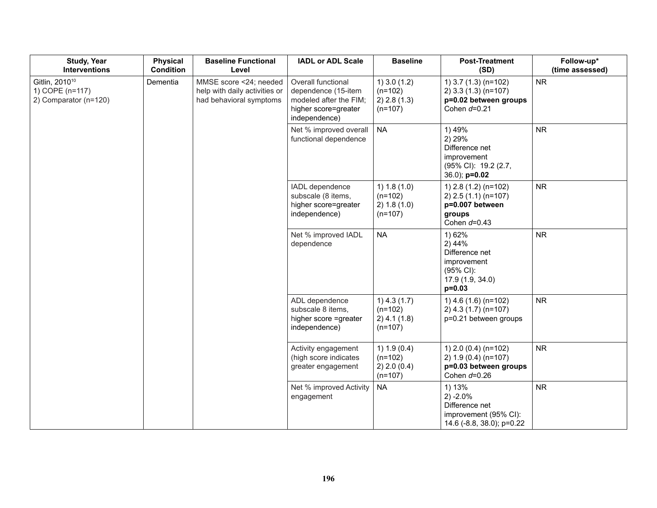| <b>Study, Year</b><br><b>Interventions</b>                             | <b>Physical</b><br><b>Condition</b> | <b>Baseline Functional</b><br>Level                                                | <b>IADL or ADL Scale</b>                                                                                     | <b>Baseline</b>                                          | <b>Post-Treatment</b><br>(SD)                                                                    | Follow-up*<br>(time assessed) |
|------------------------------------------------------------------------|-------------------------------------|------------------------------------------------------------------------------------|--------------------------------------------------------------------------------------------------------------|----------------------------------------------------------|--------------------------------------------------------------------------------------------------|-------------------------------|
| Gitlin, 2010 <sup>10</sup><br>1) COPE (n=117)<br>2) Comparator (n=120) | Dementia                            | MMSE score <24; needed<br>help with daily activities or<br>had behavioral symptoms | Overall functional<br>dependence (15-item<br>modeled after the FIM;<br>higher score=greater<br>independence) | $1)$ 3.0 (1.2)<br>$(n=102)$<br>2) 2.8 (1.3)<br>$(n=107)$ | 1) $3.7(1.3)(n=102)$<br>$2)$ 3.3 (1.3) (n=107)<br>p=0.02 between groups<br>Cohen $d=0.21$        | <b>NR</b>                     |
|                                                                        |                                     |                                                                                    | Net % improved overall<br>functional dependence                                                              | <b>NA</b>                                                | 1) 49%<br>2) 29%<br>Difference net<br>improvement<br>(95% CI): 19.2 (2.7,<br>$36.0$ ; $p=0.02$   | <b>NR</b>                     |
|                                                                        |                                     |                                                                                    | IADL dependence<br>subscale (8 items,<br>higher score=greater<br>independence)                               | 1) 1.8(1.0)<br>$(n=102)$<br>2) 1.8(1.0)<br>$(n=107)$     | 1) 2.8 (1.2) (n=102)<br>$2)$ 2.5 (1.1) (n=107)<br>p=0.007 between<br>groups<br>Cohen $d=0.43$    | <b>NR</b>                     |
|                                                                        |                                     |                                                                                    | Net % improved IADL<br>dependence                                                                            | <b>NA</b>                                                | 1) 62%<br>2) 44%<br>Difference net<br>improvement<br>(95% CI):<br>17.9 (1.9, 34.0)<br>$p = 0.03$ | <b>NR</b>                     |
|                                                                        |                                     |                                                                                    | ADL dependence<br>subscale 8 items,<br>higher score =greater<br>independence)                                | $1)$ 4.3 (1.7)<br>$(n=102)$<br>2) 4.1 (1.8)<br>$(n=107)$ | 1) $4.6$ (1.6) (n=102)<br>2) 4.3 (1.7) (n=107)<br>p=0.21 between groups                          | <b>NR</b>                     |
|                                                                        |                                     |                                                                                    | Activity engagement<br>(high score indicates<br>greater engagement                                           | 1) 1.9(0.4)<br>$(n=102)$<br>2) 2.0 (0.4)<br>$(n=107)$    | 1) $2.0(0.4)(n=102)$<br>2) $1.9(0.4)(n=107)$<br>p=0.03 between groups<br>Cohen $d=0.26$          | <b>NR</b>                     |
|                                                                        |                                     |                                                                                    | Net % improved Activity<br>engagement                                                                        | <b>NA</b>                                                | 1) 13%<br>$2) -2.0%$<br>Difference net<br>improvement (95% CI):<br>14.6 (-8.8, 38.0); p=0.22     | <b>NR</b>                     |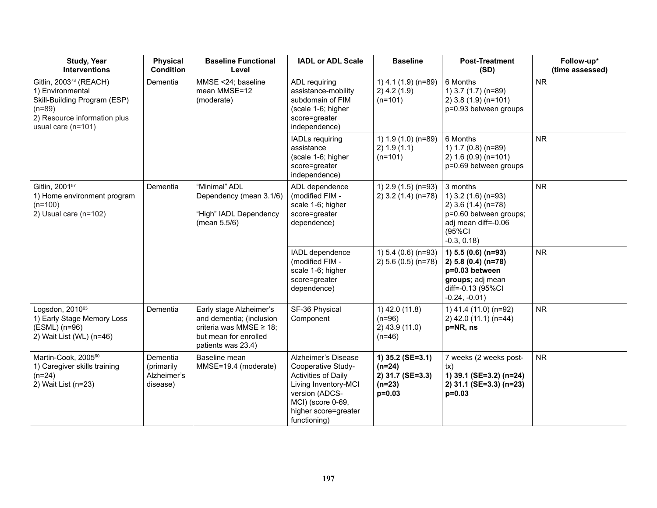| <b>Study, Year</b><br><b>Interventions</b>                                                                                                               | <b>Physical</b><br><b>Condition</b>               | <b>Baseline Functional</b><br>Level                                                                                                | <b>IADL or ADL Scale</b>                                                                                                                                                | <b>Baseline</b>                                                          | <b>Post-Treatment</b><br>(SD)                                                                                                     | Follow-up*<br>(time assessed) |
|----------------------------------------------------------------------------------------------------------------------------------------------------------|---------------------------------------------------|------------------------------------------------------------------------------------------------------------------------------------|-------------------------------------------------------------------------------------------------------------------------------------------------------------------------|--------------------------------------------------------------------------|-----------------------------------------------------------------------------------------------------------------------------------|-------------------------------|
| Gitlin, 2003 <sup>73</sup> (REACH)<br>1) Environmental<br>Skill-Building Program (ESP)<br>$(n=89)$<br>2) Resource information plus<br>usual care (n=101) | Dementia                                          | MMSE <24; baseline<br>mean MMSE=12<br>(moderate)                                                                                   | ADL requiring<br>assistance-mobility<br>subdomain of FIM<br>(scale 1-6; higher<br>score=greater<br>independence)                                                        | 1) 4.1 (1.9) (n=89)<br>$2)$ 4.2 (1.9)<br>$(n=101)$                       | 6 Months<br>1) 3.7 (1.7) (n=89)<br>2) 3.8 (1.9) (n=101)<br>p=0.93 between groups                                                  | <b>NR</b>                     |
|                                                                                                                                                          |                                                   |                                                                                                                                    | <b>IADLs requiring</b><br>assistance<br>(scale 1-6; higher<br>score=greater<br>independence)                                                                            | 1) 1.9 (1.0) (n=89)<br>2) 1.9(1.1)<br>$(n=101)$                          | 6 Months<br>1) 1.7 (0.8) (n=89)<br>2) 1.6 (0.9) (n=101)<br>p=0.69 between groups                                                  | <b>NR</b>                     |
| Gitlin, 2001 <sup>57</sup><br>1) Home environment program<br>$(n=100)$<br>2) Usual care (n=102)                                                          | Dementia                                          | "Minimal" ADL<br>Dependency (mean 3.1/6)<br>"High" IADL Dependency<br>(mean 5.5/6)                                                 | ADL dependence<br>(modified FIM -<br>scale 1-6; higher<br>score=greater<br>dependence)                                                                                  | 1) 2.9 (1.5) (n=93)<br>2) 3.2 (1.4) (n=78)                               | 3 months<br>1) 3.2 (1.6) (n=93)<br>2) 3.6 (1.4) (n=78)<br>p=0.60 between groups;<br>adj mean diff=-0.06<br>(95%CI<br>$-0.3, 0.18$ | <b>NR</b>                     |
|                                                                                                                                                          |                                                   |                                                                                                                                    | IADL dependence<br>(modified FIM -<br>scale 1-6; higher<br>score=greater<br>dependence)                                                                                 | 1) 5.4 (0.6) (n=93)<br>2) 5.6 (0.5) (n=78)                               | 1) $5.5(0.6)(n=93)$<br>2) 5.8 (0.4) ( $n=78$ )<br>p=0.03 between<br>groups; adj mean<br>diff=-0.13 (95%CI<br>$-0.24, -0.01$ )     | <b>NR</b>                     |
| Logsdon, 2010 <sup>63</sup><br>1) Early Stage Memory Loss<br>(ESML) (n=96)<br>2) Wait List (WL) (n=46)                                                   | Dementia                                          | Early stage Alzheimer's<br>and dementia; (inclusion<br>criteria was MMSE $\geq$ 18;<br>but mean for enrolled<br>patients was 23.4) | SF-36 Physical<br>Component                                                                                                                                             | 1) 42.0 (11.8)<br>$(n=96)$<br>$2)$ 43.9 (11.0)<br>$(n=46)$               | 1) 41.4 (11.0) (n=92)<br>2) 42.0 (11.1) (n=44)<br>p=NR, ns                                                                        | <b>NR</b>                     |
| Martin-Cook, 200560<br>1) Caregiver skills training<br>$(n=24)$<br>2) Wait List (n=23)                                                                   | Dementia<br>(primarily<br>Alzheimer's<br>disease) | Baseline mean<br>MMSE=19.4 (moderate)                                                                                              | Alzheimer's Disease<br>Cooperative Study-<br>Activities of Daily<br>Living Inventory-MCI<br>version (ADCS-<br>MCI) (score 0-69,<br>higher score=greater<br>functioning) | 1) 35.2 (SE=3.1)<br>$(n=24)$<br>2) 31.7 (SE=3.3)<br>$(n=23)$<br>$p=0.03$ | 7 weeks (2 weeks post-<br>tx)<br>1) 39.1 (SE=3.2) (n=24)<br>2) 31.1 (SE=3.3) (n=23)<br>$p=0.03$                                   | <b>NR</b>                     |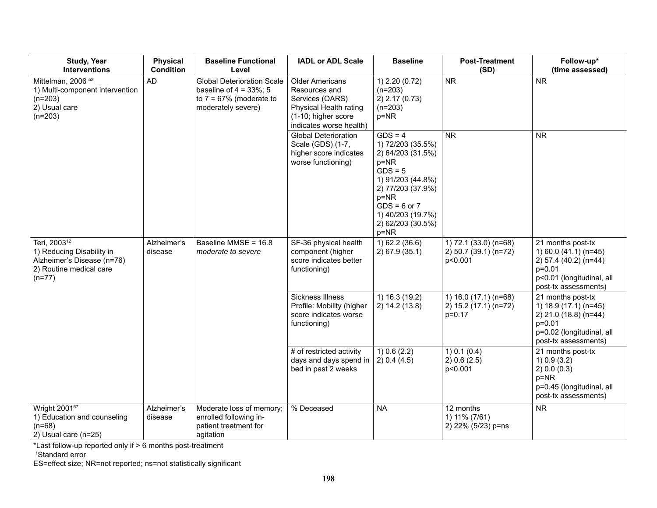| <b>Study, Year</b><br><b>Interventions</b>                                                                                 | <b>Physical</b><br><b>Condition</b> | <b>Baseline Functional</b><br>Level                                                                                 | <b>IADL or ADL Scale</b>                                                                                                               | <b>Baseline</b>                                                                                                                                                                                              | <b>Post-Treatment</b><br>(SD)                              | Follow-up*<br>(time assessed)                                                                                                              |
|----------------------------------------------------------------------------------------------------------------------------|-------------------------------------|---------------------------------------------------------------------------------------------------------------------|----------------------------------------------------------------------------------------------------------------------------------------|--------------------------------------------------------------------------------------------------------------------------------------------------------------------------------------------------------------|------------------------------------------------------------|--------------------------------------------------------------------------------------------------------------------------------------------|
| Mittelman, 2006 <sup>52</sup><br>1) Multi-component intervention<br>$(n=203)$<br>2) Usual care<br>$(n=203)$                | <b>AD</b>                           | <b>Global Deterioration Scale</b><br>baseline of $4 = 33\%$ ; 5<br>to $7 = 67\%$ (moderate to<br>moderately severe) | <b>Older Americans</b><br>Resources and<br>Services (OARS)<br>Physical Health rating<br>(1-10; higher score<br>indicates worse health) | 1) 2.20 (0.72)<br>$(n=203)$<br>2) 2.17 (0.73)<br>$(n=203)$<br>$p = NR$                                                                                                                                       | <b>NR</b>                                                  | <b>NR</b>                                                                                                                                  |
|                                                                                                                            |                                     |                                                                                                                     | <b>Global Deterioration</b><br>Scale (GDS) (1-7,<br>higher score indicates<br>worse functioning)                                       | $GDS = 4$<br>1) 72/203 (35.5%)<br>2) 64/203 (31.5%)<br>$p = NR$<br>$GDS = 5$<br>1) 91/203 (44.8%)<br>2) 77/203 (37.9%)<br>$p = NR$<br>$GDS = 6$ or $7$<br>1) 40/203 (19.7%)<br>2) 62/203 (30.5%)<br>$p = NR$ | <b>NR</b>                                                  | <b>NR</b>                                                                                                                                  |
| Teri, 2003 <sup>12</sup><br>1) Reducing Disability in<br>Alzheimer's Disease (n=76)<br>2) Routine medical care<br>$(n=77)$ | Alzheimer's<br>disease              | Baseline MMSE = 16.8<br>moderate to severe                                                                          | SF-36 physical health<br>component (higher<br>score indicates better<br>functioning)                                                   | 1) 62.2 (36.6)<br>2) 67.9 (35.1)                                                                                                                                                                             | 1) 72.1 (33.0) (n=68)<br>2) 50.7 (39.1) (n=72)<br>p<0.001  | 21 months post-tx<br>1) 60.0 (41.1) ( $n=45$ )<br>2) 57.4 (40.2) (n=44)<br>$p = 0.01$<br>p<0.01 (longitudinal, all<br>post-tx assessments) |
|                                                                                                                            |                                     |                                                                                                                     | Sickness Illness<br>Profile: Mobility (higher<br>score indicates worse<br>functioning)                                                 | 1) 16.3 (19.2)<br>2) 14.2 (13.8)                                                                                                                                                                             | 1) $16.0(17.1)(n=68)$<br>2) 15.2 (17.1) (n=72)<br>$p=0.17$ | 21 months post-tx<br>1) 18.9 (17.1) (n=45)<br>2) 21.0 (18.8) (n=44)<br>$p = 0.01$<br>p=0.02 (longitudinal, all<br>post-tx assessments)     |
|                                                                                                                            |                                     |                                                                                                                     | # of restricted activity<br>days and days spend in<br>bed in past 2 weeks                                                              | $1)$ 0.6 (2.2)<br>2) 0.4 (4.5)                                                                                                                                                                               | 1) 0.1 (0.4)<br>2) 0.6 (2.5)<br>p<0.001                    | 21 months post-tx<br>1) 0.9 (3.2)<br>2) 0.0 (0.3)<br>$p = NR$<br>p=0.45 (longitudinal, all<br>post-tx assessments)                         |
| Wright 200167<br>1) Education and counseling<br>$(n=68)$<br>2) Usual care (n=25)                                           | Alzheimer's<br>disease              | Moderate loss of memory;<br>enrolled following in-<br>patient treatment for<br>agitation                            | % Deceased                                                                                                                             | <b>NA</b>                                                                                                                                                                                                    | 12 months<br>1) 11% (7/61)<br>2) 22% (5/23) p=ns           | <b>NR</b>                                                                                                                                  |

\*Last follow-up reported only if > 6 months post-treatment 1 Standard error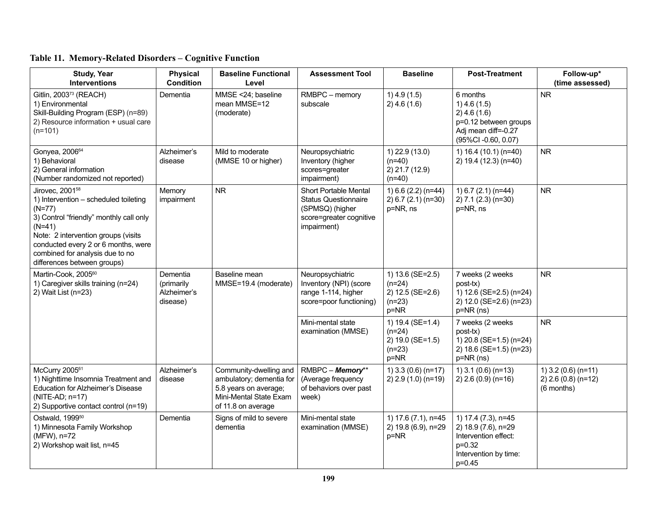| <b>Study, Year</b><br><b>Interventions</b>                                                                                                                                                                                                                                              | <b>Physical</b><br><b>Condition</b>               | <b>Baseline Functional</b><br>Level                                                                                         | <b>Assessment Tool</b>                                                                                            | <b>Baseline</b>                                                          | <b>Post-Treatment</b>                                                                                                 | Follow-up*<br>(time assessed)                                |
|-----------------------------------------------------------------------------------------------------------------------------------------------------------------------------------------------------------------------------------------------------------------------------------------|---------------------------------------------------|-----------------------------------------------------------------------------------------------------------------------------|-------------------------------------------------------------------------------------------------------------------|--------------------------------------------------------------------------|-----------------------------------------------------------------------------------------------------------------------|--------------------------------------------------------------|
| Gitlin, 2003 <sup>73</sup> (REACH)<br>1) Environmental<br>Skill-Building Program (ESP) (n=89)<br>2) Resource information + usual care<br>$(n=101)$                                                                                                                                      | Dementia                                          | MMSE <24; baseline<br>mean MMSE=12<br>(moderate)                                                                            | RMBPC - memory<br>subscale                                                                                        | $1)$ 4.9 (1.5)<br>2) 4.6(1.6)                                            | 6 months<br>$1)$ 4.6 (1.5)<br>$2)$ 4.6 (1.6)<br>p=0.12 between groups<br>Adj mean diff=-0.27<br>(95%CI-0.60, 0.07)    | <b>NR</b>                                                    |
| Gonyea, 2006 <sup>64</sup><br>1) Behavioral<br>2) General information<br>(Number randomized not reported)                                                                                                                                                                               | Alzheimer's<br>disease                            | Mild to moderate<br>(MMSE 10 or higher)                                                                                     | Neuropsychiatric<br>Inventory (higher<br>scores=greater<br>impairment)                                            | 1) 22.9 (13.0)<br>$(n=40)$<br>2) 21.7 (12.9)<br>$(n=40)$                 | 1) $16.4(10.1)(n=40)$<br>2) 19.4 (12.3) (n=40)                                                                        | <b>NR</b>                                                    |
| Jirovec, 2001 <sup>58</sup><br>1) Intervention - scheduled toileting<br>$(N=77)$<br>3) Control "friendly" monthly call only<br>$(N=41)$<br>Note: 2 intervention groups (visits<br>conducted every 2 or 6 months, were<br>combined for analysis due to no<br>differences between groups) | Memory<br>impairment                              | <b>NR</b>                                                                                                                   | Short Portable Mental<br><b>Status Questionnaire</b><br>(SPMSQ) (higher<br>score=greater cognitive<br>impairment) | 1) 6.6 (2.2) (n=44)<br>$2) 6.7 (2.1) (n=30)$<br>p=NR, ns                 | 1) $6.7$ (2.1) (n=44)<br>2) 7.1 (2.3) (n=30)<br>p=NR, ns                                                              | <b>NR</b>                                                    |
| Martin-Cook, 2005 <sup>60</sup><br>1) Caregiver skills training (n=24)<br>2) Wait List (n=23)                                                                                                                                                                                           | Dementia<br>(primarily<br>Alzheimer's<br>disease) | Baseline mean<br>MMSE=19.4 (moderate)                                                                                       | Neuropsychiatric<br>Inventory (NPI) (score<br>range 1-114, higher<br>score=poor functioning)                      | 1) 13.6 (SE=2.5)<br>$(n=24)$<br>2) 12.5 (SE=2.6)<br>$(n=23)$<br>p=NR     | 7 weeks (2 weeks<br>post-tx)<br>1) 12.6 (SE=2.5) (n=24)<br>2) 12.0 (SE=2.6) (n=23)<br>p=NR (ns)                       | <b>NR</b>                                                    |
|                                                                                                                                                                                                                                                                                         |                                                   |                                                                                                                             | Mini-mental state<br>examination (MMSE)                                                                           | 1) 19.4 (SE=1.4)<br>$(n=24)$<br>2) 19.0 (SE=1.5)<br>$(n=23)$<br>$p = NR$ | 7 weeks (2 weeks<br>post-tx)<br>1) 20.8 (SE=1.5) (n=24)<br>2) 18.6 (SE=1.5) (n=23)<br>p=NR (ns)                       | <b>NR</b>                                                    |
| McCurry 2005 <sup>61</sup><br>1) Nighttime Insomnia Treatment and<br><b>Education for Alzheimer's Disease</b><br>(NITE-AD; n=17)<br>2) Supportive contact control (n=19)                                                                                                                | Alzheimer's<br>disease                            | Community-dwelling and<br>ambulatory; dementia for<br>5.8 years on average;<br>Mini-Mental State Exam<br>of 11.8 on average | RMBPC - Memory**<br>(Average frequency<br>of behaviors over past<br>week)                                         | 1) $3.3(0.6)(n=17)$<br>$2)$ 2.9 (1.0) (n=19)                             | $1)$ 3.1 (0.6) (n=13)<br>2) 2.6 (0.9) (n=16)                                                                          | $1)$ 3.2 (0.6) (n=11)<br>$2)$ 2.6 (0.8) (n=12)<br>(6 months) |
| Ostwald, 1999 <sup>50</sup><br>1) Minnesota Family Workshop<br>(MFW), n=72<br>2) Workshop wait list, n=45                                                                                                                                                                               | Dementia                                          | Signs of mild to severe<br>dementia                                                                                         | Mini-mental state<br>examination (MMSE)                                                                           | 1) 17.6 (7.1), n=45<br>2) 19.8 (6.9), n=29<br>$p = NR$                   | 1) 17.4 (7.3), n=45<br>2) 18.9 (7.6), n=29<br>Intervention effect:<br>$p=0.32$<br>Intervention by time:<br>$p = 0.45$ |                                                              |

# **Table 11. Memory-Related Disorders – Cognitive Function**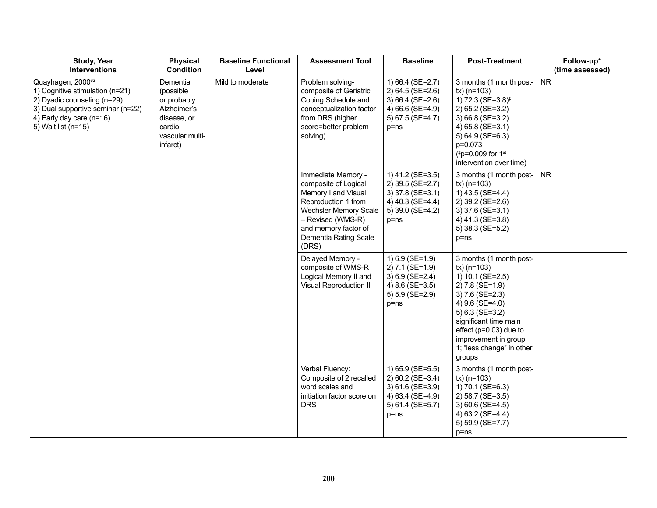| <b>Study, Year</b><br><b>Interventions</b>                                                                                                                                  | <b>Physical</b><br><b>Condition</b>                                                                         | <b>Baseline Functional</b><br>Level | <b>Assessment Tool</b>                                                                                                                                                                                  | <b>Baseline</b>                                                                                                | <b>Post-Treatment</b>                                                                                                                                                                                                                                            | Follow-up*<br>(time assessed) |
|-----------------------------------------------------------------------------------------------------------------------------------------------------------------------------|-------------------------------------------------------------------------------------------------------------|-------------------------------------|---------------------------------------------------------------------------------------------------------------------------------------------------------------------------------------------------------|----------------------------------------------------------------------------------------------------------------|------------------------------------------------------------------------------------------------------------------------------------------------------------------------------------------------------------------------------------------------------------------|-------------------------------|
| Quayhagen, 200062<br>1) Cognitive stimulation (n=21)<br>2) Dyadic counseling (n=29)<br>3) Dual supportive seminar (n=22)<br>4) Early day care (n=16)<br>5) Wait list (n=15) | Dementia<br>(possible<br>or probably<br>Alzheimer's<br>disease, or<br>cardio<br>vascular multi-<br>infarct) | Mild to moderate                    | Problem solving-<br>composite of Geriatric<br>Coping Schedule and<br>conceptualization factor<br>from DRS (higher<br>score=better problem<br>solving)                                                   | 1) 66.4 (SE=2.7)<br>$2) 64.5 (SE=2.6)$<br>3) 66.4 (SE=2.6)<br>4) 66.6 (SE=4.9)<br>5) 67.5 (SE=4.7)<br>$p = ns$ | 3 months (1 month post-<br>$tx)$ (n=103)<br>1) 72.3 (SE=3.8) <sup>‡</sup><br>2) 65.2 (SE=3.2)<br>3) 66.8 (SE=3.2)<br>4) 65.8 (SE=3.1)<br>5) 64.9 (SE=6.3)<br>p=0.073<br>(#p=0.009 for 1st<br>intervention over time)                                             | <b>NR</b>                     |
|                                                                                                                                                                             |                                                                                                             |                                     | Immediate Memory -<br>composite of Logical<br>Memory I and Visual<br>Reproduction 1 from<br><b>Wechsler Memory Scale</b><br>- Revised (WMS-R)<br>and memory factor of<br>Dementia Rating Scale<br>(DRS) | 1) 41.2 (SE=3.5)<br>2) 39.5 (SE=2.7)<br>3) 37.8 (SE=3.1)<br>4) 40.3 (SE=4.4)<br>5) 39.0 (SE=4.2)<br>$p = ns$   | 3 months (1 month post-<br>$tx)$ (n=103)<br>1) 43.5 (SE=4.4)<br>2) 39.2 (SE=2.6)<br>3) 37.6 (SE=3.1)<br>4) 41.3 (SE=3.8)<br>5) 38.3 (SE=5.2)<br>$p = ns$                                                                                                         | <b>NR</b>                     |
|                                                                                                                                                                             |                                                                                                             |                                     | Delayed Memory -<br>composite of WMS-R<br>Logical Memory II and<br>Visual Reproduction II                                                                                                               | 1) 6.9 (SE=1.9)<br>2) 7.1 (SE=1.9)<br>$3) 6.9 (SE=2.4)$<br>4) 8.6 (SE=3.5)<br>5) 5.9 (SE=2.9)<br>$p = ns$      | 3 months (1 month post-<br>$tx)$ (n=103)<br>1) 10.1 (SE=2.5)<br>2) 7.8 (SE=1.9)<br>3) 7.6 (SE=2.3)<br>4) 9.6 (SE=4.0)<br>$5)$ 6.3 (SE=3.2)<br>significant time main<br>effect ( $p=0.03$ ) due to<br>improvement in group<br>1; "less change" in other<br>groups |                               |
|                                                                                                                                                                             |                                                                                                             |                                     | Verbal Fluency:<br>Composite of 2 recalled<br>word scales and<br>initiation factor score on<br><b>DRS</b>                                                                                               | 1) 65.9 (SE=5.5)<br>2) 60.2 (SE=3.4)<br>3) 61.6 (SE=3.9)<br>4) 63.4 (SE=4.9)<br>5) 61.4 (SE=5.7)<br>$p = ns$   | 3 months (1 month post-<br>$tx)$ (n=103)<br>1) 70.1 (SE=6.3)<br>2) 58.7 (SE=3.5)<br>3) $60.6$ (SE=4.5)<br>4) 63.2 (SE=4.4)<br>5) 59.9 (SE=7.7)<br>$p = ns$                                                                                                       |                               |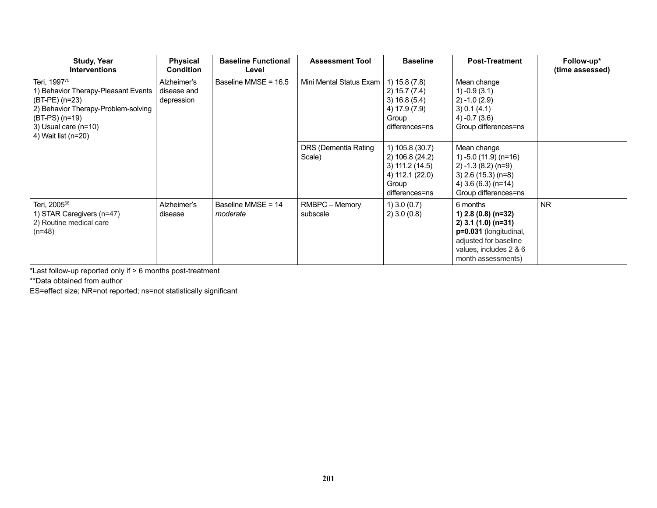| <b>Study, Year</b><br><b>Interventions</b>                                                                                                                                                      | <b>Physical</b><br><b>Condition</b>      | <b>Baseline Functional</b><br>Level | <b>Assessment Tool</b>         | <b>Baseline</b>                                                                                    | <b>Post-Treatment</b>                                                                                                                                       | Follow-up*<br>(time assessed) |
|-------------------------------------------------------------------------------------------------------------------------------------------------------------------------------------------------|------------------------------------------|-------------------------------------|--------------------------------|----------------------------------------------------------------------------------------------------|-------------------------------------------------------------------------------------------------------------------------------------------------------------|-------------------------------|
| Teri, 1997 <sup>70</sup><br>1) Behavior Therapy-Pleasant Events<br>$(BT-PE)$ (n=23)<br>2) Behavior Therapy-Problem-solving<br>$(BT-PS)$ (n=19)<br>3) Usual care $(n=10)$<br>4) Wait list (n=20) | Alzheimer's<br>disease and<br>depression | Baseline MMSE = 16.5                | Mini Mental Status Exam        | 1) 15.8(7.8)<br>2) 15.7 (7.4)<br>3) 16.8 (5.4)<br>4) 17.9 (7.9)<br>Group<br>differences=ns         | Mean change<br>$1) -0.9(3.1)$<br>$(2) -1.0(2.9)$<br>3) 0.1 (4.1)<br>$4) -0.7(3.6)$<br>Group differences=ns                                                  |                               |
|                                                                                                                                                                                                 |                                          |                                     | DRS (Dementia Rating<br>Scale) | 1) 105.8 (30.7)<br>2) 106.8 (24.2)<br>3) 111.2(14.5)<br>4) 112.1 (22.0)<br>Group<br>differences=ns | Mean change<br>1) $-5.0$ (11.9) (n=16)<br>$(2) -1.3(8.2)(n=9)$<br>$3)$ 2.6 (15.3) (n=8)<br>4) 3.6 (6.3) (n=14)<br>Group differences=ns                      |                               |
| Teri, 2005 <sup>66</sup><br>1) STAR Caregivers (n=47)<br>2) Routine medical care<br>$(n=48)$                                                                                                    | Alzheimer's<br>disease                   | Baseline MMSE = 14<br>moderate      | RMBPC - Memory<br>subscale     | $1)$ 3.0 (0.7)<br>$2)$ 3.0 (0.8)                                                                   | 6 months<br>1) $2.8(0.8)(n=32)$<br>$2)$ 3.1 (1.0) (n=31)<br>p=0.031 (longitudinal,<br>adjusted for baseline<br>values, includes 2 & 6<br>month assessments) | <b>NR</b>                     |

\*Last follow-up reported only if > 6 months post-treatment

\*\*Data obtained from author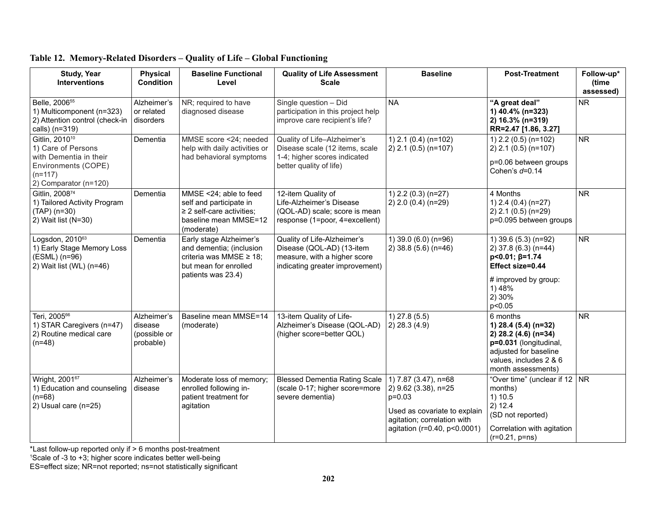| <b>Study, Year</b><br><b>Interventions</b>                                                                                              | <b>Physical</b><br><b>Condition</b>                 | <b>Baseline Functional</b><br>Level                                                                                           | <b>Quality of Life Assessment</b><br><b>Scale</b>                                                                           | <b>Baseline</b>                                                                                                                                         | <b>Post-Treatment</b>                                                                                                                                       | Follow-up*<br>(time<br>assessed) |
|-----------------------------------------------------------------------------------------------------------------------------------------|-----------------------------------------------------|-------------------------------------------------------------------------------------------------------------------------------|-----------------------------------------------------------------------------------------------------------------------------|---------------------------------------------------------------------------------------------------------------------------------------------------------|-------------------------------------------------------------------------------------------------------------------------------------------------------------|----------------------------------|
| Belle, 2006 <sup>55</sup><br>1) Multicomponent (n=323)<br>2) Attention control (check-in<br>calls) (n=319)                              | Alzheimer's<br>or related<br>disorders              | NR; required to have<br>diagnosed disease                                                                                     | Single question - Did<br>participation in this project help<br>improve care recipient's life?                               | <b>NA</b>                                                                                                                                               | "A great deal"<br>1) 40.4% (n=323)<br>2) 16.3% (n=319)<br>RR=2.47 [1.86, 3.27]                                                                              | <b>NR</b>                        |
| Gitlin, 2010 <sup>10</sup><br>1) Care of Persons<br>with Dementia in their<br>Environments (COPE)<br>$(n=117)$<br>2) Comparator (n=120) | Dementia                                            | MMSE score <24; needed<br>help with daily activities or<br>had behavioral symptoms                                            | Quality of Life-Alzheimer's<br>Disease scale (12 items, scale<br>1-4; higher scores indicated<br>better quality of life)    | 1) 2.1 (0.4) (n=102)<br>$2)$ 2.1 (0.5) (n=107)                                                                                                          | 1) 2.2 (0.5) (n=102)<br>$2)$ 2.1 (0.5) (n=107)<br>p=0.06 between groups<br>Cohen's $d=0.14$                                                                 | <b>NR</b>                        |
| Gitlin, 2008 <sup>74</sup><br>1) Tailored Activity Program<br>$(TAP)$ (n=30)<br>2) Wait list (N=30)                                     | Dementia                                            | MMSE <24; able to feed<br>self and participate in<br>$\geq$ 2 self-care activities;<br>baseline mean MMSE=12<br>(moderate)    | 12-item Quality of<br>Life-Alzheimer's Disease<br>(QOL-AD) scale; score is mean<br>response (1=poor, 4=excellent)           | 1) $2.2$ (0.3) (n=27)<br>2) 2.0 (0.4) (n=29)                                                                                                            | 4 Months<br>1) $2.4$ (0.4) (n=27)<br>$2)$ 2.1 (0.5) (n=29)<br>p=0.095 between groups                                                                        | <b>NR</b>                        |
| Logsdon, 201063<br>1) Early Stage Memory Loss<br>(ESML) (n=96)<br>2) Wait list (WL) (n=46)                                              | Dementia                                            | Early stage Alzheimer's<br>and dementia; (inclusion<br>criteria was MMSE ≥ 18;<br>but mean for enrolled<br>patients was 23.4) | Quality of Life-Alzheimer's<br>Disease (QOL-AD) (13-item<br>measure, with a higher score<br>indicating greater improvement) | 1) 39.0 (6.0) (n=96)<br>$2)$ 38.8 (5.6) (n=46)                                                                                                          | 1) 39.6 (5.3) (n=92)<br>2) 37.8 (6.3) (n=44)<br>$p<0.01; \beta=1.74$<br>Effect size=0.44<br># improved by group:<br>1) 48%<br>2) 30%<br>p<0.05              | <b>NR</b>                        |
| Teri, 2005 <sup>66</sup><br>1) STAR Caregivers (n=47)<br>2) Routine medical care<br>$(n=48)$                                            | Alzheimer's<br>disease<br>(possible or<br>probable) | Baseline mean MMSE=14<br>(moderate)                                                                                           | 13-item Quality of Life-<br>Alzheimer's Disease (QOL-AD)<br>(higher score=better QOL)                                       | $1)$ 27.8 (5.5)<br>$(2)$ 28.3 (4.9)                                                                                                                     | 6 months<br>1) 28.4 (5.4) (n=32)<br>2) 28.2 (4.6) (n=34)<br>p=0.031 (longitudinal,<br>adjusted for baseline<br>values, includes 2 & 6<br>month assessments) | <b>NR</b>                        |
| Wright, 200167<br>1) Education and counseling<br>$(n=68)$<br>2) Usual care (n=25)                                                       | Alzheimer's<br>disease                              | Moderate loss of memory;<br>enrolled following in-<br>patient treatment for<br>agitation                                      | <b>Blessed Dementia Rating Scale</b><br>(scale 0-17; higher score=more<br>severe dementia)                                  | 1) 7.87 (3.47), n=68<br>2) 9.62 (3.38), n=25<br>$p=0.03$<br>Used as covariate to explain<br>agitation; correlation with<br>agitation (r=0.40, p<0.0001) | "Over time" (unclear if 12<br>months)<br>1) 10.5<br>2) 12.4<br>(SD not reported)<br>Correlation with agitation<br>$(r=0.21, p=ns)$                          | NR                               |

## **Table 12. Memory-Related Disorders – Quality of Life – Global Functioning**

\*Last follow-up reported only if > 6 months post-treatment 1 Scale of -3 to +3; higher score indicates better well-being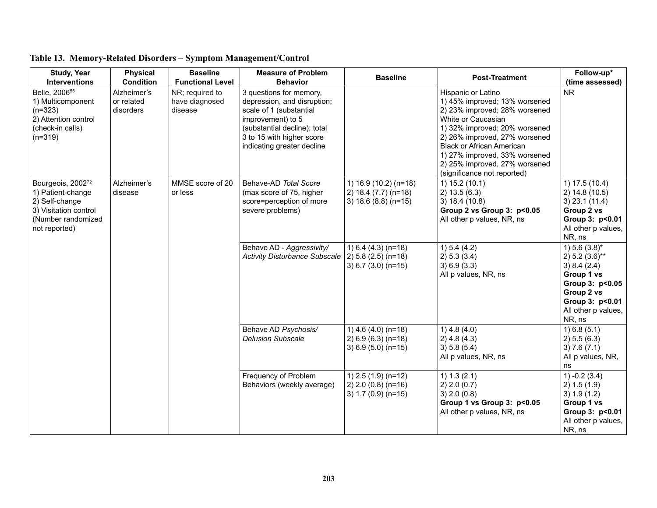| <b>Study, Year</b><br><b>Interventions</b>                                                                               | <b>Physical</b><br><b>Condition</b>    | <b>Baseline</b><br><b>Functional Level</b>   | <b>Measure of Problem</b><br><b>Behavior</b>                                                                                                                                                      | <b>Baseline</b>                                                             | <b>Post-Treatment</b>                                                                                                                                                                                                                                                                                             | Follow-up*<br>(time assessed)                                                                                                                           |
|--------------------------------------------------------------------------------------------------------------------------|----------------------------------------|----------------------------------------------|---------------------------------------------------------------------------------------------------------------------------------------------------------------------------------------------------|-----------------------------------------------------------------------------|-------------------------------------------------------------------------------------------------------------------------------------------------------------------------------------------------------------------------------------------------------------------------------------------------------------------|---------------------------------------------------------------------------------------------------------------------------------------------------------|
| Belle, 2006 <sup>55</sup><br>1) Multicomponent<br>$(n=323)$<br>2) Attention control<br>(check-in calls)<br>$(n=319)$     | Alzheimer's<br>or related<br>disorders | NR; required to<br>have diagnosed<br>disease | 3 questions for memory,<br>depression, and disruption;<br>scale of 1 (substantial<br>improvement) to 5<br>(substantial decline); total<br>3 to 15 with higher score<br>indicating greater decline |                                                                             | Hispanic or Latino<br>1) 45% improved; 13% worsened<br>2) 23% improved; 28% worsened<br>White or Caucasian<br>1) 32% improved; 20% worsened<br>2) 26% improved, 27% worsened<br><b>Black or African American</b><br>1) 27% improved, 33% worsened<br>2) 25% improved, 27% worsened<br>(significance not reported) | <b>NR</b>                                                                                                                                               |
| Bourgeois, 200272<br>1) Patient-change<br>2) Self-change<br>3) Visitation control<br>(Number randomized<br>not reported) | Alzheimer's<br>disease                 | MMSE score of 20<br>or less                  | Behave-AD Total Score<br>(max score of 75, higher<br>score=perception of more<br>severe problems)                                                                                                 | 1) 16.9 (10.2) (n=18)<br>2) 18.4 (7.7) (n=18)<br>3) $18.6(8.8)(n=15)$       | 1) 15.2(10.1)<br>2) 13.5(6.3)<br>3) 18.4 (10.8)<br>Group 2 vs Group 3: p<0.05<br>All other p values, NR, ns                                                                                                                                                                                                       | 1) 17.5(10.4)<br>2) 14.8 (10.5)<br>$3)$ 23.1 (11.4)<br>Group 2 vs<br>Group 3: p<0.01<br>All other p values,<br>NR, ns                                   |
|                                                                                                                          |                                        |                                              | Behave AD - Aggressivity/<br><b>Activity Disturbance Subscale</b>                                                                                                                                 | 1) $6.4$ (4.3) (n=18)<br>$2) 5.8 (2.5) (n=18)$<br>$3) 6.7 (3.0) (n=15)$     | 1) 5.4 (4.2)<br>2) 5.3 (3.4)<br>3) 6.9 (3.3)<br>All p values, NR, ns                                                                                                                                                                                                                                              | 1) $5.6(3.8)$ *<br>$2) 5.2 (3.6)$ **<br>3) 8.4 (2.4)<br>Group 1 vs<br>Group 3: p<0.05<br>Group 2 vs<br>Group 3: p<0.01<br>All other p values,<br>NR, ns |
|                                                                                                                          |                                        |                                              | Behave AD Psychosis/<br><b>Delusion Subscale</b>                                                                                                                                                  | 1) $4.6$ $(4.0)$ $(n=18)$<br>$2) 6.9 (6.3) (n=18)$<br>3) $6.9$ (5.0) (n=15) | $1)$ 4.8 (4.0)<br>$2)$ 4.8 (4.3)<br>3) 5.8 (5.4)<br>All p values, NR, ns                                                                                                                                                                                                                                          | 1) 6.8(5.1)<br>2) 5.5 (6.3)<br>3) 7.6 (7.1)<br>All p values, NR,<br>ns                                                                                  |
|                                                                                                                          |                                        |                                              | Frequency of Problem<br>Behaviors (weekly average)                                                                                                                                                | 1) $2.5(1.9)(n=12)$<br>$2)$ 2.0 (0.8) (n=16)<br>3) $1.7(0.9)(n=15)$         | 1) 1.3 (2.1)<br>2) 2.0 (0.7)<br>3) 2.0 (0.8)<br>Group 1 vs Group 3: p<0.05<br>All other p values, NR, ns                                                                                                                                                                                                          | (3.4)<br>2) 1.5 (1.9)<br>3) 1.9 (1.2)<br>Group 1 vs<br>Group 3: p<0.01<br>All other p values,<br>NR, ns                                                 |

# **Table 13. Memory-Related Disorders – Symptom Management/Control**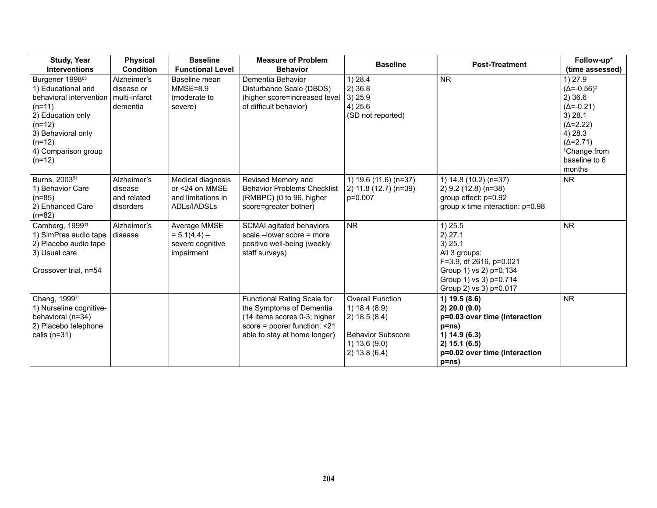| <b>Study, Year</b><br><b>Interventions</b>                                                                                                                                                     | <b>Physical</b><br><b>Condition</b>                    | <b>Baseline</b><br><b>Functional Level</b>                               | <b>Measure of Problem</b><br><b>Behavior</b>                                                                                                            | <b>Baseline</b>                                                                                                       | <b>Post-Treatment</b>                                                                                                                                     | Follow-up*<br>(time assessed)                                                                                                                                                                 |
|------------------------------------------------------------------------------------------------------------------------------------------------------------------------------------------------|--------------------------------------------------------|--------------------------------------------------------------------------|---------------------------------------------------------------------------------------------------------------------------------------------------------|-----------------------------------------------------------------------------------------------------------------------|-----------------------------------------------------------------------------------------------------------------------------------------------------------|-----------------------------------------------------------------------------------------------------------------------------------------------------------------------------------------------|
| Burgener 1998 <sup>65</sup><br>1) Educational and<br>behavioral intervention<br>$(n=11)$<br>2) Education only<br>$(n=12)$<br>3) Behavioral only<br>$(n=12)$<br>4) Comparison group<br>$(n=12)$ | Alzheimer's<br>disease or<br>multi-infarct<br>dementia | Baseline mean<br>$MMSE=8.9$<br>(moderate to<br>severe)                   | Dementia Behavior<br>Disturbance Scale (DBDS)<br>(higher score=increased level<br>of difficult behavior)                                                | 1) 28.4<br>2)36.8<br>3)25.9<br>4) 25.6<br>(SD not reported)                                                           | <b>NR</b>                                                                                                                                                 | 1) 27.9<br>$(\Delta = -0.56)^{\ddagger}$<br>2)36.6<br>$(\Delta = -0.21)$<br>3) 28.1<br>$(\Delta = 2.22)$<br>4) 28.3<br>$(\Delta=2.71)$<br><sup>‡</sup> Change from<br>baseline to 6<br>months |
| Burns, 2003 <sup>51</sup><br>1) Behavior Care<br>$(n=85)$<br>2) Enhanced Care<br>$(n=82)$                                                                                                      | Alzheimer's<br>disease<br>and related<br>disorders     | Medical diagnosis<br>or <24 on MMSE<br>and limitations in<br>ADLs/IADSLs | Revised Memory and<br><b>Behavior Problems Checklist</b><br>(RMBPC) (0 to 96, higher<br>score=greater bother)                                           | 1) 19.6 (11.6) (n=37)<br>2) 11.8 (12.7) (n=39)<br>p=0.007                                                             | 1) 14.8 (10.2) (n=37)<br>2) 9.2 (12.8) (n=38)<br>group effect: p=0.92<br>group $x$ time interaction: $p=0.98$                                             | <b>NR</b>                                                                                                                                                                                     |
| Camberg, 1999 <sup>11</sup><br>1) SimPres audio tape<br>2) Placebo audio tape<br>3) Usual care<br>Crossover trial, n=54                                                                        | Alzheimer's<br>disease                                 | Average MMSE<br>$= 5.1(4.4) -$<br>severe cognitive<br>impairment         | SCMAI agitated behaviors<br>scale -lower score = more<br>positive well-being (weekly<br>staff surveys)                                                  | <b>NR</b>                                                                                                             | 1)25.5<br>2) 27.1<br>3) 25.1<br>All 3 groups:<br>F=3.9, df 2616, p=0.021<br>Group 1) vs 2) p=0.134<br>Group 1) vs 3) p=0.714<br>Group 2) vs 3) p=0.017    | <b>NR</b>                                                                                                                                                                                     |
| Chang, 199971<br>1) Nurseline cognitive-<br>behavioral (n=34)<br>2) Placebo telephone<br>calls $(n=31)$                                                                                        |                                                        |                                                                          | Functional Rating Scale for<br>the Symptoms of Dementia<br>(14 items scores 0-3; higher<br>score = poorer function; <21<br>able to stay at home longer) | <b>Overall Function</b><br>1) 18.4 (8.9)<br>2) 18.5 (8.4)<br><b>Behavior Subscore</b><br>1) 13.6(9.0)<br>2) 13.8(6.4) | 1) 19.5 (8.6)<br>2) 20.0 (9.0)<br>p=0.03 over time (interaction<br>$p=ns$ )<br>1) 14.9(6.3)<br>2) 15.1 (6.5)<br>p=0.02 over time (interaction<br>$p=ns$ ) | <b>NR</b>                                                                                                                                                                                     |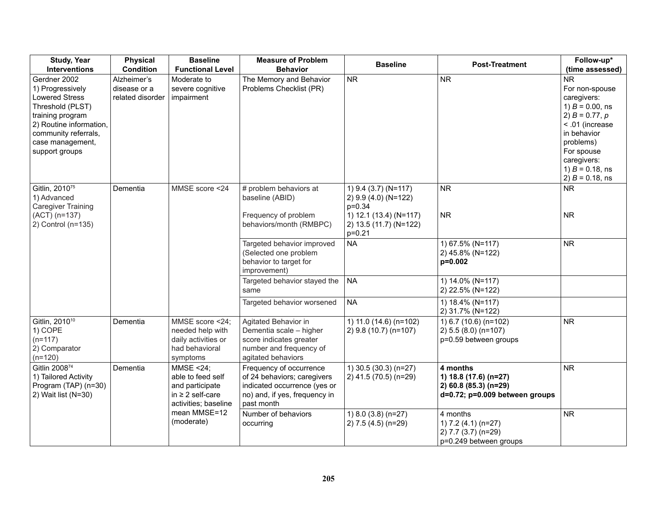| <b>Study, Year</b><br><b>Interventions</b>                                                                                                                                                 | <b>Physical</b><br><b>Condition</b>             | <b>Baseline</b><br><b>Functional Level</b>                                                                   | <b>Measure of Problem</b><br><b>Behavior</b>                                                                                          | <b>Baseline</b>                                                                                                            | <b>Post-Treatment</b>                                                                        | Follow-up*<br>(time assessed)                                                                                                                                                                                |
|--------------------------------------------------------------------------------------------------------------------------------------------------------------------------------------------|-------------------------------------------------|--------------------------------------------------------------------------------------------------------------|---------------------------------------------------------------------------------------------------------------------------------------|----------------------------------------------------------------------------------------------------------------------------|----------------------------------------------------------------------------------------------|--------------------------------------------------------------------------------------------------------------------------------------------------------------------------------------------------------------|
| Gerdner 2002<br>1) Progressively<br><b>Lowered Stress</b><br>Threshold (PLST)<br>training program<br>2) Routine information,<br>community referrals,<br>case management,<br>support groups | Alzheimer's<br>disease or a<br>related disorder | Moderate to<br>severe cognitive<br>impairment                                                                | The Memory and Behavior<br>Problems Checklist (PR)                                                                                    | <b>NR</b>                                                                                                                  | <b>NR</b>                                                                                    | <b>NR</b><br>For non-spouse<br>caregivers:<br>1) $B = 0.00$ , ns<br>2) $B = 0.77, p$<br>< .01 (increase<br>in behavior<br>problems)<br>For spouse<br>caregivers:<br>1) $B = 0.18$ , ns<br>2) $B = 0.18$ , ns |
| Gitlin, 2010 <sup>75</sup><br>1) Advanced<br><b>Caregiver Training</b><br>(ACT) (n=137)<br>2) Control (n=135)                                                                              | Dementia                                        | MMSE score <24                                                                                               | # problem behaviors at<br>baseline (ABID)<br>Frequency of problem<br>behaviors/month (RMBPC)                                          | 1) 9.4 (3.7) (N=117)<br>2) 9.9 (4.0) (N=122)<br>$p=0.34$<br>1) 12.1 (13.4) (N=117)<br>2) 13.5 (11.7) (N=122)<br>$p = 0.21$ | <b>NR</b><br><b>NR</b>                                                                       | <b>NR</b><br><b>NR</b>                                                                                                                                                                                       |
|                                                                                                                                                                                            |                                                 |                                                                                                              | Targeted behavior improved<br>(Selected one problem<br>behavior to target for<br>improvement)                                         | <b>NA</b>                                                                                                                  | 1) 67.5% (N=117)<br>2) 45.8% (N=122)<br>p=0.002                                              | <b>NR</b>                                                                                                                                                                                                    |
|                                                                                                                                                                                            |                                                 |                                                                                                              | Targeted behavior stayed the<br>same                                                                                                  | <b>NA</b>                                                                                                                  | 1) 14.0% (N=117)<br>2) 22.5% (N=122)                                                         |                                                                                                                                                                                                              |
|                                                                                                                                                                                            |                                                 |                                                                                                              | Targeted behavior worsened                                                                                                            | <b>NA</b>                                                                                                                  | 1) 18.4% (N=117)<br>2) 31.7% (N=122)                                                         |                                                                                                                                                                                                              |
| Gitlin, 2010 <sup>10</sup><br>1) COPE<br>$(n=117)$<br>2) Comparator<br>$(n=120)$                                                                                                           | Dementia                                        | MMSE score <24;<br>needed help with<br>daily activities or<br>had behavioral<br>symptoms                     | Agitated Behavior in<br>Dementia scale - higher<br>score indicates greater<br>number and frequency of<br>agitated behaviors           | 1) 11.0 (14.6) (n=102)<br>2) 9.8 (10.7) (n=107)                                                                            | 1) 6.7 (10.6) (n=102)<br>2) 5.5 (8.0) (n=107)<br>p=0.59 between groups                       | <b>NR</b>                                                                                                                                                                                                    |
| Gitlin 2008 <sup>74</sup><br>1) Tailored Activity<br>Program (TAP) (n=30)<br>2) Wait list (N=30)                                                                                           | Dementia                                        | <b>MMSE &lt;24;</b><br>able to feed self<br>and participate<br>in $\geq$ 2 self-care<br>activities; baseline | Frequency of occurrence<br>of 24 behaviors; caregivers<br>indicated occurrence (yes or<br>no) and, if yes, frequency in<br>past month | 1) 30.5 (30.3) (n=27)<br>2) 41.5 (70.5) (n=29)                                                                             | 4 months<br>1) 18.8 (17.6) (n=27)<br>2) 60.8 (85.3) (n=29)<br>d=0.72; p=0.009 between groups | <b>NR</b>                                                                                                                                                                                                    |
|                                                                                                                                                                                            |                                                 | mean MMSE=12<br>(moderate)                                                                                   | Number of behaviors<br>occurring                                                                                                      | 1) 8.0 (3.8) (n=27)<br>2) 7.5 (4.5) (n=29)                                                                                 | 4 months<br>1) $7.2$ (4.1) (n=27)<br>2) 7.7 (3.7) (n=29)<br>p=0.249 between groups           | <b>NR</b>                                                                                                                                                                                                    |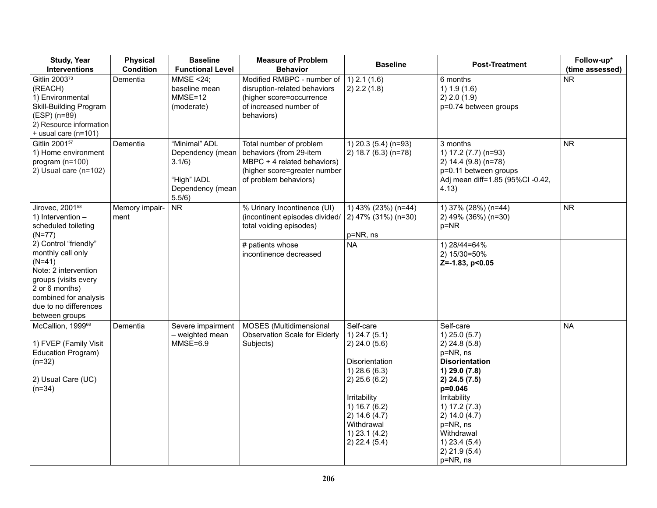| <b>Study, Year</b><br><b>Interventions</b>                                                                                                                                                   | <b>Physical</b><br><b>Condition</b> | <b>Baseline</b><br><b>Functional Level</b>                                               | <b>Measure of Problem</b><br><b>Behavior</b>                                                                                               | <b>Baseline</b>                                                                                                                                                                                                     | <b>Post-Treatment</b>                                                                                                                                                                                                                                      | Follow-up*<br>(time assessed) |
|----------------------------------------------------------------------------------------------------------------------------------------------------------------------------------------------|-------------------------------------|------------------------------------------------------------------------------------------|--------------------------------------------------------------------------------------------------------------------------------------------|---------------------------------------------------------------------------------------------------------------------------------------------------------------------------------------------------------------------|------------------------------------------------------------------------------------------------------------------------------------------------------------------------------------------------------------------------------------------------------------|-------------------------------|
| Gitlin 2003 <sup>73</sup><br>(REACH)<br>1) Environmental<br>Skill-Building Program<br>$(ESP)$ (n=89)<br>2) Resource information<br>$+$ usual care (n=101)                                    | Dementia                            | <b>MMSE &lt;24;</b><br>baseline mean<br>$MMSE=12$<br>(moderate)                          | Modified RMBPC - number of<br>disruption-related behaviors<br>(higher score=occurrence<br>of increased number of<br>behaviors)             | $1)$ 2.1 (1.6)<br>2) 2.2 (1.8)                                                                                                                                                                                      | 6 months<br>1) 1.9(1.6)<br>2) 2.0 (1.9)<br>p=0.74 between groups                                                                                                                                                                                           | <b>NR</b>                     |
| Gitlin 2001 <sup>57</sup><br>1) Home environment<br>program (n=100)<br>2) Usual care $(n=102)$                                                                                               | Dementia                            | "Minimal" ADL<br>Dependency (mean<br>3.1/6)<br>"High" IADL<br>Dependency (mean<br>5.5/6) | Total number of problem<br>behaviors (from 29-item<br>MBPC + 4 related behaviors)<br>(higher score=greater number<br>of problem behaviors) | 1) 20.3 (5.4) (n=93)<br>2) 18.7 (6.3) (n=78)                                                                                                                                                                        | 3 months<br>1) 17.2 (7.7) (n=93)<br>2) 14.4 (9.8) (n=78)<br>p=0.11 between groups<br>Adj mean diff=1.85 (95%Cl -0.42,<br>4.13)                                                                                                                             | <b>NR</b>                     |
| Jirovec, 2001 <sup>58</sup><br>1) Intervention -<br>scheduled toileting<br>$(N=77)$                                                                                                          | Memory impair-<br>ment              | <b>NR</b>                                                                                | % Urinary Incontinence (UI)<br>(incontinent episodes divided/<br>total voiding episodes)                                                   | 1) 43% (23%) (n=44)<br>2) 47% (31%) (n=30)<br>p=NR, ns                                                                                                                                                              | 1) 37% (28%) (n=44)<br>2) 49% (36%) (n=30)<br>$p = NR$                                                                                                                                                                                                     | <b>NR</b>                     |
| 2) Control "friendly"<br>monthly call only<br>$(N=41)$<br>Note: 2 intervention<br>groups (visits every<br>2 or 6 months)<br>combined for analysis<br>due to no differences<br>between groups |                                     |                                                                                          | # patients whose<br>incontinence decreased                                                                                                 | <b>NA</b>                                                                                                                                                                                                           | 1) 28/44=64%<br>2) 15/30=50%<br>Z=-1.83, p<0.05                                                                                                                                                                                                            |                               |
| McCallion, 1999 <sup>68</sup><br>1) FVEP (Family Visit<br>Education Program)<br>$(n=32)$<br>2) Usual Care (UC)<br>$(n=34)$                                                                   | Dementia                            | Severe impairment<br>- weighted mean<br>$MMSE=6.9$                                       | MOSES (Multidimensional<br><b>Observation Scale for Elderly</b><br>Subjects)                                                               | Self-care<br>$1)$ 24.7 (5.1)<br>$2)$ 24.0 (5.6)<br><b>Disorientation</b><br>$1)$ 28.6 (6.3)<br>$2)$ 25.6 (6.2)<br>Irritability<br>1) 16.7 (6.2)<br>2) 14.6(4.7)<br>Withdrawal<br>$1)$ 23.1 (4.2)<br>$2)$ 22.4 (5.4) | Self-care<br>$1)$ 25.0 (5.7)<br>2) 24.8(5.8)<br>p=NR, ns<br><b>Disorientation</b><br>1) 29.0 (7.8)<br>2) 24.5 (7.5)<br>p=0.046<br>Irritability<br>1) 17.2 (7.3)<br>2) 14.0 (4.7)<br>p=NR, ns<br>Withdrawal<br>1) 23.4 (5.4)<br>$2)$ 21.9 (5.4)<br>p=NR, ns | <b>NA</b>                     |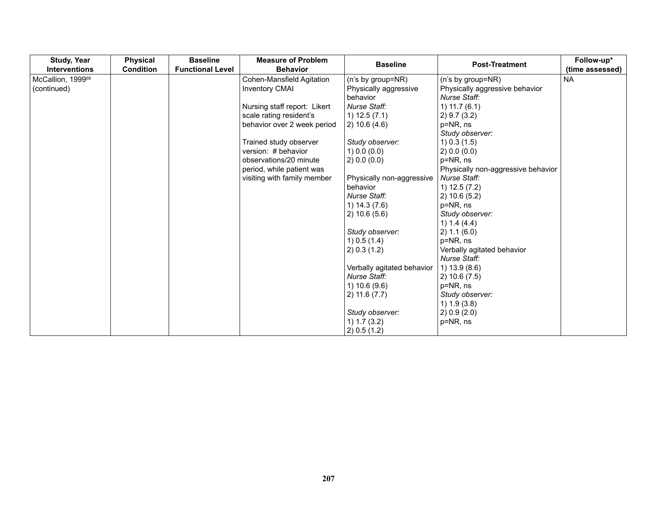| <b>Study, Year</b><br><b>Interventions</b> | <b>Physical</b><br><b>Condition</b> | <b>Baseline</b><br><b>Functional Level</b> | <b>Measure of Problem</b><br><b>Behavior</b> | <b>Baseline</b>            | <b>Post-Treatment</b>              | Follow-up*<br>(time assessed) |
|--------------------------------------------|-------------------------------------|--------------------------------------------|----------------------------------------------|----------------------------|------------------------------------|-------------------------------|
| McCallion, 199968                          |                                     |                                            | Cohen-Mansfield Agitation                    | (n's by group=NR)          | (n's by group=NR)                  | <b>NA</b>                     |
| (continued)                                |                                     |                                            | <b>Inventory CMAI</b>                        | Physically aggressive      | Physically aggressive behavior     |                               |
|                                            |                                     |                                            |                                              | behavior                   | Nurse Staff:                       |                               |
|                                            |                                     |                                            | Nursing staff report: Likert                 | Nurse Staff:               | 1) $11.7(6.1)$                     |                               |
|                                            |                                     |                                            | scale rating resident's                      | $1)$ 12.5 $(7.1)$          | 2) 9.7 (3.2)                       |                               |
|                                            |                                     |                                            | behavior over 2 week period                  | 2) 10.6 (4.6)              | p=NR, ns                           |                               |
|                                            |                                     |                                            |                                              |                            | Study observer:                    |                               |
|                                            |                                     |                                            | Trained study observer                       | Study observer:            | $1)$ 0.3 (1.5)                     |                               |
|                                            |                                     |                                            | version: # behavior                          | 1) 0.0 (0.0)               | 2) 0.0 (0.0)                       |                               |
|                                            |                                     |                                            | observations/20 minute                       | 2) 0.0 (0.0)               | p=NR, ns                           |                               |
|                                            |                                     |                                            | period, while patient was                    |                            | Physically non-aggressive behavior |                               |
|                                            |                                     |                                            | visiting with family member                  | Physically non-aggressive  | Nurse Staff:                       |                               |
|                                            |                                     |                                            |                                              | behavior                   | 1) 12.5 (7.2)                      |                               |
|                                            |                                     |                                            |                                              | Nurse Staff:               | 2) 10.6(5.2)                       |                               |
|                                            |                                     |                                            |                                              | 1) 14.3 (7.6)              | p=NR, ns                           |                               |
|                                            |                                     |                                            |                                              | 2) 10.6(5.6)               | Study observer:                    |                               |
|                                            |                                     |                                            |                                              |                            | 1) $1.4(4.4)$                      |                               |
|                                            |                                     |                                            |                                              | Study observer:            | 2) 1.1 (6.0)                       |                               |
|                                            |                                     |                                            |                                              | 1) 0.5 (1.4)               | p=NR, ns                           |                               |
|                                            |                                     |                                            |                                              | 2) 0.3 (1.2)               | Verbally agitated behavior         |                               |
|                                            |                                     |                                            |                                              |                            | Nurse Staff:                       |                               |
|                                            |                                     |                                            |                                              | Verbally agitated behavior | 1) 13.9 (8.6)                      |                               |
|                                            |                                     |                                            |                                              | Nurse Staff:               | 2) 10.6 (7.5)                      |                               |
|                                            |                                     |                                            |                                              | 1) 10.6 (9.6)              | p=NR, ns                           |                               |
|                                            |                                     |                                            |                                              | 2) 11.6 (7.7)              | Study observer:                    |                               |
|                                            |                                     |                                            |                                              |                            | 1) 1.9 (3.8)                       |                               |
|                                            |                                     |                                            |                                              | Study observer:            | 2) 0.9 (2.0)                       |                               |
|                                            |                                     |                                            |                                              | 1) 1.7 (3.2)               | p=NR, ns                           |                               |
|                                            |                                     |                                            |                                              | 2) 0.5 (1.2)               |                                    |                               |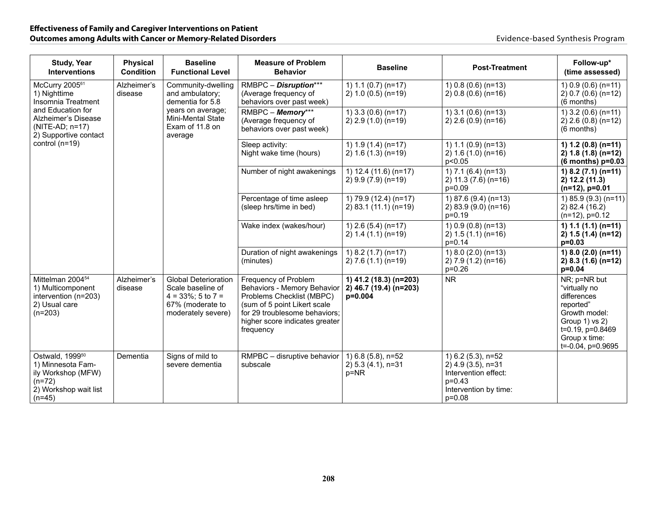| <b>Study, Year</b><br><b>Interventions</b>                                                                              | <b>Physical</b><br><b>Condition</b> | <b>Baseline</b><br><b>Functional Level</b>                                                                                               | <b>Measure of Problem</b><br><b>Behavior</b>                                                                                                                                                     | <b>Baseline</b>                                               | <b>Post-Treatment</b>                                                                                               | Follow-up*<br>(time assessed)                                                                                                                          |
|-------------------------------------------------------------------------------------------------------------------------|-------------------------------------|------------------------------------------------------------------------------------------------------------------------------------------|--------------------------------------------------------------------------------------------------------------------------------------------------------------------------------------------------|---------------------------------------------------------------|---------------------------------------------------------------------------------------------------------------------|--------------------------------------------------------------------------------------------------------------------------------------------------------|
| McCurry 2005 <sup>61</sup><br>1) Nighttime<br>Insomnia Treatment                                                        | Alzheimer's<br>disease              | Community-dwelling<br>and ambulatory;<br>dementia for 5.8<br>years on average;<br><b>Mini-Mental State</b><br>Exam of 11.8 on<br>average | RMBPC - Disruption***<br>(Average frequency of<br>behaviors over past week)                                                                                                                      | 1) $1.1$ (0.7) (n=17)<br>$2) 1.0 (0.5) (n=19)$                | 1) $0.8(0.6)(n=13)$<br>$2) 0.8 (0.6) (n=16)$                                                                        | 1) $0.9(0.6)(n=11)$<br>$2) 0.7 (0.6) (n=12)$<br>(6 months)                                                                                             |
| and Education for<br>Alzheimer's Disease<br>(NITE-AD; n=17)<br>2) Supportive contact                                    |                                     |                                                                                                                                          | RMBPC - Memory***<br>(Average frequency of<br>behaviors over past week)                                                                                                                          | 1) $3.3(0.6)(n=17)$<br>$2)$ 2.9 (1.0) (n=19)                  | 1) $3.1(0.6)(n=13)$<br>$2)$ 2.6 (0.9) (n=16)                                                                        | 1) $3.2(0.6)(n=11)$<br>$2)$ 2.6 (0.8) (n=12)<br>(6 months)                                                                                             |
| control $(n=19)$                                                                                                        |                                     |                                                                                                                                          | Sleep activity:<br>Night wake time (hours)                                                                                                                                                       | 1) $1.9(1.4)(n=17)$<br>$2) 1.6 (1.3) (n=19)$                  | 1) $1.1$ (0.9) (n=13)<br>$2) 1.6 (1.0) (n=16)$<br>p<0.05                                                            | 1) $1.2$ (0.8) (n=11)<br>$2) 1.8 (1.8) (n=12)$<br>$(6$ months) $p=0.03$                                                                                |
|                                                                                                                         |                                     |                                                                                                                                          | Number of night awakenings                                                                                                                                                                       | 1) 12.4 (11.6) (n=17)<br>2) 9.9 (7.9) (n=19)                  | 1) $7.1$ (6.4) (n=13)<br>2) 11.3 (7.6) (n=16)<br>p=0.09                                                             | 1) 8.2 $(7.1)$ (n=11)<br>2) 12.2 (11.3)<br>$(n=12)$ , $p=0.01$                                                                                         |
|                                                                                                                         |                                     |                                                                                                                                          | Percentage of time asleep<br>(sleep hrs/time in bed)                                                                                                                                             | 1) 79.9 (12.4) (n=17)<br>2) 83.1 (11.1) (n=19)                | 1) 87.6 (9.4) (n=13)<br>2) 83.9 (9.0) (n=16)<br>$p=0.19$                                                            | 1) 85.9 (9.3) (n=11)<br>2) 82.4 (16.2)<br>$(n=12)$ , $p=0.12$                                                                                          |
|                                                                                                                         |                                     |                                                                                                                                          | Wake index (wakes/hour)                                                                                                                                                                          | 1) $2.6(5.4)(n=17)$<br>$2) 1.4 (1.1) (n=19)$                  | 1) $0.9(0.8)(n=13)$<br>$2) 1.5 (1.1) (n=16)$<br>$p=0.14$                                                            | 1) $1.1$ (1.1) (n=11)<br>2) $1.5(1.4)(n=12)$<br>$p=0.03$                                                                                               |
|                                                                                                                         |                                     |                                                                                                                                          | Duration of night awakenings<br>(minutes)                                                                                                                                                        | 1) $8.2$ (1.7) (n=17)<br>$2) 7.6 (1.1) (n=19)$                | 1) $8.0$ (2.0) (n=13)<br>2) 7.9 (1.2) (n=16)<br>$p=0.26$                                                            | 1) 8.0 (2.0) (n=11)<br>$2)$ 8.3 (1.6) (n=12)<br>$p=0.04$                                                                                               |
| Mittelman 2004 <sup>54</sup><br>1) Multicomponent<br>intervention (n=203)<br>2) Usual care<br>$(n=203)$                 | Alzheimer's<br>disease              | <b>Global Deterioration</b><br>Scale baseline of<br>$4 = 33\%$ ; 5 to 7 =<br>67% (moderate to<br>moderately severe)                      | Frequency of Problem<br>Behaviors - Memory Behavior<br>Problems Checklist (MBPC)<br>(sum of 5 point Likert scale<br>for 29 troublesome behaviors:<br>higher score indicates greater<br>frequency | 1) 41.2 (18.3) (n=203)<br>2) 46.7 (19.4) (n=203)<br>$p=0.004$ | <b>NR</b>                                                                                                           | NR; p=NR but<br>"virtually no<br>differences<br>reported"<br>Growth model:<br>Group 1) vs 2)<br>t=0.19, p=0.8469<br>Group x time:<br>t=-0.04, p=0.9695 |
| Ostwald, 1999 <sup>50</sup><br>1) Minnesota Fam-<br>ily Workshop (MFW)<br>$(n=72)$<br>2) Workshop wait list<br>$(n=45)$ | Dementia                            | Signs of mild to<br>severe dementia                                                                                                      | RMPBC - disruptive behavior<br>subscale                                                                                                                                                          | 1) 6.8 (5.8), n=52<br>2) 5.3 (4.1), n=31<br>p=NR              | 1) 6.2 (5.3), n=52<br>2) 4.9 (3.5), n=31<br>Intervention effect:<br>$p=0.43$<br>Intervention by time:<br>$p = 0.08$ |                                                                                                                                                        |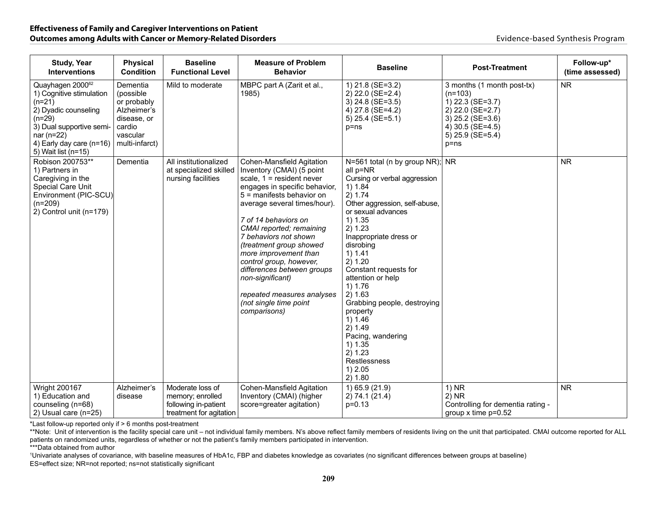| <b>Study, Year</b><br><b>Interventions</b>                                                                                                                                                                | <b>Physical</b><br><b>Condition</b>                                                                        | <b>Baseline</b><br><b>Functional Level</b>                                              | <b>Measure of Problem</b><br><b>Behavior</b>                                                                                                                                                                                                                                                                                                                                                                                                                              | <b>Baseline</b>                                                                                                                                                                                                                                                                                                                                                                                                                                                   | <b>Post-Treatment</b>                                                                                                                                     | Follow-up*<br>(time assessed) |
|-----------------------------------------------------------------------------------------------------------------------------------------------------------------------------------------------------------|------------------------------------------------------------------------------------------------------------|-----------------------------------------------------------------------------------------|---------------------------------------------------------------------------------------------------------------------------------------------------------------------------------------------------------------------------------------------------------------------------------------------------------------------------------------------------------------------------------------------------------------------------------------------------------------------------|-------------------------------------------------------------------------------------------------------------------------------------------------------------------------------------------------------------------------------------------------------------------------------------------------------------------------------------------------------------------------------------------------------------------------------------------------------------------|-----------------------------------------------------------------------------------------------------------------------------------------------------------|-------------------------------|
| Quayhagen 2000 <sup>62</sup><br>1) Cognitive stimulation<br>$(n=21)$<br>2) Dyadic counseling<br>$(n=29)$<br>3) Dual supportive semi-<br>nar ( $n=22$ )<br>4) Early day care (n=16)<br>5) Wait list (n=15) | Dementia<br>(possible<br>or probably<br>Alzheimer's<br>disease, or<br>cardio<br>vascular<br>multi-infarct) | Mild to moderate                                                                        | MBPC part A (Zarit et al.,<br>1985)                                                                                                                                                                                                                                                                                                                                                                                                                                       | 1) 21.8 (SE=3.2)<br>2) 22.0 (SE=2.4)<br>3) 24.8 (SE=3.5)<br>4) 27.8 (SE=4.2)<br>5) 25.4 (SE=5.1)<br>$p = ns$                                                                                                                                                                                                                                                                                                                                                      | 3 months (1 month post-tx)<br>$(n=103)$<br>1) 22.3 (SE=3.7)<br>2) 22.0 (SE=2.7)<br>3) 25.2 (SE=3.6)<br>4) 30.5 (SE=4.5)<br>$5)$ 25.9 (SE=5.4)<br>$p = ns$ | <b>NR</b>                     |
| Robison 200753**<br>1) Partners in<br>Caregiving in the<br><b>Special Care Unit</b><br>Environment (PIC-SCU)<br>$(n=209)$<br>2) Control unit (n=179)                                                      | Dementia                                                                                                   | All institutionalized<br>at specialized skilled<br>nursing facilities                   | Cohen-Mansfield Agitation<br>Inventory (CMAI) (5 point<br>scale, $1 =$ resident never<br>engages in specific behavior,<br>5 = manifests behavior on<br>average several times/hour).<br>7 of 14 behaviors on<br>CMAI reported; remaining<br>7 behaviors not shown<br>(treatment group showed<br>more improvement than<br>control group, however,<br>differences between groups<br>non-significant)<br>repeated measures analyses<br>(not single time point<br>comparisons) | N=561 total (n by group NR); NR<br>all p=NR<br>Cursing or verbal aggression<br>1) 1.84<br>2) 1.74<br>Other aggression, self-abuse,<br>or sexual advances<br>1) 1.35<br>2) 1.23<br>Inappropriate dress or<br>disrobing<br>1) 1.41<br>2) 1.20<br>Constant requests for<br>attention or help<br>1) 1.76<br>2) 1.63<br>Grabbing people, destroying<br>property<br>1) 1.46<br>2) 1.49<br>Pacing, wandering<br>1) 1.35<br>2) 1.23<br>Restlessness<br>1) 2.05<br>2) 1.80 |                                                                                                                                                           | <b>NR</b>                     |
| <b>Wright 200167</b><br>1) Education and<br>counseling (n=68)<br>2) Usual care (n=25)                                                                                                                     | Alzheimer's<br>disease                                                                                     | Moderate loss of<br>memory; enrolled<br>following in-patient<br>treatment for agitation | <b>Cohen-Mansfield Agitation</b><br>Inventory (CMAI) (higher<br>score=greater agitation)                                                                                                                                                                                                                                                                                                                                                                                  | 1) 65.9 (21.9)<br>2) 74.1 (21.4)<br>$p=0.13$                                                                                                                                                                                                                                                                                                                                                                                                                      | $1)$ NR<br>$2)$ NR<br>Controlling for dementia rating -<br>group $x$ time $p=0.52$                                                                        | <b>NR</b>                     |

\*Last follow-up reported only if > 6 months post-treatment

\*\*Note: Unit of intervention is the facility special care unit – not individual family members. N's above reflect family members of residents living on the unit that participated. CMAI outcome reported for ALL patients on randomized units, regardless of whether or not the patient's family members participated in intervention.

\*\*\*Data obtained from author

1 Univariate analyses of covariance, with baseline measures of HbA1c, FBP and diabetes knowledge as covariates (no significant differences between groups at baseline) ES=effect size; NR=not reported; ns=not statistically significant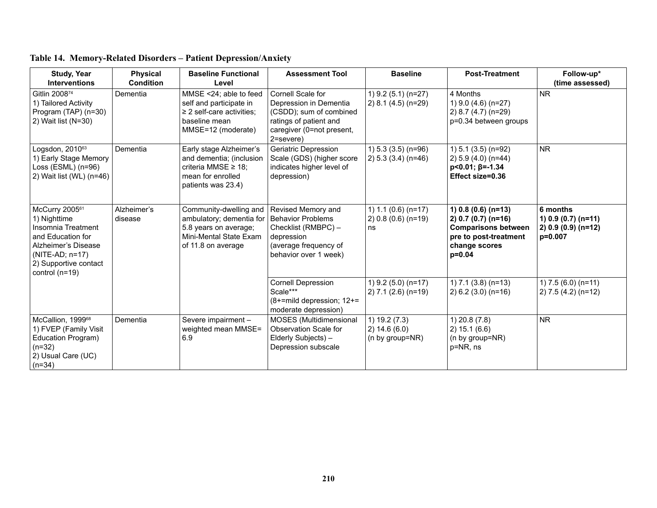| <b>Study, Year</b><br><b>Interventions</b>                                                                                                                       | <b>Physical</b><br><b>Condition</b> | <b>Baseline Functional</b><br>Level                                                                                         | <b>Assessment Tool</b>                                                                                                                     | <b>Baseline</b>                                      | <b>Post-Treatment</b>                                                                                                            | Follow-up*<br>(time assessed)                                       |
|------------------------------------------------------------------------------------------------------------------------------------------------------------------|-------------------------------------|-----------------------------------------------------------------------------------------------------------------------------|--------------------------------------------------------------------------------------------------------------------------------------------|------------------------------------------------------|----------------------------------------------------------------------------------------------------------------------------------|---------------------------------------------------------------------|
| Gitlin 200874<br>1) Tailored Activity<br>Program (TAP) (n=30)<br>2) Wait list (N=30)                                                                             | Dementia                            | MMSE <24; able to feed<br>self and participate in<br>$\geq$ 2 self-care activities;<br>baseline mean<br>MMSE=12 (moderate)  | Cornell Scale for<br>Depression in Dementia<br>(CSDD); sum of combined<br>ratings of patient and<br>caregiver (0=not present,<br>2=severe) | 1) 9.2 (5.1) (n=27)<br>$2)$ 8.1 (4.5) (n=29)         | 4 Months<br>1) $9.0$ (4.6) (n=27)<br>2) 8.7 (4.7) (n=29)<br>p=0.34 between groups                                                | <b>NR</b>                                                           |
| Logsdon, 2010 <sup>63</sup><br>1) Early Stage Memory<br>Loss (ESML) (n=96)<br>2) Wait list (WL) (n=46)                                                           | Dementia                            | Early stage Alzheimer's<br>and dementia; (inclusion<br>criteria MMSE $\geq$ 18;<br>mean for enrolled<br>patients was 23.4)  | Geriatric Depression<br>Scale (GDS) (higher score<br>indicates higher level of<br>depression)                                              | 1) $5.3$ (3.5) (n=96)<br>$2) 5.3 (3.4) (n=46)$       | 1) 5.1 (3.5) (n=92)<br>2) 5.9 (4.0) (n=44)<br>$p<0.01; \beta=-1.34$<br>Effect size=0.36                                          | <b>NR</b>                                                           |
| McCurry 200561<br>1) Nighttime<br>Insomnia Treatment<br>and Education for<br>Alzheimer's Disease<br>$(NITE-AD; n=17)$<br>2) Supportive contact<br>control (n=19) | Alzheimer's<br>disease              | Community-dwelling and<br>ambulatory; dementia for<br>5.8 years on average;<br>Mini-Mental State Exam<br>of 11.8 on average | Revised Memory and<br><b>Behavior Problems</b><br>Checklist (RMBPC) -<br>depression<br>(average frequency of<br>behavior over 1 week)      | 1) $1.1$ (0.6) (n=17)<br>$2) 0.8 (0.6) (n=19)$<br>ns | 1) $0.8$ (0.6) (n=13)<br>2) $0.7(0.7)(n=16)$<br><b>Comparisons between</b><br>pre to post-treatment<br>change scores<br>$p=0.04$ | 6 months<br>1) $0.9(0.7)(n=11)$<br>$2) 0.9 (0.9) (n=12)$<br>p=0.007 |
|                                                                                                                                                                  |                                     |                                                                                                                             | <b>Cornell Depression</b><br>Scale***<br>$(8+$ =mild depression; 12+=<br>moderate depression)                                              | 1) 9.2 (5.0) (n=17)<br>$(2)$ 7.1 $(2.6)$ (n=19)      | 1) $7.1$ (3.8) (n=13)<br>$2) 6.2 (3.0) (n=16)$                                                                                   | 1) $7.5(6.0)(n=11)$<br>$2) 7.5 (4.2) (n=12)$                        |
| McCallion, 1999 <sup>68</sup><br>1) FVEP (Family Visit<br>Education Program)<br>$(n=32)$<br>2) Usual Care (UC)<br>$(n=34)$                                       | Dementia                            | Severe impairment -<br>weighted mean MMSE=<br>6.9                                                                           | <b>MOSES</b> (Multidimensional<br>Observation Scale for<br>Elderly Subjects) -<br>Depression subscale                                      | 1) 19.2 (7.3)<br>2) 14.6(6.0)<br>(n by group=NR)     | $1)$ 20.8 $(7.8)$<br>2) 15.1 (6.6)<br>(n by group=NR)<br>p=NR, ns                                                                | <b>NR</b>                                                           |

# **Table 14. Memory-Related Disorders – Patient Depression/Anxiety**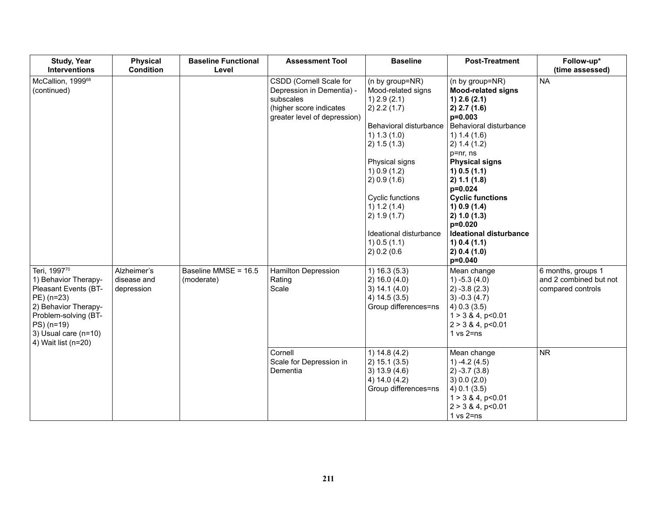| <b>Study, Year</b><br><b>Interventions</b>                                                                                                                                                | <b>Physical</b><br><b>Condition</b>      | <b>Baseline Functional</b><br>Level | <b>Assessment Tool</b>                                                                                                       | <b>Baseline</b>                                                                                                                                                                                                                                                                                    | <b>Post-Treatment</b>                                                                                                                                                                                                                                                                                                                                                                     | Follow-up*<br>(time assessed)                                     |
|-------------------------------------------------------------------------------------------------------------------------------------------------------------------------------------------|------------------------------------------|-------------------------------------|------------------------------------------------------------------------------------------------------------------------------|----------------------------------------------------------------------------------------------------------------------------------------------------------------------------------------------------------------------------------------------------------------------------------------------------|-------------------------------------------------------------------------------------------------------------------------------------------------------------------------------------------------------------------------------------------------------------------------------------------------------------------------------------------------------------------------------------------|-------------------------------------------------------------------|
| McCallion, 1999 <sup>68</sup><br>(continued)                                                                                                                                              |                                          |                                     | CSDD (Cornell Scale for<br>Depression in Dementia) -<br>subscales<br>(higher score indicates<br>greater level of depression) | (n by group=NR)<br>Mood-related signs<br>$1)$ 2.9 (2.1)<br>2) 2.2 (1.7)<br>Behavioral disturbance<br>1) 1.3 (1.0)<br>2) 1.5 (1.3)<br>Physical signs<br>1) 0.9 (1.2)<br>2) 0.9 (1.6)<br>Cyclic functions<br>1) 1.2 (1.4)<br>2) 1.9(1.7)<br>Ideational disturbance<br>$1)$ 0.5 (1.1)<br>2) 0.2 (0.6) | (n by group=NR)<br><b>Mood-related signs</b><br>$1)$ 2.6 (2.1)<br>2) 2.7 (1.6)<br>$p=0.003$<br>Behavioral disturbance<br>1) 1.4 (1.6)<br>2) 1.4 (1.2)<br>p=nr, ns<br><b>Physical signs</b><br>1) 0.5 (1.1)<br>2) 1.1 (1.8)<br>p=0.024<br><b>Cyclic functions</b><br>1) 0.9 (1.4)<br>2) 1.0 (1.3)<br>p=0.020<br><b>Ideational disturbance</b><br>1) 0.4 (1.1)<br>2) 0.4 (1.0)<br>$p=0.040$ | <b>NA</b>                                                         |
| Teri, 199770<br>1) Behavior Therapy-<br>Pleasant Events (BT-<br>PE) (n=23)<br>2) Behavior Therapy-<br>Problem-solving (BT-<br>PS) (n=19)<br>3) Usual care $(n=10)$<br>4) Wait list (n=20) | Alzheimer's<br>disease and<br>depression | Baseline MMSE = 16.5<br>(moderate)  | <b>Hamilton Depression</b><br>Rating<br>Scale                                                                                | 1) 16.3(5.3)<br>2) 16.0 (4.0)<br>3) 14.1 (4.0)<br>4) $14.5(3.5)$<br>Group differences=ns                                                                                                                                                                                                           | Mean change<br>$(4.0)$ -5.3 $(4.0)$<br>$2) -3.8(2.3)$<br>$3) -0.3(4.7)$<br>$(4)$ 0.3 $(3.5)$<br>$1 > 3$ & 4, p<0.01<br>$2 > 3$ & 4, p < 0.01<br>$1 \text{ vs } 2 = ns$                                                                                                                                                                                                                    | 6 months, groups 1<br>and 2 combined but not<br>compared controls |
|                                                                                                                                                                                           |                                          |                                     | Cornell<br>Scale for Depression in<br>Dementia                                                                               | 1) $14.8(4.2)$<br>2) 15.1 (3.5)<br>3) 13.9 (4.6)<br>4) 14.0 (4.2)<br>Group differences=ns                                                                                                                                                                                                          | Mean change<br>1) $-4.2(4.5)$<br>$2) -3.7(3.8)$<br>3) 0.0 (2.0)<br>$(4)$ 0.1 $(3.5)$<br>$1 > 3$ & 4, p<0.01<br>$2 > 3$ & 4, p<0.01<br>$1$ vs $2 = ns$                                                                                                                                                                                                                                     | <b>NR</b>                                                         |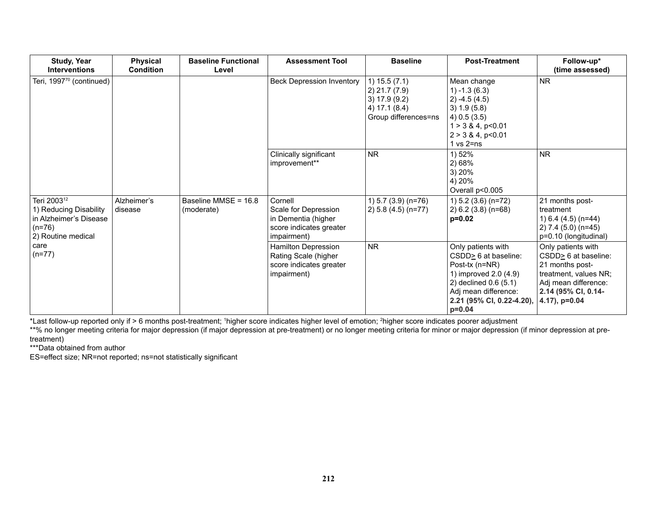| <b>Study, Year</b><br><b>Interventions</b>                                                                    | <b>Physical</b><br><b>Condition</b> | <b>Baseline Functional</b><br>Level | <b>Assessment Tool</b>                                                                           | <b>Baseline</b>                                                                          | <b>Post-Treatment</b>                                                                                                                                                           | Follow-up*<br>(time assessed)                                                                                                                            |
|---------------------------------------------------------------------------------------------------------------|-------------------------------------|-------------------------------------|--------------------------------------------------------------------------------------------------|------------------------------------------------------------------------------------------|---------------------------------------------------------------------------------------------------------------------------------------------------------------------------------|----------------------------------------------------------------------------------------------------------------------------------------------------------|
| Teri, 1997 <sup>70</sup> (continued)                                                                          |                                     |                                     | <b>Beck Depression Inventory</b>                                                                 | 1) 15.5 (7.1)<br>2) 21.7 (7.9)<br>3) 17.9 (9.2)<br>4) 17.1 (8.4)<br>Group differences=ns | Mean change<br>$1) - 1.3(6.3)$<br>$2) -4.5(4.5)$<br>3) 1.9(5.8)<br>$(4)$ 0.5 (3.5)<br>$1 > 3$ & 4, p<0.01<br>$2 > 3$ & 4, p<0.01<br>$1$ vs $2 = ns$                             | <b>NR</b>                                                                                                                                                |
|                                                                                                               |                                     |                                     | Clinically significant<br>improvement**                                                          | <b>NR</b>                                                                                | 1) 52%<br>2) 68%<br>3) 20%<br>4) 20%<br>Overall p<0.005                                                                                                                         | <b>NR</b>                                                                                                                                                |
| Teri 2003 <sup>12</sup><br>1) Reducing Disability<br>in Alzheimer's Disease<br>$(n=76)$<br>2) Routine medical | Alzheimer's<br>disease              | Baseline MMSE = 16.8<br>(moderate)  | Cornell<br>Scale for Depression<br>in Dementia (higher<br>score indicates greater<br>impairment) | 1) $5.7$ (3.9) (n=76)<br>2) 5.8 (4.5) (n=77)                                             | 1) 5.2 (3.6) (n=72)<br>$2) 6.2 (3.8) (n=68)$<br>$p=0.02$                                                                                                                        | 21 months post-<br>treatment<br>1) $6.4$ (4.5) (n=44)<br>2) 7.4 (5.0) (n=45)<br>p=0.10 (longitudinal)                                                    |
| care<br>$(n=77)$                                                                                              |                                     |                                     | Hamilton Depression<br>Rating Scale (higher<br>score indicates greater<br>impairment)            | <b>NR</b>                                                                                | Only patients with<br>CSDD> 6 at baseline:<br>Post-tx (n=NR)<br>1) improved 2.0 (4.9)<br>2) declined 0.6 (5.1)<br>Adj mean difference:<br>2.21 (95% CI, 0.22-4.20),<br>$p=0.04$ | Only patients with<br>$CSDD2 6$ at baseline:<br>21 months post-<br>treatment, values NR;<br>Adj mean difference:<br>2.14 (95% CI, 0.14-<br>4.17), p=0.04 |

\*Last follow-up reported only if > 6 months post-treatment; 1 higher score indicates higher level of emotion; 2 higher score indicates poorer adjustment

\*\*% no longer meeting criteria for major depression (if major depression at pre-treatment) or no longer meeting criteria for minor or major depression (if minor depression at pretreatment)

\*\*\*Data obtained from author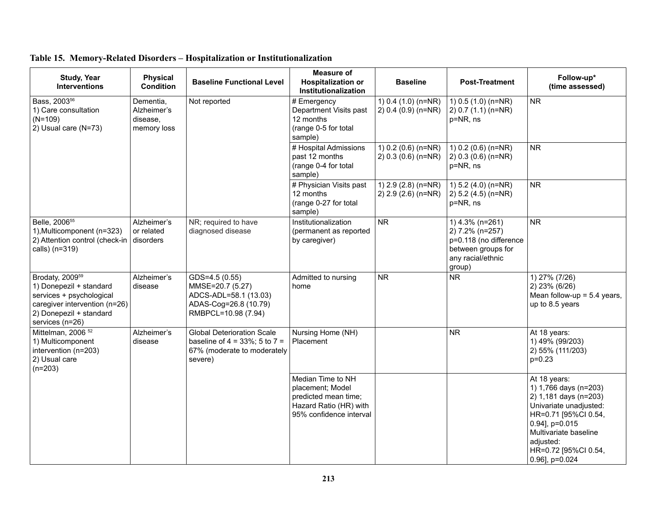| <b>Study, Year</b><br><b>Interventions</b>                                                                                                                        | <b>Physical</b><br><b>Condition</b>                 | <b>Baseline Functional Level</b>                                                                                   | <b>Measure of</b><br><b>Hospitalization or</b><br>Institutionalization                                             | <b>Baseline</b>                                | <b>Post-Treatment</b>                                                                                             | Follow-up*<br>(time assessed)                                                                                                                                                                                      |
|-------------------------------------------------------------------------------------------------------------------------------------------------------------------|-----------------------------------------------------|--------------------------------------------------------------------------------------------------------------------|--------------------------------------------------------------------------------------------------------------------|------------------------------------------------|-------------------------------------------------------------------------------------------------------------------|--------------------------------------------------------------------------------------------------------------------------------------------------------------------------------------------------------------------|
| Bass, 2003 <sup>56</sup><br>1) Care consultation<br>$(N=109)$<br>2) Usual care (N=73)                                                                             | Dementia,<br>Alzheimer's<br>disease,<br>memory loss | Not reported                                                                                                       | # Emergency<br>Department Visits past<br>12 months<br>(range 0-5 for total<br>sample)                              | 1) $0.4$ (1.0) (n=NR)<br>$2) 0.4 (0.9) (n=NR)$ | 1) $0.5(1.0)(n=NR)$<br>$2) 0.7 (1.1) (n=NR)$<br>p=NR, ns                                                          | <b>NR</b>                                                                                                                                                                                                          |
|                                                                                                                                                                   |                                                     |                                                                                                                    | # Hospital Admissions<br>past 12 months<br>(range 0-4 for total<br>sample)                                         | 1) $0.2$ (0.6) (n=NR)<br>$2) 0.3 (0.6) (n=NR)$ | 1) $0.2$ (0.6) (n=NR)<br>$(2)$ 0.3 (0.6) (n=NR)<br>p=NR, ns                                                       | <b>NR</b>                                                                                                                                                                                                          |
|                                                                                                                                                                   |                                                     |                                                                                                                    | # Physician Visits past<br>12 months<br>(range 0-27 for total<br>sample)                                           | 1) 2.9 (2.8) (n=NR)<br>$2)$ 2.9 (2.6) (n=NR)   | 1) 5.2 (4.0) (n=NR)<br>2) 5.2 (4.5) (n=NR)<br>p=NR, ns                                                            | <b>NR</b>                                                                                                                                                                                                          |
| Belle, 2006 <sup>55</sup><br>1), Multicomponent (n=323)<br>2) Attention control (check-in<br>calls) (n=319)                                                       | Alzheimer's<br>or related<br>disorders              | NR; required to have<br>diagnosed disease                                                                          | Institutionalization<br>(permanent as reported<br>by caregiver)                                                    | <b>NR</b>                                      | 1) 4.3% (n=261)<br>2) 7.2% (n=257)<br>p=0.118 (no difference<br>between groups for<br>any racial/ethnic<br>group) | <b>NR</b>                                                                                                                                                                                                          |
| Brodaty, 2009 <sup>59</sup><br>1) Donepezil + standard<br>services + psychological<br>caregiver intervention (n=26)<br>2) Donepezil + standard<br>services (n=26) | Alzheimer's<br>disease                              | GDS=4.5 (0.55)<br>MMSE=20.7 (5.27)<br>ADCS-ADL=58.1 (13.03)<br>ADAS-Cog=26.8 (10.79)<br>RMBPCL=10.98 (7.94)        | Admitted to nursing<br>home                                                                                        | <b>NR</b>                                      | <b>NR</b>                                                                                                         | 1) 27% (7/26)<br>2) 23% (6/26)<br>Mean follow-up = $5.4$ years,<br>up to 8.5 years                                                                                                                                 |
| Mittelman, 2006 <sup>52</sup><br>1) Multicomponent<br>intervention (n=203)<br>2) Usual care<br>$(n=203)$                                                          | Alzheimer's<br>disease                              | <b>Global Deterioration Scale</b><br>baseline of $4 = 33\%$ ; 5 to $7 =$<br>67% (moderate to moderately<br>severe) | Nursing Home (NH)<br>Placement                                                                                     |                                                | <b>NR</b>                                                                                                         | At 18 years:<br>1) 49% (99/203)<br>2) 55% (111/203)<br>$p=0.23$                                                                                                                                                    |
|                                                                                                                                                                   |                                                     |                                                                                                                    | Median Time to NH<br>placement; Model<br>predicted mean time;<br>Hazard Ratio (HR) with<br>95% confidence interval |                                                |                                                                                                                   | At 18 years:<br>1) 1,766 days (n=203)<br>2) 1,181 days (n=203)<br>Univariate unadjusted:<br>HR=0.71 [95%Cl 0.54,<br>0.94], p=0.015<br>Multivariate baseline<br>adjusted:<br>HR=0.72 [95%Cl 0.54,<br>0.96], p=0.024 |

# **Table 15. Memory-Related Disorders – Hospitalization or Institutionalization**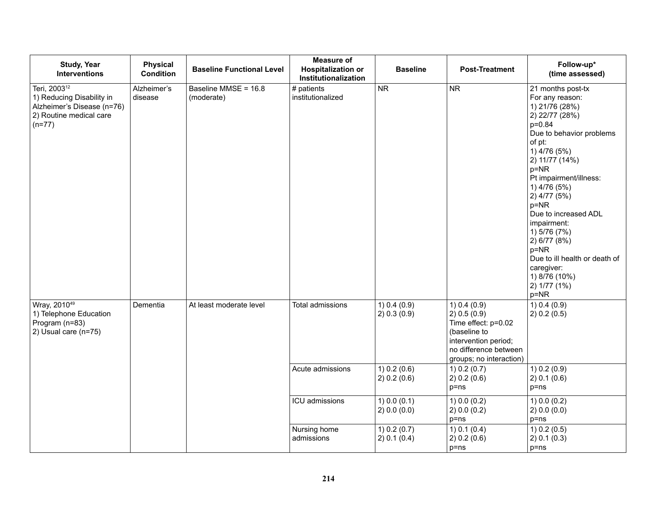| <b>Study, Year</b><br><b>Interventions</b>                                                                                 | <b>Physical</b><br><b>Condition</b> | <b>Baseline Functional Level</b>   | <b>Measure of</b><br><b>Hospitalization or</b><br>Institutionalization | <b>Baseline</b>              | <b>Post-Treatment</b>                                                                                                                           | Follow-up*<br>(time assessed)                                                                                                                                                                                                                                                                                                                                                                                           |
|----------------------------------------------------------------------------------------------------------------------------|-------------------------------------|------------------------------------|------------------------------------------------------------------------|------------------------------|-------------------------------------------------------------------------------------------------------------------------------------------------|-------------------------------------------------------------------------------------------------------------------------------------------------------------------------------------------------------------------------------------------------------------------------------------------------------------------------------------------------------------------------------------------------------------------------|
| Teri, 2003 <sup>12</sup><br>1) Reducing Disability in<br>Alzheimer's Disease (n=76)<br>2) Routine medical care<br>$(n=77)$ | Alzheimer's<br>disease              | Baseline MMSE = 16.8<br>(moderate) | # patients<br>institutionalized                                        | NR                           | <b>NR</b>                                                                                                                                       | 21 months post-tx<br>For any reason:<br>1) 21/76 (28%)<br>2) 22/77 (28%)<br>p=0.84<br>Due to behavior problems<br>of pt:<br>1) 4/76 (5%)<br>2) 11/77 (14%)<br>$p = NR$<br>Pt impairment/illness:<br>1) 4/76 (5%)<br>2) 4/77 (5%)<br>$p = NR$<br>Due to increased ADL<br>impairment:<br>1) 5/76 (7%)<br>2) 6/77 (8%)<br>$p = NR$<br>Due to ill health or death of<br>caregiver:<br>1) 8/76 (10%)<br>2) 1/77 (1%)<br>p=NR |
| Wray, 201049<br>1) Telephone Education<br>Program (n=83)<br>2) Usual care (n=75)                                           | Dementia                            | At least moderate level            | Total admissions                                                       | 1) 0.4 (0.9)<br>2) 0.3 (0.9) | 1) 0.4 (0.9)<br>2) 0.5 (0.9)<br>Time effect: p=0.02<br>(baseline to<br>intervention period;<br>no difference between<br>groups; no interaction) | 1) 0.4 (0.9)<br>2) 0.2 (0.5)                                                                                                                                                                                                                                                                                                                                                                                            |
|                                                                                                                            |                                     |                                    | Acute admissions                                                       | 1) 0.2 (0.6)<br>2) 0.2 (0.6) | 1) 0.2 (0.7)<br>2) 0.2 (0.6)<br>$p = ns$                                                                                                        | 1) 0.2 (0.9)<br>2) 0.1 (0.6)<br>$p = ns$                                                                                                                                                                                                                                                                                                                                                                                |
|                                                                                                                            |                                     |                                    | ICU admissions                                                         | 1) 0.0 (0.1)<br>2) 0.0 (0.0) | 1) 0.0 (0.2)<br>2) 0.0 (0.2)<br>$p = ns$                                                                                                        | 1) 0.0 (0.2)<br>2) 0.0 (0.0)<br>p=ns                                                                                                                                                                                                                                                                                                                                                                                    |
|                                                                                                                            |                                     |                                    | Nursing home<br>admissions                                             | 1) 0.2 (0.7)<br>2) 0.1 (0.4) | 1) 0.1 (0.4)<br>2) 0.2 (0.6)<br>$p = ns$                                                                                                        | 1) 0.2 (0.5)<br>2) 0.1 (0.3)<br>$p = ns$                                                                                                                                                                                                                                                                                                                                                                                |